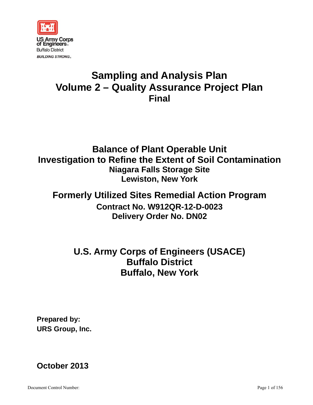

# **Sampling and Analysis Plan Volume 2 – Quality Assurance Project Plan Final**

# **Balance of Plant Operable Unit Investigation to Refine the Extent of Soil Contamination Niagara Falls Storage Site Lewiston, New York**

# **Formerly Utilized Sites Remedial Action Program Contract No. W912QR-12-D-0023 Delivery Order No. DN02**

# **U.S. Army Corps of Engineers (USACE) Buffalo District Buffalo, New York**

**Prepared by: URS Group, Inc.** 

# **October 2013**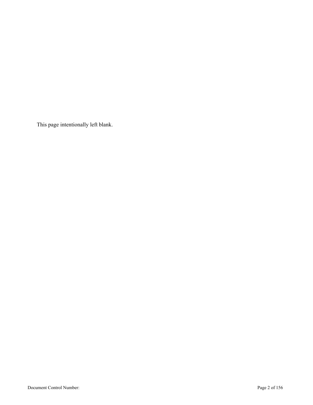This page intentionally left blank.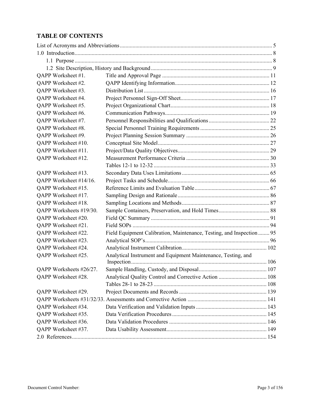# **TABLE OF CONTENTS**

| QAPP Worksheet #1.      |                                                                       |  |
|-------------------------|-----------------------------------------------------------------------|--|
| QAPP Worksheet #2.      |                                                                       |  |
| QAPP Worksheet #3.      |                                                                       |  |
| QAPP Worksheet #4.      |                                                                       |  |
| QAPP Worksheet #5.      |                                                                       |  |
| QAPP Worksheet #6.      |                                                                       |  |
| QAPP Worksheet #7.      |                                                                       |  |
| QAPP Worksheet #8.      |                                                                       |  |
| QAPP Worksheet #9.      |                                                                       |  |
| QAPP Worksheet #10.     |                                                                       |  |
| QAPP Worksheet #11.     |                                                                       |  |
| QAPP Worksheet #12.     |                                                                       |  |
|                         |                                                                       |  |
| QAPP Worksheet #13.     |                                                                       |  |
| QAPP Worksheet #14/16.  |                                                                       |  |
| QAPP Worksheet #15.     |                                                                       |  |
| QAPP Worksheet #17.     |                                                                       |  |
| QAPP Worksheet #18.     |                                                                       |  |
| QAPP Worksheets #19/30. |                                                                       |  |
| QAPP Worksheet #20.     |                                                                       |  |
| QAPP Worksheet #21.     |                                                                       |  |
| QAPP Worksheet #22.     | Field Equipment Calibration, Maintenance, Testing, and Inspection  95 |  |
| QAPP Worksheet #23.     |                                                                       |  |
| QAPP Worksheet #24.     |                                                                       |  |
| QAPP Worksheet #25.     | Analytical Instrument and Equipment Maintenance, Testing, and         |  |
| QAPP Worksheets #26/27. |                                                                       |  |
| QAPP Worksheet #28.     |                                                                       |  |
|                         |                                                                       |  |
| QAPP Worksheet #29.     |                                                                       |  |
|                         |                                                                       |  |
| QAPP Worksheet #34.     |                                                                       |  |
| QAPP Worksheet #35.     |                                                                       |  |
| QAPP Worksheet #36.     |                                                                       |  |
| QAPP Worksheet #37.     |                                                                       |  |
|                         |                                                                       |  |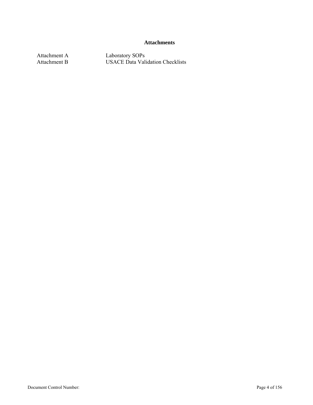### **Attachments**

Attachment A Laboratory SOPs Attachment B USACE Data Validation Checklists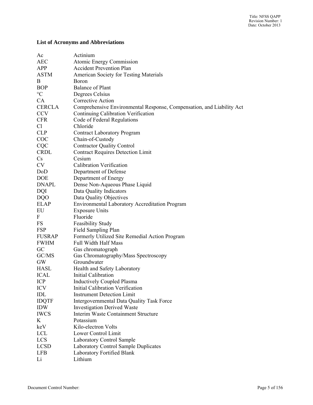#### **List of Acronyms and Abbreviations**

| Ac                     | Actinium                                                              |
|------------------------|-----------------------------------------------------------------------|
| <b>AEC</b>             | Atomic Energy Commission                                              |
| APP                    | <b>Accident Prevention Plan</b>                                       |
| ASTM                   | American Society for Testing Materials                                |
| B                      | Boron                                                                 |
| <b>BOP</b>             | <b>Balance of Plant</b>                                               |
| $\rm ^{\circ}C$        | Degrees Celsius                                                       |
| CA                     | Corrective Action                                                     |
| <b>CERCLA</b>          | Comprehensive Environmental Response, Compensation, and Liability Act |
| <b>CCV</b>             | Continuing Calibration Verification                                   |
| <b>CFR</b>             | Code of Federal Regulations                                           |
| Cl                     | Chloride                                                              |
| CLP                    | <b>Contract Laboratory Program</b>                                    |
| COC                    | Chain-of-Custody                                                      |
| CQC                    | <b>Contractor Quality Control</b>                                     |
| <b>CRDL</b>            | <b>Contract Requires Detection Limit</b>                              |
| $\mathbf{C}\mathbf{s}$ | Cesium                                                                |
| CV                     | <b>Calibration Verification</b>                                       |
| DoD                    | Department of Defense                                                 |
| <b>DOE</b>             | Department of Energy                                                  |
| <b>DNAPL</b>           | Dense Non-Aqueous Phase Liquid                                        |
|                        | Data Quality Indicators                                               |
| <b>DQI</b>             |                                                                       |
| DQO<br><b>ELAP</b>     | Data Quality Objectives                                               |
| EU                     | <b>Environmental Laboratory Accreditation Program</b>                 |
| F                      | <b>Exposure Units</b><br>Fluoride                                     |
|                        |                                                                       |
| FS                     | Feasibility Study                                                     |
| <b>FSP</b>             | Field Sampling Plan                                                   |
| <b>FUSRAP</b>          | Formerly Utilized Site Remedial Action Program                        |
| <b>FWHM</b>            | <b>Full Width Half Mass</b>                                           |
| GC                     | Gas chromatograph                                                     |
| GC/MS                  | Gas Chromatography/Mass Spectroscopy                                  |
| GW                     | Groundwater                                                           |
| <b>HASL</b>            | Health and Safety Laboratory                                          |
| <b>ICAL</b>            | Initial Calibration                                                   |
| ICP                    | <b>Inductively Coupled Plasma</b>                                     |
| <b>ICV</b>             | <b>Initial Calibration Verification</b>                               |
| IDL                    | <b>Instrument Detection Limit</b>                                     |
| <b>IDQTF</b>           | Intergovernmental Data Quality Task Force                             |
| <b>IDW</b>             | <b>Investigation Derived Waste</b>                                    |
| <b>IWCS</b>            | <b>Interim Waste Containment Structure</b>                            |
| K                      | Potassium                                                             |
| keV                    | Kilo-electron Volts                                                   |
| <b>LCL</b>             | Lower Control Limit                                                   |
| <b>LCS</b>             | <b>Laboratory Control Sample</b>                                      |
| <b>LCSD</b>            | <b>Laboratory Control Sample Duplicates</b>                           |
| <b>LFB</b>             | Laboratory Fortified Blank                                            |
| Li                     | Lithium                                                               |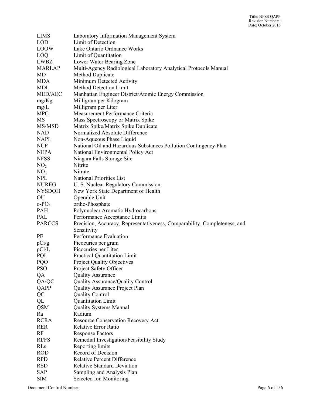| <b>LIMS</b>            | Laboratory Information Management System                                  |
|------------------------|---------------------------------------------------------------------------|
| <b>LOD</b>             | Limit of Detection                                                        |
| <b>LOOW</b>            | Lake Ontario Ordnance Works                                               |
| LOQ                    | Limit of Quantitation                                                     |
| <b>LWBZ</b>            | Lower Water Bearing Zone                                                  |
| <b>MARLAP</b>          | Multi-Agency Radiological Laboratory Analytical Protocols Manual          |
| MD                     | Method Duplicate                                                          |
| <b>MDA</b>             | Minimum Detected Activity                                                 |
| MDL                    | <b>Method Detection Limit</b>                                             |
| MED/AEC                | Manhattan Engineer District/Atomic Energy Commission                      |
| mg/Kg                  | Milligram per Kilogram                                                    |
| mg/L                   | Milligram per Liter                                                       |
| <b>MPC</b>             | Measurement Performance Criteria                                          |
| MS                     | Mass Spectroscopy or Matrix Spike                                         |
| MS/MSD                 | Matrix Spike/Matrix Spike Duplicate                                       |
| <b>NAD</b>             | Normalized Absolute Difference                                            |
| <b>NAPL</b>            | Non-Aqueous Phase Liquid                                                  |
| <b>NCP</b>             | National Oil and Hazardous Substances Pollution Contingency Plan          |
| <b>NEPA</b>            | National Environmental Policy Act                                         |
| <b>NFSS</b>            | Niagara Falls Storage Site                                                |
| NO <sub>2</sub>        | Nitrite                                                                   |
| NO <sub>3</sub>        | Nitrate                                                                   |
| <b>NPL</b>             | <b>National Priorities List</b>                                           |
| <b>NUREG</b>           | U. S. Nuclear Regulatory Commission                                       |
| <b>NYSDOH</b>          | New York State Department of Health                                       |
| $\overline{\text{OU}}$ | Operable Unit                                                             |
| $o$ -PO <sub>4</sub>   | ortho-Phosphate                                                           |
| PAH                    | Polynuclear Aromatic Hydrocarbons                                         |
| PAL                    | Performance Acceptance Limits                                             |
| <b>PARCCS</b>          | Precision, Accuracy, Representativeness, Comparability, Completeness, and |
|                        | Sensitivity                                                               |
| PE                     | Performance Evaluation                                                    |
| pCi/g                  | Picocuries per gram                                                       |
| pCi/L                  | Picocuries per Liter                                                      |
| <b>PQL</b>             | <b>Practical Quantitation Limit</b>                                       |
| <b>PQO</b>             | <b>Project Quality Objectives</b>                                         |
| <b>PSO</b>             | Project Safety Officer                                                    |
| QA                     | <b>Quality Assurance</b>                                                  |
| QA/QC                  | Quality Assurance/Quality Control                                         |
| QAPP                   | <b>Quality Assurance Project Plan</b>                                     |
| QC                     | <b>Quality Control</b>                                                    |
| QL                     | Quantitation Limit                                                        |
| <b>QSM</b>             | <b>Quality Systems Manual</b>                                             |
| Ra                     | Radium                                                                    |
| <b>RCRA</b>            | Resource Conservation Recovery Act                                        |
| <b>RER</b>             | Relative Error Ratio                                                      |
| RF                     | <b>Response Factors</b>                                                   |
| RI/FS                  | Remedial Investigation/Feasibility Study                                  |
| <b>RLs</b>             | Reporting limits                                                          |
| <b>ROD</b>             | Record of Decision                                                        |
| <b>RPD</b>             | <b>Relative Percent Difference</b>                                        |
| <b>RSD</b>             | <b>Relative Standard Deviation</b>                                        |
| SAP                    | Sampling and Analysis Plan                                                |
| <b>SIM</b>             | Selected Ion Monitoring                                                   |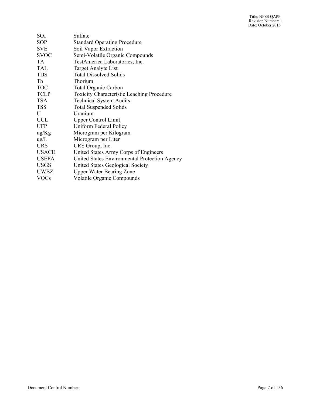| $SO_4$           | Sulfate                                           |
|------------------|---------------------------------------------------|
| <b>SOP</b>       | <b>Standard Operating Procedure</b>               |
| <b>SVE</b>       | Soil Vapor Extraction                             |
| <b>SVOC</b>      | Semi-Volatile Organic Compounds                   |
| <b>TA</b>        | TestAmerica Laboratories, Inc.                    |
| <b>TAL</b>       | Target Analyte List                               |
| <b>TDS</b>       | <b>Total Dissolved Solids</b>                     |
| Th               | Thorium                                           |
| <b>TOC</b>       | <b>Total Organic Carbon</b>                       |
| <b>TCLP</b>      | <b>Toxicity Characteristic Leaching Procedure</b> |
| <b>TSA</b>       | <b>Technical System Audits</b>                    |
| <b>TSS</b>       | <b>Total Suspended Solids</b>                     |
| U                | Uranium                                           |
| <b>UCL</b>       | <b>Upper Control Limit</b>                        |
| <b>UFP</b>       | Uniform Federal Policy                            |
| $\frac{u g}{Kg}$ | Microgram per Kilogram                            |
| $\text{ug/L}$    | Microgram per Liter                               |
| <b>URS</b>       | URS Group, Inc.                                   |
| USACE            | United States Army Corps of Engineers             |
| <b>USEPA</b>     | United States Environmental Protection Agency     |
| <b>USGS</b>      | United States Geological Society                  |
| <b>UWBZ</b>      | <b>Upper Water Bearing Zone</b>                   |
| <b>VOCs</b>      | Volatile Organic Compounds                        |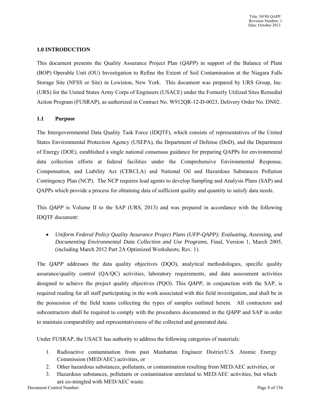#### **1.0 INTRODUCTION**

This document presents the Quality Assurance Project Plan (*QAPP*) in support of the Balance of Plant (BOP) Operable Unit (OU) Investigation to Refine the Extent of Soil Contamination at the Niagara Falls Storage Site (NFSS or Site) in Lewiston, New York. This document was prepared by URS Group, Inc. (URS) for the United States Army Corps of Engineers (USACE) under the Formerly Utilized Sites Remedial Action Program (FUSRAP), as authorized in Contract No. W912QR-12-D-0023, Delivery Order No. DN02.

#### **1.1 Purpose**

The Intergovernmental Data Quality Task Force (IDQTF), which consists of representatives of the United States Environmental Protection Agency (USEPA), the Department of Defense (DoD), and the Department of Energy (DOE), established a single national consensus guidance for preparing QAPPs for environmental data collection efforts at federal facilities under the Comprehensive Environmental Response, Compensation, and Liability Act (CERCLA) and National Oil and Hazardous Substances Pollution Contingency Plan (NCP). The NCP requires lead agents to develop Sampling and Analysis Plans (SAP) and QAPPs which provide a process for obtaining data of sufficient quality and quantity to satisfy data needs.

This *QAPP* is Volume II to the SAP (URS, 2013) and was prepared in accordance with the following IDQTF document:

 *Uniform Federal Policy Quality Assurance Project Plans (UFP-QAPP): Evaluating, Assessing, and Documenting Environmental Data Collection and Use Programs*, Final, Version 1, March 2005, (including March 2012 Part 2A Optimized Worksheets, Rev. 1).

The *QAPP* addresses the data quality objectives (DQO), analytical methodologies, specific quality assurance/quality control (QA/QC) activities, laboratory requirements, and data assessment activities designed to achieve the project quality objectives (PQO). This *QAPP*, in conjunction with the SAP, is required reading for all staff participating in the work associated with this field investigation, and shall be in the possession of the field teams collecting the types of samples outlined herein. All contractors and subcontractors shall be required to comply with the procedures documented in the *QAPP* and SAP in order to maintain comparability and representativeness of the collected and generated data.

Under FUSRAP, the USACE has authority to address the following categories of materials:

- 1. Radioactive contamination from past Manhattan Engineer District/U.S. Atomic Energy Commission (MED/AEC) activities, or
- 2. Other hazardous substances, pollutants, or contamination resulting from MED/AEC activities, or
- 3. Hazardous substances, pollutants or contamination unrelated to MED/AEC activities, but which are co-mingled with MED/AEC waste.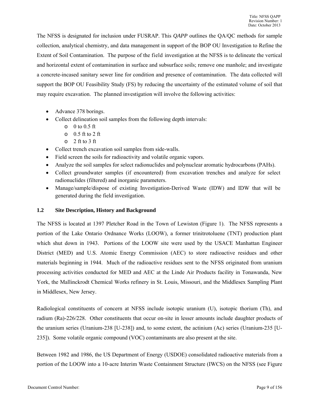The NFSS is designated for inclusion under FUSRAP. This *QAPP* outlines the QA/QC methods for sample collection, analytical chemistry, and data management in support of the BOP OU Investigation to Refine the Extent of Soil Contamination. The purpose of the field investigation at the NFSS is to delineate the vertical and horizontal extent of contamination in surface and subsurface soils; remove one manhole; and investigate a concrete-incased sanitary sewer line for condition and presence of contamination. The data collected will support the BOP OU Feasibility Study (FS) by reducing the uncertainty of the estimated volume of soil that may require excavation. The planned investigation will involve the following activities:

- Advance 378 borings.
- Collect delineation soil samples from the following depth intervals:
	- $\circ$  0 to 0.5 ft
	- $0.5$  ft to 2 ft
	- $\circ$  2 ft to 3 ft
- Collect trench excavation soil samples from side-walls.
- Field screen the soils for radioactivity and volatile organic vapors.
- Analyze the soil samples for select radionuclides and polynuclear aromatic hydrocarbons (PAHs).
- Collect groundwater samples (if encountered) from excavation trenches and analyze for select radionuclides (filtered) and inorganic parameters.
- Manage/sample/dispose of existing Investigation-Derived Waste (IDW) and IDW that will be generated during the field investigation.

#### **1.2 Site Description, History and Background**

The NFSS is located at 1397 Pletcher Road in the Town of Lewiston (Figure 1). The NFSS represents a portion of the Lake Ontario Ordnance Works (LOOW), a former trinitrotoluene (TNT) production plant which shut down in 1943. Portions of the LOOW site were used by the USACE Manhattan Engineer District (MED) and U.S. Atomic Energy Commission (AEC) to store radioactive residues and other materials beginning in 1944. Much of the radioactive residues sent to the NFSS originated from uranium processing activities conducted for MED and AEC at the Linde Air Products facility in Tonawanda, New York, the Mallinckrodt Chemical Works refinery in St. Louis, Missouri, and the Middlesex Sampling Plant in Middlesex, New Jersey.

Radiological constituents of concern at NFSS include isotopic uranium (U), isotopic thorium (Th), and radium (Ra)-226/228. Other constituents that occur on-site in lesser amounts include daughter products of the uranium series (Uranium-238 [U-238]) and, to some extent, the actinium (Ac) series (Uranium-235 [U-235]). Some volatile organic compound (VOC) contaminants are also present at the site.

Between 1982 and 1986, the US Department of Energy (USDOE) consolidated radioactive materials from a portion of the LOOW into a 10-acre Interim Waste Containment Structure (IWCS) on the NFSS (see Figure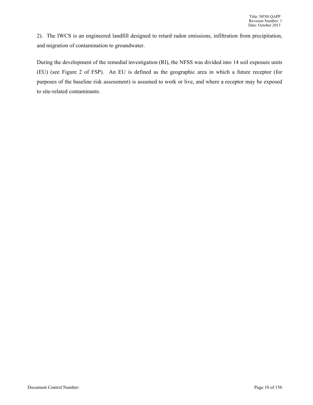2). The IWCS is an engineered landfill designed to retard radon emissions, infiltration from precipitation, and migration of contamination to groundwater.

During the development of the remedial investigation (RI), the NFSS was divided into 14 soil exposure units (EU) (see Figure 2 of FSP). An EU is defined as the geographic area in which a future receptor (for purposes of the baseline risk assessment) is assumed to work or live, and where a receptor may be exposed to site-related contaminants.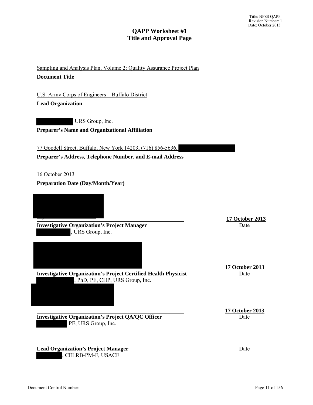## **QAPP Worksheet #1 Title and Approval Page**

Sampling and Analysis Plan, Volume 2: Quality Assurance Project Plan **Document Title** 

U.S. Army Corps of Engineers – Buffalo District

**Lead Organization** 

URS Group, Inc.

**Preparer's Name and Organizational Affiliation** 

77 Goodell Street, Buffalo, New York 14203, (716) 856-5636,

**Preparer's Address, Telephone Number, and E-mail Address** 

16 October 2013

**Preparation Date (Day/Month/Year)** 



**Investigative Organization's Project Manager** Date , URS Group, Inc.

**Investigative Organization's Project Certified Health Physicist** Date , PhD, PE, CHP, URS Group, Inc.

 **17 October 2013**

 **17 October 2013**

 **17 October 2013**

**Investigative Organization's Project QA/QC Officer** Date PE, URS Group, Inc.

 **Lead Organization's Project Manager**  Date , CELRB-PM-F, USACE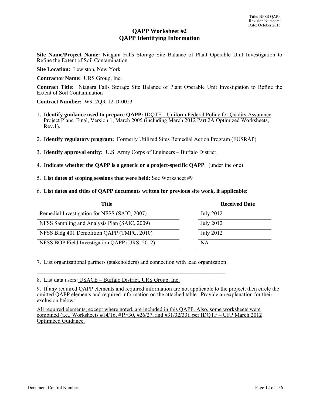**Site Name/Project Name:** Niagara Falls Storage Site Balance of Plant Operable Unit Investigation to Refine the Extent of Soil Contamination

**Site Location:** Lewiston, New York

**Contractor Name:** URS Group, Inc.

**Contract Title:** Niagara Falls Storage Site Balance of Plant Operable Unit Investigation to Refine the Extent of Soil Contamination

**Contract Number:** W912QR-12-D-0023

- 1**. Identify guidance used to prepare QAPP:** IDQTF Uniform Federal Policy for Quality Assurance Project Plans, Final, Version 1, March 2005 (including March 2012 Part 2A Optimized Worksheets,  $\overline{\text{Rev}.1}$ ).
- 2. **Identify regulatory program:** Formerly Utilized Sites Remedial Action Program (FUSRAP)
- 3. **Identify approval entity:** U.S. Army Corps of Engineers Buffalo District
- 4. **Indicate whether the QAPP is a generic or a project-specific QAPP**. (underline one)
- 5. **List dates of scoping sessions that were held:** See Worksheet #9
- 6. **List dates and titles of QAPP documents written for previous site work, if applicable:**

| Title                                         | <b>Received Date</b> |
|-----------------------------------------------|----------------------|
| Remedial Investigation for NFSS (SAIC, 2007)  | <b>July 2012</b>     |
| NFSS Sampling and Analysis Plan (SAIC, 2009)  | <b>July 2012</b>     |
| NFSS Bldg 401 Demolition QAPP (TMPC, 2010)    | July 2012            |
| NFSS BOP Field Investigation QAPP (URS, 2012) | <b>NA</b>            |

7. List organizational partners (stakeholders) and connection with lead organization:

8. List data users: USACE – Buffalo District, URS Group, Inc.

9. If any required QAPP elements and required information are not applicable to the project, then circle the omitted QAPP elements and required information on the attached table. Provide an explanation for their exclusion below:

All required elements, except where noted, are included in this QAPP. Also, some worksheets were combined (i.e., Worksheets #14/16, #19/30, #26/27, and #31/32/33), per IDQTF – UFP March 2012 Optimized Guidance.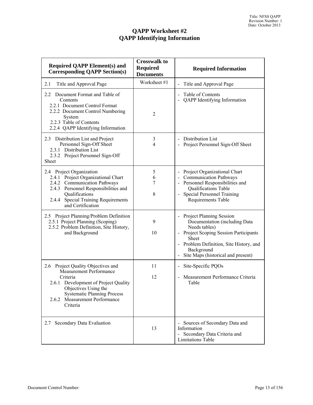| <b>Required QAPP Element(s) and</b><br><b>Corresponding QAPP Section(s)</b>                                                                                                                                                            | <b>Crosswalk to</b><br><b>Required</b><br><b>Documents</b> | <b>Required Information</b>                                                                                                                                                                                                    |  |
|----------------------------------------------------------------------------------------------------------------------------------------------------------------------------------------------------------------------------------------|------------------------------------------------------------|--------------------------------------------------------------------------------------------------------------------------------------------------------------------------------------------------------------------------------|--|
| 2.1<br>Title and Approval Page                                                                                                                                                                                                         | Worksheet #1                                               | - Title and Approval Page                                                                                                                                                                                                      |  |
| Document Format and Table of<br>2.2<br>Contents<br>2.2.1 Document Control Format<br>2.2.2 Document Control Numbering<br>System<br>2.2.3 Table of Contents<br>2.2.4 QAPP Identifying Information                                        | 2                                                          | Table of Contents<br>- QAPP Identifying Information                                                                                                                                                                            |  |
| Distribution List and Project<br>2.3<br>Personnel Sign-Off Sheet<br>2.3.1 Distribution List<br>2.3.2 Project Personnel Sign-Off<br><b>Sheet</b>                                                                                        | 3<br>4                                                     | Distribution List<br>Project Personnel Sign-Off Sheet                                                                                                                                                                          |  |
| 2.4 Project Organization<br>2.4.1 Project Organizational Chart<br>2.4.2 Communication Pathways<br>2.4.3 Personnel Responsibilities and<br>Qualifications<br>2.4.4 Special Training Requirements<br>and Certification                   | 5<br>6<br>7<br>8                                           | Project Organizational Chart<br>- Communication Pathways<br>- Personnel Responsibilities and<br>Qualifications Table<br>Special Personnel Training<br>$\mathcal{L}^{\pm}$<br>Requirements Table                                |  |
| 2.5 Project Planning/Problem Definition<br>2.5.1 Project Planning (Scoping)<br>2.5.2 Problem Definition, Site History,<br>and Background                                                                                               | 9<br>10                                                    | - Project Planning Session<br>Documentation (including Data<br>Needs tables)<br>- Project Scoping Session Participants<br>Sheet<br>- Problem Definition, Site History, and<br>Background<br>Site Maps (historical and present) |  |
| 2.6 Project Quality Objectives and<br><b>Measurement Performance</b><br>Criteria<br>2.6.1 Development of Project Quality<br>Objectives Using the<br><b>Systematic Planning Process</b><br>Measurement Performance<br>2.6.2<br>Criteria | 11<br>12                                                   | Site-Specific PQOs<br>Measurement Performance Criteria<br>Table                                                                                                                                                                |  |
| Secondary Data Evaluation<br>2.7                                                                                                                                                                                                       | 13                                                         | Sources of Secondary Data and<br>Information<br>- Secondary Data Criteria and<br><b>Limitations Table</b>                                                                                                                      |  |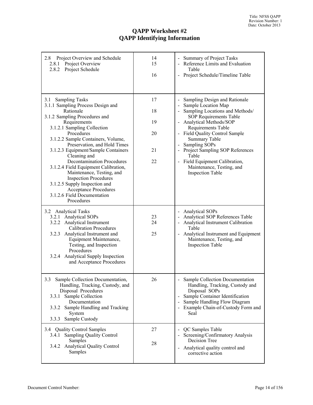| Project Overview and Schedule<br>2.8<br>2.8.1 Project Overview<br>2.8.2<br>Project Schedule                                                                                                                                                                                                                                                                                                                                                                                                                                                                       | 14<br>15<br>16                   | - Summary of Project Tasks<br>- Reference Limits and Evaluation<br>Table<br>- Project Schedule/Timeline Table                                                                                                                                                                                                                                                                          |
|-------------------------------------------------------------------------------------------------------------------------------------------------------------------------------------------------------------------------------------------------------------------------------------------------------------------------------------------------------------------------------------------------------------------------------------------------------------------------------------------------------------------------------------------------------------------|----------------------------------|----------------------------------------------------------------------------------------------------------------------------------------------------------------------------------------------------------------------------------------------------------------------------------------------------------------------------------------------------------------------------------------|
| <b>Sampling Tasks</b><br>3.1<br>3.1.1 Sampling Process Design and<br>Rationale<br>3.1.2 Sampling Procedures and<br>Requirements<br>3.1.2.1 Sampling Collection<br>Procedures<br>3.1.2.2 Sample Containers, Volume,<br>Preservation, and Hold Times<br>3.1.2.3 Equipment/Sample Containers<br>Cleaning and<br><b>Decontamination Procedures</b><br>3.1.2.4 Field Equipment Calibration,<br>Maintenance, Testing, and<br><b>Inspection Procedures</b><br>3.1.2.5 Supply Inspection and<br><b>Acceptance Procedures</b><br>3.1.2.6 Field Documentation<br>Procedures | 17<br>18<br>19<br>20<br>21<br>22 | Sampling Design and Rationale<br>Sample Location Map<br>Sampling Locations and Methods/<br>SOP Requirements Table<br>- Analytical Methods/SOP<br>Requirements Table<br>- Field Quality Control Sample<br><b>Summary Table</b><br>Sampling SOPs<br>- Project Sampling SOP References<br>Table<br>- Field Equipment Calibration,<br>Maintenance, Testing, and<br><b>Inspection Table</b> |
| 3.2 Analytical Tasks<br>3.2.1 Analytical SOPs<br>3.2.2 Analytical Instrument<br><b>Calibration Procedures</b><br>3.2.3 Analytical Instrument and<br>Equipment Maintenance,<br>Testing, and Inspection<br>Procedures<br>3.2.4 Analytical Supply Inspection<br>and Acceptance Procedures                                                                                                                                                                                                                                                                            | 23<br>24<br>25                   | - Analytical SOPs<br>- Analytical SOP References Table<br>- Analytical Instrument Calibration<br>Table<br>- Analytical Instrument and Equipment<br>Maintenance, Testing, and<br><b>Inspection Table</b>                                                                                                                                                                                |
| 3.3<br>Sample Collection Documentation,<br>Handling, Tracking, Custody, and<br>Disposal Procedures<br>3.3.1 Sample Collection<br>Documentation<br>Sample Handling and Tracking<br>3.3.2<br>System<br>3.3.3 Sample Custody                                                                                                                                                                                                                                                                                                                                         | 26                               | Sample Collection Documentation<br>Handling, Tracking, Custody and<br>Disposal SOPs<br>Sample Container Identification<br>Sample Handling Flow Diagram<br>Example Chain-of-Custody Form and<br>Seal                                                                                                                                                                                    |
| 3.4 Quality Control Samples<br><b>Sampling Quality Control</b><br>3.4.1<br>Samples<br>3.4.2 Analytical Quality Control<br>Samples                                                                                                                                                                                                                                                                                                                                                                                                                                 | 27<br>28                         | QC Samples Table<br>Screening/Confirmatory Analysis<br>Decision Tree<br>- Analytical quality control and<br>corrective action                                                                                                                                                                                                                                                          |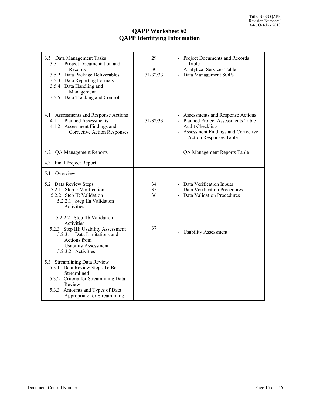| 3.5 Data Management Tasks<br>3.5.1 Project Documentation and<br>Records<br>3.5.2 Data Package Deliverables<br>3.5.3 Data Reporting Formats<br>3.5.4 Data Handling and<br>Management<br>3.5.5 Data Tracking and Control | 29<br>30<br>31/32/33 | <b>Project Documents and Records</b><br>Table<br><b>Analytical Services Table</b><br>Data Management SOPs                                                          |
|------------------------------------------------------------------------------------------------------------------------------------------------------------------------------------------------------------------------|----------------------|--------------------------------------------------------------------------------------------------------------------------------------------------------------------|
| Assessments and Response Actions<br>4.1<br>4.1.1 Planned Assessments<br>4.1.2 Assessment Findings and<br><b>Corrective Action Responses</b>                                                                            | 31/32/33             | Assessments and Response Actions<br>Planned Project Assessments Table<br>- Audit Checklists<br>Assessment Findings and Corrective<br><b>Action Responses Table</b> |
| 4.2<br>QA Management Reports                                                                                                                                                                                           |                      | QA Management Reports Table                                                                                                                                        |
| 4.3<br>Final Project Report                                                                                                                                                                                            |                      |                                                                                                                                                                    |
| 5.1<br>Overview                                                                                                                                                                                                        |                      |                                                                                                                                                                    |
| 5.2 Data Review Steps<br>5.2.1 Step I: Verification<br>5.2.2 Step II: Validation<br>5.2.2.1 Step IIa Validation<br>Activities                                                                                          | 34<br>35<br>36       | - Data Verification Inputs<br>- Data Verification Procedures<br>- Data Validation Procedures                                                                       |
| 5.2.2.2 Step IIb Validation<br>Activities<br>5.2.3 Step III: Usability Assessment<br>5.2.3.1 Data Limitations and<br>Actions from<br><b>Usability Assessment</b><br>5.2.3.2 Activities                                 | 37                   | <b>Usability Assessment</b>                                                                                                                                        |
| 5.3 Streamlining Data Review<br>5.3.1 Data Review Steps To Be<br>Streamlined<br>5.3.2 Criteria for Streamlining Data<br>Review<br>5.3.3 Amounts and Types of Data<br>Appropriate for Streamlining                      |                      |                                                                                                                                                                    |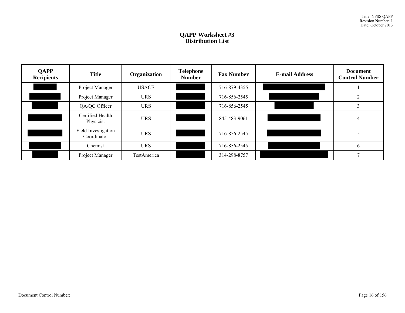#### **QAPP Worksheet #3 Distribution List**

| <b>QAPP</b><br><b>Recipients</b> | <b>Title</b>                       | Organization | <b>Telephone</b><br><b>Number</b> | <b>Fax Number</b> | <b>E-mail Address</b> | <b>Document</b><br><b>Control Number</b> |
|----------------------------------|------------------------------------|--------------|-----------------------------------|-------------------|-----------------------|------------------------------------------|
|                                  | Project Manager                    | <b>USACE</b> |                                   | 716-879-4355      |                       |                                          |
|                                  | Project Manager                    | <b>URS</b>   |                                   | 716-856-2545      |                       |                                          |
|                                  | QA/QC Officer                      | <b>URS</b>   |                                   | 716-856-2545      |                       | 3                                        |
|                                  | Certified Health<br>Physicist      | <b>URS</b>   |                                   | 845-483-9061      |                       | 4                                        |
|                                  | Field Investigation<br>Coordinator | <b>URS</b>   |                                   | 716-856-2545      |                       | 5                                        |
|                                  | Chemist                            | <b>URS</b>   |                                   | 716-856-2545      |                       | 6                                        |
|                                  | Project Manager                    | TestAmerica  |                                   | 314-298-8757      |                       | $\mathbf{r}$                             |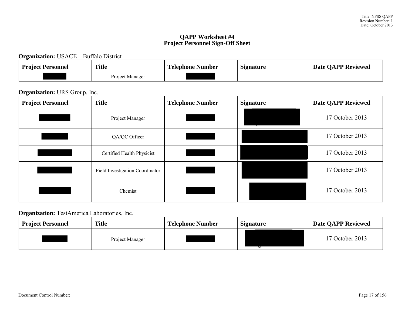### **QAPP Worksheet #4 Project Personnel Sign-Off Sheet**

**Organization:** USACE – Buffalo District

| <b>Title</b><br><b>Project Personnel</b> |                 | Telephone Number | Signature | <b>Date OAPP Reviewed</b> |
|------------------------------------------|-----------------|------------------|-----------|---------------------------|
|                                          | Project Manager |                  |           |                           |

# **Organization:** URS Group, Inc.

| <b>Project Personnel</b> | <b>Title</b>                           | <b>Telephone Number</b> | <b>Signature</b> | <b>Date QAPP Reviewed</b> |
|--------------------------|----------------------------------------|-------------------------|------------------|---------------------------|
|                          | Project Manager                        |                         |                  | 17 October 2013           |
|                          | QA/QC Officer                          |                         |                  | 17 October 2013           |
|                          | Certified Health Physicist             |                         |                  | 17 October 2013           |
|                          | <b>Field Investigation Coordinator</b> |                         |                  | 17 October 2013           |
|                          | Chemist                                |                         |                  | 17 October 2013           |

# **Organization:** TestAmerica Laboratories, Inc.

| <b>Project Personnel</b> | <b>Title</b>    | <b>Telephone Number</b> | <b>Signature</b> | Date QAPP Reviewed |
|--------------------------|-----------------|-------------------------|------------------|--------------------|
|                          | Project Manager |                         |                  | 17 October 2013    |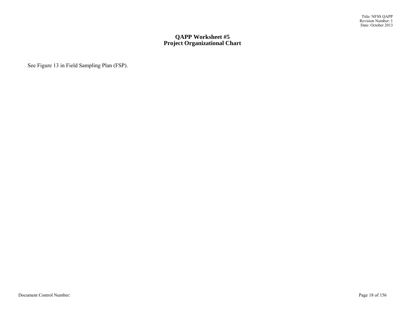### **QAPP Worksheet #5 Project Organizational Chart**

See Figure 13 in Field Sampling Plan (FSP).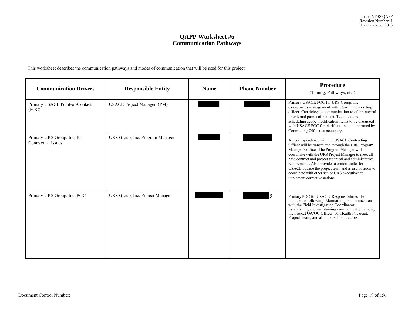### **QAPP Worksheet #6 Communication Pathways**

This worksheet describes the communication pathways and modes of communication that will be used for this project.

| <b>Communication Drivers</b>                             | <b>Responsible Entity</b>         | <b>Name</b> | <b>Phone Number</b> | <b>Procedure</b><br>(Timing, Pathways, etc.)                                                                                                                                                                                                                                                                                                                                                                                                                          |
|----------------------------------------------------------|-----------------------------------|-------------|---------------------|-----------------------------------------------------------------------------------------------------------------------------------------------------------------------------------------------------------------------------------------------------------------------------------------------------------------------------------------------------------------------------------------------------------------------------------------------------------------------|
| Primary USACE Point-of-Contact<br>(POC)                  | <b>USACE Project Manager (PM)</b> |             |                     | Primary USACE POC for URS Group, Inc.<br>Coordinates management with USACE contracting<br>officer. Can delegate communication to other internal<br>or external points of contact. Technical and<br>scheduling scope modification items to be discussed<br>with USACE POC for clarification, and approved by<br>Contracting Officer as necessary.                                                                                                                      |
| Primary URS Group, Inc. for<br><b>Contractual Issues</b> | URS Group, Inc. Program Manager   |             |                     | All correspondence with the USACE Contracting<br>Officer will be transmitted through the URS Program<br>Manager's office. The Program Manager will<br>coordinate with the URS Project Manager to meet all<br>base contract and project technical and administrative<br>requirements. Also provides a critical outlet for<br>USACE outside the project team and is in a position to<br>coordinate with other senior URS executives to<br>implement corrective actions. |
| Primary URS Group, Inc. POC                              | URS Group, Inc. Project Manager   |             |                     | Primary POC for USACE. Responsibilities also<br>include the following: Maintaining communication<br>with the Field Investigation Coordinator;<br>Establishing and maintaining communication among<br>the Project OA/OC Officer, Sr. Health Physicist,<br>Project Team, and all other subcontractors.                                                                                                                                                                  |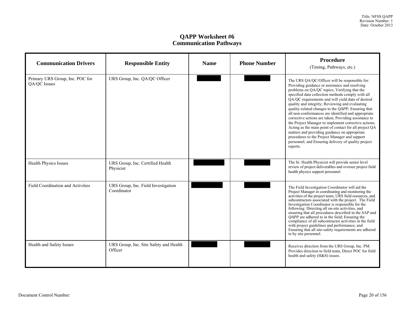## **QAPP Worksheet #6 Communication Pathways**

| <b>Communication Drivers</b>                    | <b>Responsible Entity</b>                          | <b>Name</b> | <b>Phone Number</b> | <b>Procedure</b><br>(Timing, Pathways, etc.)                                                                                                                                                                                                                                                                                                                                                                                                                                                                                                                                                                                                                                                                                                                                       |
|-------------------------------------------------|----------------------------------------------------|-------------|---------------------|------------------------------------------------------------------------------------------------------------------------------------------------------------------------------------------------------------------------------------------------------------------------------------------------------------------------------------------------------------------------------------------------------------------------------------------------------------------------------------------------------------------------------------------------------------------------------------------------------------------------------------------------------------------------------------------------------------------------------------------------------------------------------------|
| Primary URS Group, Inc. POC for<br>QA/QC Issues | URS Group, Inc. QA/QC Officer                      |             |                     | The URS QA/QC/Officer will be responsible for:<br>Providing guidance or assistance and resolving<br>problems on QA/QC topics; Verifying that the<br>specified data collection methods comply with all<br>QA/QC requirements and will yield data of desired<br>quality and integrity; Reviewing and evaluating<br>quality-related changes to the <i>QAPP</i> ; Ensuring that<br>all non-conformances are identified and appropriate<br>corrective actions are taken; Providing assistance to<br>the Project Manager to implement corrective actions;<br>Acting as the main point of contact for all project QA<br>matters and providing guidance on appropriate<br>procedures to the Project Manager and support<br>personnel; and Ensuring delivery of quality project<br>reports. |
| Health Physics Issues                           | URS Group, Inc. Certified Health<br>Physicist      |             |                     | The Sr. Health Physicist will provide senior level<br>review of project deliverables and oversee project field<br>health physics support personnel.                                                                                                                                                                                                                                                                                                                                                                                                                                                                                                                                                                                                                                |
| Field Coordination and Activities               | URS Group, Inc. Field Investigation<br>Coordinator |             |                     | The Field Investigation Coordinator will aid the<br>Project Manager in coordinating and monitoring the<br>activities of the project team, URS field resources, and<br>subcontractors associated with the project. The Field<br>Investigation Coordinator is responsible for the<br>following: Directing all on-site activities, and<br>ensuring that all procedures described in the SAP and<br><i>OAPP</i> are adhered to in the field; Ensuring the<br>compliance of all subcontractor activities in the field<br>with project guidelines and performance; and<br>Ensuring that all site-safety requirements are adhered<br>to by site personnel.                                                                                                                                |
| Health and Safety Issues                        | URS Group, Inc. Site Safety and Health<br>Officer  |             |                     | Receives direction from the URS Group, Inc. PM.<br>Provides direction to field team, Direct POC for field<br>health and safety (H&S) issues.                                                                                                                                                                                                                                                                                                                                                                                                                                                                                                                                                                                                                                       |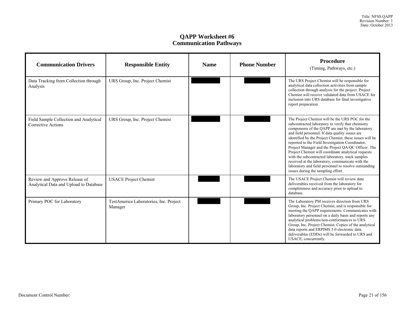### **QAPP Worksheet #6 Communication Pathways**

| <b>Communication Drivers</b>                                            | <b>Responsible Entity</b>                         | <b>Name</b> | <b>Phone Number</b> | Procedure<br>(Timing, Pathways, etc.)                                                                                                                                                                                                                                                                                                                                                                                                                                                                                                                                                                                                          |
|-------------------------------------------------------------------------|---------------------------------------------------|-------------|---------------------|------------------------------------------------------------------------------------------------------------------------------------------------------------------------------------------------------------------------------------------------------------------------------------------------------------------------------------------------------------------------------------------------------------------------------------------------------------------------------------------------------------------------------------------------------------------------------------------------------------------------------------------------|
| Data Tracking from Collection through<br>Analysis                       | URS Group, Inc. Project Chemist                   |             |                     | The URS Project Chemist will be responsible for<br>analytical data collection activities from sample<br>collection through analysis for the project. Project<br>Chemist will receive validated data from USACE for<br>inclusion into URS database for final investigative<br>report preparation.                                                                                                                                                                                                                                                                                                                                               |
| Field Sample Collection and Analytical<br><b>Corrective Actions</b>     | URS Group, Inc. Project Chemist                   |             |                     | The Project Chemist will be the URS POC for the<br>subcontracted laboratory to verify that chemistry<br>components of the QAPP are met by the laboratory<br>and field personnel. If data quality issues are<br>identified by the Project Chemist, these issues will be<br>reported to the Field Investigation Coordinator,<br>Project Manager and the Project QA/QC Officer. The<br>Project Chemist will coordinate analytical requests<br>with the subcontracted laboratory, track samples<br>received at the laboratory, communicate with the<br>laboratory and field personnel to resolve outstanding<br>issues during the sampling effort. |
| Review and Approve Release of<br>Analytical Data and Upload to Database | <b>USACE Project Chemist</b>                      |             |                     | The USACE Project Chemist will review data<br>deliverables received from the laboratory for<br>completeness and accuracy prior to upload to<br>database.                                                                                                                                                                                                                                                                                                                                                                                                                                                                                       |
| Primary POC for Laboratory                                              | TestAmerica Laboratories, Inc. Project<br>Manager |             |                     | The Laboratory PM receives direction from URS<br>Group, Inc. Project Chemist, and is responsible for<br>meeting the QAPP requirements. Communicates with<br>laboratory personnel on a daily basis and reports any<br>analytical problems/non-conformances to URS<br>Group, Inc. Project Chemist. Copies of the analytical<br>data reports and ERPIMS 5.0 electronic data<br>deliverables (EDDs) will be forwarded to URS and<br>USACE, concurrently.                                                                                                                                                                                           |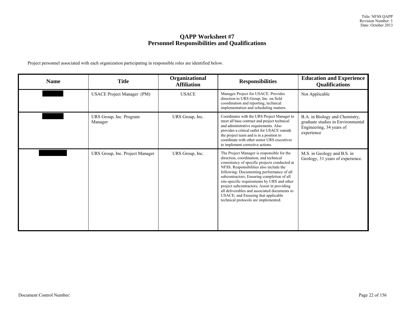### **QAPP Worksheet #7 Personnel Responsibilities and Qualifications**

Project personnel associated with each organization participating in responsible roles are identified below.

| <b>Name</b> | <b>Title</b>                       | Organizational<br><b>Affiliation</b> | <b>Responsibilities</b>                                                                                                                                                                                                                                                                                                                                                                                                                                                                                  | <b>Education and Experience</b><br><b>Qualifications</b>                                                      |
|-------------|------------------------------------|--------------------------------------|----------------------------------------------------------------------------------------------------------------------------------------------------------------------------------------------------------------------------------------------------------------------------------------------------------------------------------------------------------------------------------------------------------------------------------------------------------------------------------------------------------|---------------------------------------------------------------------------------------------------------------|
|             | <b>USACE Project Manager (PM)</b>  | <b>USACE</b>                         | Manages Project for USACE. Provides<br>direction to URS Group, Inc. on field<br>coordination and reporting, technical<br>implementation and scheduling matters.                                                                                                                                                                                                                                                                                                                                          | Not Applicable                                                                                                |
|             | URS Group, Inc. Program<br>Manager | URS Group, Inc.                      | Coordinates with the URS Project Manager to<br>meet all base contract and project technical<br>and administrative requirements. Also<br>provides a critical outlet for USACE outside<br>the project team and is in a position to<br>coordinate with other senior URS executives<br>to implement corrective actions.                                                                                                                                                                                      | B.A. in Biology and Chemistry,<br>graduate studies in Environmental<br>Engineering, 34 years of<br>experience |
|             | URS Group, Inc. Project Manager    | URS Group, Inc.                      | The Project Manager is responsible for the<br>direction, coordination, and technical<br>consistency of specific projects conducted at<br>NFSS. Responsibilities also include the<br>following: Documenting performance of all<br>subcontractors; Ensuring completion of all<br>site-specific requirements by URS and other<br>project subcontractors; Assist in providing<br>all deliverables and associated documents to<br>USACE; and Ensuring that applicable<br>technical protocols are implemented. | M.S. in Geology and B.S. in<br>Geology, 31 years of experience.                                               |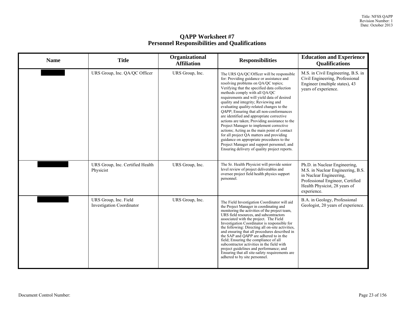| <b>OAPP Worksheet #7</b>                             |
|------------------------------------------------------|
| <b>Personnel Responsibilities and Qualifications</b> |

| <b>Name</b> | <b>Title</b>                                              | Organizational<br><b>Affiliation</b> | <b>Responsibilities</b>                                                                                                                                                                                                                                                                                                                                                                                                                                                                                                                                                                                                                                                                                                                                                          | <b>Education and Experience</b><br><b>Qualifications</b>                                                                                                                          |
|-------------|-----------------------------------------------------------|--------------------------------------|----------------------------------------------------------------------------------------------------------------------------------------------------------------------------------------------------------------------------------------------------------------------------------------------------------------------------------------------------------------------------------------------------------------------------------------------------------------------------------------------------------------------------------------------------------------------------------------------------------------------------------------------------------------------------------------------------------------------------------------------------------------------------------|-----------------------------------------------------------------------------------------------------------------------------------------------------------------------------------|
|             | URS Group, Inc. QA/QC Officer                             | URS Group, Inc.                      | The URS QA/QC/Officer will be responsible<br>for: Providing guidance or assistance and<br>resolving problems on QA/QC topics;<br>Verifying that the specified data collection<br>methods comply with all QA/QC<br>requirements and will yield data of desired<br>quality and integrity; Reviewing and<br>evaluating quality-related changes to the<br>QAPP; Ensuring that all non-conformances<br>are identified and appropriate corrective<br>actions are taken; Providing assistance to the<br>Project Manager to implement corrective<br>actions; Acting as the main point of contact<br>for all project QA matters and providing<br>guidance on appropriate procedures to the<br>Project Manager and support personnel; and<br>Ensuring delivery of quality project reports. | M.S. in Civil Engineering, B.S. in<br>Civil Engineering, Professional<br>Engineer (multiple states), 43<br>years of experience.                                                   |
|             | URS Group, Inc. Certified Health<br>Physicist             | URS Group, Inc.                      | The Sr. Health Physicist will provide senior<br>level review of project deliverables and<br>oversee project field health physics support<br>personnel.                                                                                                                                                                                                                                                                                                                                                                                                                                                                                                                                                                                                                           | Ph.D. in Nuclear Engineering,<br>M.S. in Nuclear Engineering, B.S.<br>in Nuclear Engineering,<br>Professional Engineer, Certified<br>Health Physicist, 28 years of<br>experience. |
|             | URS Group, Inc. Field<br><b>Investigation Coordinator</b> | URS Group, Inc.                      | The Field Investigation Coordinator will aid<br>the Project Manager in coordinating and<br>monitoring the activities of the project team,<br>URS field resources, and subcontractors<br>associated with the project. The Field<br>Investigation Coordinator is responsible for<br>the following: Directing all on-site activities,<br>and ensuring that all procedures described in<br>the SAP and <i>QAPP</i> are adhered to in the<br>field; Ensuring the compliance of all<br>subcontractor activities in the field with<br>project guidelines and performance; and<br>Ensuring that all site-safety requirements are<br>adhered to by site personnel.                                                                                                                        | B.A. in Geology, Professional<br>Geologist, 20 years of experience.                                                                                                               |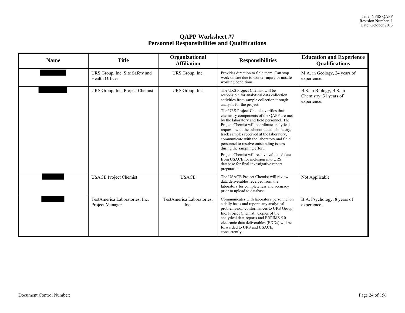#### **QAPP Worksheet #7 Personnel Responsibilities and Qualifications**

| <b>Name</b> | <b>Title</b>                                      | Organizational<br><b>Affiliation</b> | <b>Responsibilities</b>                                                                                                                                                                                                                                                                                                                                                                          | <b>Education and Experience</b><br><b>Qualifications</b>          |
|-------------|---------------------------------------------------|--------------------------------------|--------------------------------------------------------------------------------------------------------------------------------------------------------------------------------------------------------------------------------------------------------------------------------------------------------------------------------------------------------------------------------------------------|-------------------------------------------------------------------|
|             | URS Group, Inc. Site Safety and<br>Health Officer | URS Group, Inc.                      | Provides direction to field team. Can stop<br>work on site due to worker injury or unsafe<br>working conditions.                                                                                                                                                                                                                                                                                 | M.A. in Geology, 24 years of<br>experience.                       |
|             | URS Group, Inc. Project Chemist                   | URS Group, Inc.                      | The URS Project Chemist will be<br>responsible for analytical data collection<br>activities from sample collection through<br>analysis for the project.                                                                                                                                                                                                                                          | B.S. in Biology, B.S. in<br>Chemistry, 31 years of<br>experience. |
|             |                                                   |                                      | The URS Project Chemist verifies that<br>chemistry components of the OAPP are met<br>by the laboratory and field personnel. The<br>Project Chemist will coordinate analytical<br>requests with the subcontracted laboratory,<br>track samples received at the laboratory,<br>communicate with the laboratory and field<br>personnel to resolve outstanding issues<br>during the sampling effort. |                                                                   |
|             |                                                   |                                      | Project Chemist will receive validated data<br>from USACE for inclusion into URS<br>database for final investigative report<br>preparation.                                                                                                                                                                                                                                                      |                                                                   |
|             | <b>USACE Project Chemist</b>                      | <b>USACE</b>                         | The USACE Project Chemist will review<br>data deliverables received from the<br>laboratory for completeness and accuracy<br>prior to upload to database.                                                                                                                                                                                                                                         | Not Applicable                                                    |
|             | TestAmerica Laboratories, Inc.<br>Project Manager | TestAmerica Laboratories,<br>Inc.    | Communicates with laboratory personnel on<br>a daily basis and reports any analytical<br>problems/non-conformances to URS Group,<br>Inc. Project Chemist. Copies of the<br>analytical data reports and ERPIMS 5.0<br>electronic data deliverables (EDDs) will be<br>forwarded to URS and USACE,<br>concurrently.                                                                                 | B.A. Psychology, 8 years of<br>experience.                        |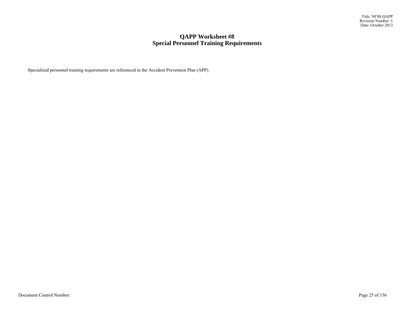### **QAPP Worksheet #8 Special Personnel Training Requirements**

Specialized personnel training requirements are referenced in the Accident Prevention Plan (APP).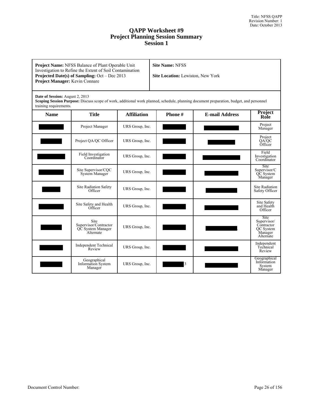#### **QAPP Worksheet #9 Project Planning Session Summary Session 1**

**Project Name:** NFSS Balance of Plant Operable Unit Investigation to Refine the Extent of Soil Contamination **Projected Date(s) of Sampling:** Oct – Dec 2013 **Project Manager:** Kevin Connare

**Site Name:** NFSS

**Site Location:** Lewiston, New York

**Date of Session:** August 2, 2013

**Scoping Session Purpose:** Discuss scope of work, additional work planned, schedule, planning document preparation, budget, and personnel training requirements.

| <b>Name</b> | <b>Title</b>                                                    | <b>Affiliation</b> | Phone# | <b>E-mail Address</b> | <b>Project</b><br>Role                                                 |
|-------------|-----------------------------------------------------------------|--------------------|--------|-----------------------|------------------------------------------------------------------------|
|             | Project Manager                                                 | URS Group, Inc.    |        |                       | Project<br>Manager                                                     |
|             | Project QA/QC Officer                                           | URS Group, Inc.    |        |                       | Project<br>QA/QC<br>Officer                                            |
|             | Field Investigation<br>Coordinator                              | URS Group, Inc.    |        |                       | Field<br>Investigation<br>Coordinator                                  |
|             | Site Supervisor/CQC<br>System Manager                           | URS Group, Inc.    |        |                       | Site<br>Supervisor/C<br>QC System<br>Manager                           |
|             | Site Radiation Safety<br>Officer                                | URS Group, Inc.    |        |                       | <b>Site Radiation</b><br>Safety Officer                                |
|             | Site Safety and Health<br>Officer                               | URS Group, Inc.    |        |                       | Site Safety<br>and Health<br>Officer                                   |
|             | Site<br>Supervisor/Contractor<br>QC System Manager<br>Alternate | URS Group, Inc.    |        |                       | Site<br>Supervisor/<br>Contractor<br>QC System<br>Manager<br>Alternate |
|             | Independent Technical<br>Review                                 | URS Group, Inc.    |        |                       | Independent<br>Technical<br>Review                                     |
|             | Geographical<br>Information System<br>Manager                   | URS Group, Inc.    | 3      |                       | Geographical<br>Information<br>System<br>Manager                       |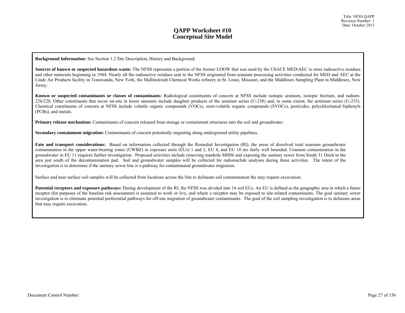#### **QAPP Worksheet #10 Conceptual Site Model**

**Background Information:** See Section 1.2 Site Description, History and Background.

**Sources of known or suspected hazardous waste:** The NFSS represents a portion of the former LOOW that was used by the USACE MED/AEC to store radioactive residues and other materials beginning in 1944. Nearly all the radioactive residues sent to the NFSS originated from uranium processing activities conducted for MED and AEC at the Linde Air Products facility in Tonawanda, New York, the Mallinckrodt Chemical Works refinery in St. Louis, Missouri, and the Middlesex Sampling Plant in Middlesex, New Jersey.

**Known or suspected contaminants or classes of contaminants:** Radiological constituents of concern at NFSS include isotopic uranium, isotopic thorium, and radium-226/228. Other constituents that occur on-site in lesser amounts include daughter products of the uranium series (U-238) and, to some extent, the actinium series (U-235). Chemical constituents of concern at NFSS include volatile organic compounds (VOCs), semi-volatile organic compounds (SVOCs), pesticides, polychlorinated biphenyls (PCBs), and metals.

**Primary release mechanism:** Contaminants of concern released from storage or containment structures into the soil and groundwater.

**Secondary containment migration:** Contaminants of concern potentially migrating along underground utility pipelines.

Fate and transport considerations: Based on information collected through the Remedial Investigation (RI), the areas of dissolved total uranium groundwater contamination in the upper water-bearing zones (UWBZ) in exposure units (EUs) 1 and 2, EU 4, and EU 10 are fairly well bounded. Uranium contamination in the groundwater in EU 11 requires further investigation. Proposed activities include removing manhole MH06 and exposing the sanitary sewer from South 31 Ditch to the area just south of the decontamination pad. Soil and groundwater samples will be collected for radionuclide analyses during these activities. The intent of the investigation is to determine if the sanitary sewer line is a pathway for contaminated groundwater migration.

Surface and near surface soil samples will be collected from locations across the Site to delineate soil contamination the may require excavation.

**Potential receptors and exposure pathways:** During development of the RI, the NFSS was divided into 14 soil EUs. An EU is defined as the geographic area in which a future receptor (for purposes of the baseline risk assessment) is assumed to work or live, and where a receptor may be exposed to site-related contaminants. The goal sanitary sewer investigation is to eliminate potential preferential pathways for off-site migration of groundwater contaminants. The goal of the soil sampling investigation is to delineate areas that may require excavation.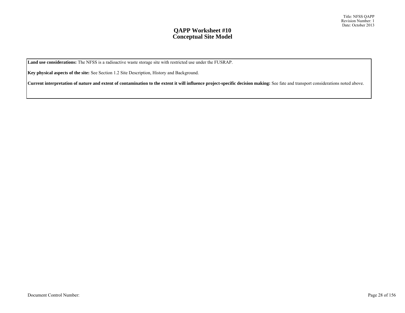#### **QAPP Worksheet #10 Conceptual Site Model**

**Land use considerations:** The NFSS is a radioactive waste storage site with restricted use under the FUSRAP.

**Key physical aspects of the site:** See Section 1.2 Site Description, History and Background.

**Current interpretation of nature and extent of contamination to the extent it will influence project-specific decision making:** See fate and transport considerations noted above.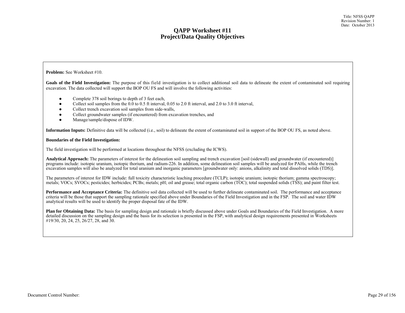#### **QAPP Worksheet #11 Project/Data Quality Objectives**

**Problem:** See Worksheet #10.

Goals of the Field Investigation: The purpose of this field investigation is to collect additional soil data to delineate the extent of contaminated soil requiring excavation. The data collected will support the BOP OU FS and will involve the following activities:

- Complete 378 soil borings to depth of 3 feet each,
- Collect soil samples from the 0.0 to 0.5 ft interval, 0.05 to 2.0 ft interval, and 2.0 to 3.0 ft interval,
- Collect trench excavation soil samples from side-walls,
- Collect groundwater samples (if encountered) from excavation trenches, and
- Manage/sample/dispose of IDW.

**Information Inputs:** Definitive data will be collected (i.e., soil) to delineate the extent of contaminated soil in support of the BOP OU FS, as noted above.

#### **Boundaries of the Field Investigation:**

The field investigation will be performed at locations throughout the NFSS (excluding the ICWS).

**Analytical Approach:** The parameters of interest for the delineation soil sampling and trench excavation [soil (sidewall) and groundwater (if encountered)] programs include: isotopic uranium, isotopic thorium, and radium-226. In addition, some delineation soil samples will be analyzed for PAHs, while the trench excavation samples will also be analyzed for total uranium and inorganic parameters [groundwater only: anions, alkalinity and total dissolved solids (TDS)].

The parameters of interest for IDW include: full toxicity characteristic leaching procedure (TCLP); isotopic uranium; isotopic thorium; gamma spectroscopy; metals; VOCs; SVOCs; pesticides; herbicides; PCBs; metals; pH; oil and grease; total organic carbon (TOC); total suspended solids (TSS); and paint filter test.

**Performance and Acceptance Criteria:** The definitive soil data collected will be used to further delineate contaminated soil. The performance and acceptance criteria will be those that support the sampling rationale specified above under Boundaries of the Field Investigation and in the FSP. The soil and water IDW analytical results will be used to identify the proper disposal fate of the IDW.

**Plan for Obtaining Data:** The basis for sampling design and rationale is briefly discussed above under Goals and Boundaries of the Field Investigation. A more detailed discussion on the sampling design and the basis for its selection is presented in the FSP, with analytical design requirements presented in Worksheets #19/30, 20, 24, 25, 26/27, 28, and 30.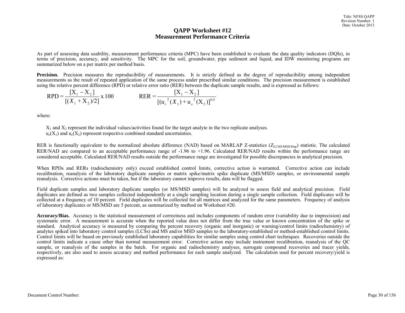#### **QAPP Worksheet #12 Measurement Performance Criteria**

As part of assessing data usability, measurement performance criteria (MPC) have been established to evaluate the data quality indicators (DQIs), in terms of precision, accuracy, and sensitivity. The MPC for the soil, groundwater, pipe sediment and liquid, and IDW monitoring programs are summarized below on a per matrix per method basis.

**Precision.** Precision measures the reproducibility of measurements. It is strictly defined as the degree of reproducibility among independent measurements as the result of repeated application of the same process under prescribed similar conditions. The precision measurement is established using the relative percent difference (RPD) or relative error ratio (RER) between the duplicate sample results, and is expressed as follows:

$$
RPD = \frac{[X_1 - X_2]}{[(X_1 + X_2)/2]} \times 100 \qquad \qquad RER = \frac{[X_1 - X_2]}{[(u_c^2(X_1) + u_c^2(X_2))]^{0.5}}
$$

where:

 $X_1$  and  $X_2$  represent the individual values/activities found for the target analyte in the two replicate analyses.  $u_c(X_1)$  and  $u_c(X_2)$  represent respective combined standard uncertainties.

RER is functionally equivalent to the normalized absolute difference (NAD) based on MARLAP Z-statistics (Z<sub>LCSD/MSD/Dup</sub>) statistic. The calculated RER/NAD are compared to an acceptable performance range of -1.96 to +1.96. Calculated RER/NAD results within the performance range are considered acceptable. Calculated RER/NAD results outside the performance range are investigated for possible discrepancies in analytical precision.

When RPDs and RERs (radiochemistry only) exceed established control limits, corrective action is warranted. Corrective action can include recalibration, reanalysis of the laboratory duplicate samples or matrix spike/matrix spike duplicate (MS/MSD) samples, or environmental sample reanalysis. Corrective actions must be taken, but if the laboratory cannot improve results, data will be flagged.

Field duplicate samples and laboratory duplicate samples (or MS/MSD samples) will be analyzed to assess field and analytical precision. Field duplicates are defined as two samples collected independently at a single sampling location during a single sample collection. Field duplicates will be collected at a frequency of 10 percent. Field duplicates will be collected for all matrices and analyzed for the same parameters. Frequency of analysis of laboratory duplicates or MS/MSD are 5 percent, as summarized by method on Worksheet #20.

**Accuracy/Bias.** Accuracy is the statistical measurement of correctness and includes components of random error (variability due to imprecision) and systematic error. A measurement is accurate when the reported value does not differ from the true value or known concentration of the spike or standard. Analytical accuracy is measured by comparing the percent recovery (organic and inorganic) or warning/control limits (radiochemistry) of analytes spiked into laboratory control samples (LCSs) and MS and/or MSD samples to the laboratory-established or method-established control limits. Control limits will be based on previously established laboratory capabilities for similar samples using control chart techniques. Recoveries outside the control limits indicate a cause other than normal measurement error. Corrective action may include instrument recalibration, reanalysis of the QC sample, or reanalysis of the samples in the batch. For organic and radiochemistry analyses, surrogate compound recoveries and tracer yields, respectively, are also used to assess accuracy and method performance for each sample analyzed. The calculation used for percent recovery/yield is expressed as: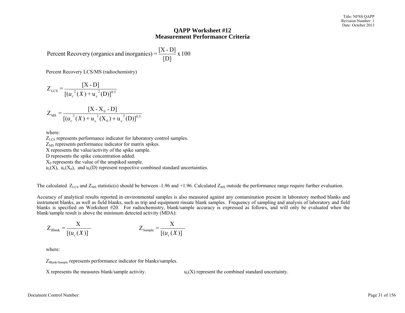#### **QAPP Worksheet #12 Measurement Performance Criteria**

 $\frac{1}{\vert D \vert} \times 100$ Percent Recovery (organics and inorganics) =  $\frac{[X - D]}{[X - D]}$ 

Percent Recovery LCS/MS (radiochemistry)

$$
Z_{\text{LCS}} = \frac{[X - D]}{[(u_c^2(X) + u_c^2(D)]^{0.5}}
$$

$$
Z_{MS} = \frac{[X - X_0 - D]}{[(u_c^2(X) + u_c^2(X_0) + u_c^2(D)]^{0.5}}
$$

where:

 $Z_{\text{LCS}}$  represents performance indicator for laboratory control samples.

 $Z<sub>MS</sub>$  represents performance indicator for matrix spikes.

X represents the value/activity of the spike sample.

D represents the spike concentration added.

 $X_0$  represents the value of the unspiked sample.

 $u_c(X)$ ,  $u_c(X_0)$ , and  $u_c(D)$  represent respective combined standard uncertainties.

The calculated  $Z_{\text{LCS}}$  and  $Z_{\text{MS}}$  statistic(s) should be between -1.96 and +1.96. Calculated  $Z_{\text{MS}}$  outside the performance range require further evaluation.

Accuracy of analytical results reported in environmental samples is also measured against any contamination present in laboratory method blanks and instrument blanks, as well as field blanks, such as trip and equipment rinsate blank samples. Frequency of sampling and analysis of laboratory and field blanks is specified on Worksheet #20. For radiochemistry, blank/sample accuracy is expressed as follows, and will only be evaluated when the blank/sample result is above the minimum detected activity (MDA):

$$
Z_{\text{Blank}} = \frac{X}{\left[ (u_c(X)) \right]} \qquad Z_{\text{Sample}} = \frac{X}{\left[ (u_c(X)) \right]}
$$

where:

Z<sub>Blank/Sample</sub> represents performance indicator for blanks/samples.

X represents the measures blank/sample activity.  $u<sub>c</sub>(X)$  represent the combined standard uncertainty.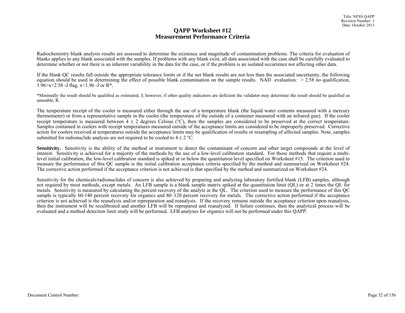#### **QAPP Worksheet #12 Measurement Performance Criteria**

Radiochemistry blank analysis results are assessed to determine the existence and magnitude of contamination problems. The criteria for evaluation of blanks applies to any blank associated with the samples. If problems with any blank exist, all data associated with the case shall be carefully evaluated to determine whether or not there is an inherent variability in the data for the case, or if the problem is an isolated occurrence not affecting other data.

If the blank QC results fall outside the appropriate tolerance limits or if the net blank results are not less than the associated uncertainty, the following equation should be used in determining the effect of possible blank contamination on the sample results. NAD evaluation: > 2.58 no qualification, 1.96 $\ge$ x<2.58 -J flag, x<1.96 -J or R<sup>\*</sup>.

\*Minimally the result should be qualified as estimated, J; however, if other quality indicators are deficient the validator may determine the result should be qualified as unusable, R.

The temperature receipt of the cooler is measured either through the use of a temperature blank (the liquid water contents measured with a mercury thermometer) or from a representative sample in the cooler (the temperature of the outside of a container measured with an infrared gun). If the cooler receipt temperature is measured between  $4 \pm 2$  degrees Celsius (°C), then the samples are considered to be preserved at the correct temperature. Samples contained in coolers with receipt temperatures measured outside of the acceptance limits are considered to be improperly preserved. Corrective action for coolers received at temperatures outside the acceptance limits may be qualification of results or resampling of affected samples. Note, samples submitted for radionuclide analysis are not required to be cooled to  $4 \pm 2$  °C.

Sensitivity. Sensitivity is the ability of the method or instrument to detect the contaminant of concern and other target compounds at the level of interest. Sensitivity is achieved for a majority of the methods by the use of a low-level calibration standard. For those methods that require a multilevel initial calibration, the low-level calibration standard is spiked at or below the quantitation level specified on Worksheet #15. The criterion used to measure the performance of this QC sample is the initial calibration acceptance criteria specified by the method and summarized on Worksheet #24. The corrective action performed if the acceptance criterion is not achieved is that specified by the method and summarized on Worksheet #24.

Sensitivity for the chemicals/radionuclides of concern is also achieved by preparing and analyzing laboratory fortified blank (LFB) samples, although not required by most methods, except metals. An LFB sample is a blank sample matrix spiked at the quantitation limit (QL) or at 2 times the QL for metals. Sensitivity is measured by calculating the percent recovery of the analyte at the QL. The criterion used to measure the performance of this QC sample is typically 60-140 percent recovery for organics and 80–120 percent recovery for metals. The corrective action performed if the acceptance criterion is not achieved is the reanalysis and/or repreparation and reanalysis. If the recovery remains outside the acceptance criterion upon reanalysis, then the instrument will be recalibrated and another LFB will be reprepared and reanalyzed. If failure continues, then the analytical process will be evaluated and a method detection limit study will be performed. LFB analyses for organics will not be performed under this QAPP.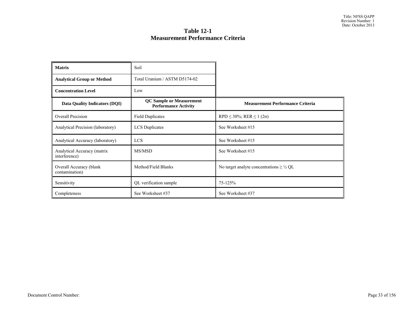### **Table 12-1 Measurement Performance Criteria**

| <b>Matrix</b>                                | Soil                                                           |                                                        |
|----------------------------------------------|----------------------------------------------------------------|--------------------------------------------------------|
| <b>Analytical Group or Method</b>            | Total Uranium / ASTM D5174-02                                  |                                                        |
| <b>Concentration Level</b>                   | Low                                                            |                                                        |
| Data Quality Indicators (DQI)                | <b>QC</b> Sample or Measurement<br><b>Performance Activity</b> | <b>Measurement Performance Criteria</b>                |
| Overall Precision                            | <b>Field Duplicates</b>                                        | RPD ≤ 30%; RER ≤ 1 (2σ)                                |
| Analytical Precision (laboratory)            | <b>LCS</b> Duplicates                                          | See Worksheet #15                                      |
| Analytical Accuracy (laboratory)             | <b>LCS</b>                                                     | See Worksheet #15                                      |
| Analytical Accuracy (matrix<br>interference) | MS/MSD                                                         | See Worksheet #15                                      |
| Overall Accuracy (blank<br>contamination)    | Method/Field Blanks                                            | No target analyte concentrations $\geq \frac{1}{2}$ QL |
| Sensitivity                                  | QL verification sample                                         | 75-125%                                                |
| Completeness                                 | See Worksheet #37                                              | See Worksheet #37                                      |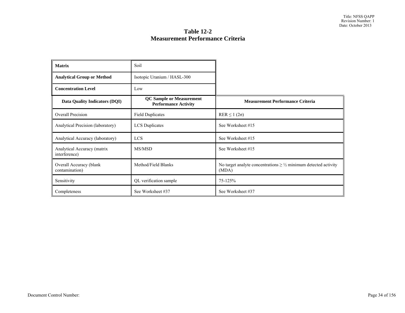#### **Table 12-2 Measurement Performance Criteria**

| <b>Matrix</b>                                | Soil                                                           |                                                                                        |
|----------------------------------------------|----------------------------------------------------------------|----------------------------------------------------------------------------------------|
| <b>Analytical Group or Method</b>            | Isotopic Uranium / HASL-300                                    |                                                                                        |
| <b>Concentration Level</b>                   | Low                                                            |                                                                                        |
| Data Quality Indicators (DQI)                | <b>QC</b> Sample or Measurement<br><b>Performance Activity</b> | <b>Measurement Performance Criteria</b>                                                |
| Overall Precision                            | <b>Field Duplicates</b>                                        | $RER \leq 1(2\sigma)$                                                                  |
| Analytical Precision (laboratory)            | <b>LCS</b> Duplicates                                          | See Worksheet #15                                                                      |
| Analytical Accuracy (laboratory)             | <b>LCS</b>                                                     | See Worksheet #15                                                                      |
| Analytical Accuracy (matrix<br>interference) | MS/MSD                                                         | See Worksheet #15                                                                      |
| Overall Accuracy (blank<br>contamination)    | Method/Field Blanks                                            | No target analyte concentrations $\geq \frac{1}{2}$ minimum detected activity<br>(MDA) |
| Sensitivity                                  | QL verification sample                                         | 75-125%                                                                                |
| Completeness                                 | See Worksheet #37                                              | See Worksheet #37                                                                      |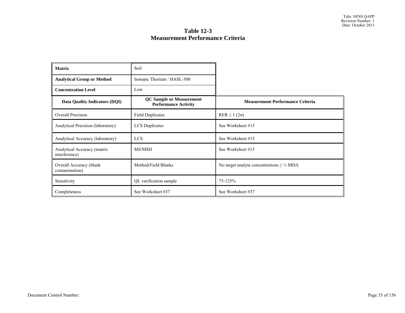### **Table 12-3 Measurement Performance Criteria**

| <b>Matrix</b>                                | Soil                                                           |                                                         |
|----------------------------------------------|----------------------------------------------------------------|---------------------------------------------------------|
| <b>Analytical Group or Method</b>            | Isotopic Thorium / HASL-300                                    |                                                         |
| <b>Concentration Level</b>                   | Low                                                            |                                                         |
| Data Quality Indicators (DQI)                | <b>QC</b> Sample or Measurement<br><b>Performance Activity</b> | <b>Measurement Performance Criteria</b>                 |
| <b>Overall Precision</b>                     | <b>Field Duplicates</b>                                        | $RER \leq 1(2\sigma)$                                   |
| Analytical Precision (laboratory)            | <b>LCS</b> Duplicates                                          | See Worksheet #15                                       |
| Analytical Accuracy (laboratory)             | <b>LCS</b>                                                     | See Worksheet #15                                       |
| Analytical Accuracy (matrix<br>interference) | MS/MSD                                                         | See Worksheet #15                                       |
| Overall Accuracy (blank<br>contamination)    | Method/Field Blanks                                            | No target analyte concentrations $\geq \frac{1}{2}$ MDA |
| Sensitivity                                  | QL verification sample                                         | 75-125%                                                 |
| Completeness                                 | See Worksheet #37                                              | See Worksheet #37                                       |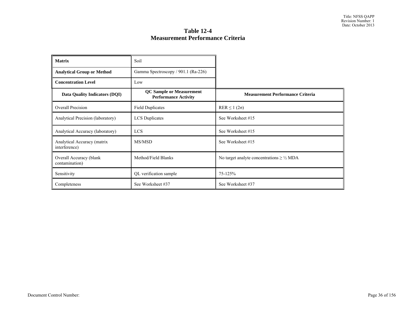### **Table 12-4 Measurement Performance Criteria**

| <b>Matrix</b>                                | Soil                                                           |                                                         |
|----------------------------------------------|----------------------------------------------------------------|---------------------------------------------------------|
| <b>Analytical Group or Method</b>            | Gamma Spectroscopy / 901.1 (Ra-226)                            |                                                         |
| <b>Concentration Level</b>                   | Low                                                            |                                                         |
| Data Quality Indicators (DQI)                | <b>QC</b> Sample or Measurement<br><b>Performance Activity</b> | <b>Measurement Performance Criteria</b>                 |
| <b>Overall Precision</b>                     | <b>Field Duplicates</b>                                        | $RER \leq 1(2\sigma)$                                   |
| Analytical Precision (laboratory)            | <b>LCS</b> Duplicates                                          | See Worksheet #15                                       |
| Analytical Accuracy (laboratory)             | <b>LCS</b>                                                     | See Worksheet #15                                       |
| Analytical Accuracy (matrix<br>interference) | MS/MSD                                                         | See Worksheet #15                                       |
| Overall Accuracy (blank<br>contamination)    | Method/Field Blanks                                            | No target analyte concentrations $\geq \frac{1}{2}$ MDA |
| Sensitivity                                  | QL verification sample                                         | $75 - 125%$                                             |
| Completeness                                 | See Worksheet #37                                              | See Worksheet #37                                       |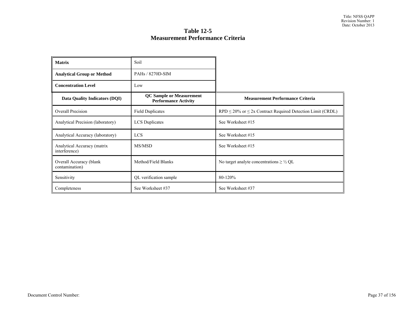## **Table 12-5 Measurement Performance Criteria**

| <b>Matrix</b>                                | Soil                                                           |                                                                     |
|----------------------------------------------|----------------------------------------------------------------|---------------------------------------------------------------------|
| <b>Analytical Group or Method</b>            | PAHs / 8270D-SIM                                               |                                                                     |
| <b>Concentration Level</b>                   | Low                                                            |                                                                     |
| Data Quality Indicators (DQI)                | <b>QC</b> Sample or Measurement<br><b>Performance Activity</b> | <b>Measurement Performance Criteria</b>                             |
| <b>Overall Precision</b>                     | <b>Field Duplicates</b>                                        | $RPD \le 20\%$ or $\le 2x$ Contract Required Detection Limit (CRDL) |
| Analytical Precision (laboratory)            | <b>LCS</b> Duplicates                                          | See Worksheet #15                                                   |
| Analytical Accuracy (laboratory)             | <b>LCS</b>                                                     | See Worksheet #15                                                   |
| Analytical Accuracy (matrix<br>interference) | MS/MSD                                                         | See Worksheet #15                                                   |
| Overall Accuracy (blank)<br>contamination)   | Method/Field Blanks                                            | No target analyte concentrations $\geq \frac{1}{2}$ QL              |
| Sensitivity                                  | QL verification sample                                         | 80-120%                                                             |
| Completeness                                 | See Worksheet #37                                              | See Worksheet #37                                                   |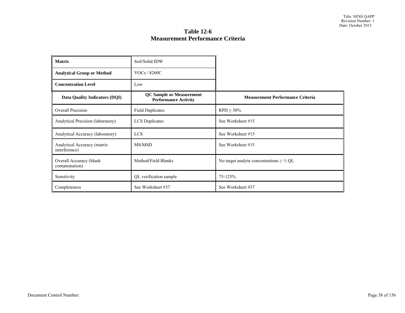#### **Table 12-6 Measurement Performance Criteria**

| <b>Matrix</b>                                | Soil/Solid IDW                                                 |                                                        |
|----------------------------------------------|----------------------------------------------------------------|--------------------------------------------------------|
| <b>Analytical Group or Method</b>            | <b>VOCs / 8260C</b>                                            |                                                        |
| <b>Concentration Level</b>                   | Low                                                            |                                                        |
| Data Quality Indicators (DQI)                | <b>QC</b> Sample or Measurement<br><b>Performance Activity</b> | <b>Measurement Performance Criteria</b>                |
| <b>Overall Precision</b>                     | <b>Field Duplicates</b>                                        | $RPD \leq 30\%$                                        |
| Analytical Precision (laboratory)            | <b>LCS</b> Duplicates                                          | See Worksheet #15                                      |
| Analytical Accuracy (laboratory)             | <b>LCS</b>                                                     | See Worksheet #15                                      |
| Analytical Accuracy (matrix<br>interference) | MS/MSD                                                         | See Worksheet #15                                      |
| Overall Accuracy (blank<br>contamination)    | Method/Field Blanks                                            | No target analyte concentrations $\geq \frac{1}{2}$ QL |
| Sensitivity                                  | QL verification sample                                         | 75-125%                                                |
| Completeness                                 | See Worksheet #37                                              | See Worksheet #37                                      |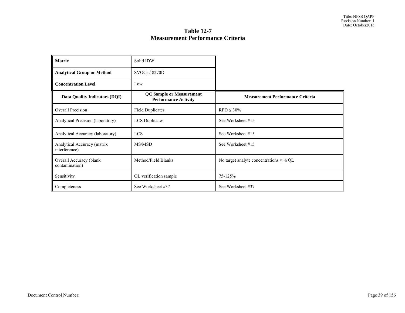## **Table 12-7 Measurement Performance Criteria**

| <b>Matrix</b>                                | Solid IDW                                                      |                                                        |
|----------------------------------------------|----------------------------------------------------------------|--------------------------------------------------------|
| <b>Analytical Group or Method</b>            | SVOCs / 8270D                                                  |                                                        |
| <b>Concentration Level</b>                   | Low                                                            |                                                        |
| Data Quality Indicators (DQI)                | <b>QC</b> Sample or Measurement<br><b>Performance Activity</b> | <b>Measurement Performance Criteria</b>                |
| Overall Precision                            | <b>Field Duplicates</b>                                        | $RPD \leq 30\%$                                        |
| Analytical Precision (laboratory)            | <b>LCS</b> Duplicates                                          | See Worksheet #15                                      |
| Analytical Accuracy (laboratory)             | <b>LCS</b>                                                     | See Worksheet #15                                      |
| Analytical Accuracy (matrix<br>interference) | MS/MSD                                                         | See Worksheet #15                                      |
| Overall Accuracy (blank<br>contamination)    | Method/Field Blanks                                            | No target analyte concentrations $\geq \frac{1}{2}$ QL |
| Sensitivity                                  | QL verification sample                                         | 75-125%                                                |
| Completeness                                 | See Worksheet #37                                              | See Worksheet #37                                      |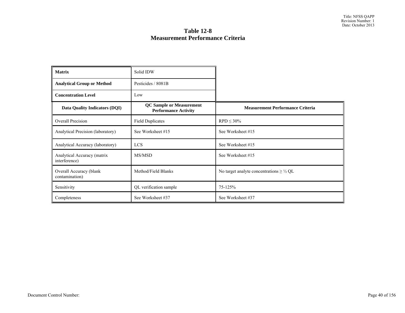# **Table 12-8 Measurement Performance Criteria**

| <b>Matrix</b>                                | Solid IDW                                                      |                                                        |
|----------------------------------------------|----------------------------------------------------------------|--------------------------------------------------------|
| <b>Analytical Group or Method</b>            | Pesticides / 8081B                                             |                                                        |
| <b>Concentration Level</b>                   | Low                                                            |                                                        |
| Data Quality Indicators (DQI)                | <b>QC Sample or Measurement</b><br><b>Performance Activity</b> | <b>Measurement Performance Criteria</b>                |
| Overall Precision                            | <b>Field Duplicates</b>                                        | $RPD \leq 30\%$                                        |
| Analytical Precision (laboratory)            | See Worksheet #15                                              | See Worksheet #15                                      |
| Analytical Accuracy (laboratory)             | <b>LCS</b>                                                     | See Worksheet #15                                      |
| Analytical Accuracy (matrix<br>interference) | MS/MSD                                                         | See Worksheet #15                                      |
| Overall Accuracy (blank<br>contamination)    | Method/Field Blanks                                            | No target analyte concentrations $\geq \frac{1}{2}$ QL |
| Sensitivity                                  | QL verification sample                                         | 75-125%                                                |
| Completeness                                 | See Worksheet #37                                              | See Worksheet #37                                      |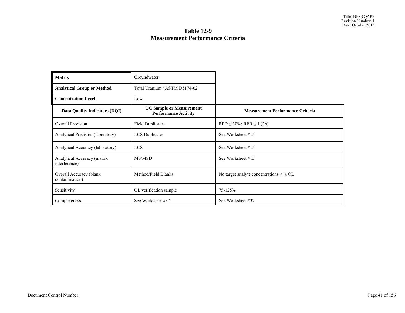# **Table 12-9 Measurement Performance Criteria**

| <b>Matrix</b>                                | Groundwater                                                    |                                                        |
|----------------------------------------------|----------------------------------------------------------------|--------------------------------------------------------|
| <b>Analytical Group or Method</b>            | Total Uranium / ASTM D5174-02                                  |                                                        |
| <b>Concentration Level</b>                   | Low                                                            |                                                        |
| Data Quality Indicators (DQI)                | <b>QC</b> Sample or Measurement<br><b>Performance Activity</b> | <b>Measurement Performance Criteria</b>                |
| <b>Overall Precision</b>                     | <b>Field Duplicates</b>                                        | RPD $\leq$ 30%; RER $\leq$ 1 (2 $\sigma$ )             |
| Analytical Precision (laboratory)            | <b>LCS</b> Duplicates                                          | See Worksheet #15                                      |
| Analytical Accuracy (laboratory)             | <b>LCS</b>                                                     | See Worksheet #15                                      |
| Analytical Accuracy (matrix<br>interference) | MS/MSD                                                         | See Worksheet #15                                      |
| Overall Accuracy (blank<br>contamination)    | Method/Field Blanks                                            | No target analyte concentrations $\geq \frac{1}{2}$ QL |
| Sensitivity                                  | QL verification sample                                         | 75-125%                                                |
| Completeness                                 | See Worksheet #37                                              | See Worksheet #37                                      |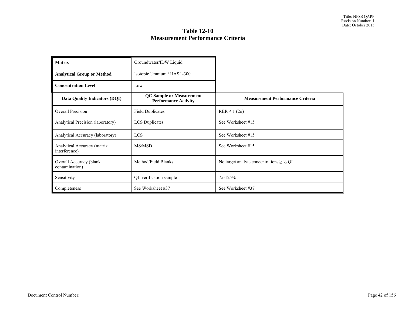# **Table 12-10 Measurement Performance Criteria**

| <b>Matrix</b>                                | Groundwater/IDW Liquid                                         |                                                        |
|----------------------------------------------|----------------------------------------------------------------|--------------------------------------------------------|
| <b>Analytical Group or Method</b>            | Isotopic Uranium / HASL-300                                    |                                                        |
| <b>Concentration Level</b>                   | Low                                                            |                                                        |
| Data Quality Indicators (DQI)                | <b>QC</b> Sample or Measurement<br><b>Performance Activity</b> | <b>Measurement Performance Criteria</b>                |
| <b>Overall Precision</b>                     | <b>Field Duplicates</b>                                        | $RER \leq 1(2\sigma)$                                  |
| Analytical Precision (laboratory)            | <b>LCS</b> Duplicates                                          | See Worksheet #15                                      |
| Analytical Accuracy (laboratory)             | <b>LCS</b>                                                     | See Worksheet #15                                      |
| Analytical Accuracy (matrix<br>interference) | MS/MSD                                                         | See Worksheet #15                                      |
| Overall Accuracy (blank<br>contamination)    | Method/Field Blanks                                            | No target analyte concentrations $\geq \frac{1}{2}$ QL |
| Sensitivity                                  | QL verification sample                                         | 75-125%                                                |
| Completeness                                 | See Worksheet #37                                              | See Worksheet #37                                      |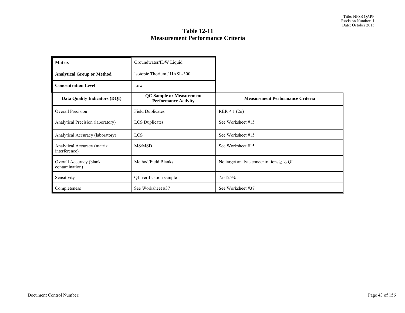# **Table 12-11 Measurement Performance Criteria**

| <b>Matrix</b>                                | Groundwater/IDW Liquid                                         |                                                        |
|----------------------------------------------|----------------------------------------------------------------|--------------------------------------------------------|
| <b>Analytical Group or Method</b>            | Isotopic Thorium / HASL-300                                    |                                                        |
| <b>Concentration Level</b>                   | Low                                                            |                                                        |
| Data Quality Indicators (DQI)                | <b>QC</b> Sample or Measurement<br><b>Performance Activity</b> | <b>Measurement Performance Criteria</b>                |
| Overall Precision                            | <b>Field Duplicates</b>                                        | $RER \leq 1(2\sigma)$                                  |
| Analytical Precision (laboratory)            | <b>LCS</b> Duplicates                                          | See Worksheet #15                                      |
| Analytical Accuracy (laboratory)             | <b>LCS</b>                                                     | See Worksheet #15                                      |
| Analytical Accuracy (matrix<br>interference) | MS/MSD                                                         | See Worksheet #15                                      |
| Overall Accuracy (blank<br>contamination)    | Method/Field Blanks                                            | No target analyte concentrations $\geq \frac{1}{2}$ QL |
| Sensitivity                                  | QL verification sample                                         | 75-125%                                                |
| Completeness                                 | See Worksheet #37                                              | See Worksheet #37                                      |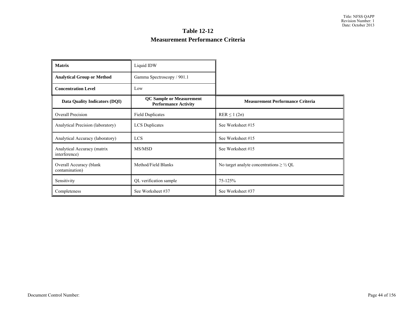#### **Table 12-12**

#### **Measurement Performance Criteria**

| <b>Matrix</b>                                | Liquid IDW                                                     |                                                        |
|----------------------------------------------|----------------------------------------------------------------|--------------------------------------------------------|
| <b>Analytical Group or Method</b>            | Gamma Spectroscopy / 901.1                                     |                                                        |
| <b>Concentration Level</b>                   | Low                                                            |                                                        |
| Data Quality Indicators (DQI)                | <b>QC</b> Sample or Measurement<br><b>Performance Activity</b> | <b>Measurement Performance Criteria</b>                |
| Overall Precision                            | <b>Field Duplicates</b>                                        | $RER \leq 1(2\sigma)$                                  |
| Analytical Precision (laboratory)            | <b>LCS</b> Duplicates                                          | See Worksheet #15                                      |
| Analytical Accuracy (laboratory)             | <b>LCS</b>                                                     | See Worksheet #15                                      |
| Analytical Accuracy (matrix<br>interference) | MS/MSD                                                         | See Worksheet #15                                      |
| Overall Accuracy (blank<br>contamination)    | Method/Field Blanks                                            | No target analyte concentrations $\geq \frac{1}{2}$ QL |
| Sensitivity                                  | QL verification sample                                         | 75-125%                                                |
| Completeness                                 | See Worksheet #37                                              | See Worksheet #37                                      |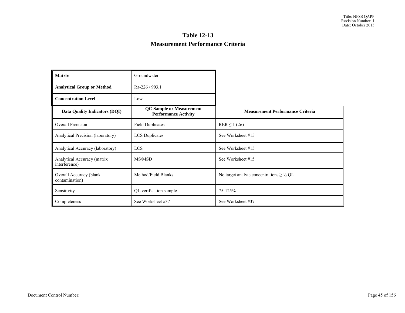# **Table 12-13 Measurement Performance Criteria**

| <b>Matrix</b>                                | Groundwater                                                    |                                                        |
|----------------------------------------------|----------------------------------------------------------------|--------------------------------------------------------|
| <b>Analytical Group or Method</b>            | Ra-226 / 903.1                                                 |                                                        |
| <b>Concentration Level</b>                   | Low                                                            |                                                        |
| Data Quality Indicators (DQI)                | <b>QC</b> Sample or Measurement<br><b>Performance Activity</b> | <b>Measurement Performance Criteria</b>                |
| Overall Precision                            | <b>Field Duplicates</b>                                        | $RER \leq 1(2\sigma)$                                  |
| Analytical Precision (laboratory)            | <b>LCS</b> Duplicates                                          | See Worksheet #15                                      |
| Analytical Accuracy (laboratory)             | <b>LCS</b>                                                     | See Worksheet #15                                      |
| Analytical Accuracy (matrix<br>interference) | MS/MSD                                                         | See Worksheet #15                                      |
| Overall Accuracy (blank<br>contamination)    | Method/Field Blanks                                            | No target analyte concentrations $\geq \frac{1}{2}$ QL |
| Sensitivity                                  | QL verification sample                                         | 75-125%                                                |
| Completeness                                 | See Worksheet #37                                              | See Worksheet #37                                      |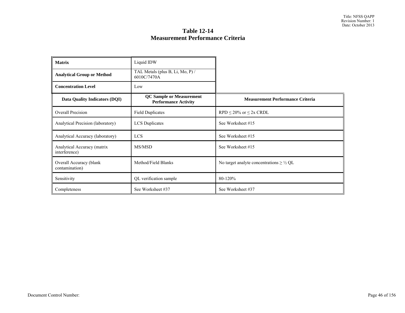# **Table 12-14 Measurement Performance Criteria**

| <b>Matrix</b>                                | Liquid IDW                                                     |                                                        |
|----------------------------------------------|----------------------------------------------------------------|--------------------------------------------------------|
| <b>Analytical Group or Method</b>            | TAL Metals (plus B, Li, Mo, P) /<br>6010C/7470A                |                                                        |
| <b>Concentration Level</b>                   | Low                                                            |                                                        |
| Data Quality Indicators (DQI)                | <b>QC</b> Sample or Measurement<br><b>Performance Activity</b> | <b>Measurement Performance Criteria</b>                |
| Overall Precision                            | <b>Field Duplicates</b>                                        | RPD $\leq$ 20% or $\leq$ 2x CRDL                       |
| Analytical Precision (laboratory)            | <b>LCS</b> Duplicates                                          | See Worksheet #15                                      |
| Analytical Accuracy (laboratory)             | <b>LCS</b>                                                     | See Worksheet #15                                      |
| Analytical Accuracy (matrix<br>interference) | MS/MSD                                                         | See Worksheet #15                                      |
| Overall Accuracy (blank<br>contamination)    | Method/Field Blanks                                            | No target analyte concentrations $\geq \frac{1}{2}$ QL |
| Sensitivity                                  | QL verification sample                                         | 80-120%                                                |
| Completeness                                 | See Worksheet #37                                              | See Worksheet #37                                      |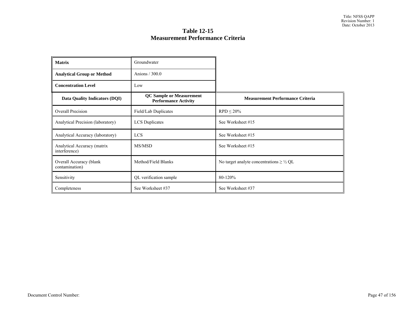# **Table 12-15 Measurement Performance Criteria**

| <b>Matrix</b>                                | Groundwater                                                    |                                                        |
|----------------------------------------------|----------------------------------------------------------------|--------------------------------------------------------|
| <b>Analytical Group or Method</b>            | Anions / 300.0                                                 |                                                        |
| <b>Concentration Level</b>                   | Low                                                            |                                                        |
| Data Quality Indicators (DQI)                | <b>QC</b> Sample or Measurement<br><b>Performance Activity</b> | <b>Measurement Performance Criteria</b>                |
| <b>Overall Precision</b>                     | Field/Lab Duplicates                                           | $RPD \leq 20\%$                                        |
| Analytical Precision (laboratory)            | <b>LCS</b> Duplicates                                          | See Worksheet #15                                      |
| Analytical Accuracy (laboratory)             | <b>LCS</b>                                                     | See Worksheet #15                                      |
| Analytical Accuracy (matrix<br>interference) | MS/MSD                                                         | See Worksheet #15                                      |
| Overall Accuracy (blank<br>contamination)    | Method/Field Blanks                                            | No target analyte concentrations $\geq \frac{1}{2}$ QL |
| Sensitivity                                  | QL verification sample                                         | 80-120%                                                |
| Completeness                                 | See Worksheet #37                                              | See Worksheet #37                                      |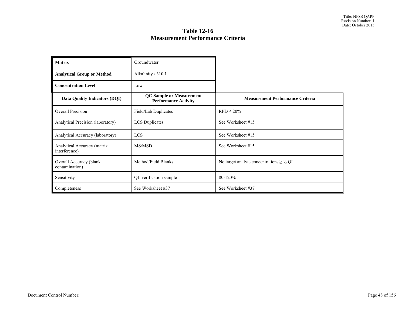# **Table 12-16 Measurement Performance Criteria**

| <b>Matrix</b>                                | Groundwater                                                    |                                                        |
|----------------------------------------------|----------------------------------------------------------------|--------------------------------------------------------|
| <b>Analytical Group or Method</b>            | Alkalinity / 310.1                                             |                                                        |
| <b>Concentration Level</b>                   | Low                                                            |                                                        |
| Data Quality Indicators (DQI)                | <b>QC</b> Sample or Measurement<br><b>Performance Activity</b> | <b>Measurement Performance Criteria</b>                |
| <b>Overall Precision</b>                     | Field/Lab Duplicates                                           | $RPD \leq 20\%$                                        |
| Analytical Precision (laboratory)            | <b>LCS</b> Duplicates                                          | See Worksheet #15                                      |
| Analytical Accuracy (laboratory)             | <b>LCS</b>                                                     | See Worksheet #15                                      |
| Analytical Accuracy (matrix<br>interference) | MS/MSD                                                         | See Worksheet #15                                      |
| Overall Accuracy (blank<br>contamination)    | Method/Field Blanks                                            | No target analyte concentrations $\geq \frac{1}{2}$ QL |
| Sensitivity                                  | QL verification sample                                         | 80-120%                                                |
| Completeness                                 | See Worksheet #37                                              | See Worksheet #37                                      |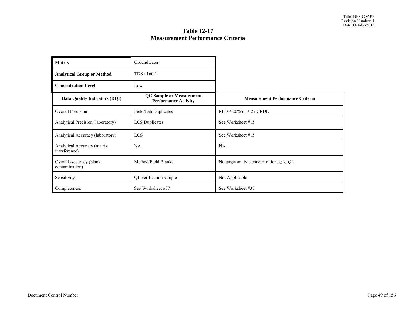# **Table 12-17 Measurement Performance Criteria**

| <b>Matrix</b>                                | Groundwater                                                    |                                                        |
|----------------------------------------------|----------------------------------------------------------------|--------------------------------------------------------|
| <b>Analytical Group or Method</b>            | TDS / 160.1                                                    |                                                        |
| <b>Concentration Level</b>                   | Low                                                            |                                                        |
| Data Quality Indicators (DQI)                | <b>QC</b> Sample or Measurement<br><b>Performance Activity</b> | <b>Measurement Performance Criteria</b>                |
| Overall Precision                            | Field/Lab Duplicates                                           | RPD $\leq$ 20% or $\leq$ 2x CRDL                       |
| Analytical Precision (laboratory)            | <b>LCS</b> Duplicates                                          | See Worksheet #15                                      |
| Analytical Accuracy (laboratory)             | <b>LCS</b>                                                     | See Worksheet #15                                      |
| Analytical Accuracy (matrix<br>interference) | NA                                                             | NA                                                     |
| Overall Accuracy (blank<br>contamination)    | Method/Field Blanks                                            | No target analyte concentrations $\geq \frac{1}{2}$ QL |
| Sensitivity                                  | QL verification sample                                         | Not Applicable                                         |
| Completeness                                 | See Worksheet #37                                              | See Worksheet #37                                      |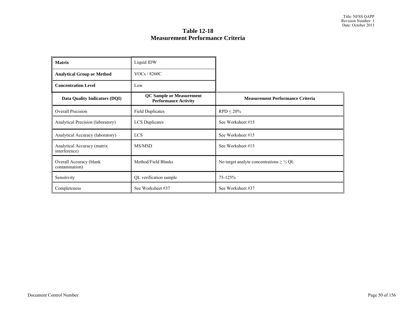# **Table 12-18 Measurement Performance Criteria**

| <b>Matrix</b>                                | Liquid IDW                                                     |                                                        |
|----------------------------------------------|----------------------------------------------------------------|--------------------------------------------------------|
| <b>Analytical Group or Method</b>            | <b>VOCs / 8260C</b>                                            |                                                        |
| <b>Concentration Level</b>                   | Low                                                            |                                                        |
| Data Quality Indicators (DQI)                | <b>QC</b> Sample or Measurement<br><b>Performance Activity</b> | <b>Measurement Performance Criteria</b>                |
| <b>Overall Precision</b>                     | <b>Field Duplicates</b>                                        | $RPD \leq 20\%$                                        |
| Analytical Precision (laboratory)            | <b>LCS</b> Duplicates                                          | See Worksheet #15                                      |
| Analytical Accuracy (laboratory)             | <b>LCS</b>                                                     | See Worksheet #15                                      |
| Analytical Accuracy (matrix<br>interference) | MS/MSD                                                         | See Worksheet #15                                      |
| Overall Accuracy (blank<br>contamination)    | Method/Field Blanks                                            | No target analyte concentrations $\geq \frac{1}{2}$ QL |
| Sensitivity                                  | QL verification sample                                         | 75-125%                                                |
| Completeness                                 | See Worksheet #37                                              | See Worksheet #37                                      |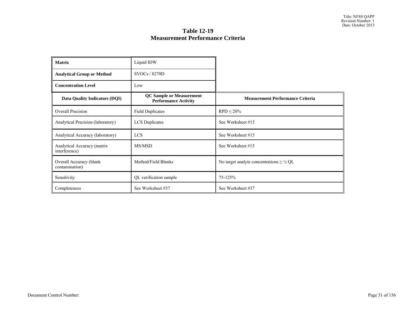# **Table 12-19 Measurement Performance Criteria**

| <b>Matrix</b>                                | Liquid IDW                                                     |                                                        |
|----------------------------------------------|----------------------------------------------------------------|--------------------------------------------------------|
| <b>Analytical Group or Method</b>            | SVOCs / 8270D                                                  |                                                        |
| <b>Concentration Level</b>                   | Low                                                            |                                                        |
| Data Quality Indicators (DQI)                | <b>QC</b> Sample or Measurement<br><b>Performance Activity</b> | <b>Measurement Performance Criteria</b>                |
| <b>Overall Precision</b>                     | <b>Field Duplicates</b>                                        | $RPD \leq 20\%$                                        |
| Analytical Precision (laboratory)            | <b>LCS</b> Duplicates                                          | See Worksheet #15                                      |
| Analytical Accuracy (laboratory)             | <b>LCS</b>                                                     | See Worksheet #15                                      |
| Analytical Accuracy (matrix<br>interference) | MS/MSD                                                         | See Worksheet #15                                      |
| Overall Accuracy (blank<br>contamination)    | Method/Field Blanks                                            | No target analyte concentrations $\geq \frac{1}{2}$ QL |
| Sensitivity                                  | QL verification sample                                         | 75-125%                                                |
| Completeness                                 | See Worksheet #37                                              | See Worksheet #37                                      |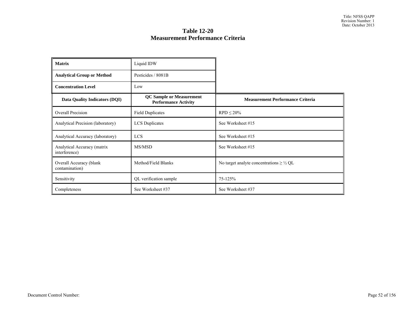# **Table 12-20 Measurement Performance Criteria**

| <b>Matrix</b>                                | Liquid IDW                                                     |                                                        |
|----------------------------------------------|----------------------------------------------------------------|--------------------------------------------------------|
| <b>Analytical Group or Method</b>            | Pesticides / 8081B                                             |                                                        |
| <b>Concentration Level</b>                   | Low                                                            |                                                        |
| Data Quality Indicators (DQI)                | <b>QC</b> Sample or Measurement<br><b>Performance Activity</b> | <b>Measurement Performance Criteria</b>                |
| <b>Overall Precision</b>                     | <b>Field Duplicates</b>                                        | $RPD \leq 20\%$                                        |
| Analytical Precision (laboratory)            | <b>LCS</b> Duplicates                                          | See Worksheet #15                                      |
| Analytical Accuracy (laboratory)             | <b>LCS</b>                                                     | See Worksheet #15                                      |
| Analytical Accuracy (matrix<br>interference) | MS/MSD                                                         | See Worksheet #15                                      |
| Overall Accuracy (blank<br>contamination)    | Method/Field Blanks                                            | No target analyte concentrations $\geq \frac{1}{2}$ QL |
| Sensitivity                                  | QL verification sample                                         | 75-125%                                                |
| Completeness                                 | See Worksheet #37                                              | See Worksheet #37                                      |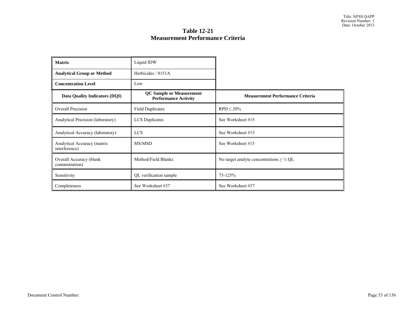# **Table 12-21 Measurement Performance Criteria**

| <b>Matrix</b>                                | Liquid IDW                                                     |                                                        |
|----------------------------------------------|----------------------------------------------------------------|--------------------------------------------------------|
| <b>Analytical Group or Method</b>            | Herbicides / 8151A                                             |                                                        |
| <b>Concentration Level</b>                   | Low                                                            |                                                        |
| Data Quality Indicators (DQI)                | <b>QC</b> Sample or Measurement<br><b>Performance Activity</b> | <b>Measurement Performance Criteria</b>                |
| <b>Overall Precision</b>                     | <b>Field Duplicates</b>                                        | $RPD \leq 20\%$                                        |
| Analytical Precision (laboratory)            | <b>LCS</b> Duplicates                                          | See Worksheet #15                                      |
| Analytical Accuracy (laboratory)             | <b>LCS</b>                                                     | See Worksheet #15                                      |
| Analytical Accuracy (matrix<br>interference) | MS/MSD                                                         | See Worksheet #15                                      |
| Overall Accuracy (blank<br>contamination)    | Method/Field Blanks                                            | No target analyte concentrations $\geq \frac{1}{2}$ QL |
| Sensitivity                                  | QL verification sample                                         | 75-125%                                                |
| Completeness                                 | See Worksheet #37                                              | See Worksheet #37                                      |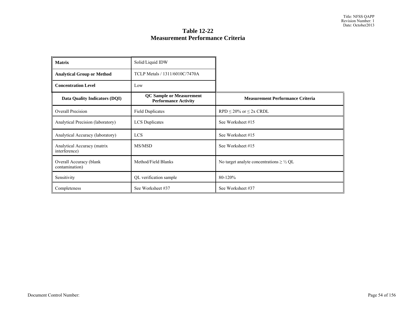# **Table 12-22 Measurement Performance Criteria**

| <b>Matrix</b>                                | Solid/Liquid IDW                                               |                                                        |
|----------------------------------------------|----------------------------------------------------------------|--------------------------------------------------------|
| <b>Analytical Group or Method</b>            | TCLP Metals / 1311/6010C/7470A                                 |                                                        |
| <b>Concentration Level</b>                   | Low                                                            |                                                        |
| Data Quality Indicators (DQI)                | <b>QC</b> Sample or Measurement<br><b>Performance Activity</b> | <b>Measurement Performance Criteria</b>                |
| Overall Precision                            | <b>Field Duplicates</b>                                        | RPD $\leq$ 20% or $\leq$ 2x CRDL                       |
| Analytical Precision (laboratory)            | <b>LCS</b> Duplicates                                          | See Worksheet #15                                      |
| Analytical Accuracy (laboratory)             | <b>LCS</b>                                                     | See Worksheet #15                                      |
| Analytical Accuracy (matrix<br>interference) | MS/MSD                                                         | See Worksheet #15                                      |
| Overall Accuracy (blank<br>contamination)    | Method/Field Blanks                                            | No target analyte concentrations $\geq \frac{1}{2}$ QL |
| Sensitivity                                  | QL verification sample                                         | 80-120%                                                |
| Completeness                                 | See Worksheet #37                                              | See Worksheet #37                                      |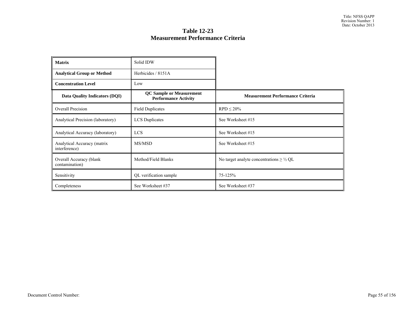# **Table 12-23 Measurement Performance Criteria**

| <b>Matrix</b>                                | Solid IDW                                                      |                                                        |
|----------------------------------------------|----------------------------------------------------------------|--------------------------------------------------------|
| <b>Analytical Group or Method</b>            | Herbicides / 8151A                                             |                                                        |
| <b>Concentration Level</b>                   | Low                                                            |                                                        |
| Data Quality Indicators (DQI)                | <b>QC</b> Sample or Measurement<br><b>Performance Activity</b> | <b>Measurement Performance Criteria</b>                |
| <b>Overall Precision</b>                     | <b>Field Duplicates</b>                                        | $RPD \leq 20\%$                                        |
| Analytical Precision (laboratory)            | <b>LCS</b> Duplicates                                          | See Worksheet #15                                      |
| Analytical Accuracy (laboratory)             | <b>LCS</b>                                                     | See Worksheet #15                                      |
| Analytical Accuracy (matrix<br>interference) | MS/MSD                                                         | See Worksheet #15                                      |
| Overall Accuracy (blank<br>contamination)    | Method/Field Blanks                                            | No target analyte concentrations $\geq \frac{1}{2}$ QL |
| Sensitivity                                  | QL verification sample                                         | 75-125%                                                |
| Completeness                                 | See Worksheet #37                                              | See Worksheet #37                                      |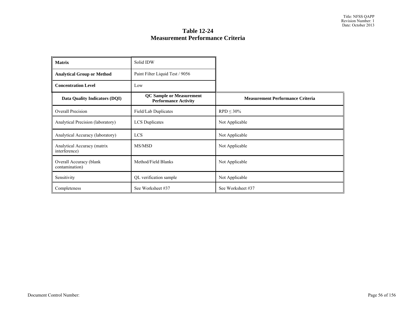# **Table 12-24 Measurement Performance Criteria**

| <b>Matrix</b>                                | Solid IDW                                                      |                                         |
|----------------------------------------------|----------------------------------------------------------------|-----------------------------------------|
| <b>Analytical Group or Method</b>            | Paint Filter Liquid Test / 9056                                |                                         |
| <b>Concentration Level</b>                   | Low                                                            |                                         |
| Data Quality Indicators (DQI)                | <b>QC</b> Sample or Measurement<br><b>Performance Activity</b> | <b>Measurement Performance Criteria</b> |
| Overall Precision                            | Field/Lab Duplicates                                           | $RPD \leq 30\%$                         |
| Analytical Precision (laboratory)            | <b>LCS</b> Duplicates                                          | Not Applicable                          |
| Analytical Accuracy (laboratory)             | <b>LCS</b>                                                     | Not Applicable                          |
| Analytical Accuracy (matrix<br>interference) | MS/MSD                                                         | Not Applicable                          |
| Overall Accuracy (blank<br>contamination)    | Method/Field Blanks                                            | Not Applicable                          |
| Sensitivity                                  | QL verification sample                                         | Not Applicable                          |
| Completeness                                 | See Worksheet #37                                              | See Worksheet #37                       |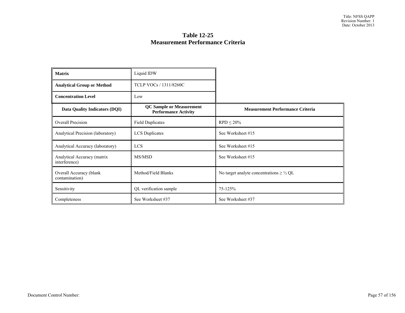# **Table 12-25 Measurement Performance Criteria**

| <b>Matrix</b>                                | Liquid IDW                                                     |                                                        |
|----------------------------------------------|----------------------------------------------------------------|--------------------------------------------------------|
| <b>Analytical Group or Method</b>            | TCLP VOCs / 1311/8260C                                         |                                                        |
| <b>Concentration Level</b>                   | Low                                                            |                                                        |
| Data Quality Indicators (DQI)                | <b>QC</b> Sample or Measurement<br><b>Performance Activity</b> | <b>Measurement Performance Criteria</b>                |
| <b>Overall Precision</b>                     | <b>Field Duplicates</b>                                        | $RPD \leq 20\%$                                        |
| Analytical Precision (laboratory)            | <b>LCS</b> Duplicates                                          | See Worksheet #15                                      |
| Analytical Accuracy (laboratory)             | <b>LCS</b>                                                     | See Worksheet #15                                      |
| Analytical Accuracy (matrix<br>interference) | MS/MSD                                                         | See Worksheet #15                                      |
| Overall Accuracy (blank<br>contamination)    | Method/Field Blanks                                            | No target analyte concentrations $\geq \frac{1}{2}$ QL |
| Sensitivity                                  | QL verification sample                                         | 75-125%                                                |
| Completeness                                 | See Worksheet #37                                              | See Worksheet #37                                      |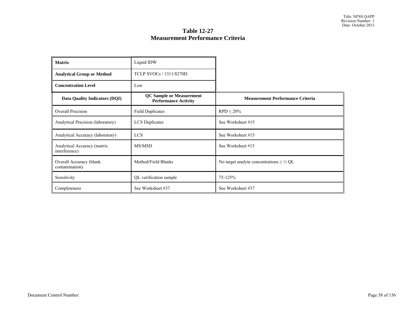# **Table 12-27 Measurement Performance Criteria**

| <b>Matrix</b>                                | Liquid IDW                                                     |                                                        |
|----------------------------------------------|----------------------------------------------------------------|--------------------------------------------------------|
| <b>Analytical Group or Method</b>            | TCLP SVOCs / 1311/8270D                                        |                                                        |
| <b>Concentration Level</b>                   | Low                                                            |                                                        |
| Data Quality Indicators (DQI)                | <b>QC</b> Sample or Measurement<br><b>Performance Activity</b> | <b>Measurement Performance Criteria</b>                |
| Overall Precision                            | <b>Field Duplicates</b>                                        | $RPD \leq 20\%$                                        |
| Analytical Precision (laboratory)            | <b>LCS</b> Duplicates                                          | See Worksheet #15                                      |
| Analytical Accuracy (laboratory)             | <b>LCS</b>                                                     | See Worksheet #15                                      |
| Analytical Accuracy (matrix<br>interference) | MS/MSD                                                         | See Worksheet #15                                      |
| Overall Accuracy (blank<br>contamination)    | Method/Field Blanks                                            | No target analyte concentrations $\geq \frac{1}{2}$ QL |
| Sensitivity                                  | QL verification sample                                         | 75-125%                                                |
| Completeness                                 | See Worksheet #37                                              | See Worksheet #37                                      |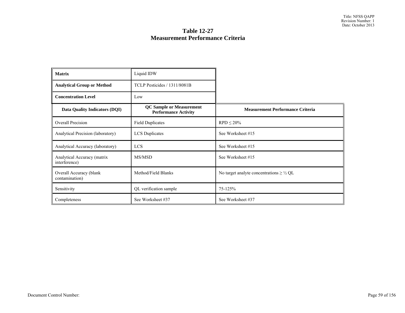# **Table 12-27 Measurement Performance Criteria**

| <b>Matrix</b>                                | Liquid IDW                                                     |                                                        |
|----------------------------------------------|----------------------------------------------------------------|--------------------------------------------------------|
| <b>Analytical Group or Method</b>            | TCLP Pesticides / 1311/8081B                                   |                                                        |
| <b>Concentration Level</b>                   | Low                                                            |                                                        |
| Data Quality Indicators (DQI)                | <b>QC</b> Sample or Measurement<br><b>Performance Activity</b> | <b>Measurement Performance Criteria</b>                |
| Overall Precision                            | <b>Field Duplicates</b>                                        | $RPD \leq 20\%$                                        |
| Analytical Precision (laboratory)            | <b>LCS</b> Duplicates                                          | See Worksheet #15                                      |
| Analytical Accuracy (laboratory)             | <b>LCS</b>                                                     | See Worksheet #15                                      |
| Analytical Accuracy (matrix<br>interference) | MS/MSD                                                         | See Worksheet #15                                      |
| Overall Accuracy (blank<br>contamination)    | Method/Field Blanks                                            | No target analyte concentrations $\geq \frac{1}{2}$ QL |
| Sensitivity                                  | QL verification sample                                         | 75-125%                                                |
| Completeness                                 | See Worksheet #37                                              | See Worksheet #37                                      |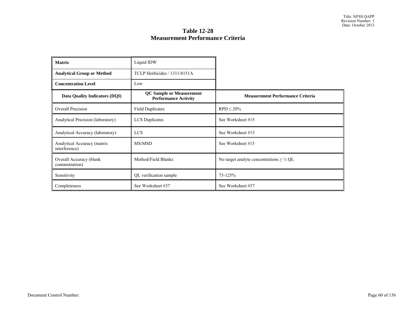# **Table 12-28 Measurement Performance Criteria**

| <b>Matrix</b>                                | Liquid IDW                                                     |                                                        |
|----------------------------------------------|----------------------------------------------------------------|--------------------------------------------------------|
| <b>Analytical Group or Method</b>            | TCLP Herbicides / 1311/8151A                                   |                                                        |
| <b>Concentration Level</b>                   | Low                                                            |                                                        |
| Data Quality Indicators (DQI)                | <b>QC</b> Sample or Measurement<br><b>Performance Activity</b> | <b>Measurement Performance Criteria</b>                |
| <b>Overall Precision</b>                     | <b>Field Duplicates</b>                                        | $RPD \leq 20\%$                                        |
| Analytical Precision (laboratory)            | <b>LCS</b> Duplicates                                          | See Worksheet #15                                      |
| Analytical Accuracy (laboratory)             | <b>LCS</b>                                                     | See Worksheet #15                                      |
| Analytical Accuracy (matrix<br>interference) | MS/MSD                                                         | See Worksheet #15                                      |
| Overall Accuracy (blank<br>contamination)    | Method/Field Blanks                                            | No target analyte concentrations $\geq \frac{1}{2}$ QL |
| Sensitivity                                  | QL verification sample                                         | 75-125%                                                |
| Completeness                                 | See Worksheet #37                                              | See Worksheet #37                                      |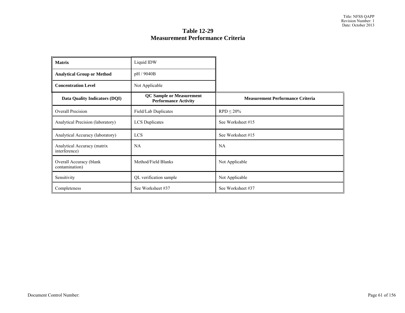# **Table 12-29 Measurement Performance Criteria**

| <b>Matrix</b>                                | Liquid IDW                                                     |                                         |
|----------------------------------------------|----------------------------------------------------------------|-----------------------------------------|
| <b>Analytical Group or Method</b>            | pH / 9040B                                                     |                                         |
| <b>Concentration Level</b>                   | Not Applicable                                                 |                                         |
| Data Quality Indicators (DQI)                | <b>QC</b> Sample or Measurement<br><b>Performance Activity</b> | <b>Measurement Performance Criteria</b> |
| <b>Overall Precision</b>                     | Field/Lab Duplicates                                           | $RPD \leq 20\%$                         |
| Analytical Precision (laboratory)            | <b>LCS</b> Duplicates                                          | See Worksheet #15                       |
| Analytical Accuracy (laboratory)             | <b>LCS</b>                                                     | See Worksheet #15                       |
| Analytical Accuracy (matrix<br>interference) | NA                                                             | NA                                      |
| Overall Accuracy (blank<br>contamination)    | Method/Field Blanks                                            | Not Applicable                          |
| Sensitivity                                  | QL verification sample                                         | Not Applicable                          |
| Completeness                                 | See Worksheet #37                                              | See Worksheet #37                       |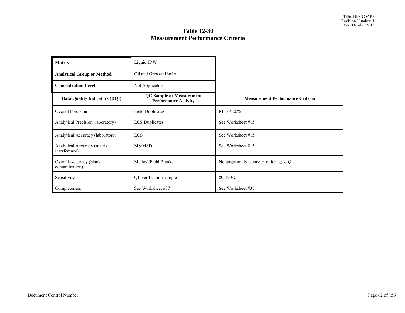# **Table 12-30 Measurement Performance Criteria**

| <b>Matrix</b>                                | Liquid IDW                                                     |                                                        |
|----------------------------------------------|----------------------------------------------------------------|--------------------------------------------------------|
| <b>Analytical Group or Method</b>            | Oil and Grease /1664A                                          |                                                        |
| <b>Concentration Level</b>                   | Not Applicable                                                 |                                                        |
| Data Quality Indicators (DQI)                | <b>QC</b> Sample or Measurement<br><b>Performance Activity</b> | <b>Measurement Performance Criteria</b>                |
| <b>Overall Precision</b>                     | <b>Field Duplicates</b>                                        | $RPD \leq 20\%$                                        |
| Analytical Precision (laboratory)            | <b>LCS</b> Duplicates                                          | See Worksheet #15                                      |
| Analytical Accuracy (laboratory)             | <b>LCS</b>                                                     | See Worksheet #15                                      |
| Analytical Accuracy (matrix<br>interference) | MS/MSD                                                         | See Worksheet #15                                      |
| Overall Accuracy (blank<br>contamination)    | Method/Field Blanks                                            | No target analyte concentrations $\geq \frac{1}{2}$ QL |
| Sensitivity                                  | QL verification sample                                         | 80-120%                                                |
| Completeness                                 | See Worksheet #37                                              | See Worksheet #37                                      |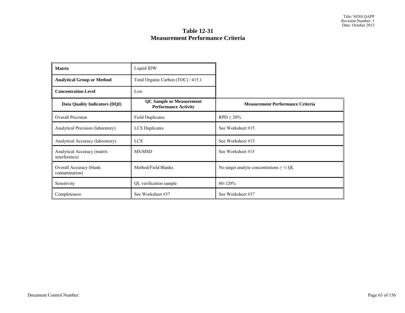# **Table 12-31 Measurement Performance Criteria**

| <b>Matrix</b>                                | Liquid IDW                                                     |                                                        |
|----------------------------------------------|----------------------------------------------------------------|--------------------------------------------------------|
| <b>Analytical Group or Method</b>            | Total Organic Carbon (TOC) / 415.1                             |                                                        |
| <b>Concentration Level</b>                   | Low                                                            |                                                        |
| Data Quality Indicators (DQI)                | <b>QC</b> Sample or Measurement<br><b>Performance Activity</b> | <b>Measurement Performance Criteria</b>                |
| Overall Precision                            | <b>Field Duplicates</b>                                        | $RPD \leq 20\%$                                        |
| Analytical Precision (laboratory)            | <b>LCS</b> Duplicates                                          | See Worksheet #15                                      |
| Analytical Accuracy (laboratory)             | <b>LCS</b>                                                     | See Worksheet #15                                      |
| Analytical Accuracy (matrix<br>interference) | MS/MSD                                                         | See Worksheet #15                                      |
| Overall Accuracy (blank<br>contamination)    | Method/Field Blanks                                            | No target analyte concentrations $\geq \frac{1}{2}$ QL |
| Sensitivity                                  | QL verification sample                                         | 80-120%                                                |
| Completeness                                 | See Worksheet #37                                              | See Worksheet #37                                      |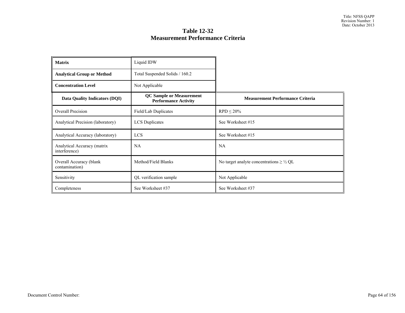# **Table 12-32 Measurement Performance Criteria**

| <b>Matrix</b>                                | Liquid IDW                                                     |                                                        |
|----------------------------------------------|----------------------------------------------------------------|--------------------------------------------------------|
| <b>Analytical Group or Method</b>            | Total Suspended Solids / 160.2                                 |                                                        |
| <b>Concentration Level</b>                   | Not Applicable                                                 |                                                        |
| Data Quality Indicators (DQI)                | <b>QC</b> Sample or Measurement<br><b>Performance Activity</b> | <b>Measurement Performance Criteria</b>                |
| Overall Precision                            | Field/Lab Duplicates                                           | $RPD \leq 20\%$                                        |
| Analytical Precision (laboratory)            | <b>LCS</b> Duplicates                                          | See Worksheet #15                                      |
| Analytical Accuracy (laboratory)             | <b>LCS</b>                                                     | See Worksheet #15                                      |
| Analytical Accuracy (matrix<br>interference) | NA                                                             | NA                                                     |
| Overall Accuracy (blank<br>contamination)    | Method/Field Blanks                                            | No target analyte concentrations $\geq \frac{1}{2}$ QL |
| Sensitivity                                  | QL verification sample                                         | Not Applicable                                         |
| Completeness                                 | See Worksheet #37                                              | See Worksheet #37                                      |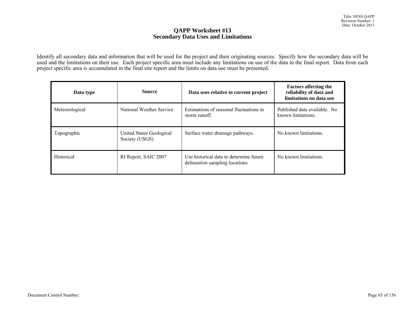#### **QAPP Worksheet #13 Secondary Data Uses and Limitations**

Identify all secondary data and information that will be used for the project and their originating sources. Specify how the secondary data will be used and the limitations on their use. Each project specific area must include any limitations on use of the data in the final report. Data from each project specific area is accumulated in the final site report and the limits on data use must be presented.

| Data type      | <b>Source</b>                              | Data uses relative to current project                                      | <b>Factors affecting the</b><br>reliability of data and<br>limitations on data use |
|----------------|--------------------------------------------|----------------------------------------------------------------------------|------------------------------------------------------------------------------------|
| Meteorological | National Weather Service                   | Estimations of seasonal fluctuations in<br>storm runoff.                   | Published data available. No<br>known limitations.                                 |
| Topographic    | United States Geological<br>Society (USGS) | Surface water drainage pathways.                                           | No known limitations.                                                              |
| Historical     | RI Report, SAIC 2007                       | Use historical data to determine future<br>delineation sampling locations. | No known limitations.                                                              |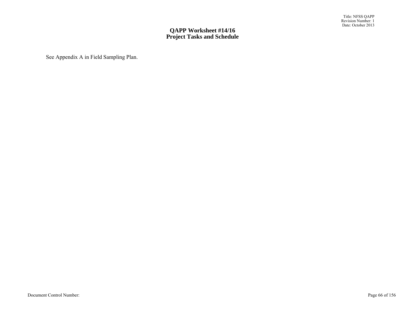#### **QAPP Worksheet #14/16 Project Tasks and Schedule**

See Appendix A in Field Sampling Plan.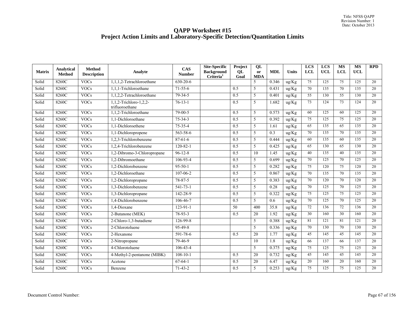#### **QAPP Worksheet #15 Project Action Limits and Laboratory-Specific Detection/Quantitation Limits**

| <b>Matrix</b> | <b>Analytical</b><br><b>Method</b> | <b>Method</b><br><b>Description</b> | Analyte                                   | <b>CAS</b><br><b>Number</b> | <b>Site-Specific</b><br><b>Background</b> | Project<br>QL | QL<br>or    | <b>MDL</b> | <b>Units</b>     | <b>LCS</b><br><b>LCL</b> | <b>LCS</b><br><b>UCL</b> | <b>MS</b><br><b>LCL</b> | <b>MS</b><br><b>UCL</b> | <b>RPD</b> |
|---------------|------------------------------------|-------------------------------------|-------------------------------------------|-----------------------------|-------------------------------------------|---------------|-------------|------------|------------------|--------------------------|--------------------------|-------------------------|-------------------------|------------|
|               |                                    |                                     |                                           |                             | Criteria <sup>1</sup>                     | Goal          | <b>MDA</b>  |            |                  |                          |                          |                         |                         |            |
| Solid         | 8260C                              | <b>VOCs</b>                         | 1,1,1,2-Tetrachloroethane                 | 630-20-6                    |                                           |               | $\varsigma$ | 0.346      | ug/Kg            | $\overline{75}$          | 125                      | 75                      | 125                     | 20         |
| Solid         | 8260C                              | <b>VOCs</b>                         | 1,1,1-Trichloroethane                     | $71 - 55 - 6$               |                                           | 0.5           | 5           | 0.431      | $\frac{u}{g/Kg}$ | 70                       | 135                      | 70                      | 135                     | 20         |
| Solid         | 8260C                              | <b>VOCs</b>                         | 1,1,2,2-Tetrachloroethane                 | $79 - 34 - 5$               |                                           | 0.5           | 5           | 0.401      | ug/Kg            | 55                       | 130                      | 55                      | 130                     | 20         |
| Solid         | 8260C                              | <b>VOCs</b>                         | 1,1,2-Trichloro-1,2,2-<br>trifluoroethane | $76 - 13 - 1$               |                                           | 0.5           | 5           | 1.682      | ug/Kg            | 73                       | 124                      | 73                      | 124                     | 20         |
| Solid         | 8260C                              | <b>VOCs</b>                         | 1,1,2-Trichloroethane                     | $79-00-5$                   |                                           | 0.5           | 5           | 0.573      | $\frac{u}{g/Kg}$ | 60                       | 125                      | 60                      | $\overline{125}$        | 20         |
| Solid         | 8260C                              | <b>VOCs</b>                         | 1.1-Dichloroethane                        | $75 - 34 - 3$               |                                           | 0.5           | 5           | 0.392      | ug/Kg            | 75                       | 125                      | 75                      | 125                     | 20         |
| Solid         | 8260C                              | <b>VOCs</b>                         | 1,1-Dichloroethene                        | $75 - 35 - 4$               |                                           | 0.5           | 5           | 1.61       | $\frac{u}{g/Kg}$ | 65                       | 135                      | 65                      | 135                     | 20         |
| Solid         | 8260C                              | <b>VOCs</b>                         | 1,1-Dichloropropene                       | 563-58-6                    |                                           | 0.5           | 5           | 0.3        | ug/Kg            | 70                       | 135                      | 70                      | 135                     | 20         |
| Solid         | 8260C                              | <b>VOCs</b>                         | 1,2,3-Trichlorobenzene                    | $87 - 61 - 6$               |                                           | 0.5           | 5           | 0.444      | ug/Kg            | 60                       | 135                      | 60                      | 135                     | 20         |
| Solid         | 8260C                              | <b>VOCs</b>                         | 1,2,4-Trichlorobenzene                    | $120 - 82 - 1$              |                                           | 0.5           | 5           | 0.425      | ug/Kg            | 65                       | 130                      | 65                      | 130                     | 20         |
| Solid         | 8260C                              | <b>VOCs</b>                         | 1,2-Dibromo-3-Chloropropane               | $96 - 12 - 8$               |                                           | 0.5           | 10          | 1.45       | ug/Kg            | 40                       | 135                      | 40                      | 135                     | 20         |
| Solid         | 8260C                              | <b>VOCs</b>                         | 1.2-Dibromoethane                         | 106-93-4                    |                                           | 0.5           | 5           | 0.699      | ug/Kg            | 70                       | 125                      | 70                      | $\overline{125}$        | 20         |
| Solid         | 8260C                              | <b>VOCs</b>                         | 1.2-Dichlorobenzene                       | $95 - 50 - 1$               |                                           | 0.5           | 5           | 0.282      | ug/Kg            | 75                       | 120                      | 75                      | 120                     | 20         |
| Solid         | 8260C                              | <b>VOCs</b>                         | 1,2-Dichloroethane                        | 107-06-2                    |                                           | 0.5           | 5           | 0.867      | ug/Kg            | 70                       | 135                      | 70                      | 135                     | 20         |
| Solid         | 8260C                              | <b>VOCs</b>                         | 1,2-Dichloropropane                       | 78-87-5                     |                                           | 0.5           | 5           | 0.383      | ug/Kg            | 70                       | 120                      | 70                      | 120                     | 20         |
| Solid         | 8260C                              | <b>VOCs</b>                         | 1,3-Dichlorobenzene                       | $541 - 73 - 1$              |                                           | 0.5           | 5           | 0.28       | ug/Kg            | 70                       | 125                      | 70                      | $\overline{125}$        | 20         |
| Solid         | 8260C                              | <b>VOCs</b>                         | 1,3-Dichloropropane                       | 142-28-9                    |                                           | 0.5           | 5           | 0.322      | ug/Kg            | $\overline{75}$          | 125                      | $\overline{75}$         | $\overline{125}$        | 20         |
| Solid         | 8260C                              | <b>VOCs</b>                         | 1.4-Dichlorobenzene                       | 106-46-7                    |                                           | 0.5           | 5           | 0.6        | ug/Kg            | 70                       | 125                      | 70                      | $\overline{125}$        | 20         |
| Solid         | 8260C                              | <b>VOCs</b>                         | 1,4-Dioxane                               | 123-91-1                    |                                           | 50            | 400         | 35.8       | ug/Kg            | 72                       | 136                      | $\overline{72}$         | 136                     | 20         |
| Solid         | 8260C                              | <b>VOCs</b>                         | 2-Butanone (MEK)                          | 78-93-3                     |                                           | 0.5           | 20          | 1.92       | $\frac{u}{g/Kg}$ | 30                       | 160                      | 30                      | 160                     | 20         |
| Solid         | 8260C                              | <b>VOCs</b>                         | 2-Chloro-1,3-butadiene                    | 126-99-8                    |                                           |               | 5           | 0.388      | ug/Kg            | 81                       | 121                      | 81                      | 121                     | 20         |
| Solid         | 8260C                              | <b>VOCs</b>                         | 2-Chlorotoluene                           | 95-49-8                     |                                           |               | 5           | 0.336      | ug/Kg            | 70                       | 130                      | 70                      | 130                     | 20         |
| Solid         | 8260C                              | <b>VOCs</b>                         | 2-Hexanone                                | 591-78-6                    |                                           | 0.5           | 20          | 1.77       | ug/Kg            | 45                       | 145                      | 45                      | 145                     | 20         |
| Solid         | 8260C                              | $\overline{\text{VOC}}$             | 2-Nitropropane                            | $79-46-9$                   |                                           |               | 10          | 1.8        | $\frac{u}{g/Kg}$ | 66                       | 137                      | 66                      | 137                     | 20         |
| Solid         | 8260C                              | <b>VOCs</b>                         | 4-Chlorotoluene                           | 106-43-4                    |                                           |               | 5           | 0.375      | ug/Kg            | 75                       | 125                      | 75                      | 125                     | 20         |
| Solid         | 8260C                              | <b>VOCs</b>                         | 4-Methyl-2-pentanone (MIBK)               | $108 - 10 - 1$              |                                           | 0.5           | 20          | 0.732      | ug/Kg            | 45                       | 145                      | 45                      | 145                     | 20         |
| Solid         | 8260C                              | <b>VOCs</b>                         | Acetone                                   | $67 - 64 - 1$               |                                           | 0.5           | 20          | 6.47       | ug/Kg            | 20                       | 160                      | 20                      | 160                     | 20         |
| Solid         | 8260C                              | <b>VOCs</b>                         | Benzene                                   | $71-43-2$                   |                                           | 0.5           | 5           | 0.253      | ug/Kg            | 75                       | 125                      | 75                      | 125                     | 20         |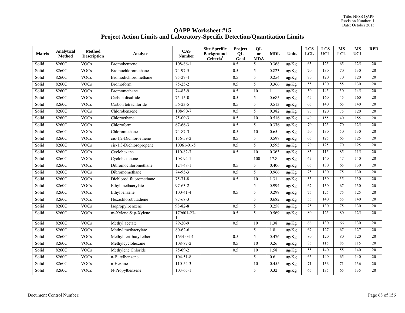| <b>OAPP Worksheet #15</b>                                                   |
|-----------------------------------------------------------------------------|
| Project Action Limits and Laboratory-Specific Detection/Quantitation Limits |

| <b>Matrix</b> | <b>Analytical</b><br>Method | <b>Method</b><br><b>Description</b> | <b>Analyte</b>          | <b>CAS</b><br><b>Number</b> | <b>Site-Specific</b><br><b>Background</b><br>Criteria <sup>1</sup> | Project<br>QL<br>Goal | <b>QL</b><br>or<br><b>MDA</b> | <b>MDL</b> | <b>Units</b>     | LCS<br>LCL      | LCS<br><b>UCL</b> | <b>MS</b><br><b>LCL</b> | <b>MS</b><br>UCL | <b>RPD</b>      |
|---------------|-----------------------------|-------------------------------------|-------------------------|-----------------------------|--------------------------------------------------------------------|-----------------------|-------------------------------|------------|------------------|-----------------|-------------------|-------------------------|------------------|-----------------|
| Solid         | 8260C                       | <b>VOCs</b>                         | Bromobenzene            | 108-86-1                    |                                                                    | 0.5                   | 5                             | 0.368      | $\frac{u}{g/Kg}$ | $\overline{65}$ | 125               | 65                      | 125              | 20              |
| Solid         | 8260C                       | <b>VOCs</b>                         | Bromochloromethane      | $74-97-5$                   |                                                                    | 0.5                   | 5                             | 0.823      | ug/Kg            | $\overline{70}$ | 130               | $\overline{70}$         | $\overline{130}$ | $\overline{20}$ |
| Solid         | 8260C                       | <b>VOCs</b>                         | Bromodichloromethane    | $75 - 27 - 4$               |                                                                    | 0.5                   | 5                             | 0.254      | ug/Kg            | 70              | 120               | 70                      | 120              | 20              |
| Solid         | 8260C                       | <b>VOCs</b>                         | Bromoform               | $75 - 25 - 2$               |                                                                    | 0.5                   | $\overline{5}$                | 0.366      | ug/Kg            | $\overline{55}$ | 130               | $\overline{55}$         | $\overline{130}$ | $\overline{20}$ |
| Solid         | 8260C                       | <b>VOCs</b>                         | Bromomethane            | $74 - 83 - 9$               |                                                                    | 0.5                   | 10                            | 1.1        | ug/Kg            | $\overline{30}$ | 145               | $\overline{30}$         | 145              | $\overline{20}$ |
| Solid         | 8260C                       | <b>VOCs</b>                         | Carbon disulfide        | $75 - 15 - 0$               |                                                                    | 0.5                   | 5                             | 0.685      | ug/Kg            | $\overline{45}$ | 160               | 45                      | 160              | $\overline{20}$ |
| Solid         | 8260C                       | <b>VOCs</b>                         | Carbon tetrachloride    | $56 - 23 - 5$               |                                                                    | 0.5                   | 5                             | 0.513      | ug/Kg            | 65              | 140               | 65                      | 140              | 20              |
| Solid         | 8260C                       | <b>VOCs</b>                         | Chlorobenzene           | 108-90-7                    |                                                                    | 0.5                   | 5                             | 0.382      | ug/Kg            | 75              | $\overline{120}$  | 75                      | $\overline{120}$ | $\overline{20}$ |
| Solid         | 8260C                       | <b>VOCs</b>                         | Chloroethane            | $75-00-3$                   |                                                                    | 0.5                   | 10                            | 0.516      | ug/Kg            | 40              | 155               | 40                      | 155              | 20              |
| Solid         | 8260C                       | <b>VOCs</b>                         | Chloroform              | 67-66-3                     |                                                                    | 0.5                   | 5                             | 0.376      | ug/Kg            | 70              | 125               | $\overline{70}$         | 125              | 20              |
| Solid         | 8260C                       | <b>VOCs</b>                         | Chloromethane           | $74 - 87 - 3$               |                                                                    | 0.5                   | 10                            | 0.65       | ug/Kg            | $\overline{50}$ | 130               | 50                      | 130              | 20              |
| Solid         | 8260C                       | <b>VOCs</b>                         | cis-1,2-Dichloroethene  | 156-59-2                    |                                                                    | 0.5                   | 5                             | 0.597      | ug/Kg            | 65              | 125               | 65                      | 125              | 20              |
| Solid         | 8260C                       | <b>VOCs</b>                         | cis-1,3-Dichloropropene | 10061-01-5                  |                                                                    | 0.5                   | 5                             | 0.595      | ug/Kg            | $\overline{70}$ | 125               | $\overline{70}$         | $\overline{125}$ | 20              |
| Solid         | 8260C                       | <b>VOCs</b>                         | Cyclohexane             | $110 - 82 - 7$              |                                                                    | 0.5                   | 10                            | 0.363      | ug/Kg            | 85              | $\overline{115}$  | 85                      | $\overline{115}$ | $\overline{20}$ |
| Solid         | 8260C                       | <b>VOCs</b>                         | Cyclohexanone           | 108-94-1                    |                                                                    |                       | 100                           | 17.8       | ug/Kg            | 47              | 140               | 47                      | 140              | 20              |
| Solid         | 8260C                       | <b>VOCs</b>                         | Dibromochloromethane    | $124 - 48 - 1$              |                                                                    | 0.5                   | 5                             | 0.406      | ug/Kg            | 65              | 130               | 65                      | 130              | 20              |
| Solid         | 8260C                       | <b>VOCs</b>                         | Dibromomethane          | 74-95-3                     |                                                                    | 0.5                   | 5                             | 0.966      | ug/Kg            | $\overline{75}$ | 130               | $\overline{75}$         | 130              | 20              |
| Solid         | 8260C                       | <b>VOCs</b>                         | Dichlorodifluoromethane | $75 - 71 - 8$               |                                                                    | 0.5                   | 10                            | 1.31       | ug/Kg            | 35              | $\overline{130}$  | 35                      | 130              | $\overline{20}$ |
| Solid         | 8260C                       | <b>VOCs</b>                         | Ethyl methacrylate      | $97 - 63 - 2$               |                                                                    |                       | 5                             | 0.994      | ug/Kg            | 67              | 130               | 67                      | 130              | 20              |
| Solid         | 8260C                       | <b>VOCs</b>                         | Ethylbenzene            | $100 - 41 - 4$              |                                                                    | 0.5                   | 5                             | 0.299      | ug/Kg            | 75              | 125               | 75                      | 125              | $\overline{20}$ |
| Solid         | 8260C                       | <b>VOCs</b>                         | Hexachlorobutadiene     | 87-68-3                     |                                                                    |                       | 5                             | 0.682      | ug/Kg            | 55              | 140               | 55                      | 140              | 20              |
| Solid         | 8260C                       | <b>VOCs</b>                         | Isopropylbenzene        | 98-82-8                     |                                                                    | 0.5                   | 5                             | 0.258      | ug/Kg            | 75              | 130               | 75                      | 130              | 20              |
| Solid         | 8260C                       | <b>VOCs</b>                         | m-Xylene & p-Xylene     | 179601-23-                  |                                                                    | 0.5                   | 5                             | 0.569      | ug/Kg            | 80              | 125               | 80                      | 125              | 20              |
| Solid         | 8260C                       | <b>VOCs</b>                         | Methyl acetate          | 79-20-9                     |                                                                    | 0.5                   | 10                            | 1.38       | ug/Kg            | 66              | 130               | 66                      | 130              | 20              |
| Solid         | 8260C                       | <b>VOCs</b>                         | Methyl methacrylate     | $80 - 62 - 6$               |                                                                    |                       | 5                             | 1.8        | ug/Kg            | 67              | 127               | 67                      | 127              | 20              |
| Solid         | 8260C                       | <b>VOCs</b>                         | Methyl tert-butyl ether | 1634-04-4                   |                                                                    | 0.5                   | 5                             | 0.476      | ug/Kg            | 80              | 120               | 80                      | 120              | 20              |
| Solid         | 8260C                       | <b>VOCs</b>                         | Methylcyclohexane       | 108-87-2                    |                                                                    | 0.5                   | 10                            | 0.26       | ug/Kg            | 85              | 115               | 85                      | 115              | 20              |
| Solid         | 8260C                       | <b>VOCs</b>                         | Methylene Chloride      | 75-09-2                     |                                                                    | 0.5                   | 10                            | 1.58       | $\frac{u}{g/Kg}$ | 55              | 140               | 55                      | 140              | 20              |
| Solid         | 8260C                       | <b>VOCs</b>                         | n-Butylbenzene          | $104 - 51 - 8$              |                                                                    |                       | 5                             | 0.6        | ug/Kg            | 65              | 140               | 65                      | 140              | 20              |
| Solid         | 8260C                       | <b>VOCs</b>                         | n-Hexane                | 110-54-3                    |                                                                    |                       | 10                            | 0.455      | ug/Kg            | 71              | 136               | 71                      | 136              | 20              |
| Solid         | 8260C                       | <b>VOCs</b>                         | N-Propylbenzene         | $103 - 65 - 1$              |                                                                    |                       | 5                             | 0.32       | ug/Kg            | 65              | 135               | 65                      | 135              | 20              |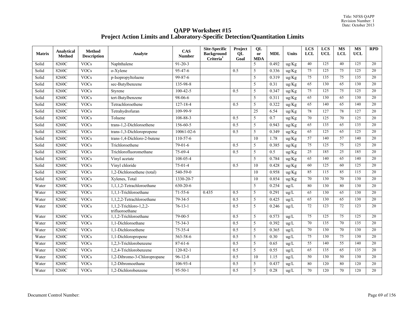| <b>OAPP Worksheet #15</b>                                                   |
|-----------------------------------------------------------------------------|
| Project Action Limits and Laboratory-Specific Detection/Quantitation Limits |

| <b>Matrix</b> | <b>Analytical</b><br><b>Method</b> | <b>Method</b><br><b>Description</b> | <b>Analyte</b>                            | <b>CAS</b><br><b>Number</b> | <b>Site-Specific</b><br><b>Background</b><br>Criteria <sup>1</sup> | Project<br>QL<br>Goal | <b>QL</b><br>or<br><b>MDA</b> | <b>MDL</b> | <b>Units</b>     | <b>LCS</b><br>LCL | LCS<br>UCL       | <b>MS</b><br><b>LCL</b> | <b>MS</b><br>UCL | <b>RPD</b>      |
|---------------|------------------------------------|-------------------------------------|-------------------------------------------|-----------------------------|--------------------------------------------------------------------|-----------------------|-------------------------------|------------|------------------|-------------------|------------------|-------------------------|------------------|-----------------|
| Solid         | 8260C                              | <b>VOCs</b>                         | Naphthalene                               | $91 - 20 - 3$               |                                                                    |                       | 5                             | 0.492      | $\frac{u}{g/Kg}$ | 40                | 125              | 40                      | 125              | 20              |
| Solid         | 8260C                              | <b>VOCs</b>                         | o-Xylene                                  | $95 - 47 - 6$               |                                                                    | 0.5                   | 5                             | 0.336      | ug/Kg            | $\overline{75}$   | 125              | $\overline{75}$         | $\overline{125}$ | $\overline{20}$ |
| Solid         | 8260C                              | <b>VOCs</b>                         | p-Isopropyltoluene                        | 99-87-6                     |                                                                    |                       | 5                             | 0.319      | ug/Kg            | 75                | 135              | 75                      | 135              | 20              |
| Solid         | 8260C                              | <b>VOCs</b>                         | sec-Butylbenzene                          | 135-98-8                    |                                                                    |                       | 5                             | 0.31       | $\frac{u}{g/Kg}$ | $\overline{65}$   | 130              | $\overline{65}$         | 130              | 20              |
| Solid         | 8260C                              | <b>VOCs</b>                         | Styrene                                   | $100 - 42 - 5$              |                                                                    | 0.5                   | 5                             | 0.347      | ug/Kg            | $\overline{75}$   | 125              | 75                      | 125              | $\overline{20}$ |
| Solid         | 8260C                              | <b>VOCs</b>                         | tert-Butylbenzene                         | 98-06-6                     |                                                                    |                       | 5                             | 0.311      | ug/Kg            | 65                | 130              | 65                      | 130              | $\overline{20}$ |
| Solid         | 8260C                              | <b>VOCs</b>                         | Tetrachloroethene                         | $127 - 18 - 4$              |                                                                    | 0.5                   | 5                             | 0.322      | ug/Kg            | 65                | 140              | 65                      | 140              | 20              |
| Solid         | 8260C                              | <b>VOCs</b>                         | Tetrahydrofuran                           | 109-99-9                    |                                                                    |                       | $\overline{25}$               | 6.54       | $\frac{u}{g/Kg}$ | 78                | $\overline{127}$ | 78                      | $\overline{127}$ | $\overline{20}$ |
| Solid         | 8260C                              | <b>VOCs</b>                         | Toluene                                   | 108-88-3                    |                                                                    | 0.5                   | 5                             | 0.7        | ug/Kg            | 70                | 125              | 70                      | 125              | 20              |
| Solid         | 8260C                              | <b>VOCs</b>                         | trans-1,2-Dichloroethene                  | 156-60-5                    |                                                                    | 0.5                   | 5                             | 0.943      | ug/Kg            | 65                | 135              | 65                      | 135              | 20              |
| Solid         | 8260C                              | <b>VOCs</b>                         | trans-1,3-Dichloropropene                 | 10061-02-6                  |                                                                    | 0.5                   | 5                             | 0.349      | ug/Kg            | 65                | 125              | $\overline{65}$         | $\overline{125}$ | 20              |
| Solid         | 8260C                              | <b>VOCs</b>                         | trans-1,4-Dichloro-2-butene               | 110-57-6                    |                                                                    |                       | 10                            | 1.78       | ug/Kg            | 57                | 140              | 57                      | 140              | 20              |
| Solid         | 8260C                              | <b>VOCs</b>                         | Trichloroethene                           | $79-01-6$                   |                                                                    | 0.5                   | 5                             | 0.385      | $\frac{u}{g/Kg}$ | $\overline{75}$   | 125              | $\overline{75}$         | $\overline{125}$ | 20              |
| Solid         | 8260C                              | <b>VOCs</b>                         | Trichlorofluoromethane                    | $75-69-4$                   |                                                                    | 0.5                   | 5                             | 0.5        | ug/Kg            | $\overline{25}$   | 185              | $\overline{25}$         | 185              | $\overline{20}$ |
| Solid         | 8260C                              | <b>VOCs</b>                         | Vinyl acetate                             | 108-05-4                    |                                                                    |                       | $\overline{5}$                | 0.784      | ug/Kg            | 65                | 140              | 65                      | 140              | 20              |
| Solid         | 8260C                              | <b>VOCs</b>                         | Vinyl chloride                            | $75-01-4$                   |                                                                    | 0.5                   | 10                            | 0.428      | ug/Kg            | 60                | 125              | 60                      | 125              | 20              |
| Solid         | 8260C                              | <b>VOCs</b>                         | 1,2-Dichloroethene (total)                | 540-59-0                    |                                                                    |                       | 10                            | 0.958      | ug/Kg            | 85                | 115              | 85                      | $\overline{115}$ | 20              |
| Solid         | 8260C                              | <b>VOCs</b>                         | Xylenes, Total                            | 1330-20-7                   |                                                                    |                       | 10                            | 0.854      | ug/Kg            | $\overline{70}$   | $\overline{130}$ | $\overline{70}$         | 130              | $\overline{20}$ |
| Water         | 8260C                              | <b>VOCs</b>                         | 1,1,1,2-Tetrachloroethane                 | 630-20-6                    |                                                                    |                       | 5                             | 0.254      | ug/L             | 80                | 130              | 80                      | 130              | 20              |
| Water         | 8260C                              | <b>VOCs</b>                         | 1,1,1-Trichloroethane                     | $71 - 55 - 6$               | 0.435                                                              | 0.5                   | 5                             | 0.291      | ug/L             | 65                | 130              | 65                      | 130              | $\overline{20}$ |
| Water         | 8260C                              | <b>VOCs</b>                         | 1,1,2,2-Tetrachloroethane                 | $79 - 34 - 5$               |                                                                    | 0.5                   | 5                             | 0.425      | ug/L             | 65                | 130              | 65                      | 130              | 20              |
| Water         | 8260C                              | <b>VOCs</b>                         | 1,1,2-Trichloro-1,2,2-<br>trifluoroethane | $76 - 13 - 1$               |                                                                    | 0.5                   | 5                             | 0.246      | ug/L             | 72                | 123              | 72                      | 123              | 20              |
| Water         | 8260C                              | <b>VOCs</b>                         | 1,1,2-Trichloroethane                     | $79-00-5$                   |                                                                    | 0.5                   | 5                             | 0.573      | ug/L             | $\overline{75}$   | 125              | 75                      | 125              | 20              |
| Water         | 8260C                              | <b>VOCs</b>                         | 1.1-Dichloroethane                        | $75 - 34 - 3$               |                                                                    | 0.5                   | 5                             | 0.392      | ug/L             | 70                | 135              | 70                      | 135              | 20              |
| Water         | 8260C                              | <b>VOCs</b>                         | 1,1-Dichloroethene                        | $75 - 35 - 4$               |                                                                    | 0.5                   | 5                             | 0.365      | ug/L             | 70                | 130              | 70                      | 130              | 20              |
| Water         | 8260C                              | <b>VOCs</b>                         | 1,1-Dichloropropene                       | 563-58-6                    |                                                                    | 0.5                   | 5                             | 0.30       | ug/L             | 75                | 130              | 75                      | 130              | 20              |
| Water         | 8260C                              | <b>VOCs</b>                         | 1,2,3-Trichlorobenzene                    | $87 - 61 - 6$               |                                                                    | 0.5                   | 5                             | 0.65       | ug/L             | 55                | 140              | $\overline{55}$         | 140              | 20              |
| Water         | 8260C                              | <b>VOCs</b>                         | 1,2,4-Trichlorobenzene                    | $120 - 82 - 1$              |                                                                    | 0.5                   | 5                             | 0.55       | ug/L             | 65                | 135              | 65                      | 135              | 20              |
| Water         | 8260C                              | <b>VOCs</b>                         | 1,2-Dibromo-3-Chloropropane               | $96 - 12 - 8$               |                                                                    | 0.5                   | 10                            | 1.15       | ug/L             | 50                | 130              | 50                      | 130              | 20              |
| Water         | 8260C                              | <b>VOCs</b>                         | 1,2-Dibromoethane                         | 106-93-4                    |                                                                    | 0.5                   | 5                             | 0.437      | ug/L             | 80                | 120              | 80                      | 120              | 20              |
| Water         | 8260C                              | <b>VOCs</b>                         | 1,2-Dichlorobenzene                       | $95 - 50 - 1$               |                                                                    | 0.5                   | 5                             | 0.28       | ug/L             | 70                | 120              | 70                      | 120              | 20              |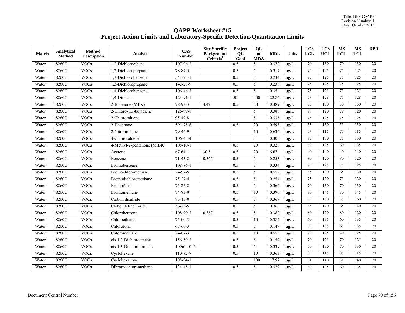| <b>OAPP Worksheet #15</b>                                                   |
|-----------------------------------------------------------------------------|
| Project Action Limits and Laboratory-Specific Detection/Quantitation Limits |

| <b>Matrix</b> | Analytical<br><b>Method</b> | <b>Method</b><br><b>Description</b> | Analyte                     | <b>CAS</b><br><b>Number</b> | <b>Site-Specific</b><br><b>Background</b><br>Criteria <sup>1</sup> | Project<br>QL<br>Goal | QL<br><b>or</b><br><b>MDA</b> | <b>MDL</b> | <b>Units</b> | LCS<br><b>LCL</b> | <b>LCS</b><br><b>UCL</b> | <b>MS</b><br><b>LCL</b> | <b>MS</b><br><b>UCL</b> | <b>RPD</b>      |
|---------------|-----------------------------|-------------------------------------|-----------------------------|-----------------------------|--------------------------------------------------------------------|-----------------------|-------------------------------|------------|--------------|-------------------|--------------------------|-------------------------|-------------------------|-----------------|
| Water         | 8260C                       | <b>VOCs</b>                         | 1,2-Dichloroethane          | 107-06-2                    |                                                                    | 0.5                   | 5                             | 0.372      | ug/L         | $\overline{70}$   | 130                      | 70                      | 130                     | 20              |
| Water         | 8260C                       | <b>VOCs</b>                         | 1,2-Dichloropropane         | 78-87-5                     |                                                                    | 0.5                   | 5                             | 0.317      | ug/L         | 75                | 125                      | 75                      | 125                     | 20              |
| Water         | 8260C                       | <b>VOCs</b>                         | 1,3-Dichlorobenzene         | $541 - 73 - 1$              |                                                                    | 0.5                   | 5                             | 0.234      | ug/L         | 75                | 125                      | 75                      | 125                     | 20              |
| Water         | 8260C                       | <b>VOCs</b>                         | 1,3-Dichloropropane         | 142-28-9                    |                                                                    | 0.5                   | 5                             | 0.238      | ug/L         | $\overline{75}$   | 125                      | $\overline{75}$         | 125                     | $\overline{20}$ |
| Water         | 8260C                       | <b>VOCs</b>                         | 1.4-Dichlorobenzene         | 106-46-7                    |                                                                    | 0.5                   | 5                             | 0.35       | ug/L         | 75                | 125                      | $\overline{75}$         | 125                     | 20              |
| Water         | 8260C                       | <b>VOCs</b>                         | 1,4-Dioxane                 | 123-91-1                    |                                                                    | 50                    | 400                           | 22.86      | ug/L         | 77                | 128                      | 77                      | 128                     | 20              |
| Water         | 8260C                       | <b>VOCs</b>                         | 2-Butanone (MEK)            | $78-93-3$                   | 4.49                                                               | 0.5                   | 20                            | 0.389      | ug/L         | $\overline{30}$   | 150                      | 30                      | 150                     | 20              |
| Water         | 8260C                       | <b>VOCs</b>                         | 2-Chloro-1,3-butadiene      | 126-99-8                    |                                                                    |                       | 5                             | 0.388      | ug/L         | 79                | 120                      | 79                      | 120                     | 20              |
| Water         | 8260C                       | <b>VOCs</b>                         | $2$ -Chlorotoluene          | 95-49-8                     |                                                                    |                       | 5                             | 0.336      | ug/L         | 75                | 125                      | 75                      | 125                     | 20              |
| Water         | 8260C                       | <b>VOCs</b>                         | 2-Hexanone                  | 591-78-6                    |                                                                    | 0.5                   | 20                            | 0.593      | ug/L         | 55                | 130                      | 55                      | 130                     | 20              |
| Water         | 8260C                       | <b>VOCs</b>                         | 2-Nitropropane              | $79-46-9$                   |                                                                    |                       | 10                            | 0.636      | ug/L         | 77                | $\overline{115}$         | 77                      | 115                     | $\overline{20}$ |
| Water         | 8260C                       | <b>VOCs</b>                         | 4-Chlorotoluene             | 106-43-4                    |                                                                    |                       | 5                             | 0.305      | ug/L         | $\overline{75}$   | 130                      | $\overline{75}$         | 130                     | $\overline{20}$ |
| Water         | 8260C                       | <b>VOCs</b>                         | 4-Methyl-2-pentanone (MIBK) | $108 - 10 - 1$              |                                                                    | 0.5                   | 20                            | 0.326      | ug/L         | 60                | 135                      | 60                      | 135                     | 20              |
| Water         | 8260C                       | <b>VOCs</b>                         | Acetone                     | $67-64-1$                   | 30.5                                                               | 0.5                   | 20                            | 6.67       | ug/L         | 40                | 140                      | 40                      | 140                     | 20              |
| Water         | 8260C                       | <b>VOCs</b>                         | Benzene                     | $71-43-2$                   | 0.366                                                              | 0.5                   | 5                             | 0.253      | ug/L         | 80                | 120                      | 80                      | 120                     | 20              |
| Water         | 8260C                       | <b>VOCs</b>                         | Bromobenzene                | $108 - 86 - 1$              |                                                                    | 0.5                   | 5                             | 0.334      | ug/L         | 75                | 125                      | 75                      | 125                     | 20              |
| Water         | 8260C                       | <b>VOCs</b>                         | Bromochloromethane          | $74-97-5$                   |                                                                    | 0.5                   | 5                             | 0.552      | ug/L         | $\overline{65}$   | 130                      | 65                      | 130                     | 20              |
| Water         | 8260C                       | <b>VOCs</b>                         | Bromodichloromethane        | $75 - 27 - 4$               |                                                                    | 0.5                   | 5                             | 0.254      | ug/L         | $\overline{75}$   | 120                      | $\overline{75}$         | $\overline{120}$        | $\overline{20}$ |
| Water         | 8260C                       | <b>VOCs</b>                         | Bromoform                   | $75 - 25 - 2$               |                                                                    | 0.5                   | 5                             | 0.366      | ug/L         | $\overline{70}$   | 130                      | 70                      | 130                     | $\overline{20}$ |
| Water         | 8260C                       | <b>VOCs</b>                         | <b>Bromomethane</b>         | $74 - 83 - 9$               |                                                                    | 0.5                   | 10                            | 0.396      | ug/L         | $\overline{30}$   | 145                      | $\overline{30}$         | 145                     | $\overline{20}$ |
| Water         | 8260C                       | <b>VOCs</b>                         | Carbon disulfide            | $75 - 15 - 0$               |                                                                    | 0.5                   | 5                             | 0.369      | ug/L         | 35                | 160                      | 35                      | 160                     | 20              |
| Water         | 8260C                       | <b>VOCs</b>                         | Carbon tetrachloride        | $56 - 23 - 5$               |                                                                    | 0.5                   | 5                             | 0.36       | ug/L         | $\overline{65}$   | 140                      | $\overline{65}$         | 140                     | 20              |
| Water         | 8260C                       | <b>VOCs</b>                         | Chlorobenzene               | 108-90-7                    | 0.387                                                              | 0.5                   | $\overline{5}$                | 0.382      | ug/L         | 80                | 120                      | 80                      | 120                     | 20              |
| Water         | 8260C                       | <b>VOCs</b>                         | Chloroethane                | $75-00-3$                   |                                                                    | 0.5                   | 10                            | 0.382      | ug/L         | 60                | 135                      | 60                      | 135                     | 20              |
| Water         | 8260C                       | <b>VOCs</b>                         | Chloroform                  | $67 - 66 - 3$               |                                                                    | 0.5                   | 5                             | 0.147      | ug/L         | $\overline{65}$   | 135                      | $\overline{65}$         | 135                     | $\overline{20}$ |
| Water         | 8260C                       | <b>VOCs</b>                         | Chloromethane               | 74-87-3                     |                                                                    | 0.5                   | 10                            | 0.553      | ug/L         | 40                | 125                      | 40                      | 125                     | 20              |
| Water         | 8260C                       | <b>VOCs</b>                         | cis-1.2-Dichloroethene      | 156-59-2                    |                                                                    | 0.5                   | $\sqrt{5}$                    | 0.159      | ug/L         | 70                | 125                      | 70                      | 125                     | 20              |
| Water         | 8260C                       | <b>VOCs</b>                         | cis-1,3-Dichloropropene     | 10061-01-5                  |                                                                    | 0.5                   | $\overline{5}$                | 0.339      | ug/L         | 70                | 130                      | 70                      | 130                     | 20              |
| Water         | 8260C                       | <b>VOCs</b>                         | Cyclohexane                 | 110-82-7                    |                                                                    | 0.5                   | 10                            | 0.363      | ug/L         | 85                | 115                      | 85                      | $\overline{115}$        | 20              |
| Water         | 8260C                       | <b>VOCs</b>                         | Cyclohexanone               | 108-94-1                    |                                                                    |                       | 100                           | 17.97      | ug/L         | 51                | 140                      | 51                      | 140                     | 20              |
| Water         | 8260C                       | <b>VOCs</b>                         | Dibromochloromethane        | $124 - 48 - 1$              |                                                                    | 0.5                   | 5                             | 0.329      | ug/L         | 60                | 135                      | 60                      | 135                     | 20              |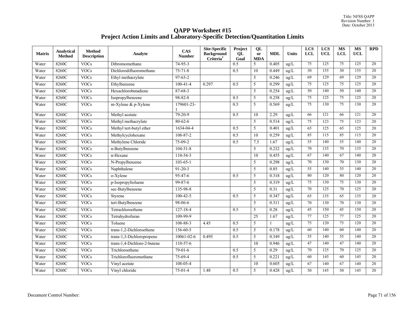| <b>OAPP Worksheet #15</b>                                                   |
|-----------------------------------------------------------------------------|
| Project Action Limits and Laboratory-Specific Detection/Quantitation Limits |

| <b>Matrix</b> | <b>Analytical</b><br><b>Method</b> | <b>Method</b><br><b>Description</b> | <b>Analyte</b>              | <b>CAS</b><br><b>Number</b> | <b>Site-Specific</b><br><b>Background</b><br>Criteria <sup>1</sup> | Project<br>QL<br>Goal | <b>QL</b><br>or<br><b>MDA</b> | <b>MDL</b> | <b>Units</b> | <b>LCS</b><br>LCL | LCS<br><b>UCL</b> | <b>MS</b><br><b>LCL</b> | <b>MS</b><br>UCL | <b>RPD</b>      |
|---------------|------------------------------------|-------------------------------------|-----------------------------|-----------------------------|--------------------------------------------------------------------|-----------------------|-------------------------------|------------|--------------|-------------------|-------------------|-------------------------|------------------|-----------------|
| Water         | 8260C                              | <b>VOCs</b>                         | Dibromomethane              | $74-95-3$                   |                                                                    | 0.5                   | 5                             | 0.405      | ug/L         | 75                | 125               | $\overline{75}$         | 125              | 20              |
| Water         | 8260C                              | <b>VOCs</b>                         | Dichlorodifluoromethane     | $75 - 71 - 8$               |                                                                    | 0.5                   | 10                            | 0.449      | ug/L         | $\overline{30}$   | 155               | $\overline{30}$         | 155              | $\overline{20}$ |
| Water         | 8260C                              | <b>VOCs</b>                         | Ethyl methacrylate          | $97 - 63 - 2$               |                                                                    |                       | 5                             | 0.246      | ug/L         | 69                | 129               | 69                      | 129              | 20              |
| Water         | 8260C                              | <b>VOCs</b>                         | Ethylbenzene                | $100 - 41 - 4$              | 0.297                                                              | 0.5                   | 5                             | 0.299      | ug/L         | $\overline{75}$   | 125               | $\overline{75}$         | $\overline{125}$ | $\overline{20}$ |
| Water         | 8260C                              | <b>VOCs</b>                         | Hexachlorobutadiene         | $87 - 68 - 3$               |                                                                    |                       | 5                             | 0.254      | ug/L         | $\overline{50}$   | 140               | $\overline{50}$         | $\overline{140}$ | $\overline{20}$ |
| Water         | 8260C                              | <b>VOCs</b>                         | Isopropylbenzene            | $98 - 82 - 8$               |                                                                    | 0.5                   | 5                             | 0.258      | ug/L         | $\overline{75}$   | 125               | 75                      | 125              | $\overline{20}$ |
| Water         | 8260C                              | <b>VOCs</b>                         | m-Xylene & p-Xylene         | 179601-23-                  |                                                                    | 0.5                   | 5                             | 0.569      | ug/L         | 75                | 130               | 75                      | 130              | 20              |
| Water         | 8260C                              | <b>VOCs</b>                         | Methyl acetate              | $79-20-9$                   |                                                                    | 0.5                   | 10                            | 2.29       | ug/L         | 66                | $\overline{121}$  | 66                      | $\overline{121}$ | $\overline{20}$ |
| Water         | 8260C                              | <b>VOCs</b>                         | Methyl methacrylate         | $80 - 62 - 6$               |                                                                    |                       | 5                             | 0.514      | ug/L         | 75                | 123               | $\overline{75}$         | $\overline{123}$ | 20              |
| Water         | 8260C                              | <b>VOCs</b>                         | Methyl tert-butyl ether     | 1634-04-4                   |                                                                    | 0.5                   | 5                             | 0.401      | ug/L         | 65                | 125               | $\overline{65}$         | 125              | 20              |
| Water         | 8260C                              | <b>VOCs</b>                         | Methylcyclohexane           | 108-87-2                    |                                                                    | 0.5                   | 10                            | 0.259      | ug/L         | 85                | 115               | 85                      | $\overline{115}$ | $\overline{20}$ |
| Water         | 8260C                              | <b>VOCs</b>                         | Methylene Chloride          | $75-09-2$                   |                                                                    | 0.5                   | 7.5                           | 1.67       | ug/L         | $\overline{55}$   | $\overline{140}$  | $\overline{55}$         | $\overline{140}$ | $\overline{20}$ |
| Water         | 8260C                              | <b>VOCs</b>                         | n-Butylbenzene              | $104 - 51 - 8$              |                                                                    |                       | 5                             | 0.232      | ug/L         | $\overline{70}$   | 135               | 70                      | 135              | 20              |
| Water         | 8260C                              | <b>VOCs</b>                         | n-Hexane                    | $110-54-3$                  |                                                                    |                       | 10                            | 0.455      | ug/L         | 67                | 140               | 67                      | $\overline{140}$ | 20              |
| Water         | 8260C                              | <b>VOCs</b>                         | N-Propylbenzene             | $103 - 65 - 1$              |                                                                    |                       | 5                             | 0.298      | ug/L         | 70                | 130               | 70                      | 130              | 20              |
| Water         | 8260C                              | <b>VOCs</b>                         | Naphthalene                 | $91 - 20 - 3$               |                                                                    |                       | 5                             | 0.85       | ug/L         | 55                | 140               | 55                      | 140              | 20              |
| Water         | 8260C                              | <b>VOCs</b>                         | o-Xylene                    | $95 - 47 - 6$               |                                                                    | 0.5                   | 5                             | 0.318      | ug/L         | 80                | $\overline{120}$  | 80                      | 120              | $\overline{20}$ |
| Water         | 8260C                              | <b>VOCs</b>                         | p-Isopropyltoluene          | $99 - 87 - 6$               |                                                                    |                       | 5                             | 0.319      | ug/L         | $\overline{75}$   | 130               | $\overline{75}$         | 130              | $\overline{20}$ |
| Water         | 8260C                              | <b>VOCs</b>                         | sec-Butylbenzene            | 135-98-8                    |                                                                    |                       | 5                             | 0.31       | ug/L         | 70                | 125               | 70                      | 125              | 20              |
| Water         | 8260C                              | <b>VOCs</b>                         | Styrene                     | $100 - 42 - 5$              |                                                                    | 0.5                   | 5                             | 0.347      | ug/L         | 65                | 135               | 65                      | 135              | 20              |
| Water         | 8260C                              | <b>VOCs</b>                         | tert-Butylbenzene           | 98-06-6                     |                                                                    |                       | 5                             | 0.311      | ug/L         | 70                | 130               | 70                      | 130              | 20              |
| Water         | 8260C                              | <b>VOCs</b>                         | Tetrachloroethene           | $127 - 18 - 4$              |                                                                    | 0.5                   | 5                             | 0.28       | ug/L         | $\overline{45}$   | 150               | $\overline{45}$         | 150              | 20              |
| Water         | 8260C                              | <b>VOCs</b>                         | Tetrahydrofuran             | 109-99-9                    |                                                                    |                       | $\overline{25}$               | 1.67       | ug/L         | 77                | 125               | 77                      | 125              | 20              |
| Water         | 8260C                              | <b>VOCs</b>                         | Toluene                     | 108-88-3                    | 4.45                                                               | 0.5                   | 5                             | -1         | ug/L         | 75                | 120               | 75                      | 120              | 20              |
| Water         | 8260C                              | <b>VOCs</b>                         | trans-1,2-Dichloroethene    | 156-60-5                    |                                                                    | 0.5                   | 5                             | 0.178      | ug/L         | 60                | 140               | 60                      | 140              | 20              |
| Water         | 8260C                              | <b>VOCs</b>                         | trans-1,3-Dichloropropene   | 10061-02-6                  | 0.495                                                              | 0.5                   | 5                             | 0.349      | ug/L         | 55                | 140               | 55                      | 140              | 20              |
| Water         | 8260C                              | <b>VOCs</b>                         | trans-1,4-Dichloro-2-butene | $110-57-6$                  |                                                                    |                       | 10                            | 0.946      | ug/L         | 47                | 140               | 47                      | 140              | 20              |
| Water         | 8260C                              | <b>VOCs</b>                         | Trichloroethene             | 79-01-6                     |                                                                    | 0.5                   | 5                             | 0.29       | ug/L         | 70                | 125               | 70                      | 125              | 20              |
| Water         | 8260C                              | <b>VOCs</b>                         | Trichlorofluoromethane      | 75-69-4                     |                                                                    | 0.5                   | 5                             | 0.221      | ug/L         | 60                | 145               | 60                      | 145              | 20              |
| Water         | 8260C                              | <b>VOCs</b>                         | Vinyl acetate               | 108-05-4                    |                                                                    |                       | 10                            | 0.605      | ug/L         | 67                | 140               | 67                      | 140              | 20              |
| Water         | 8260C                              | <b>VOCs</b>                         | Vinyl chloride              | $75-01-4$                   | 1.48                                                               | 0.5                   | 5                             | 0.428      | ug/L         | 50                | 145               | 50                      | 145              | 20              |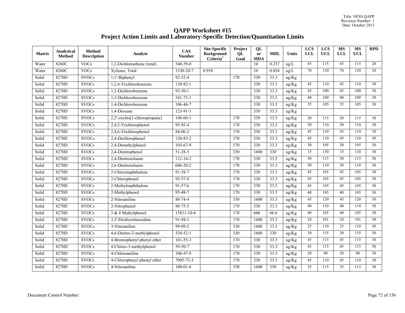| <b>OAPP Worksheet #15</b>                                                   |
|-----------------------------------------------------------------------------|
| Project Action Limits and Laboratory-Specific Detection/Quantitation Limits |

| <b>Matrix</b> | Analytical<br>Method | <b>Method</b><br><b>Description</b> | Analyte                      | <b>CAS</b><br><b>Number</b> | <b>Site-Specific</b><br><b>Background</b><br>Criteria <sup>1</sup> | Project<br>QL<br>Goal | QL<br>or<br><b>MDA</b> | <b>MDL</b> | <b>Units</b>     | LCS<br><b>LCL</b> | LCS<br><b>UCL</b> | <b>MS</b><br><b>LCL</b> | <b>MS</b><br><b>UCL</b> | <b>RPD</b>      |
|---------------|----------------------|-------------------------------------|------------------------------|-----------------------------|--------------------------------------------------------------------|-----------------------|------------------------|------------|------------------|-------------------|-------------------|-------------------------|-------------------------|-----------------|
| Water         | 8260C                | <b>VOCs</b>                         | 1,2-Dichloroethene (total)   | 540-59-0                    |                                                                    |                       | 10                     | 0.237      | ug/L             | 85                | 115               | 85                      | 115                     | 20              |
| Water         | 8260C                | <b>VOCs</b>                         | Xylenes, Total               | 1330-20-7                   | 0.958                                                              |                       | 10                     | 0.854      | ug/L             | 70                | 130               | 70                      | 130                     | 20              |
| Solid         | 8270D                | <b>SVOCs</b>                        | 1,1'-Biphenyl                | $92 - 52 - 4$               |                                                                    | 170                   | 330                    | 33.3       | ug/Kg            |                   |                   |                         |                         |                 |
| Solid         | 8270D                | <b>SVOCs</b>                        | 1,2,4-Trichlorobenzene       | $120 - 82 - 1$              |                                                                    |                       | 330                    | 33.3       | ug/Kg            | 45                | 110               | 45                      | 110                     | $\overline{30}$ |
| Solid         | 8270D                | <b>SVOCs</b>                        | 1.2-Dichlorobenzene          | $95 - 50 - 1$               |                                                                    |                       | 330                    | 33.3       | ug/Kg            | 45                | 100               | 45                      | 100                     | 30              |
| Solid         | 8270D                | <b>SVOCs</b>                        | 1,3-Dichlorobenzene          | 541-73-1                    |                                                                    |                       | 330                    | 33.3       | ug/Kg            | 40                | 100               | 40                      | 100                     | 30              |
| Solid         | 8270D                | <b>SVOCs</b>                        | 1.4-Dichlorobenzene          | 106-46-7                    |                                                                    |                       | 330                    | 33.3       | ug/Kg            | 35                | 105               | $\overline{35}$         | 105                     | 30              |
| Solid         | 8270D                | <b>SVOCs</b>                        | 1,4-Dioxane                  | $123 - 91 - 1$              |                                                                    |                       | 330                    | 33.3       | ug/Kg            |                   |                   |                         |                         |                 |
| Solid         | 8270D                | <b>SVOCs</b>                        | 2,2'-oxybis[1-chloropropane] | $108 - 60 - 1$              |                                                                    | 170                   | 330                    | 33.3       | ug/Kg            | 20                | 115               | 20                      | 115                     | 30              |
| Solid         | 8270D                | <b>SVOCs</b>                        | 2,4,5-Trichlorophenol        | 95-95-4                     |                                                                    | 170                   | 330                    | 33.3       | ug/Kg            | 50                | 110               | 50                      | 110                     | 30              |
| Solid         | 8270D                | <b>SVOCs</b>                        | 2,4,6-Trichlorophenol        | 88-06-2                     |                                                                    | 170                   | 330                    | 33.3       | ug/Kg            | 45                | 110               | 45                      | 110                     | $\overline{30}$ |
| Solid         | 8270D                | <b>SVOCs</b>                        | 2,4-Dichlorophenol           | $120 - 83 - 2$              |                                                                    | 170                   | 330                    | 33.3       | $\frac{u}{g/Kg}$ | 45                | 110               | $\overline{45}$         | 110                     | $\overline{30}$ |
| Solid         | 8270D                | <b>SVOCs</b>                        | 2,4-Dimethylphenol           | $105-67-9$                  |                                                                    | 170                   | 330                    | 33.3       | ug/Kg            | $\overline{30}$   | 105               | $\overline{30}$         | $\overline{105}$        | 30              |
| Solid         | 8270D                | <b>SVOCs</b>                        | 2,4-Dinitrophenol            | $51 - 28 - 5$               |                                                                    | 330                   | 1600                   | 330        | ug/Kg            | 15                | 130               | 15                      | 130                     | 30              |
| Solid         | 8270D                | <b>SVOCs</b>                        | 2,4-Dinitrotoluene           | $121 - 14 - 2$              |                                                                    | 170                   | 330                    | 33.3       | ug/Kg            | 50                | 115               | 50                      | 115                     | 30              |
| Solid         | 8270D                | <b>SVOCs</b>                        | 2,6-Dinitrotoluene           | $606 - 20 - 2$              |                                                                    | 170                   | 330                    | 33.3       | ug/Kg            | 50                | 110               | 50                      | 110                     | 30              |
| Solid         | 8270D                | <b>SVOCs</b>                        | 2-Chloronaphthalene          | $91 - 58 - 7$               |                                                                    | 170                   | 330                    | 33.3       | ug/Kg            | $\overline{45}$   | 105               | 45                      | $\overline{105}$        | 30              |
| Solid         | 8270D                | <b>SVOCs</b>                        | 2-Chlorophenol               | $95 - 57 - 8$               |                                                                    | 170                   | 330                    | 33.3       | ug/Kg            | $\overline{45}$   | 105               | $\overline{45}$         | $\overline{105}$        | $\overline{30}$ |
| Solid         | 8270D                | <b>SVOCs</b>                        | 2-Methylnaphthalene          | $91-57-6$                   |                                                                    | 170                   | 330                    | 33.3       | $\frac{u}{g/Kg}$ | $\overline{45}$   | 105               | 45                      | 105                     | 30              |
| Solid         | 8270D                | <b>SVOCs</b>                        | 2-Methylphenol               | $95 - 48 - 7$               |                                                                    | 170                   | 330                    | 33.3       | ug/Kg            | $\overline{40}$   | 105               | 40                      | $\overline{105}$        | $\overline{30}$ |
| Solid         | 8270D                | <b>SVOCs</b>                        | 2-Nitroaniline               | 88-74-4                     |                                                                    | 330                   | 1600                   | 33.3       | ug/Kg            | 45                | 120               | 45                      | 120                     | 30              |
| Solid         | 8270D                | <b>SVOCs</b>                        | 2-Nitrophenol                | $88 - 75 - 5$               |                                                                    | 170                   | 330                    | 33.3       | ug/Kg            | 40                | 110               | 40                      | 110                     | $\overline{30}$ |
| Solid         | 8270D                | <b>SVOCs</b>                        | 3 & 4 Methylphenol           | 15831-10-4                  |                                                                    | 170                   | 660                    | 66.6       | $\frac{u}{g/Kg}$ | 40                | 105               | 40                      | 105                     | 30              |
| Solid         | 8270D                | <b>SVOCs</b>                        | 3,3'-Dichlorobenzidine       | 91-94-1                     |                                                                    | 170                   | 1600                   | 33.3       | ug/Kg            | 24                | 101               | 24                      | 101                     | 30              |
| Solid         | 8270D                | <b>SVOCs</b>                        | 3-Nitroaniline               | 99-09-2                     |                                                                    | 330                   | 1600                   | 33.3       | ug/Kg            | $\overline{25}$   | 110               | $\overline{25}$         | 110                     | $\overline{30}$ |
| Solid         | 8270D                | <b>SVOCs</b>                        | 4,6-Dinitro-2-methylphenol   | 534-52-1                    |                                                                    | 330                   | 1600                   | 330        | ug/Kg            | 30                | 135               | 30                      | 135                     | 30              |
| Solid         | 8270D                | <b>SVOCs</b>                        | 4-Bromophenyl phenyl ether   | $101 - 55 - 3$              |                                                                    | 170                   | 330                    | 33.3       | ug/Kg            | 45                | 115               | 45                      | 115                     | 30              |
| Solid         | 8270D                | <b>SVOCs</b>                        | 4-Chloro-3-methylphenol      | 59-50-7                     |                                                                    | 170                   | 330                    | 33.3       | ug/Kg            | 45                | 115               | 45                      | 115                     | 30              |
| Solid         | 8270D                | <b>SVOCs</b>                        | 4-Chloroaniline              | $106 - 47 - 8$              |                                                                    | 170                   | 330                    | 33.3       | ug/Kg            | 28                | 80                | 28                      | 80                      | 30              |
| Solid         | 8270D                | <b>SVOCs</b>                        | 4-Chlorophenyl phenyl ether  | 7005-72-3                   |                                                                    | 170                   | 330                    | 33.3       | ug/Kg            | 45                | 110               | 45                      | 110                     | 30              |
| Solid         | 8270D                | <b>SVOCs</b>                        | 4-Nitroaniline               | $100 - 01 - 6$              |                                                                    | 330                   | 1600                   | 330        | ug/Kg            | $\overline{35}$   | 115               | 35                      | 115                     | 30              |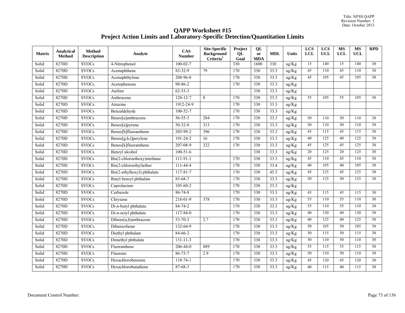| <b>OAPP Worksheet #15</b>                                                   |
|-----------------------------------------------------------------------------|
| Project Action Limits and Laboratory-Specific Detection/Quantitation Limits |

| <b>Matrix</b> | Analytical<br><b>Method</b> | <b>Method</b><br><b>Description</b> | Analyte                     | <b>CAS</b><br><b>Number</b> | <b>Site-Specific</b><br><b>Background</b><br>Criteria <sup>1</sup> | Project<br>QL<br>Goal | QL<br>or<br><b>MDA</b> | <b>MDL</b> | <b>Units</b>            | LCS<br><b>LCL</b> | LCS<br><b>UCL</b> | MS<br><b>LCL</b> | MS<br><b>UCL</b> | RPD             |
|---------------|-----------------------------|-------------------------------------|-----------------------------|-----------------------------|--------------------------------------------------------------------|-----------------------|------------------------|------------|-------------------------|-------------------|-------------------|------------------|------------------|-----------------|
| Solid         | 8270D                       | <b>SVOCs</b>                        | 4-Nitrophenol               | $100 - 02 - 7$              |                                                                    | 330                   | 1600                   | 330        | ug/Kg                   | 15                | 140               | 15               | 140              | 30              |
| Solid         | 8270D                       | <b>SVOCs</b>                        | Acenaphthene                | 83-32-9                     | 79                                                                 | 170                   | 330                    | 33.3       | ug/Kg                   | 45                | 110               | 45               | 110              | 30              |
| Solid         | 8270D                       | <b>SVOCs</b>                        | Acenaphthylene              | 208-96-8                    |                                                                    | 170                   | 330                    | 33.3       | ug/Kg                   | 45                | 105               | 45               | 105              | $\overline{30}$ |
| Solid         | 8270D                       | <b>SVOCs</b>                        | Acetophenone                | 98-86-2                     |                                                                    | 170                   | 330                    | 33.3       | $\frac{u}{g}}\sqrt{Kg}$ |                   |                   |                  |                  |                 |
| Solid         | 8270D                       | <b>SVOCs</b>                        | Aniline                     | $62 - 53 - 3$               |                                                                    |                       | 330                    | 33.3       | ug/Kg                   |                   |                   |                  |                  |                 |
| Solid         | 8270D                       | <b>SVOCs</b>                        | Anthracene                  | $120 - 12 - 7$              | 8                                                                  | 170                   | 330                    | 33.3       | ug/Kg                   | 55                | 105               | $\overline{55}$  | 105              | 30              |
| Solid         | 8270D                       | <b>SVOCs</b>                        | Atrazine                    | 1912-24-9                   |                                                                    | 170                   | 330                    | 33.3       | ug/Kg                   |                   |                   |                  |                  |                 |
| Solid         | 8270D                       | <b>SVOCs</b>                        | Benzaldehyde                | $100 - 52 - 7$              |                                                                    | 170                   | 330                    | 33.3       | $\overline{ug/Kg}$      |                   |                   |                  |                  |                 |
| Solid         | 8270D                       | <b>SVOCs</b>                        | Benzo[a]anthracene          | 56-55-3                     | 284                                                                | 170                   | 330                    | 33.3       | ug/Kg                   | 50                | 110               | 50               | 110              | 30              |
| Solid         | 8270D                       | <b>SVOCs</b>                        | Benzo[a]pyrene              | $50 - 32 - 8$               | 313                                                                | 170                   | 330                    | 33.3       | ug/Kg                   | 50                | 110               | 50               | 110              | 30              |
| Solid         | 8270D                       | <b>SVOCs</b>                        | Benzo[b]fluoranthene        | 205-99-2                    | 396                                                                | 170                   | 330                    | 33.3       | ug/Kg                   | 45                | 115               | $\overline{45}$  | 115              | $\overline{30}$ |
| Solid         | 8270D                       | <b>SVOCs</b>                        | $Benzo[g,h,i]$ per ylene    | 191-24-2                    | 16                                                                 | 170                   | 330                    | 33.3       | ug/Kg                   | 40                | 125               | 40               | 125              | $\overline{30}$ |
| Solid         | 8270D                       | <b>SVOCs</b>                        | Benzo[k]fluoranthene        | 207-08-9                    | 322                                                                | 170                   | 330                    | 33.3       | ug/Kg                   | 45                | $\overline{125}$  | 45               | 125              | $\overline{30}$ |
| Solid         | 8270D                       | <b>SVOCs</b>                        | Benzyl alcohol              | $100 - 51 - 6$              |                                                                    |                       | 330                    | 33.3       | ug/Kg                   | 20                | 125               | 20               | 125              | 30              |
| Solid         | 8270D                       | <b>SVOCs</b>                        | Bis(2-chloroethoxy)methane  | 111-91-1                    |                                                                    | 170                   | 330                    | 33.3       | ug/Kg                   | 45                | 110               | 45               | 110              | 30              |
| Solid         | 8270D                       | <b>SVOCs</b>                        | Bis(2-chloroethyl)ether     | 111-44-4                    |                                                                    | 170                   | 330                    | 33.4       | ug/Kg                   | 40                | 105               | 40               | 105              | $\overline{30}$ |
| Solid         | 8270D                       | <b>SVOCs</b>                        | Bis(2-ethylhexyl) phthalate | 117-81-7                    |                                                                    | 170                   | 330                    | 45.3       | ug/Kg                   | 45                | 125               | 45               | 125              | 30              |
| Solid         | 8270D                       | <b>SVOCs</b>                        | Butyl benzyl phthalate      | 85-68-7                     |                                                                    | 170                   | 330                    | 33.3       | $\frac{u}{g/Kg}$        | 50                | 125               | 50               | 125              | 30              |
| Solid         | 8270D                       | <b>SVOCs</b>                        | Caprolactam                 | 105-60-2                    |                                                                    | 170                   | 330                    | 33.3       | ug/Kg                   |                   |                   |                  |                  |                 |
| Solid         | 8270D                       | <b>SVOCs</b>                        | Carbazole                   | $86 - 74 - 8$               |                                                                    | 170                   | 330                    | 33.3       | ug/Kg                   | 45                | 115               | 45               | 115              | 30              |
| Solid         | 8270D                       | <b>SVOCs</b>                        | Chrysene                    | 218-01-9                    | 378                                                                | 170                   | 330                    | 33.3       | ug/Kg                   | 55                | 110               | 55               | 110              | 30              |
| Solid         | 8270D                       | <b>SVOCs</b>                        | Di-n-butyl phthalate        | 84-74-2                     |                                                                    | 170                   | 330                    | 33.3       | ug/Kg                   | 55                | 110               | 55               | 110              | 30              |
| Solid         | 8270D                       | <b>SVOCs</b>                        | Di-n-octyl phthalate        | 117-84-0                    |                                                                    | 170                   | 330                    | 33.3       | ug/Kg                   | 40                | 130               | 40               | 130              | $\overline{30}$ |
| Solid         | 8270D                       | <b>SVOCs</b>                        | Dibenz(a,h)anthracene       | $53 - 70 - 3$               | 2.7                                                                | 170                   | 330                    | 33.3       | ug/Kg                   | 40                | 125               | 40               | $\overline{125}$ | $\overline{30}$ |
| Solid         | 8270D                       | <b>SVOCs</b>                        | Dibenzofuran                | 132-64-9                    |                                                                    | 170                   | 330                    | 33.3       | ug/Kg                   | 50                | 105               | 50               | 105              | $\overline{30}$ |
| Solid         | 8270D                       | <b>SVOCs</b>                        | Diethyl phthalate           | 84-66-2                     |                                                                    | 170                   | 330                    | 33.3       | ug/Kg                   | 50                | 115               | 50               | 115              | $\overline{30}$ |
| Solid         | 8270D                       | <b>SVOCs</b>                        | Dimethyl phthalate          | $131 - 11 - 3$              |                                                                    | 170                   | 330                    | 33.3       | ug/Kg                   | 50                | 110               | 50               | 110              | 30              |
| Solid         | 8270D                       | <b>SVOCs</b>                        | Fluoranthene                | $206 - 44 - 0$              | 889                                                                | 170                   | 330                    | 33.3       | ug/Kg                   | 55                | 115               | 55               | $\overline{115}$ | $\overline{30}$ |
| Solid         | 8270D                       | <b>SVOCs</b>                        | Fluorene                    | $86 - 73 - 7$               | 2.9                                                                | 170                   | 330                    | 33.3       | ug/Kg                   | 50                | 110               | 50               | 110              | $\overline{30}$ |
| Solid         | 8270D                       | <b>SVOCs</b>                        | Hexachlorobenzene           | 118-74-1                    |                                                                    | 170                   | 330                    | 33.3       | ug/Kg                   | 45                | 120               | 45               | 120              | 30              |
| Solid         | 8270D                       | <b>SVOCs</b>                        | Hexachlorobutadiene         | 87-68-3                     |                                                                    | 170                   | 330                    | 33.3       | ug/Kg                   | 40                | 115               | 40               | 115              | $\overline{30}$ |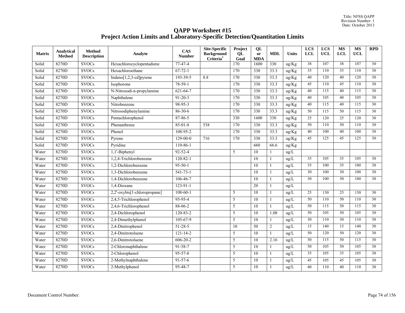| <b>OAPP Worksheet #15</b>                                                   |
|-----------------------------------------------------------------------------|
| Project Action Limits and Laboratory-Specific Detection/Quantitation Limits |

| <b>Matrix</b> | Analytical<br>Method | <b>Method</b><br><b>Description</b> | Analyte                      | <b>CAS</b><br><b>Number</b> | <b>Site-Specific</b><br><b>Background</b><br>Criteria <sup>1</sup> | Project<br>QL<br>Goal | QL<br>or<br><b>MDA</b> | <b>MDL</b>     | <b>Units</b> | LCS<br><b>LCL</b> | LCS<br><b>UCL</b> | <b>MS</b><br><b>LCL</b> | <b>MS</b><br><b>UCL</b> | <b>RPD</b>      |
|---------------|----------------------|-------------------------------------|------------------------------|-----------------------------|--------------------------------------------------------------------|-----------------------|------------------------|----------------|--------------|-------------------|-------------------|-------------------------|-------------------------|-----------------|
| Solid         | 8270D                | <b>SVOCs</b>                        | Hexachlorocyclopentadiene    | 77-47-4                     |                                                                    | 170                   | 1600                   | 330            | ug/Kg        | 38                | 107               | 38                      | 107                     | 30              |
| Solid         | 8270D                | <b>SVOCs</b>                        | Hexachloroethane             | $67 - 72 - 1$               |                                                                    | 170                   | 330                    | 33.3           | ug/Kg        | $\overline{35}$   | 110               | $\overline{35}$         | 110                     | $\overline{30}$ |
| Solid         | 8270D                | <b>SVOCs</b>                        | Indeno $[1,2,3$ -cd]pyrene   | 193-39-5                    | 8.8                                                                | 170                   | 330                    | 33.3           | ug/Kg        | 40                | 120               | 40                      | 120                     | 30              |
| Solid         | 8270D                | <b>SVOCs</b>                        | Isophorone                   | 78-59-1                     |                                                                    | 170                   | 330                    | 33.3           | ug/Kg        | 45                | 110               | 45                      | 110                     | $\overline{30}$ |
| Solid         | 8270D                | <b>SVOCs</b>                        | N-Nitrosodi-n-propylamine    | $621 - 64 - 7$              |                                                                    | 170                   | 330                    | 33.3           | ug/Kg        | 40                | 115               | 40                      | 115                     | 30              |
| Solid         | 8270D                | <b>SVOCs</b>                        | Naphthalene                  | $91 - 20 - 3$               |                                                                    | 170                   | 330                    | 33.3           | ug/Kg        | 40                | 105               | 40                      | 105                     | 30              |
| Solid         | 8270D                | <b>SVOCs</b>                        | Nitrobenzene                 | $98-95-3$                   |                                                                    | 170                   | 330                    | 33.3           | ug/Kg        | $\overline{40}$   | $\overline{115}$  | 40                      | $\overline{115}$        | $\overline{30}$ |
| Solid         | 8270D                | <b>SVOCs</b>                        | Nitrosodiphenylamine         | 86-30-6                     |                                                                    | 170                   | 330                    | 33.3           | ug/Kg        | 50                | 115               | 50                      | 115                     | 30              |
| Solid         | 8270D                | <b>SVOCs</b>                        | Pentachlorophenol            | $87 - 86 - 5$               |                                                                    | 330                   | 1600                   | 330            | ug/Kg        | 25                | 120               | 25                      | 120                     | 30              |
| Solid         | 8270D                | <b>SVOCs</b>                        | Phenanthrene                 | $85-01-8$                   | 538                                                                | 170                   | 330                    | 33.3           | ug/Kg        | 50                | 110               | 50                      | 110                     | 30              |
| Solid         | 8270D                | <b>SVOCs</b>                        | Phenol                       | 108-95-2                    |                                                                    | 170                   | 330                    | 33.3           | ug/Kg        | $\overline{40}$   | 100               | 40                      | 100                     | 30              |
| Solid         | 8270D                | <b>SVOCs</b>                        | Pyrene                       | $129 - 00 - 0$              | 716                                                                | 170                   | 330                    | 33.3           | ug/Kg        | 45                | 125               | $\overline{45}$         | 125                     | $\overline{30}$ |
| Solid         | 8270D                | <b>SVOCs</b>                        | Pyridine                     | 110-86-1                    |                                                                    |                       | 660                    | 66.6           | ug/Kg        |                   |                   |                         |                         |                 |
| Water         | 8270D                | <b>SVOCs</b>                        | $1,1'$ -Biphenyl             | $92 - 52 - 4$               |                                                                    | 5                     | 10                     | $\mathbf{1}$   | ug/L         |                   |                   |                         |                         |                 |
| Water         | 8270D                | <b>SVOCs</b>                        | 1,2,4-Trichlorobenzene       | $120 - 82 - 1$              |                                                                    |                       | 10                     | -1             | ug/L         | 35                | 105               | 35                      | 105                     | 30              |
| Water         | 8270D                | <b>SVOCs</b>                        | 1,2-Dichlorobenzene          | $95 - 50 - 1$               |                                                                    |                       | 10                     |                | ug/L         | 35                | 100               | $\overline{35}$         | 100                     | 30              |
| Water         | 8270D                | <b>SVOCs</b>                        | 1,3-Dichlorobenzene          | $541 - 73 - 1$              |                                                                    |                       | 10                     | -1             | ug/L         | $\overline{30}$   | 100               | $\overline{30}$         | 100                     | $\overline{30}$ |
| Water         | 8270D                | <b>SVOCs</b>                        | 1,4-Dichlorobenzene          | 106-46-7                    |                                                                    |                       | 10                     | -1             | ug/L         | 30                | 100               | 30                      | 100                     | 30              |
| Water         | 8270D                | <b>SVOCs</b>                        | 1,4-Dioxane                  | $123 - 91 - 1$              |                                                                    |                       | 20                     | $\mathbf{1}$   | ug/L         |                   |                   |                         |                         |                 |
| Water         | 8270D                | <b>SVOCs</b>                        | 2,2'-oxybis[1-chloropropane] | $108 - 60 - 1$              |                                                                    | 5                     | 10                     | $\mathbf{1}$   | ug/L         | 25                | 130               | $\overline{25}$         | 130                     | 30              |
| Water         | 8270D                | <b>SVOCs</b>                        | 2,4,5-Trichlorophenol        | $95 - 95 - 4$               |                                                                    | 5                     | 10                     |                | ug/L         | 50                | 110               | 50                      | 110                     | 30              |
| Water         | 8270D                | <b>SVOCs</b>                        | 2,4,6-Trichlorophenol        | 88-06-2                     |                                                                    | 5                     | 10                     | $\mathbf{1}$   | ug/L         | $\overline{50}$   | 115               | 50                      | $\overline{115}$        | $\overline{30}$ |
| Water         | 8270D                | <b>SVOCs</b>                        | 2,4-Dichlorophenol           | $120 - 83 - 2$              |                                                                    | 5                     | 10                     | 1.08           | ug/L         | $\overline{50}$   | 105               | 50                      | 105                     | 30              |
| Water         | 8270D                | <b>SVOCs</b>                        | 2,4-Dimethylphenol           | $105-67-9$                  |                                                                    | 5                     | 10                     | $\mathbf{1}$   | ug/L         | $\overline{30}$   | 110               | $\overline{30}$         | 110                     | $\overline{30}$ |
| Water         | 8270D                | <b>SVOCs</b>                        | 2,4-Dinitrophenol            | $51 - 28 - 5$               |                                                                    | 10                    | 50                     | $\overline{c}$ | ug/L         | 15                | 140               | $\overline{15}$         | 140                     | 30              |
| Water         | 8270D                | <b>SVOCs</b>                        | 2,4-Dinitrotoluene           | $121 - 14 - 2$              |                                                                    | 5                     | 10                     | 1              | ug/L         | $\overline{50}$   | 120               | 50                      | 120                     | $\overline{30}$ |
| Water         | 8270D                | <b>SVOCs</b>                        | 2,6-Dinitrotoluene           | $606 - 20 - 2$              |                                                                    | 5                     | 10                     | 2.16           | ug/L         | 50                | 115               | 50                      | $\frac{115}{115}$       | 30              |
| Water         | 8270D                | <b>SVOCs</b>                        | 2-Chloronaphthalene          | $91 - 58 - 7$               |                                                                    | 5                     | 10                     | -1             | ug/L         | $\overline{50}$   | $\overline{105}$  | $\overline{50}$         | 105                     | $\overline{30}$ |
| Water         | 8270D                | <b>SVOCs</b>                        | 2-Chlorophenol               | $95 - 57 - 8$               |                                                                    | 5                     | 10                     | -1             | ug/L         | $\overline{35}$   | 105               | $\overline{35}$         | $\overline{105}$        | $\overline{30}$ |
| Water         | 8270D                | <b>SVOCs</b>                        | 2-Methylnaphthalene          | $91 - 57 - 6$               |                                                                    | 5                     | 10                     | -1             | ug/L         | 45                | 105               | 45                      | 105                     | 30              |
| Water         | 8270D                | <b>SVOCs</b>                        | 2-Methylphenol               | $95 - 48 - 7$               |                                                                    | 5                     | 10                     |                | ug/L         | 40                | 110               | $\overline{40}$         | 110                     | $\overline{30}$ |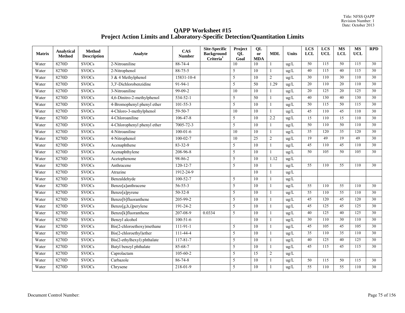| <b>OAPP Worksheet #15</b>                                                   |
|-----------------------------------------------------------------------------|
| Project Action Limits and Laboratory-Specific Detection/Quantitation Limits |

| <b>Matrix</b> | Analytical<br>Method | <b>Method</b><br><b>Description</b> | Analyte                     | <b>CAS</b><br><b>Number</b> | <b>Site-Specific</b><br><b>Background</b><br>Criteria <sup>1</sup> | Project<br>QL<br>Goal | QL<br>or<br><b>MDA</b> | <b>MDL</b>     | <b>Units</b> | LCS<br><b>LCL</b> | LCS<br><b>UCL</b> | <b>MS</b><br><b>LCL</b> | <b>MS</b><br><b>UCL</b> | <b>RPD</b>      |
|---------------|----------------------|-------------------------------------|-----------------------------|-----------------------------|--------------------------------------------------------------------|-----------------------|------------------------|----------------|--------------|-------------------|-------------------|-------------------------|-------------------------|-----------------|
| Water         | 8270D                | <b>SVOCs</b>                        | 2-Nitroaniline              | 88-74-4                     |                                                                    | 10                    | 10                     |                | ug/L         | 50                | 115               | 50                      | 115                     | 30              |
| Water         | 8270D                | <b>SVOCs</b>                        | 2-Nitrophenol               | $88 - 75 - 5$               |                                                                    | 5                     | 10                     |                | ug/L         | 40                | 115               | 40                      | $\overline{115}$        | $\overline{30}$ |
| Water         | 8270D                | <b>SVOCs</b>                        | 3 & 4 Methylphenol          | 15831-10-4                  |                                                                    | 5                     | 10                     | $\overline{2}$ | ug/L         | 30                | 110               | 30                      | 110                     | 30              |
| Water         | 8270D                | <b>SVOCs</b>                        | 3,3'-Dichlorobenzidine      | 91-94-1                     |                                                                    | 5                     | 50                     | 1.29           | ug/L         | 20                | 110               | 20                      | 110                     | $\overline{30}$ |
| Water         | 8270D                | <b>SVOCs</b>                        | 3-Nitroaniline              | 99-09-2                     |                                                                    | 10                    | 10                     |                | ug/L         | 20                | 125               | 20                      | 125                     | 30              |
| Water         | 8270D                | <b>SVOCs</b>                        | 4,6-Dinitro-2-methylphenol  | 534-52-1                    |                                                                    | 5                     | 50                     | -1             | ug/L         | 40                | 130               | 40                      | 130                     | 30              |
| Water         | 8270D                | <b>SVOCs</b>                        | 4-Bromophenyl phenyl ether  | $101 - 55 - 3$              |                                                                    | 5                     | 10                     | -1             | ug/L         | $\overline{50}$   | $\overline{115}$  | $\overline{50}$         | $\overline{115}$        | $\overline{30}$ |
| Water         | 8270D                | <b>SVOCs</b>                        | 4-Chloro-3-methylphenol     | 59-50-7                     |                                                                    | 10                    | 10                     |                | ug/L         | 45                | 110               | 45                      | 110                     | 30              |
| Water         | 8270D                | <b>SVOCs</b>                        | 4-Chloroaniline             | 106-47-8                    |                                                                    | 5                     | 10                     | 2.2            | ug/L         | 15                | 110               | 15                      | 110                     | 30              |
| Water         | 8270D                | <b>SVOCs</b>                        | 4-Chlorophenyl phenyl ether | 7005-72-3                   |                                                                    | 5                     | 10                     | -1             | ug/L         | 50                | 110               | 50                      | 110                     | 30              |
| Water         | 8270D                | <b>SVOCs</b>                        | 4-Nitroaniline              | $100 - 01 - 6$              |                                                                    | 10                    | 10                     | $\mathbf{1}$   | ug/L         | 35                | 120               | $\overline{35}$         | 120                     | 30              |
| Water         | 8270D                | <b>SVOCs</b>                        | 4-Nitrophenol               | $100 - 02 - 7$              |                                                                    | 10                    | 25                     | $\overline{c}$ | $\rm ug/L$   | $\overline{19}$   | 49                | 19                      | 49                      | $\overline{30}$ |
| Water         | 8270D                | <b>SVOCs</b>                        | Acenaphthene                | 83-32-9                     |                                                                    | 5                     | 10                     |                | ug/L         | 45                | 110               | 45                      | 110                     | 30              |
| Water         | 8270D                | <b>SVOCs</b>                        | Acenaphthylene              | 208-96-8                    |                                                                    | 5                     | 10                     | $\mathbf{1}$   | ug/L         | 50                | 105               | 50                      | 105                     | 30              |
| Water         | 8270D                | <b>SVOCs</b>                        | Acetophenone                | 98-86-2                     |                                                                    | 5                     | 10                     | 1.12           | ug/L         |                   |                   |                         |                         |                 |
| Water         | 8270D                | <b>SVOCs</b>                        | Anthracene                  | $120 - 12 - 7$              |                                                                    | 5                     | 10                     |                | ug/L         | 55                | 110               | 55                      | 110                     | 30              |
| Water         | 8270D                | <b>SVOCs</b>                        | Atrazine                    | 1912-24-9                   |                                                                    |                       | 10                     | 1              | ug/L         |                   |                   |                         |                         |                 |
| Water         | 8270D                | <b>SVOCs</b>                        | Benzaldehyde                | $100 - 52 - 7$              |                                                                    | 5                     | 10                     | -1             | ug/L         |                   |                   |                         |                         |                 |
| Water         | 8270D                | <b>SVOCs</b>                        | Benzo[a]anthracene          | $56 - 55 - 3$               |                                                                    | 5                     | 10                     | $\mathbf{1}$   | ug/L         | 55                | 110               | $\overline{55}$         | 110                     | 30              |
| Water         | 8270D                | <b>SVOCs</b>                        | Benzo[a]pyrene              | $50 - 32 - 8$               |                                                                    | 5                     | 10                     | $\mathbf{1}$   | ug/L         | 55                | 110               | 55                      | 110                     | 30              |
| Water         | 8270D                | <b>SVOCs</b>                        | Benzo[b]fluoranthene        | 205-99-2                    |                                                                    | 5                     | 10                     |                | ug/L         | 45                | 120               | 45                      | 120                     | 30              |
| Water         | 8270D                | <b>SVOCs</b>                        | Benzo[g,h,i]perylene        | 191-24-2                    |                                                                    | 5                     | 10                     | $\mathbf{1}$   | ug/L         | 45                | 125               | 45                      | $\overline{125}$        | $\overline{30}$ |
| Water         | 8270D                | <b>SVOCs</b>                        | Benzo[k]fluoranthene        | 207-08-9                    | 0.0334                                                             | 5                     | 10                     | $\mathbf{1}$   | ug/L         | $\overline{40}$   | $\overline{125}$  | 40                      | 125                     | 30              |
| Water         | 8270D                | <b>SVOCs</b>                        | Benzyl alcohol              | $100 - 51 - 6$              |                                                                    |                       | 10                     | $\mathbf{1}$   | ug/L         | $\overline{30}$   | 110               | $\overline{30}$         | 110                     | $\overline{30}$ |
| Water         | 8270D                | <b>SVOCs</b>                        | Bis(2-chloroethoxy)methane  | 111-91-1                    |                                                                    | 5                     | 10                     |                | ug/L         | 45                | 105               | 45                      | $\overline{105}$        | 30              |
| Water         | 8270D                | <b>SVOCs</b>                        | Bis(2-chloroethyl)ether     | 111-44-4                    |                                                                    | 5                     | 10                     | $\mathbf{1}$   | ug/L         | $\overline{35}$   | 110               | $\overline{35}$         | 110                     | $\overline{30}$ |
| Water         | 8270D                | <b>SVOCs</b>                        | Bis(2-ethylhexyl) phthalate | $117 - 81 - 7$              |                                                                    | 5                     | 10                     | $\mathbf{1}$   | ug/L         | 40                | 125               | 40                      | 125                     | 30              |
| Water         | 8270D                | <b>SVOCs</b>                        | Butyl benzyl phthalate      | $85 - 68 - 7$               |                                                                    | 5                     | 10                     | -1             | ug/L         | 45                | $\overline{115}$  | $\overline{45}$         | 115                     | $\overline{30}$ |
| Water         | 8270D                | <b>SVOCs</b>                        | Caprolactam                 | 105-60-2                    |                                                                    | 5                     | 15                     | $\overline{c}$ | ug/L         |                   |                   |                         |                         |                 |
| Water         | 8270D                | <b>SVOCs</b>                        | Carbazole                   | 86-74-8                     |                                                                    | 5                     | 10                     |                | ug/L         | 50                | 115               | 50                      | 115                     | 30              |
| Water         | 8270D                | <b>SVOCs</b>                        | Chrysene                    | 218-01-9                    |                                                                    | 5                     | 10                     |                | ug/L         | 55                | 110               | $\overline{55}$         | 110                     | $\overline{30}$ |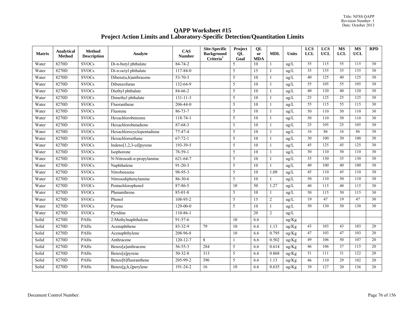| <b>OAPP Worksheet #15</b>                                                   |
|-----------------------------------------------------------------------------|
| Project Action Limits and Laboratory-Specific Detection/Quantitation Limits |

| <b>Matrix</b> | <b>Analytical</b><br><b>Method</b> | <b>Method</b><br><b>Description</b> | Analyte                   | <b>CAS</b><br><b>Number</b> | <b>Site-Specific</b><br><b>Background</b><br>Criteria <sup>1</sup> | Project<br>QL<br>Goal | QL<br>or<br><b>MDA</b> | <b>MDL</b>     | <b>Units</b>     | LCS<br><b>LCL</b> | LCS<br><b>UCL</b> | <b>MS</b><br><b>LCL</b> | <b>MS</b><br><b>UCL</b> | <b>RPD</b>      |
|---------------|------------------------------------|-------------------------------------|---------------------------|-----------------------------|--------------------------------------------------------------------|-----------------------|------------------------|----------------|------------------|-------------------|-------------------|-------------------------|-------------------------|-----------------|
| Water         | 8270D                              | <b>SVOCs</b>                        | Di-n-butyl phthalate      | 84-74-2                     |                                                                    | 5                     | 10                     |                | ug/L             | 55                | 115               | 55                      | 115                     | 30              |
| Water         | 8270D                              | <b>SVOCs</b>                        | Di-n-octyl phthalate      | 117-84-0                    |                                                                    | 5                     | 15                     |                | ug/L             | $\overline{35}$   | 135               | 35                      | 135                     | 30              |
| Water         | 8270D                              | <b>SVOCs</b>                        | Dibenz(a,h)anthracene     | $53 - 70 - 3$               |                                                                    | 5                     | 10                     |                | ug/L             | 40                | 125               | 40                      | 125                     | 30              |
| Water         | 8270D                              | <b>SVOCs</b>                        | Dibenzofuran              | 132-64-9                    |                                                                    | 5                     | 10                     |                | ug/L             | 55                | 105               | 55                      | 105                     | 30              |
| Water         | 8270D                              | <b>SVOCs</b>                        | Diethyl phthalate         | 84-66-2                     |                                                                    | 5                     | 10                     |                | ug/L             | $\overline{40}$   | 120               | 40                      | 120                     | $\overline{30}$ |
| Water         | 8270D                              | <b>SVOCs</b>                        | Dimethyl phthalate        | $131 - 11 - 3$              |                                                                    | 5                     | 10                     |                | ug/L             | 25                | 125               | 25                      | 125                     | 30              |
| Water         | 8270D                              | <b>SVOCs</b>                        | Fluoranthene              | $206 - 44 - 0$              |                                                                    | 5                     | 10                     |                | ug/L             | $\overline{55}$   | 115               | $\overline{55}$         | $\overline{115}$        | $\overline{30}$ |
| Water         | 8270D                              | <b>SVOCs</b>                        | Fluorene                  | $86 - 73 - 7$               |                                                                    | 5                     | 10                     |                | ug/L             | 50                | 110               | 50                      | 110                     | 30              |
| Water         | 8270D                              | <b>SVOCs</b>                        | Hexachlorobenzene         | $118 - 74 - 1$              |                                                                    | 5                     | 10                     |                | ug/L             | 50                | 110               | 50                      | 110                     | 30              |
| Water         | 8270D                              | <b>SVOCs</b>                        | Hexachlorobutadiene       | 87-68-3                     |                                                                    | 5                     | 10                     |                | ug/L             | 25                | 105               | 25                      | 105                     | 30              |
| Water         | 8270D                              | <b>SVOCs</b>                        | Hexachlorocyclopentadiene | $77-47-4$                   |                                                                    | 5                     | 10                     | -1             | ug/L             | 16                | 86                | 16                      | 86                      | $\overline{30}$ |
| Water         | 8270D                              | <b>SVOCs</b>                        | Hexachloroethane          | $67 - 72 - 1$               |                                                                    | 5                     | 10                     |                | ug/L             | 30                | 100               | 30                      | 100                     | $\overline{30}$ |
| Water         | 8270D                              | <b>SVOCs</b>                        | Indeno[1,2,3-cd]pyrene    | 193-39-5                    |                                                                    | 5                     | 10                     |                | ug/L             | 45                | 125               | 45                      | 125                     | 30              |
| Water         | 8270D                              | <b>SVOCs</b>                        | Isophorone                | 78-59-1                     |                                                                    | 5                     | 10                     |                | ug/L             | 50                | 110               | 50                      | 110                     | 30              |
| Water         | 8270D                              | <b>SVOCs</b>                        | N-Nitrosodi-n-propylamine | $621 - 64 - 7$              |                                                                    | 5                     | 10                     | -1             | ug/L             | 35                | 130               | 35                      | 130                     | 30              |
| Water         | 8270D                              | <b>SVOCs</b>                        | Naphthalene               | $91 - 20 - 3$               |                                                                    | 5                     | 10                     |                | ug/L             | 40                | 100               | 40                      | 100                     | 30              |
| Water         | 8270D                              | <b>SVOCs</b>                        | Nitrobenzene              | 98-95-3                     |                                                                    | 5                     | 10                     | 1.09           | ug/L             | 45                | 110               | 45                      | 110                     | $\overline{30}$ |
| Water         | 8270D                              | <b>SVOCs</b>                        | Nitrosodiphenylamine      | $86-30-6$                   |                                                                    | 5                     | 10                     | $\mathbf{1}$   | ug/L             | 50                | 110               | 50                      | 110                     | 30              |
| Water         | 8270D                              | <b>SVOCs</b>                        | Pentachlorophenol         | $87 - 86 - 5$               |                                                                    | 10                    | 50                     | 1.27           | ug/L             | $\overline{40}$   | 115               | 40                      | 115                     | $\overline{30}$ |
| Water         | 8270D                              | <b>SVOCs</b>                        | Phenanthrene              | $85-01-8$                   |                                                                    | 5                     | 10                     | -1             | $\text{ug/L}$    | 50                | 115               | 50                      | 115                     | 30              |
| Water         | 8270D                              | <b>SVOCs</b>                        | Phenol                    | 108-95-2                    |                                                                    | 5                     | 15                     | $\overline{c}$ | ug/L             | 19                | 47                | 19                      | 47                      | 30              |
| Water         | 8270D                              | <b>SVOCs</b>                        | Pyrene                    | $129 - 00 - 0$              |                                                                    | 5                     | 10                     | 1              | ug/L             | 50                | 130               | 50                      | 130                     | 30              |
| Water         | 8270D                              | <b>SVOCs</b>                        | Pyridine                  | 110-86-1                    |                                                                    |                       | 20                     | $\overline{c}$ | ug/L             |                   |                   |                         |                         |                 |
| Solid         | 8270D                              | <b>PAHs</b>                         | 2-Methylnaphthalene       | $91 - 57 - 6$               |                                                                    | 10                    | 6.6                    |                | ug/Kg            |                   |                   |                         |                         |                 |
| Solid         | 8270D                              | PAHs                                | Acenaphthene              | 83-32-9                     | 79                                                                 | 10                    | 6.6                    | 1.13           | $\frac{u}{g/Kg}$ | 43                | 103               | 43                      | 103                     | 20              |
| Solid         | 8270D                              | <b>PAHs</b>                         | Acenaphthylene            | 208-96-8                    |                                                                    | 10                    | 6.6                    | 0.795          | ug/Kg            | 47                | 103               | 47                      | 103                     | 20              |
| Solid         | 8270D                              | PAHs                                | Anthracene                | $120 - 12 - 7$              | 8                                                                  |                       | 6.6                    | 0.502          | ug/Kg            | 49                | 106               | 50                      | 107                     | 20              |
| Solid         | 8270D                              | <b>PAHs</b>                         | Benzo[a]anthracene        | $56 - 55 - 3$               | 284                                                                | 5                     | 6.6                    | 0.614          | ug/Kg            | 46                | 106               | 37                      | 115                     | 20              |
| Solid         | 8270D                              | PAHs                                | Benzo[a]pyrene            | $50 - 32 - 8$               | 313                                                                | 5                     | 6.6                    | 0.868          | ug/Kg            | 51                | 111               | 31                      | 122                     | 20              |
| Solid         | 8270D                              | <b>PAHs</b>                         | Benzo[b]fluoranthene      | 205-99-2                    | 396                                                                | 5                     | 6.6                    | 1.13           | ug/Kg            | 46                | 110               | 29                      | 102                     | 20              |
| Solid         | 8270D                              | PAHs                                | Benzo[g,h,i]perylene      | 191-24-2                    | 16                                                                 | 10                    | 6.6                    | 0.635          | ug/Kg            | 39                | 127               | 20                      | 136                     | 20              |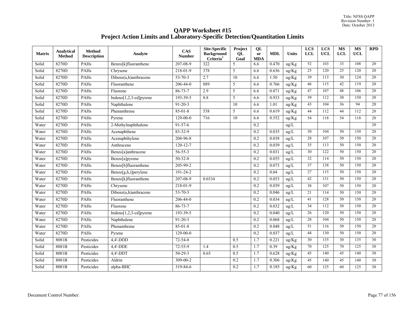| <b>OAPP Worksheet #15</b>                                                   |
|-----------------------------------------------------------------------------|
| Project Action Limits and Laboratory-Specific Detection/Quantitation Limits |

| <b>Matrix</b> | Analytical<br><b>Method</b> | <b>Method</b><br><b>Description</b> | Analyte                    | <b>CAS</b><br><b>Number</b> | <b>Site-Specific</b><br><b>Background</b><br>Criteria <sup>1</sup> | Project<br>QL<br>Goal | QL<br>or<br><b>MDA</b> | <b>MDL</b> | <b>Units</b> | LCS<br><b>LCL</b> | LCS<br><b>UCL</b> | MS<br><b>LCL</b> | <b>MS</b><br><b>UCL</b> | RPD             |
|---------------|-----------------------------|-------------------------------------|----------------------------|-----------------------------|--------------------------------------------------------------------|-----------------------|------------------------|------------|--------------|-------------------|-------------------|------------------|-------------------------|-----------------|
| Solid         | 8270D                       | PAHs                                | Benzo[k]fluoranthene       | 207-08-9                    | 322                                                                | 5                     | 6.6                    | 0.470      | ug/Kg        | 52                | 103               | $\overline{33}$  | 108                     | 20              |
| Solid         | 8270D                       | PAHs                                | Chrysene                   | 218-01-9                    | 378                                                                | 5                     | 6.6                    | 0.636      | ug/Kg        | 25                | 120               | $\overline{25}$  | 120                     | 20              |
| Solid         | 8270D                       | PAHs                                | Dibenz(a,h)anthracene      | $53 - 70 - 3$               | 2.7                                                                | 10                    | 6.6                    | 1.50       | ug/Kg        | 39                | 113               | 30               | 124                     | 20              |
| Solid         | 8270D                       | PAHs                                | Fluoranthene               | 206-44-0                    | 889                                                                | 5                     | 6.6                    | 0.766      | ug/Kg        | 46                | 115               | $\overline{42}$  | $\overline{119}$        | $\overline{20}$ |
| Solid         | 8270D                       | PAHs                                | Fluorene                   | $86 - 73 - 7$               | 2.9                                                                | 5                     | 6.6                    | 0.871      | ug/Kg        | 47                | 107               | 48               | 106                     | 20              |
| Solid         | 8270D                       | PAHs                                | Indeno[1,2,3-cd]pyrene     | 193-39-5                    | 8.8                                                                | 5                     | 6.6                    | 0.933      | ug/Kg        | 39                | 112               | 30               | 150                     | $\overline{20}$ |
| Solid         | 8270D                       | PAHs                                | Naphthalene                | $91 - 20 - 3$               |                                                                    | 10                    | 6.6                    | 1.01       | ug/Kg        | 43                | 104               | $\overline{36}$  | 94                      | 20              |
| Solid         | 8270D                       | PAHs                                | Phenanthrene               | $85 - 01 - 8$               | 538                                                                | 5                     | 6.6                    | 0.619      | ug/Kg        | 44                | 112               | 44               | 112                     | 20              |
| Solid         | 8270D                       | PAHs                                | Pyrene                     | 129-00-0                    | 716                                                                | 10                    | 6.6                    | 0.552      | ug/Kg        | 54                | 118               | 54               | 118                     | 20              |
| Water         | 8270D                       | PAHs                                | 2-Methylnaphthalene        | $91 - 57 - 6$               |                                                                    |                       | 0.2                    |            | ug/L         |                   |                   |                  |                         | 20              |
| Water         | 8270D                       | PAHs                                | Acenaphthene               | $83 - 32 - 9$               |                                                                    |                       | 0.2                    | 0.035      | ug/L         | 30                | 104               | $\overline{50}$  | 150                     | $\overline{20}$ |
| Water         | 8270D                       | PAHs                                | Acenaphthylene             | 208-96-8                    |                                                                    |                       | 0.2                    | 0.038      | ug/L         | 28                | 107               | $\overline{50}$  | 150                     | $\overline{20}$ |
| Water         | 8270D                       | PAHs                                | Anthracene                 | $120 - 12 - 7$              |                                                                    |                       | 0.2                    | 0.039      | ug/L         | $\overline{35}$   | 113               | 50               | 150                     | $\overline{20}$ |
| Water         | 8270D                       | PAHs                                | Benzo[a]anthracene         | $56 - 55 - 3$               |                                                                    |                       | 0.2                    | 0.031      | ug/L         | 30                | 122               | 50               | 150                     | 20              |
| Water         | 8270D                       | PAHs                                | Benzo[a]pyrene             | $50 - 32 - 8$               |                                                                    |                       | 0.2                    | 0.055      | ug/L         | 32                | 114               | 50               | 150                     | 20              |
| Water         | 8270D                       | PAHs                                | Benzo[b]fluoranthene       | 205-99-2                    |                                                                    |                       | 0.2                    | 0.073      | ug/L         | 37                | 138               | 50               | 150                     | 20              |
| Water         | 8270D                       | PAHs                                | Benzo[g,h,i]perylene       | $191 - 24 - 2$              |                                                                    |                       | 0.2                    | 0.04       | ug/L         | $\overline{27}$   | 115               | 50               | 150                     | 20              |
| Water         | 8270D                       | PAHs                                | Benzo[k]fluoranthene       | 207-08-9                    | 0.0334                                                             |                       | 0.2                    | 0.053      | ug/L         | $\overline{42}$   | $\overline{131}$  | $\overline{50}$  | 150                     | $\overline{20}$ |
| Water         | 8270D                       | PAHs                                | Chrysene                   | 218-01-9                    |                                                                    |                       | 0.2                    | 0.039      | ug/L         | 38                | 107               | 50               | 150                     | 20              |
| Water         | 8270D                       | PAHs                                | Dibenz(a,h)anthracene      | $53 - 70 - 3$               |                                                                    |                       | $\overline{0.2}$       | 0.046      | ug/L         | $\overline{21}$   | 114               | $\overline{50}$  | 150                     | $\overline{20}$ |
| Water         | 8270D                       | PAHs                                | Fluoranthene               | 206-44-0                    |                                                                    |                       | 0.2                    | 0.034      | ug/L         | 41                | 128               | 50               | 150                     | 20              |
| Water         | 8270D                       | PAHs                                | Fluorene                   | $86 - 73 - 7$               |                                                                    |                       | 0.2                    | 0.032      | ug/L         | $\overline{34}$   | 112               | $\overline{50}$  | 150                     | $\overline{20}$ |
| Water         | 8270D                       | PAHs                                | Indeno $[1,2,3$ -cd]pyrene | 193-39-5                    |                                                                    |                       | 0.2                    | 0.040      | ug/L         | 26                | 120               | 50               | 150                     | 20              |
| Water         | 8270D                       | PAHs                                | Naphthalene                | $91 - 20 - 3$               |                                                                    |                       | 0.2                    | 0.068      | ug/L         | 28                | 104               | 50               | 150                     | 20              |
| Water         | 8270D                       | PAHs                                | Phenanthrene               | $85 - 01 - 8$               |                                                                    |                       | 0.2                    | 0.048      | ug/L         | $\overline{51}$   | 116               | $\overline{50}$  | 150                     | $\overline{20}$ |
| Water         | 8270D                       | PAHs                                | Pyrene                     | $129 - 00 - 0$              |                                                                    |                       | 0.2                    | 0.037      | ug/L         | 44                | 130               | 50               | 150                     | 20              |
| Solid         | 8081B                       | Pesticides                          | $4.4'$ -DDD                | $72 - 54 - 8$               |                                                                    | 0.5                   | 1.7                    | 0.221      | ug/Kg        | 30                | 135               | 30               | 135                     | 30              |
| Solid         | 8081B                       | Pesticides                          | $4.4'$ -DDE                | $72 - 55 - 9$               | 1.4                                                                | 0.5                   | 1.7                    | 0.39       | ug/Kg        | 70                | 125               | 70               | 125                     | 30              |
| Solid         | 8081B                       | Pesticides                          | $4,4'-DDT$                 | $50 - 29 - 3$               | 0.65                                                               | 0.5                   | 1.7                    | 0.628      | ug/Kg        | 45                | 140               | 45               | 140                     | 30              |
| Solid         | 8081B                       | Pesticides                          | Aldrin                     | 309-00-2                    |                                                                    | 0.2                   | 1.7                    | 0.306      | ug/Kg        | 45                | 140               | 45               | 140                     | 30              |
| Solid         | 8081B                       | Pesticides                          | alpha-BHC                  | 319-84-6                    |                                                                    | 0.2                   | 1.7                    | 0.185      | ug/Kg        | 60                | 125               | 60               | 125                     | 30              |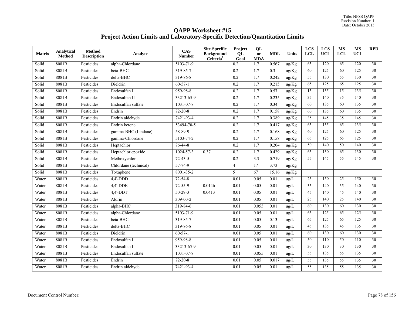| <b>OAPP Worksheet #15</b>                                                   |
|-----------------------------------------------------------------------------|
| Project Action Limits and Laboratory-Specific Detection/Quantitation Limits |

| <b>Matrix</b> | <b>Analytical</b><br><b>Method</b> | <b>Method</b><br><b>Description</b> | Analyte               | <b>CAS</b><br><b>Number</b> | <b>Site-Specific</b><br><b>Background</b><br>Criteria <sup>1</sup> | Project<br>QL<br>Goal | QL<br>or<br><b>MDA</b> | <b>MDL</b> | <b>Units</b>       | LCS<br><b>LCL</b> | $\overline{LCS}$<br><b>UCL</b> | MS<br><b>LCL</b> | <b>MS</b><br><b>UCL</b> | <b>RPD</b>      |
|---------------|------------------------------------|-------------------------------------|-----------------------|-----------------------------|--------------------------------------------------------------------|-----------------------|------------------------|------------|--------------------|-------------------|--------------------------------|------------------|-------------------------|-----------------|
| Solid         | 8081B                              | Pesticides                          | alpha-Chlordane       | $5103 - 71 - 9$             |                                                                    | 0.2                   | 1.7                    | 0.567      | ug/Kg              | $\overline{65}$   | $\overline{120}$               | 65               | 120                     | 30              |
| Solid         | 8081B                              | Pesticides                          | beta-BHC              | 319-85-7                    |                                                                    | 0.2                   | 1.7                    | 0.3        | ug/Kg              | 60                | 125                            | 60               | 125                     | 30              |
| Solid         | 8081B                              | Pesticides                          | delta-BHC             | 319-86-8                    |                                                                    | 0.2                   | 1.7                    | 0.242      | ug/Kg              | 55                | 130                            | 55               | 130                     | 30              |
| Solid         | 8081B                              | Pesticides                          | Dieldrin              | $60-57-1$                   |                                                                    | 0.2                   | 1.7                    | 0.215      | ug/Kg              | 65                | 125                            | 65               | 125                     | 30              |
| Solid         | 8081B                              | Pesticides                          | Endosulfan I          | 959-98-8                    |                                                                    | 0.2                   | 1.7                    | 0.57       | ug/Kg              | 15                | 135                            | $\overline{15}$  | 135                     | $\overline{30}$ |
| Solid         | 8081B                              | Pesticides                          | Endosulfan II         | 33213-65-9                  |                                                                    | $0.2\,$               | 1.7                    | 0.235      | ug/Kg              | 35                | 140                            | 35               | 140                     | 30              |
| Solid         | 8081B                              | Pesticides                          | Endosulfan sulfate    | $1031 - 07 - 8$             |                                                                    | 0.2                   | 1.7                    | 0.34       | ug/Kg              | 60                | 135                            | 60               | 135                     | $\overline{30}$ |
| Solid         | 8081B                              | Pesticides                          | Endrin                | $72 - 20 - 8$               |                                                                    | 0.2                   | 1.7                    | 0.158      | ug/Kg              | 60                | 135                            | 60               | 135                     | 30              |
| Solid         | 8081B                              | Pesticides                          | Endrin aldehyde       | 7421-93-4                   |                                                                    | 0.2                   | 1.7                    | 0.389      | $\frac{u}{g/Kg}$   | $\overline{35}$   | 145                            | 35               | 145                     | 30              |
| Solid         | 8081B                              | Pesticides                          | Endrin ketone         | 53494-70-5                  |                                                                    | 0.2                   | 1.7                    | 0.417      | ug/Kg              | 65                | 135                            | 65               | 135                     | 30              |
| Solid         | 8081B                              | Pesticides                          | gamma-BHC (Lindane)   | 58-89-9                     |                                                                    | 0.2                   | 1.7                    | 0.168      | ug/Kg              | 60                | 125                            | 60               | $\overline{125}$        | $\overline{30}$ |
| Solid         | 8081B                              | Pesticides                          | gamma-Chlordane       | 5103-74-2                   |                                                                    | 0.2                   | 1.7                    | 0.158      | ug/Kg              | 65                | 125                            | $\overline{65}$  | 125                     | $\overline{30}$ |
| Solid         | 8081B                              | Pesticides                          | Heptachlor            | 76-44-8                     |                                                                    | 0.2                   | 1.7                    | 0.204      | $\overline{ug/Kg}$ | $\overline{50}$   | 140                            | 50               | 140                     | 30              |
| Solid         | 8081B                              | Pesticides                          | Heptachlor epoxide    | 1024-57-3                   | 0.37                                                               | 0.2                   | 1.7                    | 0.429      | ug/Kg              | 65                | 130                            | 65               | 130                     | $\overline{30}$ |
| Solid         | 8081B                              | Pesticides                          | Methoxychlor          | $72 - 43 - 5$               |                                                                    | 0.2                   | 3.3                    | 0.719      | ug/Kg              | 55                | 145                            | 55               | 145                     | 30              |
| Solid         | 8081B                              | Pesticides                          | Chlordane (technical) | 57-74-9                     |                                                                    | 4                     | 17                     | 3.73       | $ug/Kg$            |                   |                                |                  |                         |                 |
| Solid         | 8081B                              | Pesticides                          | Toxaphene             | 8001-35-2                   |                                                                    | 5                     | 67                     | 15.16      | ug/Kg              |                   |                                |                  |                         |                 |
| Water         | 8081B                              | Pesticides                          | $4,4'-DDD$            | $72 - 54 - 8$               |                                                                    | 0.01                  | 0.05                   | 0.01       | ug/L               | $\overline{25}$   | 150                            | $\overline{25}$  | 150                     | 30              |
| Water         | 8081B                              | Pesticides                          | $4.4'$ -DDE           | $72 - 55 - 9$               | 0.0146                                                             | 0.01                  | 0.05                   | 0.01       | ug/L               | $\overline{35}$   | 140                            | $\overline{35}$  | 140                     | 30              |
| Water         | 8081B                              | Pesticides                          | $4,4'-DDT$            | $50 - 29 - 3$               | 0.0413                                                             | 0.01                  | 0.05                   | 0.01       | ug/L               | 45                | $\overline{140}$               | $\overline{45}$  | $\overline{140}$        | $\overline{30}$ |
| Water         | 8081B                              | Pesticides                          | Aldrin                | 309-00-2                    |                                                                    | 0.01                  | 0.05                   | 0.01       | ug/L               | 25                | 140                            | 25               | 140                     | 30              |
| Water         | 8081B                              | Pesticides                          | alpha-BHC             | 319-84-6                    |                                                                    | 0.01                  | 0.055                  | 0.01       | ug/L               | 60                | 130                            | 60               | 130                     | 30              |
| Water         | 8081B                              | Pesticides                          | alpha-Chlordane       | $5103 - 71 - 9$             |                                                                    | 0.01                  | 0.05                   | 0.01       | ug/L               | 65                | 125                            | 65               | 125                     | 30              |
| Water         | 8081B                              | Pesticides                          | beta-BHC              | 319-85-7                    |                                                                    | 0.01                  | 0.05                   | 0.13       | ug/L               | $\overline{65}$   | 125                            | $\overline{65}$  | 125                     | $\overline{30}$ |
| Water         | 8081B                              | Pesticides                          | delta-BHC             | 319-86-8                    |                                                                    | 0.01                  | 0.05                   | 0.01       | ug/L               | 45                | 135                            | 45               | 135                     | 30              |
| Water         | 8081B                              | Pesticides                          | Dieldrin              | $60-57-1$                   |                                                                    | 0.01                  | 0.05                   | 0.01       | ug/L               | 60                | 130                            | 60               | 130                     | $\overline{30}$ |
| Water         | 8081B                              | Pesticides                          | Endosulfan I          | 959-98-8                    |                                                                    | 0.01                  | 0.05                   | 0.01       | ug/L               | 50                | 110                            | 50               | 110                     | 30              |
| Water         | 8081B                              | Pesticides                          | Endosulfan II         | 33213-65-9                  |                                                                    | 0.01                  | 0.05                   | 0.01       | ug/L               | $\overline{30}$   | 130                            | $\overline{30}$  | 130                     | $\overline{30}$ |
| Water         | 8081B                              | Pesticides                          | Endosulfan sulfate    | 1031-07-8                   |                                                                    | 0.01                  | 0.055                  | 0.01       | ug/L               | 55                | 135                            | 55               | 135                     | 30              |
| Water         | 8081B                              | Pesticides                          | Endrin                | $72 - 20 - 8$               |                                                                    | 0.01                  | 0.05                   | 0.017      | ug/L               | $\overline{55}$   | 135                            | $\overline{55}$  | 135                     | $\overline{30}$ |
| Water         | 8081B                              | Pesticides                          | Endrin aldehyde       | 7421-93-4                   |                                                                    | 0.01                  | 0.05                   | 0.01       | ug/L               | 55                | 135                            | 55               | 135                     | 30              |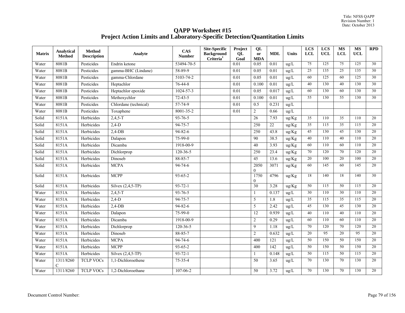| <b>OAPP Worksheet #15</b>                                                   |
|-----------------------------------------------------------------------------|
| Project Action Limits and Laboratory-Specific Detection/Quantitation Limits |

| <b>Matrix</b> | Analytical<br><b>Method</b> | <b>Method</b><br><b>Description</b> | Analyte                | <b>CAS</b><br><b>Number</b> | <b>Site-Specific</b><br><b>Background</b><br>Criteria <sup>1</sup> | Project<br>QL<br>Goal | QL<br>or<br><b>MDA</b> | <b>MDL</b>      | <b>Units</b>     | <b>LCS</b><br><b>LCL</b> | $_{\text{LCS}}$<br><b>UCL</b> | <b>MS</b><br><b>LCL</b> | <b>MS</b><br><b>UCL</b> | <b>RPD</b>      |
|---------------|-----------------------------|-------------------------------------|------------------------|-----------------------------|--------------------------------------------------------------------|-----------------------|------------------------|-----------------|------------------|--------------------------|-------------------------------|-------------------------|-------------------------|-----------------|
| Water         | 8081B                       | Pesticides                          | Endrin ketone          | 53494-70-5                  |                                                                    | 0.01                  | 0.05                   | 0.01            | ug/L             | 75                       | 125                           | 75                      | 125                     | 30              |
| Water         | 8081B                       | Pesticides                          | gamma-BHC (Lindane)    | 58-89-9                     |                                                                    | 0.01                  | 0.05                   | 0.01            | ug/L             | 25                       | 135                           | 25                      | 135                     | 30              |
| Water         | 8081B                       | Pesticides                          | gamma-Chlordane        | 5103-74-2                   |                                                                    | 0.01                  | 0.05                   | 0.01            | ug/L             | 60                       | 125                           | 60                      | 125                     | 30              |
| Water         | 8081B                       | Pesticides                          | Heptachlor             | 76-44-8                     |                                                                    | 0.01                  | 0.100                  | 0.01            | ug/L             | 40                       | 130                           | 40                      | 130                     | 30              |
| Water         | 8081B                       | Pesticides                          | Heptachlor epoxide     | 1024-57-3                   |                                                                    | 0.01                  | 0.05                   | 0.017           | $\rm ug/L$       | 60                       | 130                           | 60                      | 130                     | 30              |
| Water         | 8081B                       | Pesticides                          | Methoxychlor           | $72 - 43 - 5$               |                                                                    | 0.01                  | 0.100                  | 0.01            | ug/L             | 55                       | 130                           | 55                      | 130                     | 30              |
| Water         | 8081B                       | Pesticides                          | Chlordane (technical)  | $57 - 74 - 9$               |                                                                    | 0.01                  | 0.5                    | 0.231           | ug/L             |                          |                               |                         |                         |                 |
| Water         | 8081B                       | Pesticides                          | Toxaphene              | 8001-35-2                   |                                                                    | 0.01                  | 2                      | 0.66            | ug/L             |                          |                               |                         |                         |                 |
| Solid         | 8151A                       | Herbicides                          | $2,4,5-T$              | $93 - 76 - 5$               |                                                                    |                       | 26                     | 7.93            | ug/Kg            | 35                       | 110                           | 35                      | 110                     | 20              |
| Solid         | 8151A                       | Herbicides                          | $2,4-D$                | 94-75-7                     |                                                                    |                       | 250                    | $\overline{22}$ | $\frac{u}{g/Kg}$ | $\overline{35}$          | 115                           | $\overline{35}$         | 115                     | 20              |
| Solid         | 8151A                       | Herbicides                          | $2,4$ -DB              | $94 - 82 - 6$               |                                                                    |                       | 250                    | 43.8            | ug/Kg            | 45                       | 130                           | 45                      | 130                     | 20              |
| Solid         | 8151A                       | Herbicides                          | Dalapon                | 75-99-0                     |                                                                    |                       | 90                     | 38.5            | ug/Kg            | 40                       | 110                           | 40                      | 110                     | 20              |
| Solid         | 8151A                       | Herbicides                          | Dicamba                | 1918-00-9                   |                                                                    |                       | 40                     | 3.93            | ug/Kg            | 60                       | 110                           | 60                      | 110                     | $\overline{20}$ |
| Solid         | 8151A                       | Herbicides                          | Dichlorprop            | $120-36-5$                  |                                                                    |                       | 250                    | 23.4            | ug/Kg            | 70                       | $\overline{120}$              | $\overline{70}$         | $\overline{120}$        | $\overline{20}$ |
| Solid         | 8151A                       | Herbicides                          | Dinoseb                | 88-85-7                     |                                                                    |                       | $\overline{45}$        | 13.6            | ug/Kg            | 20                       | 100                           | 20                      | 100                     | 20              |
| Solid         | 8151A                       | Herbicides                          | <b>MCPA</b>            | 94-74-6                     |                                                                    |                       | 2050<br>$\overline{0}$ | 3071            | ug/Kg            | 60                       | 145                           | 60                      | 145                     | 20              |
| Solid         | 8151A                       | Herbicides                          | <b>MCPP</b>            | $93 - 65 - 2$               |                                                                    |                       | 1750<br>$\overline{0}$ | 4796            | ug/Kg            | 18                       | $\overline{140}$              | $\overline{18}$         | $\overline{140}$        | $\overline{30}$ |
| Solid         | 8151A                       | Herbicides                          | Silvex $(2, 4, 5$ -TP) | $93 - 72 - 1$               |                                                                    |                       | 30                     | 3.28            | ug/Kg            | 50                       | 115                           | $\overline{50}$         | 115                     | 20              |
| Water         | 8151A                       | Herbicides                          | $2,4,5-T$              | $93 - 76 - 5$               |                                                                    |                       |                        | 0.137           | ug/L             | $\overline{30}$          | 110                           | $\overline{30}$         | 110                     | 20              |
| Water         | 8151A                       | Herbicides                          | $2,4-D$                | $94 - 75 - 7$               |                                                                    |                       | 5                      | 1.8             | ug/L             | $\overline{35}$          | 115                           | $\overline{35}$         | 115                     | 20              |
| Water         | 8151A                       | Herbicides                          | $2,4$ -DB              | $94 - 82 - 6$               |                                                                    |                       | $\sqrt{5}$             | 2.42            | ug/L             | 45                       | 130                           | 45                      | 130                     | 20              |
| Water         | 8151A                       | Herbicides                          | Dalapon                | $75-99-0$                   |                                                                    |                       | 12                     | 0.939           | ug/L             | $\overline{40}$          | 110                           | 40                      | 110                     | $\overline{20}$ |
| Water         | 8151A                       | Herbicides                          | Dicamba                | 1918-00-9                   |                                                                    |                       | $\sqrt{2}$             | 0.29            | ug/L             | 60                       | 110                           | 60                      | 110                     | $\overline{20}$ |
| Water         | 8151A                       | Herbicides                          | Dichlorprop            | $120-36-5$                  |                                                                    |                       | 9                      | 1.18            | ug/L             | $\overline{70}$          | 120                           | $\overline{70}$         | $\overline{120}$        | $\overline{20}$ |
| Water         | 8151A                       | Herbicides                          | Dinoseb                | $88 - 85 - 7$               |                                                                    |                       | 2                      | 0.632           | ug/L             | 20                       | $\overline{95}$               | 20                      | 95                      | 20              |
| Water         | 8151A                       | Herbicides                          | <b>MCPA</b>            | 94-74-6                     |                                                                    |                       | 400                    | 121             | ug/L             | $\overline{50}$          | 150                           | $\overline{50}$         | 150                     | $\overline{20}$ |
| Water         | 8151A                       | Herbicides                          | <b>MCPP</b>            | $93 - 65 - 2$               |                                                                    |                       | 400                    | 142             | ug/L             | 50                       | 150                           | $\overline{50}$         | 150                     | $\overline{20}$ |
| Water         | 8151A                       | Herbicides                          | Silvex $(2,4,5-TP)$    | $93 - 72 - 1$               |                                                                    |                       | $\mathbf{1}$           | 0.148           | ug/L             | $\overline{50}$          | $\overline{115}$              | $\overline{50}$         | $\overline{115}$        | 20              |
| Water         | 1311/8260                   | <b>TCLP VOCs</b>                    | 1,1-Dichloroethene     | 75-35-4                     |                                                                    |                       | 50                     | 3.65            | ug/L             | 70                       | 130                           | 70                      | 130                     | 20              |
| Water         | 1311/8260                   | <b>TCLP VOCs</b>                    | 1,2-Dichloroethane     | $107 - 06 - 2$              |                                                                    |                       | 50                     | 3.72            | ug/L             | $\overline{70}$          | 130                           | $\overline{70}$         | 130                     | $\overline{20}$ |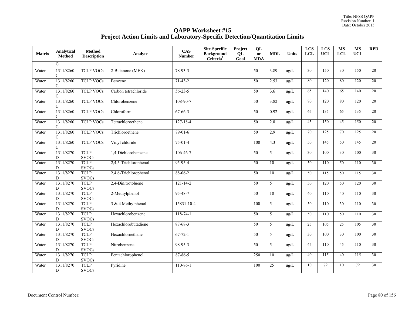| <b>OAPP Worksheet #15</b>                                                   |
|-----------------------------------------------------------------------------|
| Project Action Limits and Laboratory-Specific Detection/Quantitation Limits |

| <b>Matrix</b> | <b>Analytical</b><br><b>Method</b> | <b>Method</b><br><b>Description</b> | Analyte               | <b>CAS</b><br><b>Number</b> | <b>Site-Specific</b><br><b>Background</b><br>Criteria <sup>1</sup> | Project<br>QL<br>Goal | QL<br><b>or</b><br><b>MDA</b> | <b>MDL</b> | <b>Units</b> | $\overline{LCS}$<br><b>LCL</b> | LCS<br><b>UCL</b> | $\overline{MS}$<br><b>LCL</b> | $\overline{\text{MS}}$<br><b>UCL</b> | <b>RPD</b>      |
|---------------|------------------------------------|-------------------------------------|-----------------------|-----------------------------|--------------------------------------------------------------------|-----------------------|-------------------------------|------------|--------------|--------------------------------|-------------------|-------------------------------|--------------------------------------|-----------------|
|               | $\mathcal{C}$                      |                                     |                       |                             |                                                                    |                       |                               |            |              |                                |                   |                               |                                      |                 |
| Water         | 1311/8260<br>$\overline{C}$        | <b>TCLP VOCs</b>                    | 2-Butanone (MEK)      | 78-93-3                     |                                                                    |                       | 50                            | 3.89       | ug/L         | 30                             | 150               | 30                            | 150                                  | 20              |
| Water         | 1311/8260<br>$\overline{C}$        | <b>TCLP VOCs</b>                    | Benzene               | $71 - 43 - 2$               |                                                                    |                       | 50                            | 2.53       | ug/L         | 80                             | 120               | 80                            | 120                                  | $\overline{20}$ |
| Water         | 1311/8260<br>$\mathcal{C}$         | <b>TCLP VOCs</b>                    | Carbon tetrachloride  | $56 - 23 - 5$               |                                                                    |                       | 50                            | 3.6        | ug/L         | 65                             | 140               | 65                            | 140                                  | 20              |
| Water         | 1311/8260<br>C                     | <b>TCLP VOCs</b>                    | Chlorobenzene         | 108-90-7                    |                                                                    |                       | 50                            | 3.82       | ug/L         | 80                             | 120               | 80                            | 120                                  | $\overline{20}$ |
| Water         | 1311/8260<br>$\mathcal{C}$         | <b>TCLP VOCs</b>                    | Chloroform            | $67 - 66 - 3$               |                                                                    |                       | 50                            | 0.92       | ug/L         | 65                             | 135               | $\overline{65}$               | 135                                  | $\overline{20}$ |
| Water         | 1311/8260<br>$\mathcal{C}$         | <b>TCLP VOCs</b>                    | Tetrachloroethene     | $127 - 18 - 4$              |                                                                    |                       | 50                            | 2.8        | ug/L         | 45                             | 150               | 45                            | 150                                  | 20              |
| Water         | 1311/8260<br>$\mathcal{C}$         | <b>TCLP VOCs</b>                    | Trichloroethene       | $79-01-6$                   |                                                                    |                       | 50                            | 2.9        | ug/L         | 70                             | 125               | $\overline{70}$               | 125                                  | $\overline{20}$ |
| Water         | 1311/8260<br>C                     | <b>TCLP VOCs</b>                    | Vinyl chloride        | $75-01-4$                   |                                                                    |                       | 100                           | 4.3        | ug/L         | 50                             | 145               | 50                            | 145                                  | 20              |
| Water         | 1311/8270<br>D                     | <b>TCLP</b><br><b>SVOCs</b>         | 1,4-Dichlorobenzene   | $106 - 46 - 7$              |                                                                    |                       | 50                            | 5          | ug/L         | $\overline{30}$                | 100               | $\overline{30}$               | 100                                  | $\overline{30}$ |
| Water         | 1311/8270<br>D                     | <b>TCLP</b><br><b>SVOCs</b>         | 2,4,5-Trichlorophenol | $95 - 95 - 4$               |                                                                    |                       | 50                            | 10         | ug/L         | 50                             | 110               | $\overline{50}$               | 110                                  | $\overline{30}$ |
| Water         | 1311/8270<br>$\overline{D}$        | <b>TCLP</b><br><b>SVOCs</b>         | 2,4,6-Trichlorophenol | 88-06-2                     |                                                                    |                       | 50                            | 10         | ug/L         | 50                             | 115               | 50                            | 115                                  | 30              |
| Water         | 1311/8270<br>D                     | <b>TCLP</b><br><b>SVOCs</b>         | 2,4-Dinitrotoluene    | $121 - 14 - 2$              |                                                                    |                       | 50                            | 5          | ug/L         | 50                             | 120               | 50                            | 120                                  | $\overline{30}$ |
| Water         | 1311/8270<br>D                     | <b>TCLP</b><br><b>SVOCs</b>         | 2-Methylphenol        | 95-48-7                     |                                                                    |                       | 50                            | 10         | ug/L         | 40                             | 110               | 40                            | 110                                  | 30              |
| Water         | 1311/8270<br>D                     | <b>TCLP</b><br><b>SVOCs</b>         | 3 & 4 Methylphenol    | 15831-10-4                  |                                                                    |                       | 100                           | 5          | ug/L         | $\overline{30}$                | 110               | $\overline{30}$               | 110                                  | $\overline{30}$ |
| Water         | 1311/8270<br>D                     | <b>TCLP</b><br><b>SVOCs</b>         | Hexachlorobenzene     | $118 - 74 - 1$              |                                                                    |                       | 50                            | 5          | ug/L         | 50                             | 110               | 50                            | 110                                  | $\overline{30}$ |
| Water         | 1311/8270<br>D                     | <b>TCLP</b><br><b>SVOCs</b>         | Hexachlorobutadiene   | 87-68-3                     |                                                                    |                       | 50                            | 5          | ug/L         | 25                             | 105               | 25                            | 105                                  | $\overline{30}$ |
| Water         | 1311/8270<br>D                     | <b>TCLP</b><br><b>SVOCs</b>         | Hexachloroethane      | $67 - 72 - 1$               |                                                                    |                       | 50                            | 5          | ug/L         | 30                             | 100               | 30                            | 100                                  | 30              |
| Water         | 1311/8270<br>D                     | <b>TCLP</b><br><b>SVOCs</b>         | Nitrobenzene          | 98-95-3                     |                                                                    |                       | 50                            | 5          | ug/L         | 45                             | 110               | $\overline{45}$               | 110                                  | 30              |
| Water         | 1311/8270<br>D                     | <b>TCLP</b><br><b>SVOCs</b>         | Pentachlorophenol     | $87 - 86 - 5$               |                                                                    |                       | 250                           | 10         | ug/L         | 40                             | 115               | 40                            | 115                                  | $\overline{30}$ |
| Water         | 1311/8270<br>D                     | <b>TCLP</b><br><b>SVOCs</b>         | Pyridine              | $110 - 86 - 1$              |                                                                    |                       | 100                           | 25         | ug/L         | 10                             | $\overline{72}$   | 10                            | 72                                   | 30              |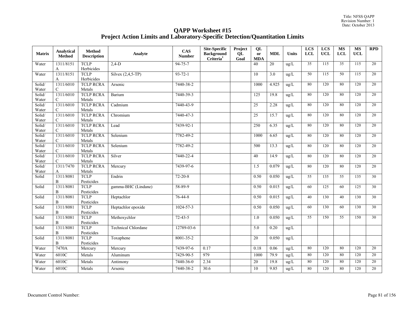| <b>OAPP Worksheet #15</b>                                                          |  |
|------------------------------------------------------------------------------------|--|
| <b>Project Action Limits and Laboratory-Specific Detection/Quantitation Limits</b> |  |
|                                                                                    |  |

| <b>Matrix</b>   | Analytical                 | <b>Method</b>              | Analyte                    | <b>CAS</b>      | <b>Site-Specific</b><br><b>Background</b> | Project<br>QL | QL<br>or   | <b>MDL</b> | <b>Units</b> | LCS<br><b>LCL</b> | LCS<br>$\ensuremath{\mathbf{UCL}}\xspace$ | MS<br><b>LCL</b> | <b>MS</b><br><b>UCL</b> | RPD             |
|-----------------|----------------------------|----------------------------|----------------------------|-----------------|-------------------------------------------|---------------|------------|------------|--------------|-------------------|-------------------------------------------|------------------|-------------------------|-----------------|
|                 | <b>Method</b>              | <b>Description</b>         |                            | <b>Number</b>   | Criteria <sup>1</sup>                     | Goal          | <b>MDA</b> |            |              |                   |                                           |                  |                         |                 |
| Water           | 1311/8151                  | <b>TCLP</b>                | $2,4-D$                    | 94-75-7         |                                           |               | 40         | 20         | ug/L         | $\overline{35}$   | 115                                       | 35               | 115                     | 20              |
|                 | A                          | Herbicides                 |                            |                 |                                           |               |            |            |              |                   |                                           |                  |                         |                 |
| Water           | 1311/8151                  | <b>TCLP</b>                | Silvex $(2,4,5-TP)$        | $93 - 72 - 1$   |                                           |               | 10         | 3.0        | ug/L         | 50                | 115                                       | 50               | 115                     | $\overline{20}$ |
|                 | A                          | Herbicides                 |                            |                 |                                           |               |            |            |              |                   |                                           |                  |                         |                 |
| Solid/          | 1311/6010                  | <b>TCLP RCRA</b>           | Arsenic                    | 7440-38-2       |                                           |               | 1000       | 4.925      | ug/L         | 80                | 120                                       | 80               | $\overline{120}$        | $\overline{20}$ |
| Water           | $\mathcal{C}$              | Metals                     |                            |                 |                                           |               |            |            |              |                   |                                           |                  |                         |                 |
| Solid/          | 1311/6010                  | <b>TCLP RCRA</b>           | Barium                     | 7440-39-3       |                                           |               | 125        | 19.8       | ug/L         | 80                | 120                                       | 80               | 120                     | 20              |
| Water           | C                          | Metals                     |                            |                 |                                           |               |            |            |              | 80                |                                           | 80               |                         |                 |
| Solid/          | 1311/6010<br>$\mathcal{C}$ | <b>TCLP RCRA</b><br>Metals | Cadmium                    | 7440-43-9       |                                           |               | 25         | 2.28       | ug/L         |                   | 120                                       |                  | 120                     | 20              |
| Water<br>Solid/ | 1311/6010                  | <b>TCLP RCRA</b>           | Chromium                   | 7440-47-3       |                                           |               | 25         | 15.7       |              | 80                | 120                                       | $\overline{80}$  | 120                     | $\overline{20}$ |
| Water           | $\mathbf C$                | Metals                     |                            |                 |                                           |               |            |            | ug/L         |                   |                                           |                  |                         |                 |
| Solid/          | 1311/6010                  | <b>TCLP RCRA</b>           | Lead                       | 7439-92-1       |                                           |               | 250        | 6.35       | ug/L         | 80                | 120                                       | 80               | 120                     | 20              |
| Water           | $\mathsf{C}$               | Metals                     |                            |                 |                                           |               |            |            |              |                   |                                           |                  |                         |                 |
| Solid/          | 1311/6010                  | <b>TCLP RCRA</b>           | Selenium                   | 7782-49-2       |                                           |               | 1000       | 6.65       | ug/L         | 80                | $\overline{120}$                          | 80               | $\overline{120}$        | $\overline{20}$ |
| Water           | $\mathbf C$                | Metals                     |                            |                 |                                           |               |            |            |              |                   |                                           |                  |                         |                 |
| Solid/          | 1311/6010                  | <b>TCLP RCRA</b>           | Selenium                   | 7782-49-2       |                                           |               | 500        | 13.3       | ug/L         | 80                | 120                                       | 80               | 120                     | 20              |
| Water           | $\mathbf C$                | Metals                     |                            |                 |                                           |               |            |            |              |                   |                                           |                  |                         |                 |
| Solid/          | 1311/6010                  | <b>TCLP RCRA</b>           | Silver                     | 7440-22-4       |                                           |               | 40         | 14.9       | ug/L         | 80                | 120                                       | 80               | 120                     | 20              |
| Water           | $\mathcal{C}$              | Metals                     |                            |                 |                                           |               |            |            |              |                   |                                           |                  |                         |                 |
| Solid/          | 1311/7470                  | <b>TCLP RCRA</b>           | Mercury                    | 7439-97-6       |                                           |               | 1.5        | 0.079      | ug/L         | 80                | 120                                       | 80               | 120                     | 20              |
| Water           | $\mathbf{A}$               | Metals                     |                            |                 |                                           |               |            |            |              |                   |                                           |                  |                         |                 |
| Solid           | 1311/8081                  | <b>TCLP</b>                | Endrin                     | $72 - 20 - 8$   |                                           |               | 0.50       | 0.050      | ug/L         | 55                | 135                                       | 55               | 135                     | $\overline{30}$ |
|                 | B                          | Pesticides                 |                            |                 |                                           |               |            |            |              |                   |                                           |                  |                         |                 |
| Solid           | 1311/8081                  | <b>TCLP</b>                | gamma-BHC (Lindane)        | 58-89-9         |                                           |               | 0.50       | 0.015      | ug/L         | 60                | 125                                       | 60               | 125                     | 30              |
|                 | B                          | Pesticides                 |                            |                 |                                           |               |            |            |              |                   |                                           |                  |                         |                 |
| Solid           | 1311/8081                  | <b>TCLP</b><br>Pesticides  | Heptachlor                 | $76 - 44 - 8$   |                                           |               | 0.50       | 0.015      | ug/L         | 40                | 130                                       | 40               | 130                     | 30              |
| Solid           | B<br>1311/8081             | <b>TCLP</b>                | Heptachlor epoxide         | $1024 - 57 - 3$ |                                           |               | 0.50       | 0.050      | ug/L         | 60                | 130                                       | 60               | 130                     | 30              |
|                 | B                          | Pesticides                 |                            |                 |                                           |               |            |            |              |                   |                                           |                  |                         |                 |
| Solid           | 1311/8081                  | <b>TCLP</b>                | Methoxychlor               | $72 - 43 - 5$   |                                           |               | 1.0        | 0.050      | ug/L         | 55                | 150                                       | 55               | 150                     | $\overline{30}$ |
|                 | B                          | Pesticides                 |                            |                 |                                           |               |            |            |              |                   |                                           |                  |                         |                 |
| Solid           | 1311/8081                  | <b>TCLP</b>                | <b>Technical Chlordane</b> | 12789-03-6      |                                           |               | 5.0        | 0.20       | ug/L         |                   |                                           |                  |                         |                 |
|                 | B                          | Pesticides                 |                            |                 |                                           |               |            |            |              |                   |                                           |                  |                         |                 |
| Solid           | 1311/8081                  | <b>TCLP</b>                | Toxaphene                  | 8001-35-2       |                                           |               | 20         | 0.050      | ug/L         |                   |                                           |                  |                         |                 |
|                 | B                          | Pesticides                 |                            |                 |                                           |               |            |            |              |                   |                                           |                  |                         |                 |
| Water           | 7470A                      | Mercury                    | Mercury                    | 7439-97-6       | 0.17                                      |               | 0.18       | 0.06       | ug/L         | 80                | 120                                       | 80               | 120                     | 20              |
| Water           | 6010C                      | Metals                     | Aluminum                   | 7429-90-5       | 979                                       |               | 1000       | 79.9       | ug/L         | 80                | 120                                       | 80               | 120                     | 20              |
| Water           | 6010C                      | Metals                     | Antimony                   | 7440-36-0       | 2.34                                      |               | 20         | 19.8       | $\rm ug/L$   | 80                | 120                                       | 80               | 120                     | 20              |
| Water           | 6010C                      | Metals                     | Arsenic                    | 7440-38-2       | 30.6                                      |               | 10         | 9.85       | $\rm ug/L$   | 80                | 120                                       | 80               | 120                     | 20              |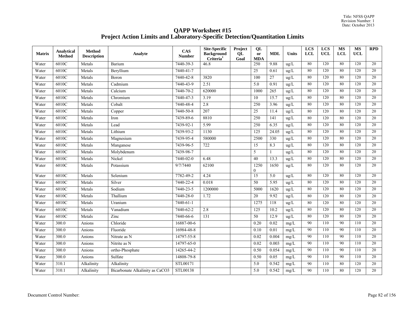| <b>OAPP Worksheet #15</b>                                                   |
|-----------------------------------------------------------------------------|
| Project Action Limits and Laboratory-Specific Detection/Quantitation Limits |

| <b>Matrix</b> | <b>Analytical</b><br><b>Method</b> | <b>Method</b><br><b>Description</b> | Analyte                         | <b>CAS</b><br><b>Number</b> | <b>Site-Specific</b><br><b>Background</b><br>Criteria <sup>1</sup> | Project<br>QL<br>Goal | QL<br>or<br><b>MDA</b>   | <b>MDL</b> | <b>Units</b> | <b>LCS</b><br><b>LCL</b> | LCS<br><b>UCL</b> | <b>MS</b><br><b>LCL</b> | <b>MS</b><br><b>UCL</b> | <b>RPD</b>      |
|---------------|------------------------------------|-------------------------------------|---------------------------------|-----------------------------|--------------------------------------------------------------------|-----------------------|--------------------------|------------|--------------|--------------------------|-------------------|-------------------------|-------------------------|-----------------|
| Water         | 6010C                              | Metals                              | Barium                          | 7440-39-3                   | 46.8                                                               |                       | 250                      | 9.88       | ug/L         | 80                       | $\overline{120}$  | 80                      | $\overline{120}$        | 20              |
| Water         | 6010C                              | Metals                              | Beryllium                       | 7440-41-7                   |                                                                    |                       | 25                       | 0.61       | ug/L         | 80                       | $\overline{120}$  | 80                      | $\overline{120}$        | $\overline{20}$ |
| Water         | 6010C                              | Metals                              | Boron                           | 7440-42-8                   | 3820                                                               |                       | 100                      | $27\,$     | ug/L         | 80                       | 120               | 80                      | 120                     | 20              |
| Water         | 6010C                              | Metals                              | Cadmium                         | 7440-43-9                   | 2.51                                                               |                       | 5.0                      | 0.91       | ug/L         | 80                       | 120               | 80                      | 120                     | $\overline{20}$ |
| Water         | 6010C                              | Metals                              | Calcium                         | 7440-70-2                   | 620000                                                             |                       | 1000                     | 265        | $\rm ug/L$   | 80                       | $\overline{120}$  | 80                      | $\overline{120}$        | $\overline{20}$ |
| Water         | 6010C                              | Metals                              | Chromium                        | 7440-47-3                   | 3.19                                                               |                       | 10                       | 15.7       | ug/L         | 80                       | 120               | 80                      | 120                     | 20              |
| Water         | 6010C                              | Metals                              | Cobalt                          | 7440-48-4                   | 2.8                                                                |                       | 250                      | 3.96       | $\rm ug/L$   | 80                       | 120               | 80                      | 120                     | 20              |
| Water         | 6010C                              | Metals                              | Copper                          | 7440-50-8                   | 207                                                                |                       | $\overline{25}$          | 11.4       | ug/L         | 80                       | 120               | 80                      | 120                     | 20              |
| Water         | 6010C                              | Metals                              | Iron                            | 7439-89-6                   | 8810                                                               |                       | 250                      | 141        | ug/L         | 80                       | 120               | 80                      | 120                     | 20              |
| Water         | 6010C                              | Metals                              | Lead                            | 7439-92-1                   | 5.99                                                               |                       | 250                      | 6.35       | ug/L         | 80                       | $\overline{120}$  | 80                      | $\overline{120}$        | $\overline{20}$ |
| Water         | 6010C                              | Metals                              | Lithium                         | 7439-93-2                   | 1130                                                               |                       | 125                      | 24.05      | ug/L         | 80                       | $\overline{120}$  | 80                      | $\overline{120}$        | 20              |
| Water         | 6010C                              | Metals                              | Magnesium                       | 7439-95-4                   | 580000                                                             |                       | 2500                     | 330        | ug/L         | 80                       | $\overline{120}$  | 80                      | $\overline{120}$        | 20              |
| Water         | 6010C                              | Metals                              | Manganese                       | 7439-96-5                   | 722                                                                |                       | 15                       | 8.3        | ug/L         | 80                       | 120               | 80                      | 120                     | 20              |
| Water         | 6010C                              | Metals                              | Molybdenum                      | 7439-98-7                   |                                                                    |                       | 5                        |            | ug/L         | 80                       | 120               | 80                      | 120                     | $\overline{20}$ |
| Water         | 6010C                              | Metals                              | Nickel                          | 7440-02-0                   | 6.48                                                               |                       | 40                       | 13.3       | ug/L         | 80                       | 120               | 80                      | 120                     | 20              |
| Water         | 6010C                              | Metals                              | Potassium                       | 9/7/7440                    | 62100                                                              |                       | 1250<br>$\boldsymbol{0}$ | 1650       | ug/L         | 80                       | 120               | 80                      | 120                     | 20              |
| Water         | 6010C                              | Metals                              | Selenium                        | 7782-49-2                   | 4.24                                                               |                       | 15                       | 5.0        | ug/L         | 80                       | 120               | 80                      | 120                     | 20              |
| Water         | 6010C                              | Metals                              | Silver                          | 7440-22-4                   | 0.018                                                              |                       | 50                       | 5.95       | ug/L         | 80                       | 120               | 80                      | 120                     | 20              |
| Water         | 6010C                              | Metals                              | Sodium                          | 7440-23-5                   | 1200000                                                            |                       | 5000                     | 1620       | $\rm ug/L$   | 80                       | 120               | 80                      | 120                     | 20              |
| Water         | 6010C                              | Metals                              | Thallium                        | 7440-28-0                   | 1.72                                                               |                       | 20                       | 9.92       | ug/L         | 80                       | 120               | 80                      | 120                     | 20              |
| Water         | 6010C                              | Metals                              | Uranium                         | $7440 - 61 - 1$             |                                                                    |                       | 1275                     | 118        | ug/L         | 80                       | $\overline{120}$  | 80                      | $\overline{120}$        | $\overline{20}$ |
| Water         | 6010C                              | Metals                              | Vanadium                        | 7440-62-2                   | 2.8                                                                |                       | 125                      | 10.2       | ug/L         | 80                       | $\overline{120}$  | 80                      | 120                     | $\overline{20}$ |
| Water         | 6010C                              | Metals                              | Zinc                            | 7440-66-6                   | 131                                                                |                       | 50                       | 12.9       | ug/L         | 80                       | $\overline{120}$  | 80                      | $\overline{120}$        | $\overline{20}$ |
| Water         | 300.0                              | Anions                              | Chloride                        | 16887-00-6                  |                                                                    |                       | 0.20                     | 0.02       | mg/L         | $\overline{90}$          | 110               | 90                      | 110                     | 20              |
| Water         | 300.0                              | Anions                              | Fluoride                        | 16984-48-8                  |                                                                    |                       | 0.10                     | 0.01       | mg/L         | $\overline{90}$          | 110               | 90                      | 110                     | 20              |
| Water         | 300.0                              | Anions                              | Nitrate as N                    | 14797-55-8                  |                                                                    |                       | 0.02                     | 0.004      | mg/L         | $\overline{90}$          | 110               | $\overline{90}$         | 110                     | 20              |
| Water         | 300.0                              | Anions                              | Nitrite as N                    | 14797-65-0                  |                                                                    |                       | 0.02                     | 0.003      | mg/L         | $\overline{90}$          | 110               | $\overline{90}$         | 110                     | $\overline{20}$ |
| Water         | 300.0                              | Anions                              | ortho-Phosphate                 | 14265-44-2                  |                                                                    |                       | 0.50                     | 0.054      | mg/L         | 90                       | 110               | 90                      | 110                     | 20              |
| Water         | 300.0                              | Anions                              | Sulfate                         | 14808-79-8                  |                                                                    |                       | 0.50                     | 0.05       | mg/L         | 90                       | 110               | 90                      | 110                     | $\overline{20}$ |
| Water         | 310.1                              | Alkalinity                          | Alkalinity                      | STL00171                    |                                                                    |                       | 5.0                      | 0.542      | mg/L         | 90                       | 110               | 80                      | 120                     | 20              |
| Water         | 310.1                              | Alkalinity                          | Bicarbonate Alkalinity as CaCO3 | STL00138                    |                                                                    |                       | 5.0                      | 0.542      | mg/L         | 90                       | 110               | 80                      | 120                     | 20              |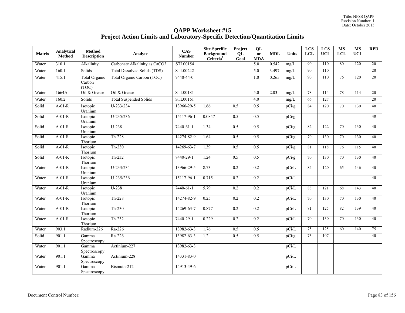| <b>OAPP Worksheet #15</b>                                                   |
|-----------------------------------------------------------------------------|
| Project Action Limits and Laboratory-Specific Detection/Quantitation Limits |

| <b>Matrix</b> | <b>Analytical</b><br><b>Method</b> | <b>Method</b><br><b>Description</b> | Analyte                             | <b>CAS</b><br><b>Number</b> | <b>Site-Specific</b><br><b>Background</b><br>Criteria <sup>1</sup> | Project<br>QL<br>Goal | QL<br>or<br><b>MDA</b> | <b>MDL</b> | <b>Units</b> | LCS<br><b>LCL</b> | LCS<br><b>UCL</b> | <b>MS</b><br><b>LCL</b> | <b>MS</b><br><b>UCL</b> | <b>RPD</b>      |
|---------------|------------------------------------|-------------------------------------|-------------------------------------|-----------------------------|--------------------------------------------------------------------|-----------------------|------------------------|------------|--------------|-------------------|-------------------|-------------------------|-------------------------|-----------------|
| Water         | 310.1                              | Alkalinity                          | Carbonate Alkalinity as CaCO3       | STL00154                    |                                                                    |                       | 5.0                    | 0.542      | mg/L         | $\overline{90}$   | 110               | 80                      | $\overline{120}$        | 20              |
| Water         | 160.1                              | <b>Solids</b>                       | <b>Total Dissolved Solids (TDS)</b> | STL00242                    |                                                                    |                       | 5.0                    | 3.497      | mg/L         | $\overline{90}$   | 110               |                         |                         | 20              |
| Water         | 415.1                              | Total Organic<br>Carbon<br>(TOC)    | Total Organic Carbon (TOC)          | 7440-44-0                   |                                                                    |                       | 1.0                    | 0.265      | mg/L         | 90                | 110               | 76                      | 120                     | 20              |
| Water         | 1664A                              | Oil & Grease                        | Oil & Grease                        | STL00181                    |                                                                    |                       | 5.0                    | 2.03       | mg/L         | 78                | 114               | 78                      | 114                     | 20              |
| Water         | 160.2                              | Solids                              | <b>Total Suspended Solids</b>       | STL00161                    |                                                                    |                       | 4.0                    |            | mg/L         | 66                | 127               |                         |                         | $\overline{20}$ |
| Solid         | $A-01-R$                           | Isotopic<br>Uranium                 | U-233/234                           | 13966-29-5                  | 1.66                                                               | 0.5                   | 0.5                    |            | pCi/g        | 84                | 120               | 70                      | 130                     | 40              |
| Solid         | $A-01-R$                           | Isotopic<br>Uranium                 | U-235/236                           | 15117-96-1                  | 0.0847                                                             | 0.5                   | 0.5                    |            | pCi/g        |                   |                   |                         |                         | 40              |
| Solid         | $A-01-R$                           | Isotopic<br>Uranium                 | $U-238$                             | 7440-61-1                   | 1.34                                                               | 0.5                   | 0.5                    |            | pCi/g        | 82                | 122               | 70                      | 130                     | 40              |
| Solid         | $A-01-R$                           | Isotopic<br>Thorium                 | $Th-228$                            | 14274-82-9                  | 1.64                                                               | 0.5                   | 0.5                    |            | pCi/g        | 70                | 130               | 70                      | 130                     | 40              |
| Solid         | $A-01-R$                           | Isotopic<br>Thorium                 | $Th-230$                            | 14269-63-7                  | 1.39                                                               | 0.5                   | 0.5                    |            | pCi/g        | 81                | 118               | 76                      | 115                     | 40              |
| Solid         | $A-01-R$                           | Isotopic<br>Thorium                 | $Th-232$                            | 7440-29-1                   | 1.24                                                               | 0.5                   | 0.5                    |            | pCi/g        | $\overline{70}$   | 130               | $\overline{70}$         | $\overline{130}$        | $\overline{40}$ |
| Water         | $A-01-R$                           | Isotopic<br>Uranium                 | U-233/234                           | 13966-29-5                  | 8.73                                                               | 0.2                   | 0.2                    |            | pCi/L        | 84                | 120               | 65                      | 146                     | 40              |
| Water         | $A-01-R$                           | Isotopic<br>Uranium                 | U-235/236                           | 15117-96-1                  | 0.715                                                              | 0.2                   | 0.2                    |            | pCi/L        |                   |                   |                         |                         | 40              |
| Water         | $A-01-R$                           | Isotopic<br>Uranium                 | $U-238$                             | 7440-61-1                   | 5.79                                                               | 0.2                   | 0.2                    |            | pCi/L        | 83                | $\overline{121}$  | 68                      | 143                     | 40              |
| Water         | $A-01-R$                           | Isotopic<br>Thorium                 | $Th-228$                            | 14274-82-9                  | 0.25                                                               | 0.2                   | 0.2                    |            | pCi/L        | $\overline{70}$   | 130               | $\overline{70}$         | 130                     | 40              |
| Water         | $A-01-R$                           | Isotopic<br>Thorium                 | $Th-230$                            | 14269-63-7                  | 0.877                                                              | 0.2                   | 0.2                    |            | pCi/L        | 81                | 125               | 82                      | 139                     | 40              |
| Water         | $A-01-R$                           | Isotopic<br>Thorium                 | $Th-232$                            | 7440-29-1                   | 0.229                                                              | 0.2                   | 0.2                    |            | pCi/L        | $\overline{70}$   | 130               | $\overline{70}$         | 130                     | $\overline{40}$ |
| Water         | 903.1                              | Radium-226                          | Ra-226                              | 13982-63-3                  | 1.76                                                               | 0.5                   | 0.5                    |            | pCi/L        | $\overline{75}$   | 125               | 60                      | 140                     | 75              |
| Solid         | 901.1                              | Gamma<br>Spectroscopy               | Ra-226                              | 13982-63-3                  | 1.2                                                                | 0.5                   | 0.5                    |            | pCi/g        | $\overline{73}$   | 107               |                         |                         | 40              |
| Water         | 901.1                              | Gamma<br>Spectroscopy               | Actinium-227                        | 13982-63-3                  |                                                                    |                       |                        |            | pCi/L        |                   |                   |                         |                         |                 |
| Water         | 901.1                              | Gamma<br>Spectroscopy               | Actinium-228                        | 14331-83-0                  |                                                                    |                       |                        |            | pCi/L        |                   |                   |                         |                         |                 |
| Water         | 901.1                              | Gamma<br>Spectroscopy               | Bismuth-212                         | 14913-49-6                  |                                                                    |                       |                        |            | pCi/L        |                   |                   |                         |                         |                 |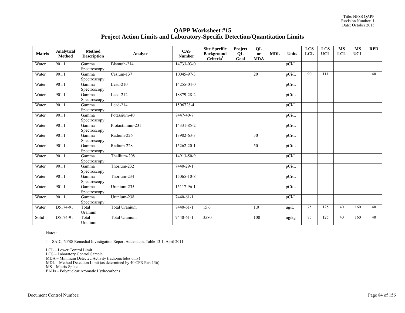| <b>OAPP Worksheet #15</b>                                                   |
|-----------------------------------------------------------------------------|
| Project Action Limits and Laboratory-Specific Detection/Quantitation Limits |

| <b>Matrix</b> | Analytical<br>Method | <b>Method</b><br><b>Description</b> | Analyte              | <b>CAS</b><br><b>Number</b> | <b>Site-Specific</b><br><b>Background</b> | Project<br>QL | QL<br>or   | <b>MDL</b> | <b>Units</b> | <b>LCS</b><br><b>LCL</b> | <b>LCS</b><br><b>UCL</b> | <b>MS</b><br><b>LCL</b> | <b>MS</b><br><b>UCL</b> | <b>RPD</b> |
|---------------|----------------------|-------------------------------------|----------------------|-----------------------------|-------------------------------------------|---------------|------------|------------|--------------|--------------------------|--------------------------|-------------------------|-------------------------|------------|
|               |                      |                                     |                      |                             | Criteria <sup>1</sup>                     | Goal          | <b>MDA</b> |            |              |                          |                          |                         |                         |            |
| Water         | 901.1                | Gamma<br>Spectroscopy               | Bismuth-214          | 14733-03-0                  |                                           |               |            |            | pCi/L        |                          |                          |                         |                         |            |
| Water         | 901.1                | Gamma                               | Cesium-137           | 10045-97-3                  |                                           |               | 20         |            | pCi/L        | 90                       | 111                      |                         |                         | 40         |
|               |                      | Spectroscopy                        |                      |                             |                                           |               |            |            |              |                          |                          |                         |                         |            |
| Water         | 901.1                | Gamma                               | Lead-210             | 14255-04-0                  |                                           |               |            |            | pCi/L        |                          |                          |                         |                         |            |
|               |                      | Spectroscopy                        |                      |                             |                                           |               |            |            |              |                          |                          |                         |                         |            |
| Water         | 901.1                | Gamma                               | Lead-212             | 18879-28-2                  |                                           |               |            |            | pCi/L        |                          |                          |                         |                         |            |
|               |                      | Spectroscopy                        |                      |                             |                                           |               |            |            |              |                          |                          |                         |                         |            |
| Water         | 901.1                | Gamma                               | Lead-214             | 1506728-4                   |                                           |               |            |            | pCi/L        |                          |                          |                         |                         |            |
|               |                      | Spectroscopy                        |                      |                             |                                           |               |            |            |              |                          |                          |                         |                         |            |
| Water         | 901.1                | Gamma                               | Potassium-40         | 7447-40-7                   |                                           |               |            |            | pCi/L        |                          |                          |                         |                         |            |
|               |                      | Spectroscopy                        |                      |                             |                                           |               |            |            |              |                          |                          |                         |                         |            |
| Water         | 901.1                | Gamma                               | Protactinium-231     | 14331-85-2                  |                                           |               |            |            | pCi/L        |                          |                          |                         |                         |            |
|               |                      | Spectroscopy                        |                      |                             |                                           |               |            |            |              |                          |                          |                         |                         |            |
| Water         | 901.1                | Gamma                               | Radium-226           | 13982-63-3                  |                                           |               | 50         |            | pCi/L        |                          |                          |                         |                         |            |
|               |                      | Spectroscopy                        |                      |                             |                                           |               |            |            |              |                          |                          |                         |                         |            |
| Water         | 901.1                | Gamma                               | Radium-228           | 15262-20-1                  |                                           |               | 50         |            | pCi/L        |                          |                          |                         |                         |            |
|               |                      | Spectroscopy                        |                      |                             |                                           |               |            |            |              |                          |                          |                         |                         |            |
| Water         | 901.1                | Gamma                               | Thallium-208         | 14913-50-9                  |                                           |               |            |            | pCi/L        |                          |                          |                         |                         |            |
|               |                      | Spectroscopy                        |                      |                             |                                           |               |            |            |              |                          |                          |                         |                         |            |
| Water         | 901.1                | Gamma                               | Thorium-232          | 7440-29-1                   |                                           |               |            |            | pCi/L        |                          |                          |                         |                         |            |
|               |                      | Spectroscopy                        |                      |                             |                                           |               |            |            |              |                          |                          |                         |                         |            |
| Water         | 901.1                | Gamma                               | Thorium-234          | 15065-10-8                  |                                           |               |            |            | pCi/L        |                          |                          |                         |                         |            |
|               |                      | Spectroscopy                        |                      |                             |                                           |               |            |            |              |                          |                          |                         |                         |            |
| Water         | 901.1                | Gamma                               | Uranium-235          | 15117-96-1                  |                                           |               |            |            | pCi/L        |                          |                          |                         |                         |            |
|               |                      | Spectroscopy                        |                      |                             |                                           |               |            |            |              |                          |                          |                         |                         |            |
| Water         | 901.1                | Gamma                               | Uranium-238          | 7440-61-1                   |                                           |               |            |            | pCi/L        |                          |                          |                         |                         |            |
|               |                      | Spectroscopy                        |                      |                             |                                           |               |            |            |              |                          |                          |                         |                         |            |
| Water         | D5174-91             | Total                               | <b>Total Uranium</b> | 7440-61-1                   | 15.6                                      |               | 1.0        |            | ug/L         | 75                       | 125                      | 40                      | 160                     | 40         |
|               |                      | Uranium                             |                      |                             |                                           |               |            |            |              |                          |                          |                         |                         |            |
| Solid         | D5174-91             | Total                               | <b>Total Uranium</b> | 7440-61-1                   | 3580                                      |               | 100        |            | ug/kg        | 75                       | 125                      | 40                      | 160                     | 40         |
|               |                      | Uranium                             |                      |                             |                                           |               |            |            |              |                          |                          |                         |                         |            |

Notes:

1 – SAIC, NFSS Remedial Investigation Report Addendum, Table 13-1, April 2011.

LCL – Lower Control Limit LCS – Laboratory Control Sample

MDA – Minimum Detected Activity (radionuclides only)

MDL – Method Detection Limit (as determined by 40 CFR Part 136)

MS – Matrix Spike

PAHs – Polynuclear Aromatic Hydrocarbons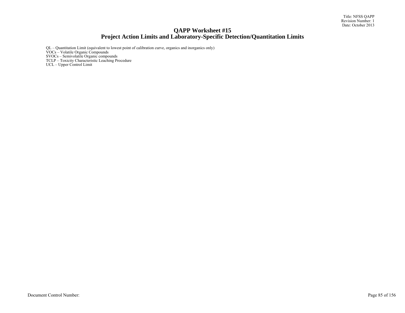#### **QAPP Worksheet #15 Project Action Limits and Laboratory-Specific Detection/Quantitation Limits**

QL – Quantitation Limit (equivalent to lowest point of calibration curve, organics and inorganics only) VOCs – Volatile Organic Compounds SVOCs – Semivolatile Organic compounds TCLP – Toxicity Characteristic Leaching Procedure UCL – Upper Control Limit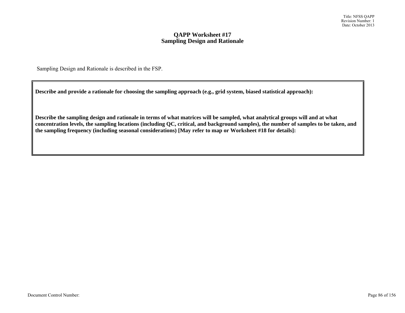# **QAPP Worksheet #17 Sampling Design and Rationale**

Sampling Design and Rationale is described in the FSP.

**Describe and provide a rationale for choosing the sampling approach (e.g., grid system, biased statistical approach):** 

**Describe the sampling design and rationale in terms of what matrices will be sampled, what analytical groups will and at what concentration levels, the sampling locations (including QC, critical, and background samples), the number of samples to be taken, and the sampling frequency (including seasonal considerations) [May refer to map or Worksheet #18 for details]:**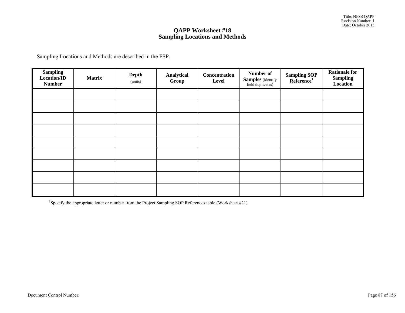#### **QAPP Worksheet #18 Sampling Locations and Methods**

Sampling Locations and Methods are described in the FSP.

| <b>Sampling</b><br>Location/ID<br><b>Number</b> | <b>Matrix</b> | Depth<br>(units) | Analytical<br>Group | Concentration<br>Level | Number of<br><b>Samples</b> (identify<br>field duplicates) | <b>Sampling SOP</b><br>Reference <sup>1</sup> | <b>Rationale for</b><br><b>Sampling</b><br>Location |
|-------------------------------------------------|---------------|------------------|---------------------|------------------------|------------------------------------------------------------|-----------------------------------------------|-----------------------------------------------------|
|                                                 |               |                  |                     |                        |                                                            |                                               |                                                     |
|                                                 |               |                  |                     |                        |                                                            |                                               |                                                     |
|                                                 |               |                  |                     |                        |                                                            |                                               |                                                     |
|                                                 |               |                  |                     |                        |                                                            |                                               |                                                     |
|                                                 |               |                  |                     |                        |                                                            |                                               |                                                     |
|                                                 |               |                  |                     |                        |                                                            |                                               |                                                     |
|                                                 |               |                  |                     |                        |                                                            |                                               |                                                     |
|                                                 |               |                  |                     |                        |                                                            |                                               |                                                     |
|                                                 |               |                  |                     |                        |                                                            |                                               |                                                     |

<sup>1</sup>Specify the appropriate letter or number from the Project Sampling SOP References table (Worksheet #21).

 $\sim$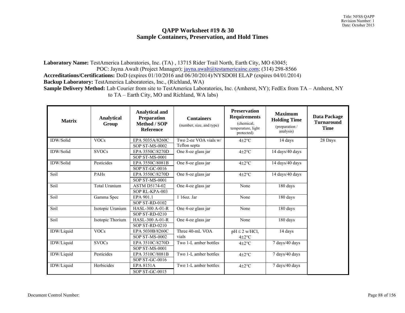#### **QAPP Worksheet #19 & 30 Sample Containers, Preservation, and Hold Times**

**Laboratory Name:** TestAmerica Laboratories, Inc. (TA) , 13715 Rider Trail North, Earth City, MO 63045; POC: Jayna Awalt (Project Manager); jayna.awalt@testamericainc.com; (314) 298-8566 **Accreditations/Certifications:** DoD (expires 01/10/2016 and 06/30/2014)/NYSDOH ELAP (expires 04/01/2014) **Backup Laboratory:** TestAmerica Laboratories, Inc., (Richland, WA) **Sample Delivery Method:** Lab Courier from site to TestAmerica Laboratories, Inc. (Amherst, NY); FedEx from TA – Amherst, NY to TA – Earth City, MO and Richland, WA labs)

| <b>Matrix</b>    | <b>Analytical</b><br>Group | <b>Analytical and</b><br><b>Preparation</b><br>Method / SOP<br>Reference | <b>Containers</b><br>(number, size, and type) | <b>Preservation</b><br><b>Requirements</b><br>(chemical,<br>temperature, light<br>protected) | <b>Maximum</b><br><b>Holding Time</b><br>(preparation $/$<br>analysis) | Data Package<br><b>Turnaround</b><br><b>Time</b> |
|------------------|----------------------------|--------------------------------------------------------------------------|-----------------------------------------------|----------------------------------------------------------------------------------------------|------------------------------------------------------------------------|--------------------------------------------------|
| <b>IDW/Solid</b> | <b>VOCs</b>                | EPA 5035A/8260C                                                          | Two 2-oz VOA vials w/                         | $4+2$ °C                                                                                     | 14 days                                                                | 28 Days                                          |
| <b>IDW/Solid</b> | <b>SVOCs</b>               | SOP ST-MS-0002<br>EPA 3550C/8270D<br><b>SOP ST-MS-0001</b>               | Teflon septa<br>One 8-oz glass jar            | $4\pm2\degree C$                                                                             | 14 days/40 days                                                        |                                                  |
| <b>IDW/Solid</b> | Pesticides                 | EPA 3550C/8081B<br>SOP ST-GC-0016                                        | One 8-oz glass jar                            | $4\pm2$ °C                                                                                   | 14 days/40 days                                                        |                                                  |
| Soil             | PAHs                       | EPA 3550C/8270D<br>SOP ST-MS-0001                                        | One 8-oz glass jar                            | $4\pm2$ °C                                                                                   | 14 days/40 days                                                        |                                                  |
| Soil             | <b>Total Uranium</b>       | <b>ASTM D5174-02</b><br>SOP RL-KPA-003                                   | One 4-oz glass jar                            | None                                                                                         | 180 days                                                               |                                                  |
| Soil             | Gamma Spec                 | EPA 901.1<br>SOP ST-RD-0102                                              | $116oz$ . Jar                                 | None                                                                                         | 180 days                                                               |                                                  |
| Soil             | Isotopic Uranium           | <b>HASL-300 A-01-R</b><br><b>SOP ST-RD-0210</b>                          | One 4-oz glass jar                            | None                                                                                         | 180 days                                                               |                                                  |
| Soil             | Isotopic Thorium           | <b>HASL-300 A-01-R</b><br>SOP ST-RD-0210                                 | One 4-oz glass jar                            | None                                                                                         | 180 days                                                               |                                                  |
| IDW/Liquid       | <b>VOCs</b>                | EPA 5030B/8260C<br><b>SOP ST-MS-0002</b>                                 | Three 40-mL VOA<br>vials                      | $pH \leq 2$ w/HCl,<br>$4\pm2$ °C                                                             | 14 days                                                                |                                                  |
| IDW/Liquid       | <b>SVOCs</b>               | EPA 3510C/8270D<br>SOP ST-MS-0001                                        | Two 1-L amber bottles                         | $4+2$ °C                                                                                     | 7 days/40 days                                                         |                                                  |
| IDW/Liquid       | Pesticides                 | EPA 3510C/8081B<br>SOP ST-GC-0016                                        | Two 1-L amber bottles                         | $4\pm2\degree C$                                                                             | 7 days/40 days                                                         |                                                  |
| IDW/Liquid       | Herbicides                 | <b>EPA 8151A</b><br>SOP ST-GC-0015                                       | Two 1-L amber bottles                         | $4\pm2$ °C                                                                                   | 7 days/40 days                                                         |                                                  |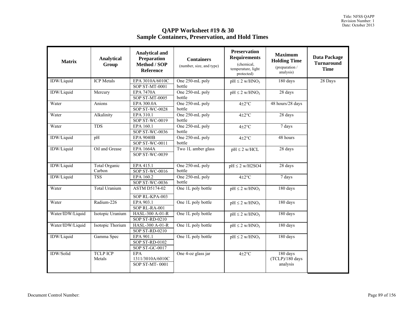# **QAPP Worksheet #19 & 30 Sample Containers, Preservation, and Hold Times**

| <b>Matrix</b>    | <b>Analytical</b><br>Group     | <b>Analytical and</b><br><b>Preparation</b><br>Method / SOP<br>Reference | <b>Containers</b><br>(number, size, and type) | <b>Preservation</b><br><b>Requirements</b><br>(chemical.<br>temperature, light<br>protected) | <b>Maximum</b><br><b>Holding Time</b><br>(preparation /<br>analysis) | Data Package<br><b>Turnaround</b><br><b>Time</b> |
|------------------|--------------------------------|--------------------------------------------------------------------------|-----------------------------------------------|----------------------------------------------------------------------------------------------|----------------------------------------------------------------------|--------------------------------------------------|
| IDW/Liquid       | <b>ICP</b> Metals              | EPA 3010A/6010C<br>SOP ST-MT-0001                                        | One 250-mL poly<br>bottle                     | $pH \leq 2$ w/HNO <sub>3</sub>                                                               | 180 days                                                             | 28 Days                                          |
| IDW/Liquid       | Mercury                        | <b>EPA 7470A</b><br>SOP ST-MT-0005                                       | One 250-mL poly<br>bottle                     | $pH \leq 2$ w/HNO <sub>3</sub>                                                               | 28 days                                                              |                                                  |
| Water            | Anions                         | EPA 300.0A<br><b>SOP ST-WC-0028</b>                                      | One 250-mL poly<br>bottle                     | $4\pm2\degree C$                                                                             | 48 hours/28 days                                                     |                                                  |
| Water            | Alkalinity                     | EPA 310.1<br>SOP ST-WC-0019                                              | One 250-mL poly<br>bottle                     | $4\pm2$ °C                                                                                   | 28 days                                                              |                                                  |
| Water            | <b>TDS</b>                     | EPA 160.1<br>SOP ST-WC-0036                                              | One 250-mL poly<br>bottle                     | $4\pm2\degree C$                                                                             | 7 days                                                               |                                                  |
| IDW/Liquid       | pH                             | <b>EPA 9040B</b><br>SOP ST-WC-0011                                       | One 250-mL poly<br>bottle                     | $4\pm2\degree C$                                                                             | 48 hours                                                             |                                                  |
| IDW/Liquid       | Oil and Grease                 | <b>EPA 1664A</b><br>SOP ST-WC-0039                                       | Two 1L amber glass                            | $pH \leq 2$ w/HCL                                                                            | 28 days                                                              |                                                  |
| IDW/Liquid       | <b>Total Organic</b><br>Carbon | EPA 415.1<br>SOP ST-WC-0016                                              | One 250-mL poly<br>bottle                     | $pH \leq 2$ w/H2SO4                                                                          | 28 days                                                              |                                                  |
| IDW/Liquid       | <b>TSS</b>                     | EPA 160.2<br>SOP ST-WC-0036                                              | One 250-mL poly<br>bottle                     | $4\pm2\degree C$                                                                             | 7 days                                                               |                                                  |
| Water            | Total Uranium                  | <b>ASTM D5174-02</b><br>SOP RL-KPA-003                                   | One 1L poly bottle                            | $pH \leq 2$ w/HNO <sub>3</sub>                                                               | 180 days                                                             |                                                  |
| Water            | Radium-226                     | EPA 903.1<br>SOP RL-RA-001                                               | One 1L poly bottle                            | $pH \leq 2$ w/HNO <sub>3</sub>                                                               | 180 days                                                             |                                                  |
| Water/IDW/Liquid | Isotopic Uranium               | HASL-300 A-01-R<br>SOP ST-RD-0210                                        | One 1L poly bottle                            | $pH \leq 2$ w/HNO <sub>3</sub>                                                               | 180 days                                                             |                                                  |
| Water/IDW/Liquid | Isotopic Thorium               | HASL-300 A-01-R<br>SOP ST-RD-0210                                        | One 1L poly bottle                            | $pH \leq 2$ w/HNO <sub>3</sub>                                                               | 180 days                                                             |                                                  |
| IDW/Liquid       | Gamma Spec                     | EPA 901.1<br>SOP ST-RD-0102<br>SOP ST-GC-0017                            | One 1L poly bottle                            | $pH \leq 2$ w/HNO <sub>3</sub>                                                               | 180 days                                                             |                                                  |
| IDW/Solid        | <b>TCLP ICP</b><br>Metals      | <b>EPA</b><br>1311/3010A/6010C<br>SOP ST-MT-0001                         | One 4-oz glass jar                            | $4\pm2\degree C$                                                                             | $180 \text{ days}$<br>(TCLP)/180 days<br>analysis                    |                                                  |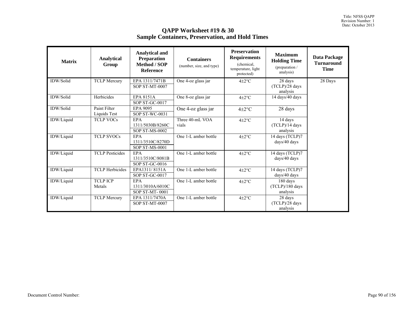| <b>OAPP Worksheet #19 &amp; 30</b>                     |  |
|--------------------------------------------------------|--|
| <b>Sample Containers, Preservation, and Hold Times</b> |  |

| <b>Matrix</b>    | Analytical<br>Group          | <b>Analytical and</b><br><b>Preparation</b><br><b>Method / SOP</b><br><b>Reference</b> | <b>Containers</b><br>(number, size, and type) | <b>Preservation</b><br><b>Requirements</b><br>(chemical,<br>temperature, light<br>protected) | <b>Maximum</b><br><b>Holding Time</b><br>(preparation $/$<br>analysis) | Data Package<br><b>Turnaround</b><br><b>Time</b> |
|------------------|------------------------------|----------------------------------------------------------------------------------------|-----------------------------------------------|----------------------------------------------------------------------------------------------|------------------------------------------------------------------------|--------------------------------------------------|
| <b>IDW/Solid</b> | <b>TCLP</b> Mercury          | EPA 1311/7471B<br>SOP ST-MT-0007                                                       | One 4-oz glass jar                            | $4+2$ °C                                                                                     | 28 days<br>$(TCLP)/28$ days<br>analysis                                | 28 Days                                          |
| IDW/Solid        | Herbicides                   | <b>EPA 8151A</b><br>SOP ST-GC-0017                                                     | One 8-oz glass jar                            | $4\pm2$ °C                                                                                   | 14 days/40 days                                                        |                                                  |
| IDW/Solid        | Paint Filter<br>Liquids Test | <b>EPA 9095</b><br><b>SOP ST-WC-0031</b>                                               | One 4-oz glass jar                            | $4\pm2$ °C                                                                                   | 28 days                                                                |                                                  |
| IDW/Liquid       | <b>TCLP VOCs</b>             | <b>EPA</b><br>1311/5030B/8260C<br>SOP ST-MS-0002                                       | Three 40-mL VOA<br>vials                      | $4\pm2\degree C$                                                                             | 14 days<br>$(TCLP)/14$ days<br>analysis                                |                                                  |
| IDW/Liquid       | <b>TCLP SVOCs</b>            | <b>EPA</b><br>1311/3510C/8270D<br>SOP ST-MS-0001                                       | One 1-L amber bottle                          | $4\pm2$ °C                                                                                   | 14 days (TCLP)7<br>days/40 days                                        |                                                  |
| IDW/Liquid       | <b>TCLP Pesticides</b>       | EPA<br>1311/3510C/8081B<br>SOP ST-GC-0016                                              | One 1-L amber bottle                          | $4\pm2$ °C                                                                                   | 14 days (TCLP)7<br>days/40 days                                        |                                                  |
| IDW/Liquid       | <b>TCLP</b> Herbicides       | EPA1311/8151A<br>SOP ST-GC-0017                                                        | One 1-L amber bottle                          | $4\pm2$ °C                                                                                   | 14 days (TCLP)7<br>days/40 days                                        |                                                  |
| IDW/Liquid       | <b>TCLP ICP</b><br>Metals    | <b>EPA</b><br>1311/3010A/6010C<br>SOP ST-MT-0001                                       | One 1-L amber bottle                          | $4+2$ °C                                                                                     | 180 days<br>(TCLP)/180 days<br>analysis                                |                                                  |
| IDW/Liquid       | <b>TCLP</b> Mercury          | EPA 1311/7470A<br>SOP ST-MT-0007                                                       | One 1-L amber bottle                          | $4\pm2$ °C                                                                                   | 28 days<br>$(TCLP)/28$ days<br>analysis                                |                                                  |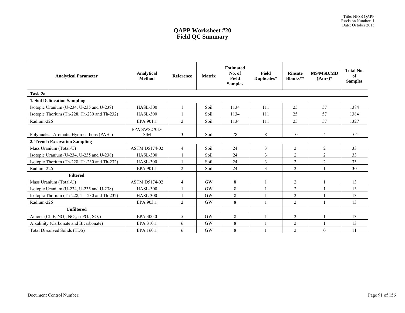#### **QAPP Worksheet #20 Field QC Summary**

| <b>Analytical Parameter</b>                                                              | Analytical<br><b>Method</b> | Reference      | <b>Matrix</b> | <b>Estimated</b><br>No. of<br><b>Field</b><br><b>Samples</b> | <b>Field</b><br>Duplicates* | <b>Rinsate</b><br>Blanks** | <b>MS/MSD/MD</b><br>$(Pairs)*$ | <b>Total No.</b><br>of<br><b>Samples</b> |
|------------------------------------------------------------------------------------------|-----------------------------|----------------|---------------|--------------------------------------------------------------|-----------------------------|----------------------------|--------------------------------|------------------------------------------|
| Task 2a                                                                                  |                             |                |               |                                                              |                             |                            |                                |                                          |
| 1. Soil Delineation Sampling                                                             |                             |                |               |                                                              |                             |                            |                                |                                          |
| Isotopic Uranium (U-234, U-235 and U-238)                                                | <b>HASL-300</b>             |                | Soil          | 1134                                                         | 111                         | 25                         | 57                             | 1384                                     |
| Isotopic Thorium (Th-228, Th-230 and Th-232)                                             | <b>HASL-300</b>             |                | Soil          | 1134                                                         | 111                         | 25                         | 57                             | 1384                                     |
| Radium-226                                                                               | EPA 901.1                   | $\overline{2}$ | Soil          | 1134                                                         | 111                         | 25                         | 57                             | 1327                                     |
| Polynuclear Aromatic Hydrocarbons (PAHs)                                                 | EPA SW8270D-<br><b>SIM</b>  | 3              | Soil          | 78                                                           | 8                           | 10                         | $\overline{4}$                 | 104                                      |
| 2. Trench Excavation Sampling                                                            |                             |                |               |                                                              |                             |                            |                                |                                          |
| Mass Uranium (Total-U)                                                                   | <b>ASTM D5174-02</b>        | $\overline{4}$ | Soil          | 24                                                           | 3                           | $\overline{2}$             | $\overline{2}$                 | 33                                       |
| Isotopic Uranium (U-234, U-235 and U-238)                                                | <b>HASL-300</b>             |                | Soil          | 24                                                           | 3                           | $\overline{2}$             | 2                              | 33                                       |
| Isotopic Thorium (Th-228, Th-230 and Th-232)                                             | <b>HASL-300</b>             |                | Soil          | 24                                                           | 3                           | $\overline{2}$             | $\overline{2}$                 | 33                                       |
| Radium-226                                                                               | EPA 901.1                   | $\overline{2}$ | Soil          | 24                                                           | 3                           | $\overline{2}$             |                                | 30                                       |
| <b>Filtered</b>                                                                          |                             |                |               |                                                              |                             |                            |                                |                                          |
| Mass Uranium (Total-U)                                                                   | <b>ASTM D5174-02</b>        | $\overline{4}$ | <b>GW</b>     | 8                                                            |                             | $\overline{2}$             |                                | 13                                       |
| Isotopic Uranium (U-234, U-235 and U-238)                                                | <b>HASL-300</b>             |                | <b>GW</b>     | 8                                                            |                             | $\overline{2}$             |                                | 13                                       |
| Isotopic Thorium (Th-228, Th-230 and Th-232)                                             | <b>HASL-300</b>             |                | <b>GW</b>     | 8                                                            |                             | $\overline{2}$             |                                | 13                                       |
| Radium-226                                                                               | EPA 903.1                   | $\overline{2}$ | GW            | 8                                                            |                             | $\overline{2}$             |                                | 13                                       |
| <b>Unfiltered</b>                                                                        |                             |                |               |                                                              |                             |                            |                                |                                          |
| Anions (Cl, F, NO <sub>3</sub> , NO <sub>2</sub> , o-PO <sub>4</sub> , SO <sub>4</sub> ) | EPA 300.0                   | 5              | <b>GW</b>     | 8                                                            |                             | $\mathfrak{2}$             |                                | 13                                       |
| Alkalinity (Carbonate and Bicarbonate)                                                   | EPA 310.1                   | 6              | <b>GW</b>     | 8                                                            |                             | $\overline{2}$             |                                | 13                                       |
| Total Dissolved Solids (TDS)                                                             | EPA 160.1                   | 6              | <b>GW</b>     | 8                                                            |                             | $\overline{2}$             | $\theta$                       | 11                                       |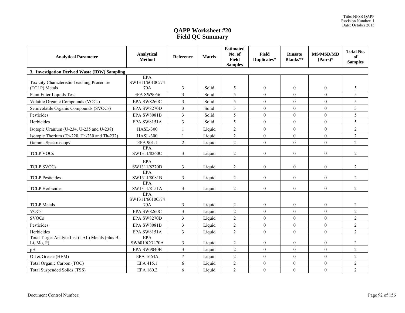#### **QAPP Worksheet #20 Field QC Summary**

| <b>Analytical Parameter</b>                                  | <b>Analytical</b><br><b>Method</b>   | Reference               | <b>Matrix</b> | <b>Estimated</b><br>No. of<br><b>Field</b><br><b>Samples</b> | Field<br>Duplicates* | <b>Rinsate</b><br>Blanks** | MS/MSD/MD<br>$(Pairs)*$ | <b>Total No.</b><br>of<br><b>Samples</b> |
|--------------------------------------------------------------|--------------------------------------|-------------------------|---------------|--------------------------------------------------------------|----------------------|----------------------------|-------------------------|------------------------------------------|
| 3. Investigation Derived Waste (IDW) Sampling                |                                      |                         |               |                                                              |                      |                            |                         |                                          |
| Toxicity Characteristic Leaching Procedure<br>(TCLP) Metals  | <b>EPA</b><br>SW1311/6010C/74<br>70A | 3                       | Solid         | 5                                                            | $\overline{0}$       | $\mathbf{0}$               | $\mathbf{0}$            | 5                                        |
| Paint Filter Liquids Test                                    | <b>EPA SW9056</b>                    | $\overline{3}$          | Solid         | 5                                                            | $\boldsymbol{0}$     | $\theta$                   | $\overline{0}$          | 5                                        |
| Volatile Organic Compounds (VOCs)                            | EPA SW8260C                          | $\mathfrak{Z}$          | Solid         | 5                                                            | $\mathbf{0}$         | $\mathbf{0}$               | $\theta$                | 5                                        |
| Semivolatile Organic Compounds (SVOCs)                       | <b>EPA SW8270D</b>                   | $\overline{3}$          | Solid         | 5                                                            | $\boldsymbol{0}$     | $\boldsymbol{0}$           | $\boldsymbol{0}$        | 5                                        |
| Pesticides                                                   | <b>EPA SW8081B</b>                   | $\mathfrak{Z}$          | Solid         | 5                                                            | $\boldsymbol{0}$     | $\mathbf{0}$               | $\boldsymbol{0}$        | 5                                        |
| Herbicides                                                   | <b>EPA SW8151A</b>                   | $\overline{3}$          | Solid         | 5                                                            | $\overline{0}$       | $\boldsymbol{0}$           | $\overline{0}$          | 5                                        |
| Isotopic Uranium (U-234, U-235 and U-238)                    | <b>HASL-300</b>                      | $\mathbf{1}$            | Liquid        | $\overline{2}$                                               | $\overline{0}$       | $\mathbf{0}$               | $\boldsymbol{0}$        | $\overline{2}$                           |
| Isotopic Thorium (Th-228, Th-230 and Th-232)                 | <b>HASL-300</b>                      | $\mathbf{1}$            | Liquid        | $\overline{2}$                                               | $\boldsymbol{0}$     | $\boldsymbol{0}$           | $\boldsymbol{0}$        | $\overline{2}$                           |
| Gamma Spectroscopy                                           | EPA 901.1                            | $\overline{2}$          | Liquid        | $\overline{2}$                                               | $\boldsymbol{0}$     | $\theta$                   | $\boldsymbol{0}$        | $\overline{2}$                           |
| <b>TCLP VOCs</b>                                             | EPA<br>SW1311/8260C                  | $\mathfrak{Z}$          | Liquid        | $\overline{2}$                                               | $\overline{0}$       | $\mathbf{0}$               | $\overline{0}$          | 2                                        |
| <b>TCLP SVOCs</b>                                            | <b>EPA</b><br>SW1311/8270D           | $\mathfrak{Z}$          | Liquid        | $\overline{2}$                                               | $\overline{0}$       | $\mathbf{0}$               | $\overline{0}$          | $\overline{2}$                           |
| <b>TCLP</b> Pesticides                                       | EPA<br>SW1311/8081B                  | $\mathfrak{Z}$          | Liquid        | $\overline{c}$                                               | $\overline{0}$       | $\mathbf{0}$               | $\boldsymbol{0}$        | $\overline{c}$                           |
| <b>TCLP</b> Herbicides                                       | <b>EPA</b><br>SW1311/8151A           | $\mathfrak{Z}$          | Liquid        | 2                                                            | $\overline{0}$       | $\theta$                   | $\overline{0}$          | $\overline{2}$                           |
| <b>TCLP</b> Metals                                           | <b>EPA</b><br>SW1311/6010C/74<br>70A | 3                       | Liquid        | $\overline{2}$                                               | $\overline{0}$       | $\mathbf{0}$               | $\overline{0}$          | $\overline{c}$                           |
| <b>VOCs</b>                                                  | EPA SW8260C                          | $\overline{\mathbf{3}}$ | Liquid        | $\overline{2}$                                               | $\overline{0}$       | $\mathbf{0}$               | $\overline{0}$          | $\overline{c}$                           |
| <b>SVOCs</b>                                                 | <b>EPA SW8270D</b>                   | $\overline{3}$          | Liquid        | $\overline{2}$                                               | $\boldsymbol{0}$     | $\theta$                   | $\boldsymbol{0}$        | $\overline{2}$                           |
| Pesticides                                                   | <b>EPA SW8081B</b>                   | $\overline{\mathbf{3}}$ | Liquid        | $\sqrt{2}$                                                   | $\boldsymbol{0}$     | $\mathbf{0}$               | $\boldsymbol{0}$        | $\overline{c}$                           |
| Herbicides                                                   | EPA SW8151A                          | 3                       | Liquid        | 2                                                            | $\overline{0}$       | $\theta$                   | $\overline{0}$          | $\overline{2}$                           |
| Total Target Analyte List (TAL) Metals (plus B,<br>Li, Mo, P | <b>EPA</b><br>SW6010C/7470A          | 3                       | Liquid        | $\overline{c}$                                               | $\overline{0}$       | $\mathbf{0}$               | $\overline{0}$          | $\overline{c}$                           |
| pH                                                           | EPA SW9040B                          | $\overline{3}$          | Liquid        | $\overline{2}$                                               | $\overline{0}$       | $\boldsymbol{0}$           | $\overline{0}$          | $\overline{2}$                           |
| Oil & Grease (HEM)                                           | <b>EPA 1664A</b>                     | $\tau$                  | Liquid        | $\overline{2}$                                               | $\boldsymbol{0}$     | $\mathbf{0}$               | $\overline{0}$          | $\overline{c}$                           |
| Total Organic Carbon (TOC)                                   | EPA 415.1                            | 6                       | Liquid        | $\overline{2}$                                               | $\boldsymbol{0}$     | $\boldsymbol{0}$           | $\boldsymbol{0}$        | $\overline{2}$                           |
| Total Suspended Solids (TSS)                                 | EPA 160.2                            | 6                       | Liquid        | $\overline{2}$                                               | $\boldsymbol{0}$     | $\boldsymbol{0}$           | $\boldsymbol{0}$        | $\overline{2}$                           |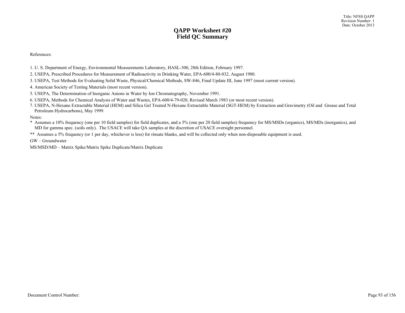# **QAPP Worksheet #20 Field QC Summary**

#### References:

- 1. U. S. Department of Energy, Environmental Measurements Laboratory, HASL-300, 28th Edition, February 1997.
- 2. USEPA, Prescribed Procedures for Measurement of Radioactivity in Drinking Water, EPA-600/4-80-032, August 1980.
- 3. USEPA, Test Methods for Evaluating Solid Waste, Physical/Chemical Methods, SW-846, Final Update III, June 1997 (most current version).
- 4. American Society of Testing Materials (most recent version).
- 5. USEPA, The Determination of Inorganic Anions in Water by Ion Chromatography, November 1991.
- 6. USEPA, Methods for Chemical Analysis of Water and Wastes, EPA-600/4-79-020, Revised March 1983 (or most recent version).
- 7. USEPA, N-Hexane Extractable Material (HEM) and Silica Gel Treated N-Hexane Extractable Material (SGT-HEM) by Extraction and Gravimetry (Oil and Grease and Total Petroleum Hydrocarbons), May 1999.

Notes:

- \* Assumes a 10% frequency (one per 10 field samples) for field duplicates, and a 5% (one per 20 field samples) frequency for MS/MSDs (organics), MS/MDs (inorganics), and MD for gamma spec. (soils only). The USACE will take QA samples at the discretion of USACE oversight personnel.
- \*\* Assumes a 5% frequency (or 1 per day, whichever is less) for rinsate blanks, and will be collected only when non-disposable equipment is used.

GW – Groundwater

MS/MSD/MD – Matrix Spike/Matrix Spike Duplicate/Matrix Duplicate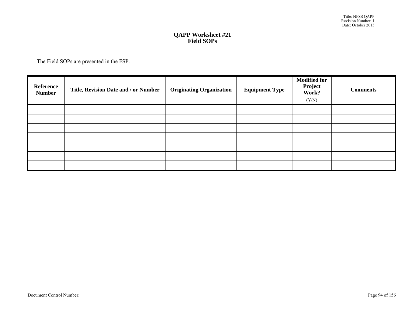#### **QAPP Worksheet #21 Field SOPs**

The Field SOPs are presented in the FSP.

| Reference<br><b>Number</b> | Title, Revision Date and / or Number | <b>Originating Organization</b> | <b>Equipment Type</b> | <b>Modified for</b><br>Project<br>Work?<br>(Y/N) | <b>Comments</b> |
|----------------------------|--------------------------------------|---------------------------------|-----------------------|--------------------------------------------------|-----------------|
|                            |                                      |                                 |                       |                                                  |                 |
|                            |                                      |                                 |                       |                                                  |                 |
|                            |                                      |                                 |                       |                                                  |                 |
|                            |                                      |                                 |                       |                                                  |                 |
|                            |                                      |                                 |                       |                                                  |                 |
|                            |                                      |                                 |                       |                                                  |                 |
|                            |                                      |                                 |                       |                                                  |                 |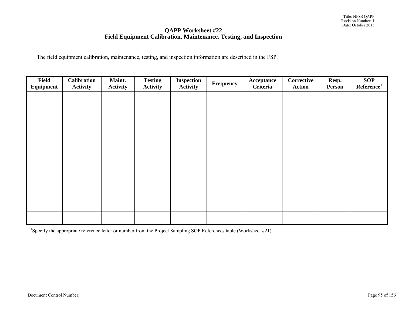# **QAPP Worksheet #22 Field Equipment Calibration, Maintenance, Testing, and Inspection**

The field equipment calibration, maintenance, testing, and inspection information are described in the FSP.

| Field<br>Equipment | <b>Calibration</b><br><b>Activity</b> | Maint.<br><b>Activity</b> | <b>Testing</b><br><b>Activity</b> | <b>Inspection</b><br>Activity | Frequency | Acceptance<br>Criteria | Corrective<br><b>Action</b> | Resp.<br><b>Person</b> | <b>SOP</b><br>Reference <sup>1</sup> |
|--------------------|---------------------------------------|---------------------------|-----------------------------------|-------------------------------|-----------|------------------------|-----------------------------|------------------------|--------------------------------------|
|                    |                                       |                           |                                   |                               |           |                        |                             |                        |                                      |
|                    |                                       |                           |                                   |                               |           |                        |                             |                        |                                      |
|                    |                                       |                           |                                   |                               |           |                        |                             |                        |                                      |
|                    |                                       |                           |                                   |                               |           |                        |                             |                        |                                      |
|                    |                                       |                           |                                   |                               |           |                        |                             |                        |                                      |
|                    |                                       |                           |                                   |                               |           |                        |                             |                        |                                      |
|                    |                                       |                           |                                   |                               |           |                        |                             |                        |                                      |
|                    |                                       |                           |                                   |                               |           |                        |                             |                        |                                      |
|                    |                                       |                           |                                   |                               |           |                        |                             |                        |                                      |
|                    |                                       |                           |                                   |                               |           |                        |                             |                        |                                      |
|                    |                                       |                           |                                   |                               |           |                        |                             |                        |                                      |

<sup>1</sup>Specify the appropriate reference letter or number from the Project Sampling SOP References table (Worksheet #21).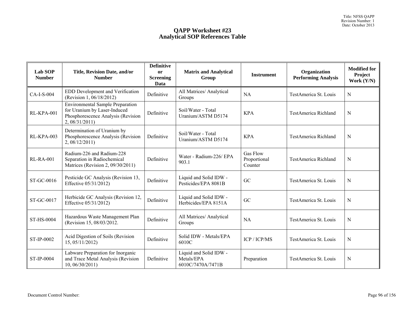| <b>Lab SOP</b><br><b>Number</b> | <b>Title, Revision Date, and/or</b><br><b>Number</b>                                                                           | <b>Definitive</b><br><sub>or</sub><br><b>Screening</b><br>Data | <b>Matrix and Analytical</b><br>Group                     | <b>Instrument</b>                   | Organization<br><b>Performing Analysis</b> | <b>Modified for</b><br>Project<br>Work $(Y/N)$ |
|---------------------------------|--------------------------------------------------------------------------------------------------------------------------------|----------------------------------------------------------------|-----------------------------------------------------------|-------------------------------------|--------------------------------------------|------------------------------------------------|
| CA-I-S-004                      | EDD Development and Verification<br>(Revision 1, 06/18/2012)                                                                   | Definitive                                                     | All Matrices/ Analytical<br>Groups                        | NA                                  | TestAmerica St. Louis                      | N                                              |
| RL-KPA-001                      | <b>Environmental Sample Preparation</b><br>for Uranium by Laser-Induced<br>Phosphorescence Analysis (Revision<br>2,08/31/2011) | Definitive                                                     | Soil/Water - Total<br>Uranium/ASTM D5174                  | <b>KPA</b>                          | <b>TestAmerica Richland</b>                | N                                              |
| RL-KPA-003                      | Determination of Uranium by<br>Phosphorescence Analysis (Revision<br>2,08/12/2011                                              | Definitive                                                     | Soil/Water - Total<br>Uranium/ASTM D5174                  | <b>KPA</b>                          | <b>TestAmerica Richland</b>                | ${\bf N}$                                      |
| <b>RL-RA-001</b>                | Radium-226 and Radium-228<br>Separation in Radiochemical<br>Matrices (Revision 2, 09/30/2011)                                  | Definitive                                                     | Water - Radium-226/ EPA<br>903.1                          | Gas Flow<br>Proportional<br>Counter | <b>TestAmerica Richland</b>                | N                                              |
| ST-GC-0016                      | Pesticide GC Analysis (Revision 13,<br>Effective 05/31/2012)                                                                   | Definitive                                                     | Liquid and Solid IDW -<br>Pesticides/EPA 8081B            | GC                                  | TestAmerica St. Louis                      | N                                              |
| ST-GC-0017                      | Herbicide GC Analysis (Revision 12,<br>Effective 05/31/2012)                                                                   | Definitive                                                     | Liquid and Solid IDW -<br>Herbicides/EPA 8151A            | GC                                  | TestAmerica St. Louis                      | N                                              |
| ST-HS-0004                      | Hazardous Waste Management Plan<br>(Revision 15, 08/03/2012.                                                                   | Definitive                                                     | All Matrices/ Analytical<br>Groups                        | NA                                  | TestAmerica St. Louis                      | N                                              |
| ST-IP-0002                      | Acid Digestion of Soils (Revision<br>15, 05/11/2012)                                                                           | Definitive                                                     | Solid IDW - Metals/EPA<br>6010C                           | ICP / ICP/MS                        | TestAmerica St. Louis                      | ${\bf N}$                                      |
| ST-IP-0004                      | Labware Preparation for Inorganic<br>and Trace Metal Analysis (Revision<br>10, 06/30/2011)                                     | Definitive                                                     | Liquid and Solid IDW -<br>Metals/EPA<br>6010C/7470A/7471B | Preparation                         | TestAmerica St. Louis                      | N                                              |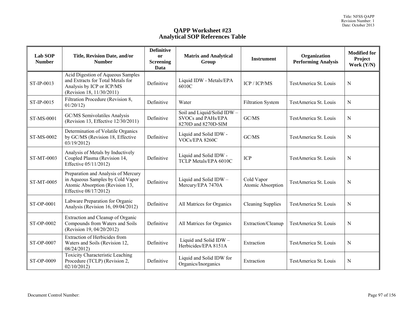| <b>Lab SOP</b><br><b>Number</b> | Title, Revision Date, and/or<br><b>Number</b>                                                                                       | <b>Definitive</b><br>or<br><b>Screening</b><br>Data | <b>Matrix and Analytical</b><br>Group                                    | <b>Instrument</b>               | Organization<br><b>Performing Analysis</b> | <b>Modified for</b><br>Project<br>Work $(Y/N)$ |
|---------------------------------|-------------------------------------------------------------------------------------------------------------------------------------|-----------------------------------------------------|--------------------------------------------------------------------------|---------------------------------|--------------------------------------------|------------------------------------------------|
| ST-IP-0013                      | Acid Digestion of Aqueous Samples<br>and Extracts for Total Metals for<br>Analysis by ICP or ICP/MS<br>(Revision 18, 11/30/2011)    | Definitive                                          | Liquid IDW - Metals/EPA<br>6010C                                         | ICP / ICP/MS                    | TestAmerica St. Louis                      | N                                              |
| ST-IP-0015                      | Filtration Procedure (Revision 8,<br>01/20/12                                                                                       | Definitive                                          | Water                                                                    | <b>Filtration System</b>        | TestAmerica St. Louis                      | N                                              |
| ST-MS-0001                      | GC/MS Semivolatiles Analysis<br>(Revision 13, Effective 12/30/2011)                                                                 | Definitive                                          | Soil and Liquid/Solid IDW -<br>SVOCs and PAHs/EPA<br>8270D and 8270D-SIM | GC/MS                           | TestAmerica St. Louis                      | N                                              |
| ST-MS-0002                      | Determination of Volatile Organics<br>by GC/MS (Revision 18, Effective<br>03/19/2012                                                | Definitive                                          | Liquid and Solid IDW -<br>VOCs/EPA 8260C                                 | GC/MS                           | TestAmerica St. Louis                      | N                                              |
| ST-MT-0003                      | Analysis of Metals by Inductively<br>Coupled Plasma (Revision 14,<br>Effective 05/11/2012)                                          | Definitive                                          | Liquid and Solid IDW -<br>TCLP Metals/EPA 6010C                          | <b>ICP</b>                      | TestAmerica St. Louis                      | N                                              |
| ST-MT-0005                      | Preparation and Analysis of Mercury<br>in Aqueous Samples by Cold Vapor<br>Atomic Absorption (Revision 13,<br>Effective 08/17/2012) | Definitive                                          | Liquid and Solid IDW -<br>Mercury/EPA 7470A                              | Cold Vapor<br>Atomic Absorption | TestAmerica St. Louis                      | N                                              |
| ST-OP-0001                      | Labware Preparation for Organic<br>Analysis (Revision 16, 09/04/2012)                                                               | Definitive                                          | All Matrices for Organics                                                | <b>Cleaning Supplies</b>        | TestAmerica St. Louis                      | N                                              |
| ST-OP-0002                      | Extraction and Cleanup of Organic<br>Compounds from Waters and Soils<br>(Revision 19, 04/20/2012)                                   | Definitive                                          | All Matrices for Organics                                                | Extraction/Cleanup              | TestAmerica St. Louis                      | N                                              |
| ST-OP-0007                      | Extraction of Herbicides from<br>Waters and Soils (Revision 12,<br>08/24/2012)                                                      | Definitive                                          | Liquid and Solid IDW -<br>Herbicides/EPA 8151A                           | Extraction                      | TestAmerica St. Louis                      | N                                              |
| ST-OP-0009                      | Toxicity Characteristic Leaching<br>Procedure (TCLP) (Revision 2,<br>02/10/2012                                                     | Definitive                                          | Liquid and Solid IDW for<br>Organics/Inorganics                          | Extraction                      | TestAmerica St. Louis                      | N                                              |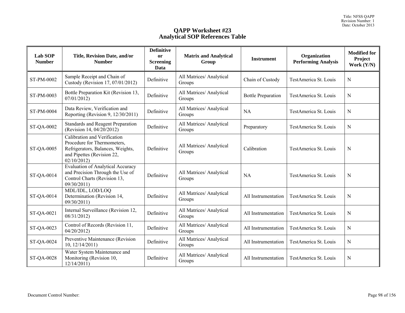| Lab SOP<br><b>Number</b> | <b>Title, Revision Date, and/or</b><br><b>Number</b>                                                                                         | <b>Definitive</b><br>or<br><b>Screening</b><br>Data | <b>Matrix and Analytical</b><br>Group | <b>Instrument</b>         | Organization<br><b>Performing Analysis</b> | <b>Modified for</b><br>Project<br>Work $(Y/N)$ |
|--------------------------|----------------------------------------------------------------------------------------------------------------------------------------------|-----------------------------------------------------|---------------------------------------|---------------------------|--------------------------------------------|------------------------------------------------|
| ST-PM-0002               | Sample Receipt and Chain of<br>Custody (Revision 17, 07/01/2012)                                                                             | Definitive                                          | All Matrices/ Analytical<br>Groups    | Chain of Custody          | TestAmerica St. Louis                      | N                                              |
| ST-PM-0003               | Bottle Preparation Kit (Revision 13,<br>07/01/2012                                                                                           | Definitive                                          | All Matrices/ Analytical<br>Groups    | <b>Bottle Preparation</b> | TestAmerica St. Louis                      | N                                              |
| ST-PM-0004               | Data Review, Verification and<br>Reporting (Revision 9, 12/30/2011)                                                                          | Definitive                                          | All Matrices/ Analytical<br>Groups    | NA                        | TestAmerica St. Louis                      | N                                              |
| ST-QA-0002               | Standards and Reagent Preparation<br>(Revision 14, 04/20/2012)                                                                               | Definitive                                          | All Matrices/ Analytical<br>Groups    | Preparatory               | TestAmerica St. Louis                      | N                                              |
| <b>ST-QA-0005</b>        | Calibration and Verification<br>Procedure for Thermometers,<br>Refrigerators, Balances, Weights,<br>and Pipettes (Revision 22,<br>02/10/2012 | Definitive                                          | All Matrices/ Analytical<br>Groups    | Calibration               | TestAmerica St. Louis                      | N                                              |
| ST-QA-0014               | <b>Evaluation of Analytical Accuracy</b><br>and Precision Through the Use of<br>Control Charts (Revision 13,<br>09/30/2011)                  | Definitive                                          | All Matrices/ Analytical<br>Groups    | <b>NA</b>                 | TestAmerica St. Louis                      | N                                              |
| ST-QA-0014               | MDL/IDL, LOD/LOQ<br>Determination (Revision 14,<br>09/30/2011                                                                                | Definitive                                          | All Matrices/ Analytical<br>Groups    | All Instrumentation       | TestAmerica St. Louis                      | N                                              |
| ST-QA-0021               | Internal Surveillance (Revision 12,<br>08/31/2012)                                                                                           | Definitive                                          | All Matrices/ Analytical<br>Groups    | All Instrumentation       | TestAmerica St. Louis                      | N                                              |
| ST-QA-0023               | Control of Records (Revision 11,<br>04/20/2012                                                                                               | Definitive                                          | All Matrices/ Analytical<br>Groups    | All Instrumentation       | TestAmerica St. Louis                      | N                                              |
| ST-QA-0024               | Preventive Maintenance (Revision<br>10, 12/14/2011                                                                                           | Definitive                                          | All Matrices/ Analytical<br>Groups    | All Instrumentation       | TestAmerica St. Louis                      | N                                              |
| ST-QA-0028               | Water System Maintenance and<br>Monitoring (Revision 10,<br>12/14/2011                                                                       | Definitive                                          | All Matrices/ Analytical<br>Groups    | All Instrumentation       | TestAmerica St. Louis                      | N                                              |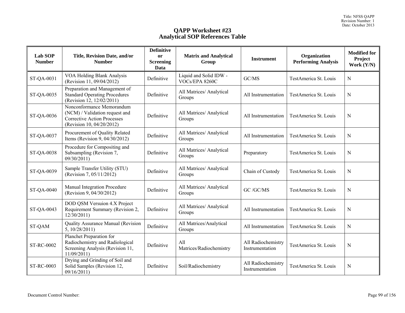| Lab SOP<br><b>Number</b> | Title, Revision Date, and/or<br><b>Number</b>                                                                                  | <b>Definitive</b><br><sub>or</sub><br><b>Screening</b><br>Data | <b>Matrix and Analytical</b><br>Group    | <b>Instrument</b>                     | Organization<br><b>Performing Analysis</b> | <b>Modified for</b><br>Project<br>Work $(Y/N)$ |
|--------------------------|--------------------------------------------------------------------------------------------------------------------------------|----------------------------------------------------------------|------------------------------------------|---------------------------------------|--------------------------------------------|------------------------------------------------|
| ST-QA-0031               | VOA Holding Blank Analysis<br>(Revision 11, 09/04/2012)                                                                        | Definitive                                                     | Liquid and Solid IDW -<br>VOCs/EPA 8260C | GC/MS                                 | TestAmerica St. Louis                      | N                                              |
| ST-QA-0035               | Preparation and Management of<br><b>Standard Operating Procedures</b><br>(Revision 12, 12/02/2011)                             | Definitive                                                     | All Matrices/ Analytical<br>Groups       | All Instrumentation                   | TestAmerica St. Louis                      | N                                              |
| ST-QA-0036               | Nonconformance Memorandum<br>(NCM) / Validation request and<br><b>Corrective Action Processes</b><br>(Revision 10, 04/20/2012) | Definitive                                                     | All Matrices/ Analytical<br>Groups       | All Instrumentation                   | TestAmerica St. Louis                      | N                                              |
| ST-QA-0037               | Procurement of Quality Related<br>Items (Revision 9, 04/30/2012)                                                               | Definitive                                                     | All Matrices/ Analytical<br>Groups       | All Instrumentation                   | TestAmerica St. Louis                      | N                                              |
| <b>ST-QA-0038</b>        | Procedure for Compositing and<br>Subsampling (Revision 7,<br>09/30/2011)                                                       | Definitive                                                     | All Matrices/ Analytical<br>Groups       | Preparatory                           | TestAmerica St. Louis                      | N                                              |
| ST-QA-0039               | Sample Transfer Utility (STU)<br>(Revision 7, 05/11/2012)                                                                      | Definitive                                                     | All Matrices/ Analytical<br>Groups       | Chain of Custody                      | TestAmerica St. Louis                      | N                                              |
| <b>ST-QA-0040</b>        | Manual Integration Procedure<br>(Revision 9, 04/30/2012)                                                                       | Definitive                                                     | All Matrices/ Analytical<br>Groups       | GC/GC/MS                              | TestAmerica St. Louis                      | N                                              |
| ST-QA-0043               | DOD QSM Versuion 4.X Project<br>Requirement Summary (Revision 2,<br>12/30/2011                                                 | Definitive                                                     | All Matrices/ Analytical<br>Groups       | All Instrumentation                   | TestAmerica St. Louis                      | N                                              |
| ST-QAM                   | Quality Assurance Manual (Revision<br>5, 10/28/2011                                                                            | Definitive                                                     | All Matrices/Analytical<br>Groups        | All Instrumentation                   | TestAmerica St. Louis                      | N                                              |
| <b>ST-RC-0002</b>        | Planchet Preparation for<br>Radiochemistry and Radiological<br>Screening Analysis (Revision 11,<br>11/09/2011                  | Definitive                                                     | All<br>Matrices/Radiochemistry           | All Radiochemistry<br>Instrumentation | TestAmerica St. Louis                      | N                                              |
| ST-RC-0003               | Drying and Grinding of Soil and<br>Solid Samples (Revision 12,<br>09/16/2011)                                                  | Definitive                                                     | Soil/Radiochemistry                      | All Radiochemistry<br>Instrumentation | TestAmerica St. Louis                      | N                                              |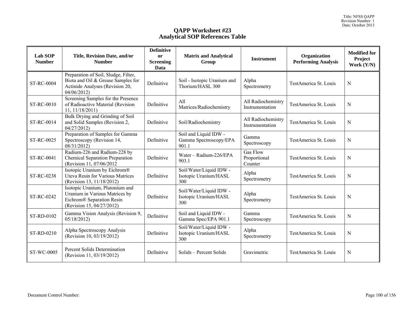| <b>Lab SOP</b><br><b>Number</b> | Title, Revision Date, and/or<br><b>Number</b>                                                                               | <b>Definitive</b><br><b>or</b><br><b>Screening</b><br>Data | <b>Matrix and Analytical</b><br>Group                    | <b>Instrument</b>                          | Organization<br><b>Performing Analysis</b> | <b>Modified for</b><br>Project<br>Work $(Y/N)$ |
|---------------------------------|-----------------------------------------------------------------------------------------------------------------------------|------------------------------------------------------------|----------------------------------------------------------|--------------------------------------------|--------------------------------------------|------------------------------------------------|
| <b>ST-RC-0004</b>               | Preparation of Soil, Sludge, Filter,<br>Biota and Oil & Grease Samples for<br>Actinide Analyses (Revision 20,<br>04/06/2012 | Definitive                                                 | Soil - Isotopic Uranium and<br>Thorium/HASL 300          | Alpha<br>Spectrometry                      | TestAmerica St. Louis                      | N                                              |
| <b>ST-RC-0010</b>               | Screening Samples for the Presence<br>of Radioactive Material (Revision<br>11, 11/18/2011                                   | Definitive                                                 | All<br>Matrices/Radiochemistry                           | All Radiochemistry<br>Instrumentation      | TestAmerica St. Louis                      | N                                              |
| ST-RC-0014                      | Bulk Drying and Grinding of Soil<br>and Solid Samples (Revision 2,<br>04/27/2012                                            | Definitive                                                 | Soil/Radiochemistry                                      | All Radiochemistry<br>Instrumentation      | TestAmerica St. Louis                      | N                                              |
| ST-RC-0025                      | Preparation of Samples for Gamma<br>Spectroscopy (Revision 14,<br>08/31/2012)                                               | Definitive                                                 | Soil and Liquid IDW -<br>Gamma Spectroscopy/EPA<br>901.1 | Gamma<br>Spectroscopy                      | TestAmerica St. Louis                      | N                                              |
| ST-RC-0041                      | Radium-226 and Radium-228 by<br>Chemical Separation Preparation<br>(Revision 11, 07/06/2012                                 | Definitive                                                 | Water - Radium-226/EPA<br>903.1                          | <b>Gas Flow</b><br>Proportional<br>Counter | TestAmerica St. Louis                      | N                                              |
| <b>ST-RC-0238</b>               | Isotopic Uranium by Eichrom®<br><b>Uteva Resin for Various Matrices</b><br>(Revision 13, 11/18/2012)                        | Definitive                                                 | Soil/Water/Liquid IDW -<br>Isotopic Uranium/HASL<br>300  | Alpha<br>Spectrometry                      | TestAmerica St. Louis                      | N                                              |
| ST-RC-0242                      | Isotopic Uranium, Plutonium and<br>Uranium in Various Matrices by<br>Eichrom® Separation Resin<br>(Revision 15, 04/27/2012) | Definitive                                                 | Soil/Water/Liquid IDW -<br>Isotopic Uranium/HASL<br>300  | Alpha<br>Spectrometry                      | TestAmerica St. Louis                      | N                                              |
| ST-RD-0102                      | Gamma Vision Analysis (Revision 9,<br>05/18/2012                                                                            | Definitive                                                 | Soil and Liquid IDW -<br>Gamma Spec/EPA 901.1            | Gamma<br>Spectroscopy                      | TestAmerica St. Louis                      | N                                              |
| ST-RD-0210                      | Alpha Spectroscopy Analysis<br>(Revision 10, 03/19/2012)                                                                    | Definitive                                                 | Soil/Water/Liquid IDW -<br>Isotopic Uranium/HASL<br>300  | Alpha<br>Spectrometry                      | TestAmerica St. Louis                      | N                                              |
| ST-WC-0005                      | <b>Percent Solids Determination</b><br>(Revision 11, 03/19/2012)                                                            | Definitive                                                 | Solids – Percent Solids                                  | Gravimetric                                | TestAmerica St. Louis                      | N                                              |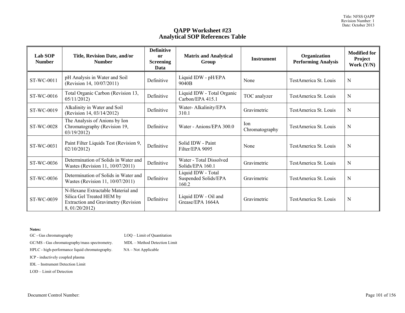| Lab SOP<br><b>Number</b> | Title, Revision Date, and/or<br><b>Number</b>                                                                                  | <b>Definitive</b><br>or<br><b>Screening</b><br>Data | <b>Matrix and Analytical</b><br>Group               | <b>Instrument</b>     | Organization<br><b>Performing Analysis</b> | <b>Modified for</b><br>Project<br>Work $(Y/N)$ |
|--------------------------|--------------------------------------------------------------------------------------------------------------------------------|-----------------------------------------------------|-----------------------------------------------------|-----------------------|--------------------------------------------|------------------------------------------------|
| ST-WC-0011               | pH Analysis in Water and Soil<br>(Revision 14, 10/07/2011)                                                                     | Definitive                                          | Liquid IDW - pH/EPA<br>9040B                        | None                  | TestAmerica St. Louis                      | N                                              |
| ST-WC-0016               | Total Organic Carbon (Revision 13,<br>05/11/2012                                                                               | Definitive                                          | Liquid IDW - Total Organic<br>Carbon/EPA 415.1      | TOC analyzer          | TestAmerica St. Louis                      | N                                              |
| ST-WC-0019               | Alkalinity in Water and Soil<br>(Revision 14, 03/14/2012)                                                                      | Definitive                                          | Water-Alkalinity/EPA<br>310.1                       | Gravimetric           | TestAmerica St. Louis                      | N                                              |
| ST-WC-0028               | The Analysis of Anions by Ion<br>Chromatography (Revision 19,<br>03/19/2012                                                    | Definitive                                          | Water - Anions/EPA 300.0                            | Ion<br>Chromatography | TestAmerica St. Louis                      | N                                              |
| ST-WC-0031               | Paint Filter Liquids Test (Revision 9,<br>02/10/2012                                                                           | Definitive                                          | Solid IDW - Paint<br>Filter/EPA 9095                | None                  | TestAmerica St. Louis                      | N                                              |
| ST-WC-0036               | Determination of Solids in Water and<br>Wastes (Revision 11, 10/07/2011)                                                       | Definitive                                          | Water - Total Dissolved<br>Solids/EPA 160.1         | Gravimetric           | TestAmerica St. Louis                      | N                                              |
| ST-WC-0036               | Determination of Solids in Water and<br>Wastes (Revision 11, 10/07/2011)                                                       | Definitive                                          | Liquid IDW - Total<br>Suspended Solids/EPA<br>160.2 | Gravimetric           | TestAmerica St. Louis                      | N                                              |
| ST-WC-0039               | N-Hexane Extractable Material and<br>Silica Gel Treated HEM by<br><b>Extraction and Gravimetry (Revision</b><br>8, 01/20/2012) | Definitive                                          | Liquid IDW - Oil and<br>Grease/EPA 1664A            | Gravimetric           | TestAmerica St. Louis                      | N                                              |

#### **Notes:**

GC - Gas chromatography LOQ – Limit of Quantitation

GC/MS - Gas chromatography/mass spectrometry. MDL – Method Detection Limit

HPLC - high-performance liquid chromatography. NA – Not Applicable

ICP - inductively coupled plasma

IDL – Instrument Detection Limit

LOD – Limit of Detection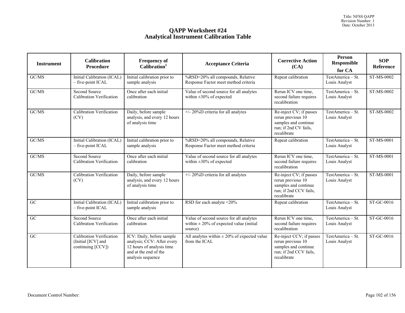| <b>Instrument</b> | <b>Calibration</b><br><b>Procedure</b>                              | <b>Frequency of</b><br>Calibration <sup>1</sup>                                                                                    | <b>Acceptance Criteria</b>                                                                        | <b>Corrective Action</b><br>(CA)                                                                               | Person<br>Responsible<br>for CA    | <b>SOP</b><br><b>Reference</b> |
|-------------------|---------------------------------------------------------------------|------------------------------------------------------------------------------------------------------------------------------------|---------------------------------------------------------------------------------------------------|----------------------------------------------------------------------------------------------------------------|------------------------------------|--------------------------------|
| GCMS              | Initial Calibration (ICAL)<br>$-$ five-point ICAL                   | Initial calibration prior to<br>sample analysis                                                                                    | %RSD<20% all compounds, Relative<br>Response Factor meet method criteria                          | Repeat calibration                                                                                             | TestAmerica - St.<br>Louis Analyst | ST-MS-0002                     |
| GC/MS             | Second Source<br>Calibration Verification                           | Once after each initial<br>calibration                                                                                             | Value of second source for all analytes<br>within $\pm 30\%$ of expected                          | Rerun ICV one time,<br>second failure requires<br>recalibration                                                | TestAmerica - St.<br>Louis Analyst | ST-MS-0002                     |
| GCMS              | Calibration Verification<br>(CV)                                    | Daily, before sample<br>analysis, and every 12 hours<br>of analysis time                                                           | $+/- 20\%$ D criteria for all analytes                                                            | Re-inject CV; if passes<br>rerun previous 10<br>samples and continue<br>run; if 2nd CV fails,<br>recalibrate   | TestAmerica - St.<br>Louis Analyst | ST-MS-0002                     |
| GC/MS             | Initial Calibration (ICAL)<br>$-$ five-point ICAL                   | Initial calibration prior to<br>sample analysis                                                                                    | %RSD<20% all compounds, Relative<br>Response Factor meet method criteria                          | Repeat calibration                                                                                             | TestAmerica - St.<br>Louis Analyst | ST-MS-0001                     |
| GC/MS             | <b>Second Source</b><br>Calibration Verification                    | Once after each initial<br>calibration                                                                                             | Value of second source for all analytes<br>within $\pm 30\%$ of expected                          | Rerun ICV one time,<br>second failure requires<br>recalibration                                                | TestAmerica - St.<br>Louis Analyst | ST-MS-0001                     |
| GCMS              | Calibration Verification<br>(CV)                                    | Daily, before sample<br>analysis, and every 12 hours<br>of analysis time                                                           | $+/- 20\%$ D criteria for all analytes                                                            | Re-inject CV; if passes<br>rerun previous 10<br>samples and continue<br>run; if 2nd CCV fails,<br>recalibrate  | TestAmerica - St.<br>Louis Analyst | ST-MS-0001                     |
| GC                | Initial Calibration (ICAL)<br>$-$ five-point ICAL                   | Initial calibration prior to<br>sample analysis                                                                                    | RSD for each analyte <20%                                                                         | Repeat calibration                                                                                             | TestAmerica - St.<br>Louis Analyst | ST-GC-0016                     |
| GC                | <b>Second Source</b><br><b>Calibration Verification</b>             | Once after each initial<br>calibration                                                                                             | Value of second source for all analytes<br>within $\pm$ 20% of expected value (initial<br>source) | Rerun ICV one time,<br>second failure requires<br>recalibration                                                | TestAmerica - St.<br>Louis Analyst | ST-GC-0016                     |
| GC                | Calibration Verification<br>(Initial [ICV] and<br>continuing [CCV]) | ICV: Daily, before sample<br>analysis; CCV: After every<br>12 hours of analysis time<br>and at the end of the<br>analysis sequence | All analytes within $\pm 20\%$ of expected value<br>from the ICAL                                 | Re-inject CCV; if passes<br>rerun previous 10<br>samples and continue<br>run; if 2nd CCV fails,<br>recalibrate | TestAmerica - St.<br>Louis Analyst | ST-GC-0016                     |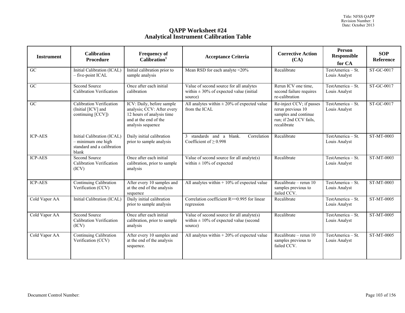| <b>Instrument</b> | <b>Calibration</b><br><b>Procedure</b>                                                    | <b>Frequency of</b><br>Calibration <sup>1</sup>                                                                                    | <b>Acceptance Criteria</b>                                                                         | <b>Corrective Action</b><br>(CA)                                                                               | <b>Person</b><br><b>Responsible</b><br>for CA | <b>SOP</b><br><b>Reference</b> |
|-------------------|-------------------------------------------------------------------------------------------|------------------------------------------------------------------------------------------------------------------------------------|----------------------------------------------------------------------------------------------------|----------------------------------------------------------------------------------------------------------------|-----------------------------------------------|--------------------------------|
| $\overline{GC}$   | Initial Calibration (ICAL)<br>$-$ five-point ICAL                                         | Initial calibration prior to<br>sample analysis                                                                                    | Mean RSD for each analyte <20%                                                                     | Recalibrate                                                                                                    | TestAmerica - St.<br>Louis Analyst            | ST-GC-0017                     |
| GC                | Second Source<br>Calibration Verification                                                 | Once after each initial<br>calibration                                                                                             | Value of second source for all analytes<br>within $\pm$ 30% of expected value (initial<br>source)  | Rerun ICV one time,<br>second failure requires<br>re-calibration                                               | $Test America - St.$<br>Louis Analyst         | ST-GC-0017                     |
| GC                | <b>Calibration Verification</b><br>(Initial [ICV] and<br>continuing [CCV])                | ICV: Daily, before sample<br>analysis; CCV: After every<br>12 hours of analysis time<br>and at the end of the<br>analysis sequence | All analytes within $\pm 20\%$ of expected value<br>from the ICAL                                  | Re-inject CCV; if passes<br>rerun previous 10<br>samples and continue<br>run; if 2nd CCV fails,<br>recalibrate | TestAmerica - St.<br>Louis Analyst            | ST-GC-0017                     |
| <b>ICP-AES</b>    | Initial Calibration (ICAL)<br>$-$ minimum one high<br>standard and a calibration<br>blank | Daily initial calibration<br>prior to sample analysis                                                                              | 3 standards and a<br>blank.<br>Correlation<br>Coefficient of $\geq$ 0.998                          | Recalibrate                                                                                                    | $Test America - St.$<br>Louis Analyst         | <b>ST-MT-0003</b>              |
| <b>ICP-AES</b>    | <b>Second Source</b><br>Calibration Verification<br>(ICV)                                 | Once after each initial<br>calibration, prior to sample<br>analysis                                                                | Value of second source for all analyte(s)<br>within $\pm 10\%$ of expected                         | Recalibrate                                                                                                    | $Test America - St.$<br>Louis Analyst         | ST-MT-0003                     |
| <b>ICP-AES</b>    | Continuing Calibration<br>Verification (CCV)                                              | After every 10 samples and<br>at the end of the analysis<br>sequence                                                               | All analytes within $+10\%$ of expected value                                                      | Recalibrate – rerun $10$<br>samples previous to<br>failed CCV.                                                 | TestAmerica - St.<br>Louis Analyst            | ST-MT-0003                     |
| Cold Vapor AA     | Initial Calibration (ICAL)                                                                | Daily initial calibration<br>prior to sample analysis                                                                              | Correlation coefficient R>=0.995 for linear<br>regression                                          | Recalibrate                                                                                                    | TestAmerica - St.<br>Louis Analyst            | <b>ST-MT-0005</b>              |
| Cold Vapor AA     | <b>Second Source</b><br>Calibration Verification<br>(ICV)                                 | Once after each initial<br>calibration, prior to sample<br>analysis                                                                | Value of second source for all analyte(s)<br>within $\pm$ 10% of expected value (second<br>source) | Recalibrate                                                                                                    | TestAmerica - St.<br>Louis Analyst            | ST-MT-0005                     |
| Cold Vapor AA     | Continuing Calibration<br>Verification (CCV)                                              | After every 10 samples and<br>at the end of the analysis<br>sequence.                                                              | All analytes within $+20\%$ of expected value                                                      | Recalibrate - rerun 10<br>samples previous to<br>failed CCV.                                                   | TestAmerica - St.<br>Louis Analyst            | ST-MT-0005                     |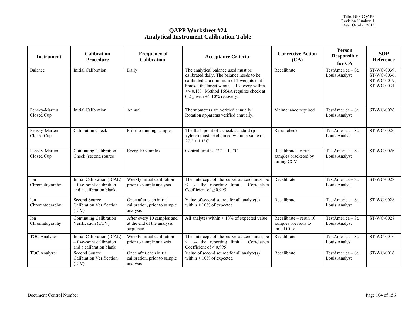| <b>Instrument</b>           | <b>Calibration</b><br>Procedure                                                   | <b>Frequency of</b><br>Calibration <sup>1</sup>                      | <b>Acceptance Criteria</b>                                                                                                                                                                                                                                    | <b>Corrective Action</b><br>(CA)                             | <b>Person</b><br><b>Responsible</b><br>for CA | <b>SOP</b><br><b>Reference</b>                          |
|-----------------------------|-----------------------------------------------------------------------------------|----------------------------------------------------------------------|---------------------------------------------------------------------------------------------------------------------------------------------------------------------------------------------------------------------------------------------------------------|--------------------------------------------------------------|-----------------------------------------------|---------------------------------------------------------|
| Balance                     | <b>Initial Calibration</b>                                                        | Daily                                                                | The analytical balance used must be<br>calibrated daily. The balance needs to be<br>calibrated at a minimum of 2 weights that<br>bracket the target weight. Recovery within<br>$+/$ - 0.1%. Method 1664A requires check at<br>0.2 g with $+/$ - 10% recovery. | Recalibrate                                                  | TestAmerica - St.<br>Louis Analyst            | ST-WC-0039,<br>ST-WC-0036,<br>ST-WC-0019,<br>ST-WC-0031 |
| Pensky-Marten<br>Closed Cup | <b>Initial Calibration</b>                                                        | Annual                                                               | Thermometers are verified annually.<br>Rotation apparatus verified annually.                                                                                                                                                                                  | Maintenance required                                         | TestAmerica - St.<br>Louis Analyst            | ST-WC-0026                                              |
| Pensky-Marten<br>Closed Cup | <b>Calibration Check</b>                                                          | Prior to running samples                                             | The flash point of a check standard (p-<br>xylene) must be obtained within a value of<br>$27.2 \pm 1.1$ °C                                                                                                                                                    | Rerun check                                                  | TestAmerica - St.<br>Louis Analyst            | ST-WC-0026                                              |
| Pensky-Marten<br>Closed Cup | <b>Continuing Calibration</b><br>Check (second source)                            | Every 10 samples                                                     | Control limit is $27.2 \pm 1.1$ °C.                                                                                                                                                                                                                           | Recalibrate - rerun<br>samples bracketed by<br>failing CCV   | TestAmerica - St.<br>Louis Analyst            | ST-WC-0026                                              |
| Ion<br>Chromatography       | Initial Calibration (ICAL)<br>- five-point calibration<br>and a calibration blank | Weekly initial calibration<br>prior to sample analysis               | The intercept of the curve at zero must be<br>$\leq +/-$ the reporting limit.<br>Correlation<br>Coefficient of $\geq$ 0.995                                                                                                                                   | Recalibrate                                                  | TestAmerica - St.<br>Louis Analyst            | ST-WC-0028                                              |
| Ion<br>Chromatography       | Second Source<br>Calibration Verification<br>(ICV)                                | Once after each initial<br>calibration, prior to sample<br>analysis  | Value of second source for all analyte(s)<br>within $\pm$ 10% of expected                                                                                                                                                                                     | Recalibrate                                                  | TestAmerica - St.<br>Louis Analyst            | ST-WC-0028                                              |
| Ion<br>Chromatography       | Continuing Calibration<br>Verification (CCV)                                      | After every 10 samples and<br>at the end of the analysis<br>sequence | All analytes within $+10\%$ of expected value                                                                                                                                                                                                                 | Recalibrate - rerun 10<br>samples previous to<br>failed CCV. | TestAmerica - St.<br>Louis Analyst            | ST-WC-0028                                              |
| <b>TOC</b> Analyzer         | Initial Calibration (ICAL)<br>- five-point calibration<br>and a calibration blank | Weekly initial calibration<br>prior to sample analysis               | The intercept of the curve at zero must be<br>$\leq +/-$ the reporting limit.<br>Correlation<br>Coefficient of $\geq$ 0.995                                                                                                                                   | Recalibrate                                                  | TestAmerica - St.<br>Louis Analyst            | ST-WC-0016                                              |
| <b>TOC</b> Analyzer         | <b>Second Source</b><br>Calibration Verification<br>(ICV)                         | Once after each initial<br>calibration, prior to sample<br>analysis  | Value of second source for all analyte(s)<br>within $\pm$ 10% of expected                                                                                                                                                                                     | Recalibrate                                                  | TestAmerica - St.<br>Louis Analyst            | ST-WC-0016                                              |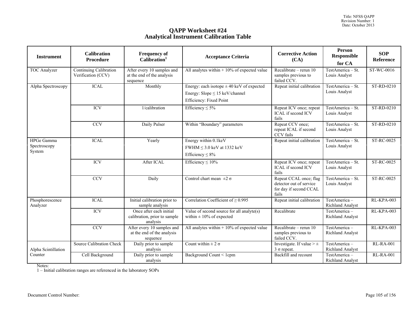| <b>Instrument</b>                    | <b>Calibration</b><br>Procedure                     | <b>Frequency of</b><br>Calibration <sup>1</sup>                      | <b>Acceptance Criteria</b>                                                                                      | <b>Corrective Action</b><br>(CA)                                                     | Person<br><b>Responsible</b><br>for CA  | <b>SOP</b><br><b>Reference</b> |
|--------------------------------------|-----------------------------------------------------|----------------------------------------------------------------------|-----------------------------------------------------------------------------------------------------------------|--------------------------------------------------------------------------------------|-----------------------------------------|--------------------------------|
| <b>TOC</b> Analyzer                  | <b>Continuing Calibration</b><br>Verification (CCV) | After every 10 samples and<br>at the end of the analysis<br>sequence | All analytes within $+10\%$ of expected value                                                                   | Recalibrate - rerun 10<br>samples previous to<br>failed CCV.                         | TestAmerica - St.<br>Louis Analyst      | ST-WC-0016                     |
| Alpha Spectroscopy                   | <b>ICAL</b>                                         | Monthly                                                              | Energy: each isotope $\pm$ 40 keV of expected<br>Energy: Slope $\leq$ 15 keV/channel<br>Efficiency: Fixed Point | Repeat initial calibration                                                           | TestAmerica - St.<br>Louis Analyst      | ST-RD-0210                     |
|                                      | <b>ICV</b>                                          | 1/calibration                                                        | Efficiency $\leq 5\%$                                                                                           | Repeat ICV once; repeat<br>ICAL if second ICV<br>fails                               | TestAmerica - St.<br>Louis Analyst      | ST-RD-0210                     |
|                                      | <b>CCV</b>                                          | Daily Pulser                                                         | Within "Boundary" parameters                                                                                    | Repeat CCV once;<br>repeat ICAL if second<br>CCV fails                               | TestAmerica - St.<br>Louis Analyst      | ST-RD-0210                     |
| HPGe Gamma<br>Spectroscopy<br>System | <b>ICAL</b>                                         | Yearly                                                               | Energy within 0.1keV<br>FWHM $\leq$ 3.0 keV at 1332 keV<br>Efficiency $\leq 8\%$                                | Repeat initial calibration                                                           | TestAmerica - St.<br>Louis Analyst      | ST-RC-0025                     |
|                                      | <b>ICV</b>                                          | After ICAL                                                           | Efficiency $\leq 10\%$                                                                                          | Repeat ICV once; repeat<br>ICAL if second ICV<br>fails                               | TestAmerica - St.<br>Louis Analyst      | ST-RC-0025                     |
|                                      | $\overline{CCV}$                                    | Daily                                                                | Control chart mean $\pm 2 \sigma$                                                                               | Repeat CCAL once; flag<br>detector out of service<br>for day if second CCAL<br>fails | TestAmerica - St.<br>Louis Analyst      | ST-RC-0025                     |
| Phosphorescence<br>Analyzer          | <b>ICAL</b>                                         | Initial calibration prior to<br>sample analysis                      | Correlation Coefficient of $\geq$ 0.995                                                                         | Repeat initial calibration                                                           | TestAmerica-<br><b>Richland Analyst</b> | <b>RL-KPA-003</b>              |
|                                      | <b>ICV</b>                                          | Once after each initial<br>calibration, prior to sample<br>analysis  | Value of second source for all analyte(s)<br>within $\pm 10\%$ of expected                                      | Recalibrate                                                                          | TestAmerica-<br><b>Richland Analyst</b> | RL-KPA-003                     |
|                                      | <b>CCV</b>                                          | After every 10 samples and<br>at the end of the analysis<br>sequence | All analytes within $+10\%$ of expected value                                                                   | Recalibrate - rerun 10<br>samples previous to<br>failed CCV.                         | TestAmerica-<br><b>Richland Analyst</b> | RL-KPA-003                     |
| Alpha Scintillation                  | Source Calibration Check                            | Daily prior to sample<br>analysis                                    | Count within $\pm 2 \sigma$                                                                                     | Investigate. If value $> \pm$<br>$3 \sigma$ repeat.                                  | TestAmerica-<br><b>Richland Analyst</b> | <b>RL-RA-001</b>               |
| Counter                              | Cell Background                                     | Daily prior to sample<br>analysis                                    | Background Count < 1cpm                                                                                         | Backfill and recount                                                                 | TestAmerica-<br><b>Richland Analyst</b> | <b>RL-RA-001</b>               |

Notes:

1 – Initial calibration ranges are referenced in the laboratory SOPs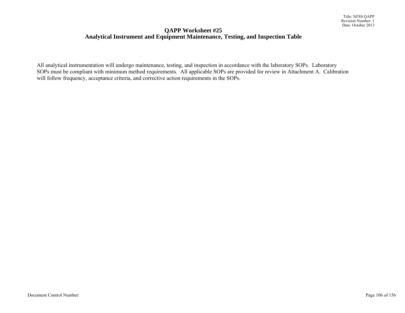# **QAPP Worksheet #25 Analytical Instrument and Equipment Maintenance, Testing, and Inspection Table**

All analytical instrumentation will undergo maintenance, testing, and inspection in accordance with the laboratory SOPs. Laboratory SOPs must be compliant with minimum method requirements. All applicable SOPs are provided for review in Attachment A. Calibration will follow frequency, acceptance criteria, and corrective action requirements in the SOPs.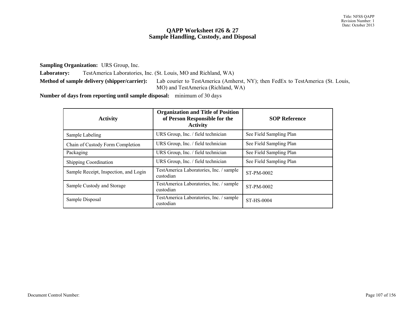# **QAPP Worksheet #26 & 27 Sample Handling, Custody, and Disposal**

**Sampling Organization:** URS Group, Inc.

**Laboratory:** TestAmerica Laboratories, Inc. (St. Louis, MO and Richland, WA)

**Method of sample delivery (shipper/carrier):** Lab courier to TestAmerica (Amherst, NY); then FedEx to TestAmerica (St. Louis, MO) and TestAmerica (Richland, WA)

**Number of days from reporting until sample disposal:** minimum of 30 days

| <b>Activity</b>                       | <b>Organization and Title of Position</b><br>of Person Responsible for the<br><b>Activity</b> | <b>SOP Reference</b>    |
|---------------------------------------|-----------------------------------------------------------------------------------------------|-------------------------|
| Sample Labeling                       | URS Group, Inc. / field technician                                                            | See Field Sampling Plan |
| Chain of Custody Form Completion      | URS Group, Inc. / field technician                                                            | See Field Sampling Plan |
| Packaging                             | URS Group, Inc. / field technician                                                            | See Field Sampling Plan |
| <b>Shipping Coordination</b>          | URS Group, Inc. / field technician                                                            | See Field Sampling Plan |
| Sample Receipt, Inspection, and Login | TestAmerica Laboratories, Inc. / sample<br>custodian                                          | ST-PM-0002              |
| Sample Custody and Storage            | TestAmerica Laboratories, Inc. / sample<br>custodian                                          | ST-PM-0002              |
| Sample Disposal                       | TestAmerica Laboratories, Inc. / sample<br>custodian                                          | <b>ST-HS-0004</b>       |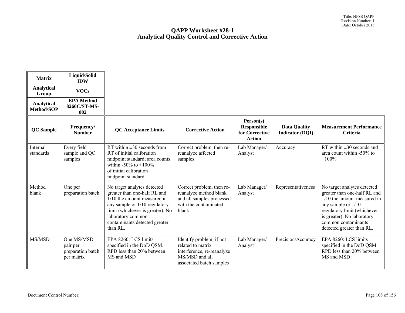# **QAPP Worksheet #28-1 Analytical Quality Control and Corrective Action**

| <b>Matrix</b>                   | Liquid/Solid<br><b>IDW</b>                                |                                                                                                                                                                                                                                     |                                                                                                                           |                                                             |                                               |                                                                                                                                                                                                                                   |
|---------------------------------|-----------------------------------------------------------|-------------------------------------------------------------------------------------------------------------------------------------------------------------------------------------------------------------------------------------|---------------------------------------------------------------------------------------------------------------------------|-------------------------------------------------------------|-----------------------------------------------|-----------------------------------------------------------------------------------------------------------------------------------------------------------------------------------------------------------------------------------|
| <b>Analytical</b><br>Group      | <b>VOCs</b>                                               |                                                                                                                                                                                                                                     |                                                                                                                           |                                                             |                                               |                                                                                                                                                                                                                                   |
| <b>Analytical</b><br>Method/SOP | <b>EPA Method</b><br>8260C/ST-MS-<br>002                  |                                                                                                                                                                                                                                     |                                                                                                                           |                                                             |                                               |                                                                                                                                                                                                                                   |
| <b>QC</b> Sample                | Frequency/<br><b>Number</b>                               | <b>QC</b> Acceptance Limits                                                                                                                                                                                                         | <b>Corrective Action</b>                                                                                                  | Person(s)<br><b>Responsible</b><br>for Corrective<br>Action | <b>Data Quality</b><br><b>Indicator (DQI)</b> | <b>Measurement Performance</b><br><b>Criteria</b>                                                                                                                                                                                 |
| Internal<br>standards           | Every field<br>sample and QC<br>samples                   | RT within $\pm 30$ seconds from<br>RT of initial calibration<br>midpoint standard; area counts<br>within -50% to +100%<br>of initial calibration<br>midpoint standard                                                               | Correct problem, then re-<br>reanalyze affected<br>samples                                                                | Lab Manager/<br>Analyst                                     | Accuracy                                      | RT within $\pm 30$ seconds and<br>area count within -50% to<br>$+100%$                                                                                                                                                            |
| Method<br>blank                 | One per<br>preparation batch                              | No target analytes detected<br>greater than one-half RL and<br>$1/10$ the amount measured in<br>any sample or 1/10 regulatory<br>limit (whichever is greater). No<br>laboratory common<br>contaminants detected greater<br>than RL. | Correct problem, then re-<br>reanalyze method blank<br>and all samples processed<br>with the contaminated<br>blank        | Lab Manager/<br>Analyst                                     | Representativeness                            | No target analytes detected<br>greater than one-half RL and<br>1/10 the amount measured in<br>any sample or 1/10<br>regulatory limit (whichever<br>is greater). No laboratory<br>common contaminants<br>detected greater than RL. |
| MS/MSD                          | One MS/MSD<br>pair per<br>preparation batch<br>per matrix | EPA 8260: LCS limits<br>specified in the DoD QSM.<br>RPD less than 20% between<br>MS and MSD                                                                                                                                        | Identify problem; if not<br>related to matrix<br>interference, re-reanalyze<br>MS/MSD and all<br>associated batch samples | Lab Manager/<br>Analyst                                     | Precision/Accuracy                            | EPA 8260: LCS limits<br>specified in the DoD QSM.<br>RPD less than 20% between<br>MS and MSD                                                                                                                                      |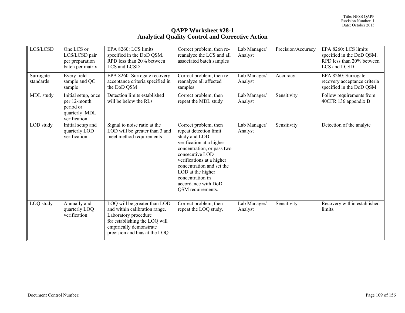#### **QAPP Worksheet #28-1 Analytical Quality Control and Corrective Action**

| LCS/LCSD               | One LCS or<br>LCS/LCSD pair<br>per preparation<br>batch per matrix                | EPA 8260: LCS limits<br>specified in the DoD QSM.<br>RPD less than 20% between<br>LCS and LCSD                                                                                     | Correct problem, then re-<br>reanalyze the LCS and all<br>associated batch samples                                                                                                                                                                                                           | Lab Manager/<br>Analyst | Precision/Accuracy | EPA 8260: LCS limits<br>specified in the DoD QSM.<br>RPD less than 20% between<br>LCS and LCSD |
|------------------------|-----------------------------------------------------------------------------------|------------------------------------------------------------------------------------------------------------------------------------------------------------------------------------|----------------------------------------------------------------------------------------------------------------------------------------------------------------------------------------------------------------------------------------------------------------------------------------------|-------------------------|--------------------|------------------------------------------------------------------------------------------------|
| Surrogate<br>standards | Every field<br>sample and QC<br>sample                                            | EPA 8260: Surrogate recovery<br>acceptance criteria specified in<br>the DoD QSM                                                                                                    | Correct problem, then re-<br>reanalyze all affected<br>samples                                                                                                                                                                                                                               | Lab Manager/<br>Analyst | Accuracy           | EPA 8260: Surrogate<br>recovery acceptance criteria<br>specified in the DoD QSM                |
| MDL study              | Initial setup, once<br>per 12-month<br>period or<br>quarterly MDL<br>verification | Detection limits established<br>will be below the RLs                                                                                                                              | Correct problem, then<br>repeat the MDL study                                                                                                                                                                                                                                                | Lab Manager/<br>Analyst | Sensitivity        | Follow requirements from<br>40CFR 136 appendix B                                               |
| LOD study              | Initial setup and<br>quarterly LOD<br>verification                                | Signal to noise ratio at the<br>LOD will be greater than 3 and<br>meet method requirements                                                                                         | Correct problem, then<br>repeat detection limit<br>study and LOD<br>verification at a higher<br>concentration, or pass two<br>consecutive LOD<br>verifications at a higher<br>concentration and set the<br>LOD at the higher<br>concentration in<br>accordance with DoD<br>QSM requirements. | Lab Manager/<br>Analyst | Sensitivity        | Detection of the analyte                                                                       |
| LOQ study              | Annually and<br>quarterly LOQ<br>verification                                     | LOQ will be greater than LOD<br>and within calibration range.<br>Laboratory procedure<br>for establishing the LOQ will<br>empirically demonstrate<br>precision and bias at the LOQ | Correct problem, then<br>repeat the LOQ study.                                                                                                                                                                                                                                               | Lab Manager/<br>Analyst | Sensitivity        | Recovery within established<br>limits.                                                         |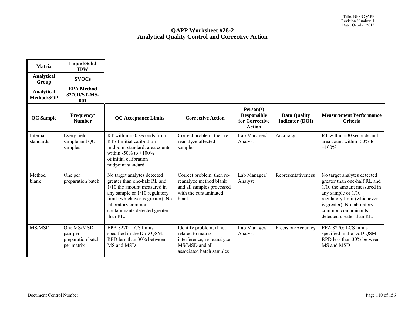# **QAPP Worksheet #28-2 Analytical Quality Control and Corrective Action**

| <b>Matrix</b>                   | Liquid/Solid<br><b>IDW</b>                                |                                                                                                                                                                                                                                          |                                                                                                                           |                                                                    |                                               |                                                                                                                                                                                                                                       |
|---------------------------------|-----------------------------------------------------------|------------------------------------------------------------------------------------------------------------------------------------------------------------------------------------------------------------------------------------------|---------------------------------------------------------------------------------------------------------------------------|--------------------------------------------------------------------|-----------------------------------------------|---------------------------------------------------------------------------------------------------------------------------------------------------------------------------------------------------------------------------------------|
| Analytical<br>Group             | <b>SVOCs</b>                                              |                                                                                                                                                                                                                                          |                                                                                                                           |                                                                    |                                               |                                                                                                                                                                                                                                       |
| <b>Analytical</b><br>Method/SOP | <b>EPA Method</b><br>8270D/ST-MS-<br>001                  |                                                                                                                                                                                                                                          |                                                                                                                           |                                                                    |                                               |                                                                                                                                                                                                                                       |
| <b>QC</b> Sample                | Frequency/<br><b>Number</b>                               | <b>QC</b> Acceptance Limits                                                                                                                                                                                                              | <b>Corrective Action</b>                                                                                                  | Person(s)<br><b>Responsible</b><br>for Corrective<br><b>Action</b> | <b>Data Quality</b><br><b>Indicator (DQI)</b> | <b>Measurement Performance</b><br>Criteria                                                                                                                                                                                            |
| Internal<br>standards           | Every field<br>sample and QC<br>samples                   | RT within $\pm 30$ seconds from<br>RT of initial calibration<br>midpoint standard; area counts<br>within -50% to +100%<br>of initial calibration<br>midpoint standard                                                                    | Correct problem, then re-<br>reanalyze affected<br>samples                                                                | Lab Manager/<br>Analyst                                            | Accuracy                                      | RT within $\pm 30$ seconds and<br>area count within -50% to<br>$+100%$                                                                                                                                                                |
| Method<br>blank                 | One per<br>preparation batch                              | No target analytes detected<br>greater than one-half RL and<br>$1/10$ the amount measured in<br>any sample or $1/10$ regulatory<br>limit (whichever is greater). No<br>laboratory common<br>contaminants detected greater<br>than $RL$ . | Correct problem, then re-<br>reanalyze method blank<br>and all samples processed<br>with the contaminated<br>blank        | Lab Manager/<br>Analyst                                            | Representativeness                            | No target analytes detected<br>greater than one-half RL and<br>$1/10$ the amount measured in<br>any sample or $1/10$<br>regulatory limit (whichever<br>is greater). No laboratory<br>common contaminants<br>detected greater than RL. |
| MS/MSD                          | One MS/MSD<br>pair per<br>preparation batch<br>per matrix | EPA 8270: LCS limits<br>specified in the DoD QSM.<br>RPD less than 30% between<br>MS and MSD                                                                                                                                             | Identify problem; if not<br>related to matrix<br>interference, re-reanalyze<br>MS/MSD and all<br>associated batch samples | Lab Manager/<br>Analyst                                            | Precision/Accuracy                            | EPA 8270: LCS limits<br>specified in the DoD QSM.<br>RPD less than 30% between<br>MS and MSD                                                                                                                                          |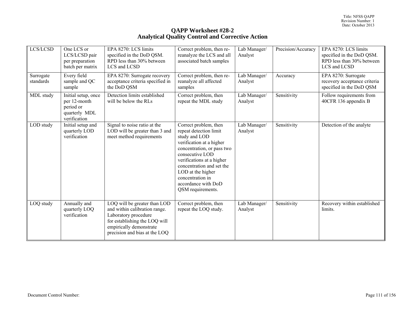#### **QAPP Worksheet #28-2 Analytical Quality Control and Corrective Action**

| LCS/LCSD               | One LCS or<br>LCS/LCSD pair<br>per preparation<br>batch per matrix                | EPA 8270: LCS limits<br>specified in the DoD QSM.<br>RPD less than 30% between<br>LCS and LCSD                                                                                     | Correct problem, then re-<br>reanalyze the LCS and all<br>associated batch samples                                                                                                                                                                                                           | Lab Manager/<br>Analyst | Precision/Accuracy | EPA 8270: LCS limits<br>specified in the DoD QSM.<br>RPD less than 30% between<br>LCS and LCSD |
|------------------------|-----------------------------------------------------------------------------------|------------------------------------------------------------------------------------------------------------------------------------------------------------------------------------|----------------------------------------------------------------------------------------------------------------------------------------------------------------------------------------------------------------------------------------------------------------------------------------------|-------------------------|--------------------|------------------------------------------------------------------------------------------------|
| Surrogate<br>standards | Every field<br>sample and QC<br>sample                                            | EPA 8270: Surrogate recovery<br>acceptance criteria specified in<br>the DoD QSM                                                                                                    | Correct problem, then re-<br>reanalyze all affected<br>samples                                                                                                                                                                                                                               | Lab Manager/<br>Analyst | Accuracy           | EPA 8270: Surrogate<br>recovery acceptance criteria<br>specified in the DoD QSM                |
| MDL study              | Initial setup, once<br>per 12-month<br>period or<br>quarterly MDL<br>verification | Detection limits established<br>will be below the RLs                                                                                                                              | Correct problem, then<br>repeat the MDL study                                                                                                                                                                                                                                                | Lab Manager/<br>Analyst | Sensitivity        | Follow requirements from<br>40CFR 136 appendix B                                               |
| LOD study              | Initial setup and<br>quarterly LOD<br>verification                                | Signal to noise ratio at the<br>LOD will be greater than 3 and<br>meet method requirements                                                                                         | Correct problem, then<br>repeat detection limit<br>study and LOD<br>verification at a higher<br>concentration, or pass two<br>consecutive LOD<br>verifications at a higher<br>concentration and set the<br>LOD at the higher<br>concentration in<br>accordance with DoD<br>QSM requirements. | Lab Manager/<br>Analyst | Sensitivity        | Detection of the analyte                                                                       |
| LOQ study              | Annually and<br>quarterly LOQ<br>verification                                     | LOQ will be greater than LOD<br>and within calibration range.<br>Laboratory procedure<br>for establishing the LOQ will<br>empirically demonstrate<br>precision and bias at the LOQ | Correct problem, then<br>repeat the LOQ study.                                                                                                                                                                                                                                               | Lab Manager/<br>Analyst | Sensitivity        | Recovery within established<br>limits.                                                         |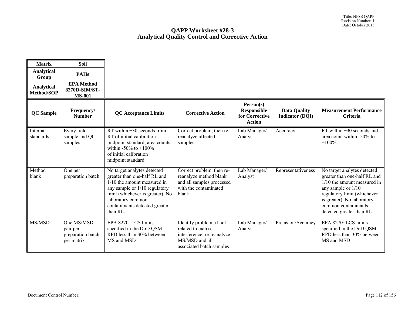#### **QAPP Worksheet #28-3 Analytical Quality Control and Corrective Action**

| <b>Matrix</b>                   | Soil                                                      |                                                                                                                                                                                                                                     |                                                                                                                           |                                                                    |                                               |                                                                                                                                                                                                                                     |
|---------------------------------|-----------------------------------------------------------|-------------------------------------------------------------------------------------------------------------------------------------------------------------------------------------------------------------------------------------|---------------------------------------------------------------------------------------------------------------------------|--------------------------------------------------------------------|-----------------------------------------------|-------------------------------------------------------------------------------------------------------------------------------------------------------------------------------------------------------------------------------------|
| <b>Analytical</b><br>Group      | <b>PAHs</b>                                               |                                                                                                                                                                                                                                     |                                                                                                                           |                                                                    |                                               |                                                                                                                                                                                                                                     |
| <b>Analytical</b><br>Method/SOP | <b>EPA Method</b><br>8270D-SIM/ST-<br><b>MS-001</b>       |                                                                                                                                                                                                                                     |                                                                                                                           |                                                                    |                                               |                                                                                                                                                                                                                                     |
| <b>QC</b> Sample                | Frequency/<br><b>Number</b>                               | <b>QC</b> Acceptance Limits                                                                                                                                                                                                         | <b>Corrective Action</b>                                                                                                  | Person(s)<br><b>Responsible</b><br>for Corrective<br><b>Action</b> | <b>Data Quality</b><br><b>Indicator (DQI)</b> | <b>Measurement Performance</b><br><b>Criteria</b>                                                                                                                                                                                   |
| Internal<br>standards           | Every field<br>sample and QC<br>samples                   | RT within $\pm 30$ seconds from<br>RT of initial calibration<br>midpoint standard; area counts<br>within -50% to +100%<br>of initial calibration<br>midpoint standard                                                               | Correct problem, then re-<br>reanalyze affected<br>samples                                                                | Lab Manager/<br>Analyst                                            | Accuracy                                      | RT within $\pm 30$ seconds and<br>area count within -50% to<br>$+100%$                                                                                                                                                              |
| Method<br>blank                 | One per<br>preparation batch                              | No target analytes detected<br>greater than one-half RL and<br>$1/10$ the amount measured in<br>any sample or 1/10 regulatory<br>limit (whichever is greater). No<br>laboratory common<br>contaminants detected greater<br>than RL. | Correct problem, then re-<br>reanalyze method blank<br>and all samples processed<br>with the contaminated<br>blank        | Lab Manager/<br>Analyst                                            | Representativeness                            | No target analytes detected<br>greater than one-half RL and<br>$1/10$ the amount measured in<br>any sample or 1/10<br>regulatory limit (whichever<br>is greater). No laboratory<br>common contaminants<br>detected greater than RL. |
| MS/MSD                          | One MS/MSD<br>pair per<br>preparation batch<br>per matrix | EPA 8270: LCS limits<br>specified in the DoD QSM.<br>RPD less than 30% between<br>MS and MSD                                                                                                                                        | Identify problem; if not<br>related to matrix<br>interference, re-reanalyze<br>MS/MSD and all<br>associated batch samples | Lab Manager/<br>Analyst                                            | Precision/Accuracy                            | EPA 8270: LCS limits<br>specified in the DoD QSM.<br>RPD less than 30% between<br>MS and MSD                                                                                                                                        |

 $\blacksquare$ 

 $\blacksquare$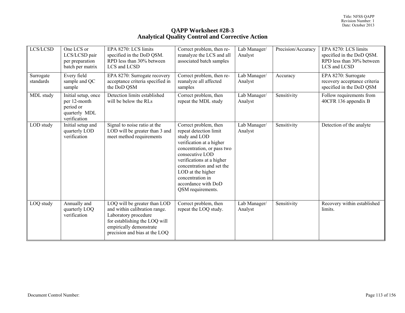#### **QAPP Worksheet #28-3 Analytical Quality Control and Corrective Action**

| LCS/LCSD               | One LCS or<br>LCS/LCSD pair<br>per preparation<br>batch per matrix                | EPA 8270: LCS limits<br>specified in the DoD QSM.<br>RPD less than 30% between<br>LCS and LCSD                                                                                     | Correct problem, then re-<br>reanalyze the LCS and all<br>associated batch samples                                                                                                                                                                                                           | Lab Manager/<br>Analyst | Precision/Accuracy | EPA 8270: LCS limits<br>specified in the DoD QSM.<br>RPD less than 30% between<br>LCS and LCSD |
|------------------------|-----------------------------------------------------------------------------------|------------------------------------------------------------------------------------------------------------------------------------------------------------------------------------|----------------------------------------------------------------------------------------------------------------------------------------------------------------------------------------------------------------------------------------------------------------------------------------------|-------------------------|--------------------|------------------------------------------------------------------------------------------------|
| Surrogate<br>standards | Every field<br>sample and QC<br>sample                                            | EPA 8270: Surrogate recovery<br>acceptance criteria specified in<br>the DoD QSM                                                                                                    | Correct problem, then re-<br>reanalyze all affected<br>samples                                                                                                                                                                                                                               | Lab Manager/<br>Analyst | Accuracy           | EPA 8270: Surrogate<br>recovery acceptance criteria<br>specified in the DoD QSM                |
| MDL study              | Initial setup, once<br>per 12-month<br>period or<br>quarterly MDL<br>verification | Detection limits established<br>will be below the RLs                                                                                                                              | Correct problem, then<br>repeat the MDL study                                                                                                                                                                                                                                                | Lab Manager/<br>Analyst | Sensitivity        | Follow requirements from<br>40CFR 136 appendix B                                               |
| LOD study              | Initial setup and<br>quarterly LOD<br>verification                                | Signal to noise ratio at the<br>LOD will be greater than 3 and<br>meet method requirements                                                                                         | Correct problem, then<br>repeat detection limit<br>study and LOD<br>verification at a higher<br>concentration, or pass two<br>consecutive LOD<br>verifications at a higher<br>concentration and set the<br>LOD at the higher<br>concentration in<br>accordance with DoD<br>QSM requirements. | Lab Manager/<br>Analyst | Sensitivity        | Detection of the analyte                                                                       |
| LOQ study              | Annually and<br>quarterly LOQ<br>verification                                     | LOQ will be greater than LOD<br>and within calibration range.<br>Laboratory procedure<br>for establishing the LOQ will<br>empirically demonstrate<br>precision and bias at the LOQ | Correct problem, then<br>repeat the LOQ study.                                                                                                                                                                                                                                               | Lab Manager/<br>Analyst | Sensitivity        | Recovery within established<br>limits.                                                         |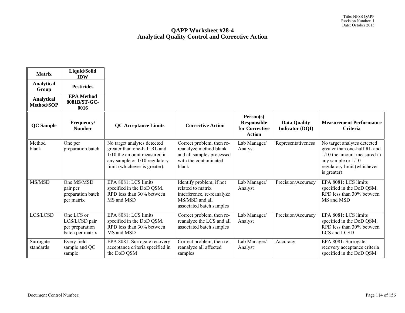# **QAPP Worksheet #28-4 Analytical Quality Control and Corrective Action**

| <b>Matrix</b>                          | Liquid/Solid<br><b>IDW</b>                                         |                                                                                                                                                                  |                                                                                                                           |                                                                    |                                               |                                                                                                                                                                   |
|----------------------------------------|--------------------------------------------------------------------|------------------------------------------------------------------------------------------------------------------------------------------------------------------|---------------------------------------------------------------------------------------------------------------------------|--------------------------------------------------------------------|-----------------------------------------------|-------------------------------------------------------------------------------------------------------------------------------------------------------------------|
| <b>Analytical</b><br>Group             | <b>Pesticides</b>                                                  |                                                                                                                                                                  |                                                                                                                           |                                                                    |                                               |                                                                                                                                                                   |
| <b>Analytical</b><br><b>Method/SOP</b> | <b>EPA Method</b><br>8081B/ST-GC-<br>0016                          |                                                                                                                                                                  |                                                                                                                           |                                                                    |                                               |                                                                                                                                                                   |
| <b>QC</b> Sample                       | Frequency/<br><b>Number</b>                                        | <b>QC</b> Acceptance Limits                                                                                                                                      | <b>Corrective Action</b>                                                                                                  | Person(s)<br><b>Responsible</b><br>for Corrective<br><b>Action</b> | <b>Data Quality</b><br><b>Indicator (DQI)</b> | <b>Measurement Performance</b><br><b>Criteria</b>                                                                                                                 |
| Method<br>blank                        | One per<br>preparation batch                                       | No target analytes detected<br>greater than one-half RL and<br>$1/10$ the amount measured in<br>any sample or $1/10$ regulatory<br>limit (whichever is greater). | Correct problem, then re-<br>reanalyze method blank<br>and all samples processed<br>with the contaminated<br>blank        | Lab Manager/<br>Analyst                                            | Representativeness                            | No target analytes detected<br>greater than one-half RL and<br>1/10 the amount measured in<br>any sample or $1/10$<br>regulatory limit (whichever<br>is greater). |
| MS/MSD                                 | One MS/MSD<br>pair per<br>preparation batch<br>per matrix          | EPA 8081: LCS limits<br>specified in the DoD QSM.<br>RPD less than 30% between<br>MS and MSD                                                                     | Identify problem; if not<br>related to matrix<br>interference, re-reanalyze<br>MS/MSD and all<br>associated batch samples | Lab Manager/<br>Analyst                                            | Precision/Accuracy                            | EPA 8081: LCS limits<br>specified in the DoD QSM.<br>RPD less than 30% between<br>MS and MSD                                                                      |
| LCS/LCSD                               | One LCS or<br>LCS/LCSD pair<br>per preparation<br>batch per matrix | EPA 8081: LCS limits<br>specified in the DoD QSM.<br>RPD less than 30% between<br>MS and MSD                                                                     | Correct problem, then re-<br>reanalyze the LCS and all<br>associated batch samples                                        | Lab Manager/<br>Analyst                                            | Precision/Accuracy                            | EPA 8081: LCS limits<br>specified in the DoD QSM.<br>RPD less than 30% between<br>LCS and LCSD                                                                    |
| Surrogate<br>standards                 | Every field<br>sample and QC<br>sample                             | EPA 8081: Surrogate recovery<br>acceptance criteria specified in<br>the DoD QSM                                                                                  | Correct problem, then re-<br>reanalyze all affected<br>samples                                                            | Lab Manager/<br>Analyst                                            | Accuracy                                      | EPA 8081: Surrogate<br>recovery acceptance criteria<br>specified in the DoD QSM                                                                                   |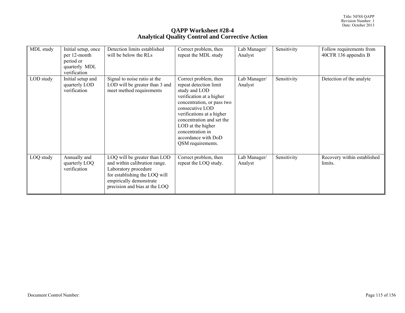#### **QAPP Worksheet #28-4 Analytical Quality Control and Corrective Action**

| MDL study | Initial setup, once<br>per 12-month<br>period or<br>quarterly MDL<br>verification | Detection limits established<br>will be below the RLs                                                                                                                              | Correct problem, then<br>repeat the MDL study                                                                                                                                                                                                                                                | Lab Manager/<br>Analyst | Sensitivity | Follow requirements from<br>40CFR 136 appendix B |
|-----------|-----------------------------------------------------------------------------------|------------------------------------------------------------------------------------------------------------------------------------------------------------------------------------|----------------------------------------------------------------------------------------------------------------------------------------------------------------------------------------------------------------------------------------------------------------------------------------------|-------------------------|-------------|--------------------------------------------------|
| LOD study | Initial setup and<br>quarterly LOD<br>verification                                | Signal to noise ratio at the<br>LOD will be greater than 3 and<br>meet method requirements                                                                                         | Correct problem, then<br>repeat detection limit<br>study and LOD<br>verification at a higher<br>concentration, or pass two<br>consecutive LOD<br>verifications at a higher<br>concentration and set the<br>LOD at the higher<br>concentration in<br>accordance with DoD<br>QSM requirements. | Lab Manager/<br>Analyst | Sensitivity | Detection of the analyte                         |
| LOQ study | Annually and<br>quarterly LOQ<br>verification                                     | LOQ will be greater than LOD<br>and within calibration range.<br>Laboratory procedure<br>for establishing the LOQ will<br>empirically demonstrate<br>precision and bias at the LOQ | Correct problem, then<br>repeat the LOQ study.                                                                                                                                                                                                                                               | Lab Manager/<br>Analyst | Sensitivity | Recovery within established<br>limits.           |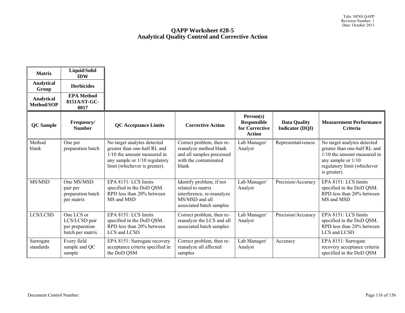# **QAPP Worksheet #28-5 Analytical Quality Control and Corrective Action**

| <b>Matrix</b>                   | Liquid/Solid<br><b>IDW</b>                                         |                                                                                                                                                                  |                                                                                                                           |                                                                    |                                               |                                                                                                                                                                   |
|---------------------------------|--------------------------------------------------------------------|------------------------------------------------------------------------------------------------------------------------------------------------------------------|---------------------------------------------------------------------------------------------------------------------------|--------------------------------------------------------------------|-----------------------------------------------|-------------------------------------------------------------------------------------------------------------------------------------------------------------------|
| <b>Analytical</b><br>Group      | <b>Herbicides</b>                                                  |                                                                                                                                                                  |                                                                                                                           |                                                                    |                                               |                                                                                                                                                                   |
| <b>Analytical</b><br>Method/SOP | <b>EPA Method</b><br>8151A/ST-GC-<br>0017                          |                                                                                                                                                                  |                                                                                                                           |                                                                    |                                               |                                                                                                                                                                   |
| <b>QC</b> Sample                | Frequency/<br><b>Number</b>                                        | <b>QC</b> Acceptance Limits                                                                                                                                      | <b>Corrective Action</b>                                                                                                  | Person(s)<br><b>Responsible</b><br>for Corrective<br><b>Action</b> | <b>Data Quality</b><br><b>Indicator (DQI)</b> | <b>Measurement Performance</b><br>Criteria                                                                                                                        |
| Method<br>blank                 | One per<br>preparation batch                                       | No target analytes detected<br>greater than one-half RL and<br>$1/10$ the amount measured in<br>any sample or $1/10$ regulatory<br>limit (whichever is greater). | Correct problem, then re-<br>reanalyze method blank<br>and all samples processed<br>with the contaminated<br>blank        | Lab Manager/<br>Analyst                                            | Representativeness                            | No target analytes detected<br>greater than one-half RL and<br>$1/10$ the amount measured in<br>any sample or 1/10<br>regulatory limit (whichever<br>is greater). |
| MS/MSD                          | One MS/MSD<br>pair per<br>preparation batch<br>per matrix          | EPA 8151: LCS limits<br>specified in the DoD QSM.<br>RPD less than 20% between<br>MS and MSD                                                                     | Identify problem; if not<br>related to matrix<br>interference, re-reanalyze<br>MS/MSD and all<br>associated batch samples | Lab Manager/<br>Analyst                                            | Precision/Accuracy                            | EPA 8151: LCS limits<br>specified in the DoD QSM.<br>RPD less than 20% between<br>MS and MSD                                                                      |
| LCS/LCSD                        | One LCS or<br>LCS/LCSD pair<br>per preparation<br>batch per matrix | EPA 8151: LCS limits<br>specified in the DoD QSM.<br>RPD less than 20% between<br>LCS and LCSD                                                                   | Correct problem, then re-<br>reanalyze the LCS and all<br>associated batch samples                                        | Lab Manager/<br>Analyst                                            | Precision/Accuracy                            | EPA 8151: LCS limits<br>specified in the DoD QSM.<br>RPD less than 20% between<br>LCS and LCSD                                                                    |
| Surrogate<br>standards          | Every field<br>sample and QC<br>sample                             | EPA 8151: Surrogate recovery<br>acceptance criteria specified in<br>the DoD QSM                                                                                  | Correct problem, then re-<br>reanalyze all affected<br>samples                                                            | Lab Manager/<br>Analyst                                            | Accuracy                                      | EPA 8151: Surrogate<br>recovery acceptance criteria<br>specified in the DoD QSM                                                                                   |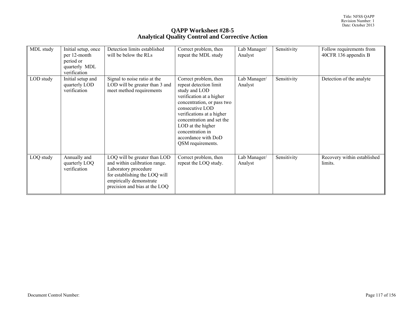#### **QAPP Worksheet #28-5 Analytical Quality Control and Corrective Action**

| MDL study | Initial setup, once<br>per 12-month<br>period or<br>quarterly MDL<br>verification | Detection limits established<br>will be below the RLs                                                                                                                              | Correct problem, then<br>repeat the MDL study                                                                                                                                                                                                                                                | Lab Manager/<br>Analyst | Sensitivity | Follow requirements from<br>40CFR 136 appendix B |
|-----------|-----------------------------------------------------------------------------------|------------------------------------------------------------------------------------------------------------------------------------------------------------------------------------|----------------------------------------------------------------------------------------------------------------------------------------------------------------------------------------------------------------------------------------------------------------------------------------------|-------------------------|-------------|--------------------------------------------------|
| LOD study | Initial setup and<br>quarterly LOD<br>verification                                | Signal to noise ratio at the<br>LOD will be greater than 3 and<br>meet method requirements                                                                                         | Correct problem, then<br>repeat detection limit<br>study and LOD<br>verification at a higher<br>concentration, or pass two<br>consecutive LOD<br>verifications at a higher<br>concentration and set the<br>LOD at the higher<br>concentration in<br>accordance with DoD<br>QSM requirements. | Lab Manager/<br>Analyst | Sensitivity | Detection of the analyte                         |
| LOQ study | Annually and<br>quarterly LOQ<br>verification                                     | LOQ will be greater than LOD<br>and within calibration range.<br>Laboratory procedure<br>for establishing the LOQ will<br>empirically demonstrate<br>precision and bias at the LOQ | Correct problem, then<br>repeat the LOQ study.                                                                                                                                                                                                                                               | Lab Manager/<br>Analyst | Sensitivity | Recovery within established<br>limits.           |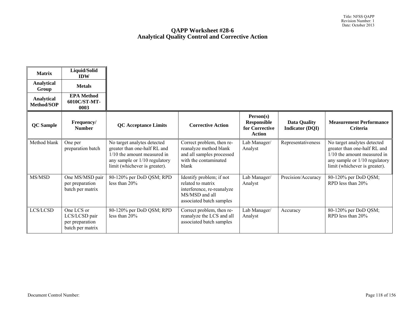# **QAPP Worksheet #28-6 Analytical Quality Control and Corrective Action**

| <b>Matrix</b>              | Liquid/Solid<br><b>IDW</b>                                         |                                                                                                                                                                |                                                                                                                           |                                                             |                                               |                                                                                                                                                                |
|----------------------------|--------------------------------------------------------------------|----------------------------------------------------------------------------------------------------------------------------------------------------------------|---------------------------------------------------------------------------------------------------------------------------|-------------------------------------------------------------|-----------------------------------------------|----------------------------------------------------------------------------------------------------------------------------------------------------------------|
| <b>Analytical</b><br>Group | <b>Metals</b>                                                      |                                                                                                                                                                |                                                                                                                           |                                                             |                                               |                                                                                                                                                                |
| Analytical<br>Method/SOP   | <b>EPA Method</b><br>6010C/ST-MT-<br>0003                          |                                                                                                                                                                |                                                                                                                           |                                                             |                                               |                                                                                                                                                                |
| <b>QC</b> Sample           | Frequency/<br><b>Number</b>                                        | <b>QC</b> Acceptance Limits                                                                                                                                    | <b>Corrective Action</b>                                                                                                  | Person(s)<br><b>Responsible</b><br>for Corrective<br>Action | <b>Data Quality</b><br><b>Indicator (DQI)</b> | <b>Measurement Performance</b><br><b>Criteria</b>                                                                                                              |
| Method blank               | One per<br>preparation batch                                       | No target analytes detected<br>greater than one-half RL and<br>$1/10$ the amount measured in<br>any sample or 1/10 regulatory<br>limit (whichever is greater). | Correct problem, then re-<br>reanalyze method blank<br>and all samples processed<br>with the contaminated<br>blank        | Lab Manager/<br>Analyst                                     | Representativeness                            | No target analytes detected<br>greater than one-half RL and<br>$1/10$ the amount measured in<br>any sample or 1/10 regulatory<br>limit (whichever is greater). |
| MS/MSD                     | One MS/MSD pair<br>per preparation<br>batch per matrix             | 80-120% per DoD QSM; RPD<br>less than $20%$                                                                                                                    | Identify problem; if not<br>related to matrix<br>interference, re-reanalyze<br>MS/MSD and all<br>associated batch samples | Lab Manager/<br>Analyst                                     | Precision/Accuracy                            | 80-120% per DoD QSM;<br>RPD less than 20%                                                                                                                      |
| LCS/LCSD                   | One LCS or<br>LCS/LCSD pair<br>per preparation<br>batch per matrix | 80-120% per DoD QSM; RPD<br>less than $20\%$                                                                                                                   | Correct problem, then re-<br>reanalyze the LCS and all<br>associated batch samples                                        | Lab Manager/<br>Analyst                                     | Accuracy                                      | 80-120% per DoD QSM;<br>RPD less than 20%                                                                                                                      |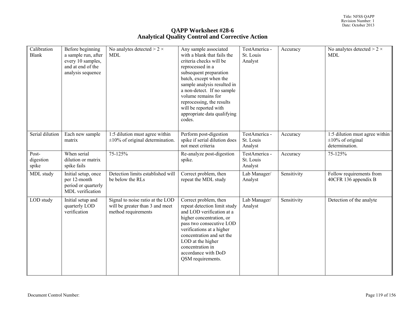#### **QAPP Worksheet #28-6 Analytical Quality Control and Corrective Action**

| Calibration<br><b>Blank</b> | Before beginning<br>a sample run, after<br>every 10 samples,<br>and at end of the<br>analysis sequence | No analytes detected $> 2 \times$<br><b>MDL</b>                                            | Any sample associated<br>with a blank that fails the<br>criteria checks will be<br>reprocessed in a<br>subsequent preparation<br>batch, except when the<br>sample analysis resulted in<br>a non-detect. If no sample<br>volume remains for<br>reprocessing, the results<br>will be reported with<br>appropriate data qualifying<br>codes. | TestAmerica -<br>St. Louis<br>Analyst | Accuracy    | No analytes detected $> 2 \times$<br><b>MDL</b>                            |
|-----------------------------|--------------------------------------------------------------------------------------------------------|--------------------------------------------------------------------------------------------|-------------------------------------------------------------------------------------------------------------------------------------------------------------------------------------------------------------------------------------------------------------------------------------------------------------------------------------------|---------------------------------------|-------------|----------------------------------------------------------------------------|
| Serial dilution             | Each new sample<br>matrix                                                                              | 1:5 dilution must agree within<br>$\pm 10\%$ of original determination.                    | Perform post-digestion<br>spike if serial dilution does<br>not meet criteria                                                                                                                                                                                                                                                              | TestAmerica -<br>St. Louis<br>Analyst | Accuracy    | 1:5 dilution must agree within<br>$\pm 10\%$ of original<br>determination. |
| Post-<br>digestion<br>spike | When serial<br>dilution or matrix<br>spike fails                                                       | 75-125%                                                                                    | Re-analyze post-digestion<br>spike.                                                                                                                                                                                                                                                                                                       | TestAmerica -<br>St. Louis<br>Analyst | Accuracy    | 75-125%                                                                    |
| MDL study                   | Initial setup, once<br>per 12-month<br>period or quarterly<br>MDL verification                         | Detection limits established will<br>be below the RLs                                      | Correct problem, then<br>repeat the MDL study                                                                                                                                                                                                                                                                                             | Lab Manager/<br>Analyst               | Sensitivity | Follow requirements from<br>40CFR 136 appendix B                           |
| LOD study                   | Initial setup and<br>quarterly LOD<br>verification                                                     | Signal to noise ratio at the LOD<br>will be greater than 3 and meet<br>method requirements | Correct problem, then<br>repeat detection limit study<br>and LOD verification at a<br>higher concentration, or<br>pass two consecutive LOD<br>verifications at a higher<br>concentration and set the<br>LOD at the higher<br>concentration in<br>accordance with DoD<br>QSM requirements.                                                 | Lab Manager/<br>Analyst               | Sensitivity | Detection of the analyte                                                   |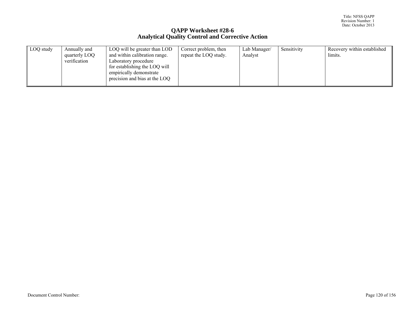#### **QAPP Worksheet #28-6 Analytical Quality Control and Corrective Action**

| LOQ study | Annually and  | LOQ will be greater than LOD  | Correct problem, then | Lab Manager/ | Sensitivity | Recovery within established |
|-----------|---------------|-------------------------------|-----------------------|--------------|-------------|-----------------------------|
|           | quarterly LOQ | and within calibration range. | repeat the LOQ study. | Analyst      |             | limits.                     |
|           | verification  | Laboratory procedure          |                       |              |             |                             |
|           |               | for establishing the LOQ will |                       |              |             |                             |
|           |               | empirically demonstrate       |                       |              |             |                             |
|           |               | precision and bias at the LOQ |                       |              |             |                             |
|           |               |                               |                       |              |             |                             |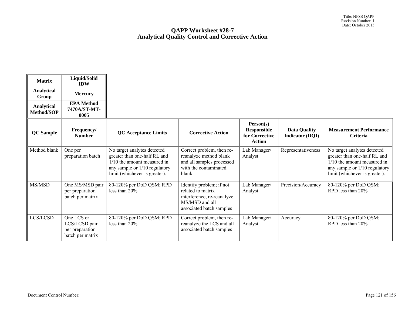# **QAPP Worksheet #28-7 Analytical Quality Control and Corrective Action**

| <b>Matrix</b>                   | Liquid/Solid<br><b>IDW</b>                                         |                                                                                                                                                                |                                                                                                                                        |                                                             |                                               |                                                                                                                                                                |
|---------------------------------|--------------------------------------------------------------------|----------------------------------------------------------------------------------------------------------------------------------------------------------------|----------------------------------------------------------------------------------------------------------------------------------------|-------------------------------------------------------------|-----------------------------------------------|----------------------------------------------------------------------------------------------------------------------------------------------------------------|
| <b>Analytical</b><br>Group      | <b>Mercury</b>                                                     |                                                                                                                                                                |                                                                                                                                        |                                                             |                                               |                                                                                                                                                                |
| <b>Analytical</b><br>Method/SOP | <b>EPA Method</b><br>7470A/ST-MT-<br>0005                          |                                                                                                                                                                |                                                                                                                                        |                                                             |                                               |                                                                                                                                                                |
| <b>QC</b> Sample                | Frequency/<br><b>Number</b>                                        | <b>QC</b> Acceptance Limits                                                                                                                                    | <b>Corrective Action</b>                                                                                                               | Person(s)<br>Responsible<br>for Corrective<br><b>Action</b> | <b>Data Quality</b><br><b>Indicator (DQI)</b> | <b>Measurement Performance</b><br>Criteria                                                                                                                     |
| Method blank                    | One per<br>preparation batch                                       | No target analytes detected<br>greater than one-half RL and<br>$1/10$ the amount measured in<br>any sample or 1/10 regulatory<br>limit (whichever is greater). | $\overline{\text{Correct}}$ problem, then re-<br>reanalyze method blank<br>and all samples processed<br>with the contaminated<br>blank | Lab Manager/<br>Analyst                                     | Representativeness                            | No target analytes detected<br>greater than one-half RL and<br>$1/10$ the amount measured in<br>any sample or 1/10 regulatory<br>limit (whichever is greater). |
| MS/MSD                          | One MS/MSD pair<br>per preparation<br>batch per matrix             | 80-120% per DoD QSM; RPD<br>less than $20%$                                                                                                                    | Identify problem; if not<br>related to matrix<br>interference, re-reanalyze<br>MS/MSD and all<br>associated batch samples              | Lab Manager/<br>Analyst                                     | Precision/Accuracy                            | 80-120% per DoD QSM;<br>RPD less than 20%                                                                                                                      |
| LCS/LCSD                        | One LCS or<br>LCS/LCSD pair<br>per preparation<br>batch per matrix | 80-120% per DoD QSM; RPD<br>less than $20%$                                                                                                                    | Correct problem, then re-<br>reanalyze the LCS and all<br>associated batch samples                                                     | Lab Manager/<br>Analyst                                     | Accuracy                                      | 80-120% per DoD QSM;<br>RPD less than 20%                                                                                                                      |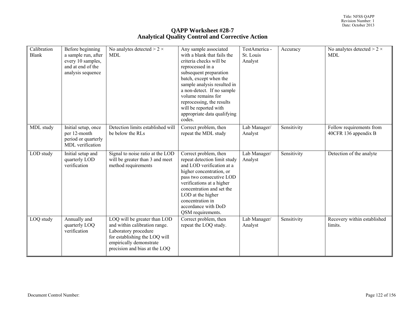#### **QAPP Worksheet #28-7 Analytical Quality Control and Corrective Action**

| Calibration<br><b>Blank</b> | Before beginning<br>a sample run, after<br>every 10 samples,<br>and at end of the<br>analysis sequence | No analytes detected $> 2 \times$<br><b>MDL</b>                                                                                                                                    | Any sample associated<br>with a blank that fails the<br>criteria checks will be<br>reprocessed in a<br>subsequent preparation<br>batch, except when the<br>sample analysis resulted in<br>a non-detect. If no sample<br>volume remains for<br>reprocessing, the results<br>will be reported with<br>appropriate data qualifying<br>codes. | TestAmerica -<br>St. Louis<br>Analyst | Accuracy    | No analytes detected $> 2 \times$<br><b>MDL</b>  |
|-----------------------------|--------------------------------------------------------------------------------------------------------|------------------------------------------------------------------------------------------------------------------------------------------------------------------------------------|-------------------------------------------------------------------------------------------------------------------------------------------------------------------------------------------------------------------------------------------------------------------------------------------------------------------------------------------|---------------------------------------|-------------|--------------------------------------------------|
| MDL study                   | Initial setup, once<br>per 12-month<br>period or quarterly<br>MDL verification                         | Detection limits established will<br>be below the RLs                                                                                                                              | Correct problem, then<br>repeat the MDL study                                                                                                                                                                                                                                                                                             | Lab Manager/<br>Analyst               | Sensitivity | Follow requirements from<br>40CFR 136 appendix B |
| LOD study                   | Initial setup and<br>quarterly LOD<br>verification                                                     | Signal to noise ratio at the LOD<br>will be greater than 3 and meet<br>method requirements                                                                                         | Correct problem, then<br>repeat detection limit study<br>and LOD verification at a<br>higher concentration, or<br>pass two consecutive LOD<br>verifications at a higher<br>concentration and set the<br>LOD at the higher<br>concentration in<br>accordance with DoD<br>QSM requirements.                                                 | Lab Manager/<br>Analyst               | Sensitivity | Detection of the analyte                         |
| LOQ study                   | Annually and<br>quarterly LOQ<br>verification                                                          | LOQ will be greater than LOD<br>and within calibration range.<br>Laboratory procedure<br>for establishing the LOQ will<br>empirically demonstrate<br>precision and bias at the LOQ | Correct problem, then<br>repeat the LOQ study.                                                                                                                                                                                                                                                                                            | Lab Manager/<br>Analyst               | Sensitivity | Recovery within established<br>limits.           |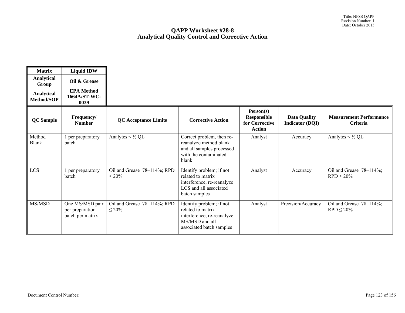# **QAPP Worksheet #28-8 Analytical Quality Control and Corrective Action**

| <b>Matrix</b>                   | <b>Liquid IDW</b>                                      |                                                 |                                                                                                                           |                                                             |                                               |                                            |
|---------------------------------|--------------------------------------------------------|-------------------------------------------------|---------------------------------------------------------------------------------------------------------------------------|-------------------------------------------------------------|-----------------------------------------------|--------------------------------------------|
| <b>Analytical</b><br>Group      | Oil & Grease                                           |                                                 |                                                                                                                           |                                                             |                                               |                                            |
| <b>Analytical</b><br>Method/SOP | <b>EPA Method</b><br>1664A/ST-WC-<br>0039              |                                                 |                                                                                                                           |                                                             |                                               |                                            |
| <b>QC</b> Sample                | Frequency/<br><b>Number</b>                            | <b>QC</b> Acceptance Limits                     | <b>Corrective Action</b>                                                                                                  | Person(s)<br>Responsible<br>for Corrective<br><b>Action</b> | <b>Data Quality</b><br><b>Indicator (DQI)</b> | <b>Measurement Performance</b><br>Criteria |
| Method<br><b>Blank</b>          | 1 per preparatory<br>batch                             | Analytes $\lt$ 1/2 QL                           | Correct problem, then re-<br>reanalyze method blank<br>and all samples processed<br>with the contaminated<br>blank        | Analyst                                                     | Accuracy                                      | Analytes $\lt$ 1/2 QL                      |
| <b>LCS</b>                      | 1 per preparatory<br>batch                             | Oil and Grease 78-114%; RPD<br>$\leq 20\%$      | Identify problem; if not<br>related to matrix<br>interference, re-reanalyze<br>LCS and all associated<br>batch samples    | Analyst                                                     | Accuracy                                      | Oil and Grease 78-114%;<br>$RPD \leq 20\%$ |
| MS/MSD                          | One MS/MSD pair<br>per preparation<br>batch per matrix | Oil and Grease 78-114%; RPD<br>${}_{\leq} 20\%$ | Identify problem; if not<br>related to matrix<br>interference, re-reanalyze<br>MS/MSD and all<br>associated batch samples | Analyst                                                     | Precision/Accuracy                            | Oil and Grease 78-114%;<br>$RPD \leq 20\%$ |

 $\blacksquare$ 

 $\overline{\phantom{0}}$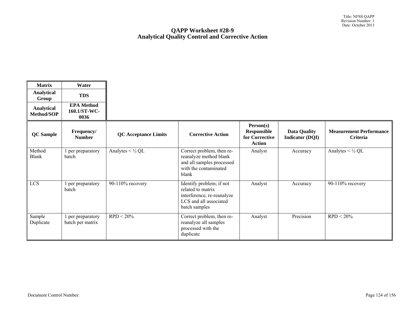# **QAPP Worksheet #28-9 Analytical Quality Control and Corrective Action**

| <b>Matrix</b>            | Water                                     |                             |                                                                                                                        |                                                                    |                                               |                                            |
|--------------------------|-------------------------------------------|-----------------------------|------------------------------------------------------------------------------------------------------------------------|--------------------------------------------------------------------|-----------------------------------------------|--------------------------------------------|
| Analytical<br>Group      | <b>TDS</b>                                |                             |                                                                                                                        |                                                                    |                                               |                                            |
| Analytical<br>Method/SOP | <b>EPA Method</b><br>160.1/ST-WC-<br>0036 |                             |                                                                                                                        |                                                                    |                                               |                                            |
| <b>QC</b> Sample         | Frequency/<br><b>Number</b>               | <b>QC</b> Acceptance Limits | <b>Corrective Action</b>                                                                                               | Person(s)<br><b>Responsible</b><br>for Corrective<br><b>Action</b> | <b>Data Quality</b><br><b>Indicator (DQI)</b> | <b>Measurement Performance</b><br>Criteria |
| Method<br><b>Blank</b>   | 1 per preparatory<br>batch                | Analytes $\lt$ 1/2 QL       | Correct problem, then re-<br>reanalyze method blank<br>and all samples processed<br>with the contaminated<br>blank     | Analyst                                                            | Accuracy                                      | Analytes $\lt$ 1/2 QL                      |
| <b>LCS</b>               | per preparatory<br>batch                  | 90-110% recovery            | Identify problem; if not<br>related to matrix<br>interference, re-reanalyze<br>LCS and all associated<br>batch samples | Analyst                                                            | Accuracy                                      | 90-110% recovery                           |
| Sample<br>Duplicate      | per preparatory<br>batch per matrix       | RPD < 20%                   | Correct problem, then re-<br>reanalyze all samples<br>processed with the<br>duplicate                                  | Analyst                                                            | Precision                                     | $RPD < 20\%$                               |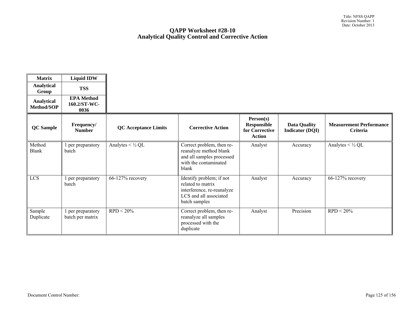# **QAPP Worksheet #28-10 Analytical Quality Control and Corrective Action**

| <b>Matrix</b>            | <b>Liquid IDW</b>                         |                             |                                                                                                                        |                                                                    |                                        |                                                   |
|--------------------------|-------------------------------------------|-----------------------------|------------------------------------------------------------------------------------------------------------------------|--------------------------------------------------------------------|----------------------------------------|---------------------------------------------------|
| Analytical<br>Group      | <b>TSS</b>                                |                             |                                                                                                                        |                                                                    |                                        |                                                   |
| Analytical<br>Method/SOP | <b>EPA Method</b><br>160.2/ST-WC-<br>0036 |                             |                                                                                                                        |                                                                    |                                        |                                                   |
| <b>QC</b> Sample         | Frequency/<br><b>Number</b>               | <b>QC</b> Acceptance Limits | <b>Corrective Action</b>                                                                                               | Person(s)<br><b>Responsible</b><br>for Corrective<br><b>Action</b> | Data Quality<br><b>Indicator (DQI)</b> | <b>Measurement Performance</b><br><b>Criteria</b> |
| Method<br><b>Blank</b>   | 1 per preparatory<br><b>batch</b>         | Analytes $\lt$ 1/2 QL       | Correct problem, then re-<br>reanalyze method blank<br>and all samples processed<br>with the contaminated<br>blank     | Analyst                                                            | Accuracy                               | Analytes $\lt$ 1/2 QL                             |
| <b>LCS</b>               | per preparatory<br>batch                  | 66-127% recovery            | Identify problem; if not<br>related to matrix<br>interference, re-reanalyze<br>LCS and all associated<br>batch samples | Analyst                                                            | Accuracy                               | 66-127% recovery                                  |
| Sample<br>Duplicate      | per preparatory<br>batch per matrix       | $RPD < 20\%$                | Correct problem, then re-<br>reanalyze all samples<br>processed with the<br>duplicate                                  | Analyst                                                            | Precision                              | RPD < 20%                                         |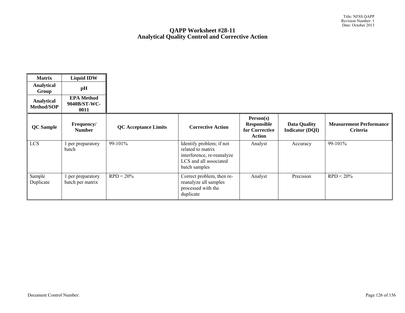# **QAPP Worksheet #28-11 Analytical Quality Control and Corrective Action**

| <b>Matrix</b>            | <b>Liquid IDW</b>                         |                             |                                                                                                                        |                                                             |                                               |                                                   |
|--------------------------|-------------------------------------------|-----------------------------|------------------------------------------------------------------------------------------------------------------------|-------------------------------------------------------------|-----------------------------------------------|---------------------------------------------------|
| Analytical<br>Group      | pH                                        |                             |                                                                                                                        |                                                             |                                               |                                                   |
| Analytical<br>Method/SOP | <b>EPA Method</b><br>9040B/ST-WC-<br>0011 |                             |                                                                                                                        |                                                             |                                               |                                                   |
| <b>QC</b> Sample         | Frequency/<br><b>Number</b>               | <b>QC</b> Acceptance Limits | <b>Corrective Action</b>                                                                                               | Person(s)<br><b>Responsible</b><br>for Corrective<br>Action | <b>Data Quality</b><br><b>Indicator (DQI)</b> | <b>Measurement Performance</b><br><b>Criteria</b> |
| <b>LCS</b>               | per preparatory<br>batch                  | 99-101%                     | Identify problem; if not<br>related to matrix<br>interference, re-reanalyze<br>LCS and all associated<br>batch samples | Analyst                                                     | Accuracy                                      | 99-101%                                           |
| Sample<br>Duplicate      | per preparatory<br>batch per matrix       | $RPD < 20\%$                | Correct problem, then re-<br>reanalyze all samples<br>processed with the<br>duplicate                                  | Analyst                                                     | Precision                                     | $RPD < 20\%$                                      |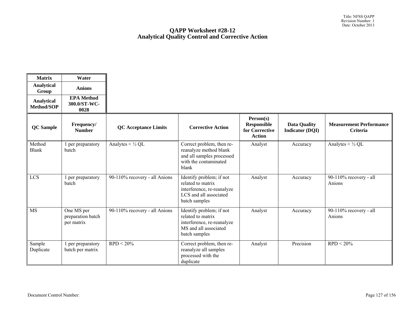# **QAPP Worksheet #28-12 Analytical Quality Control and Corrective Action**

| <b>Matrix</b>                   | Water                                         |                               |                                                                                                                        |                                                                    |                                        |                                            |
|---------------------------------|-----------------------------------------------|-------------------------------|------------------------------------------------------------------------------------------------------------------------|--------------------------------------------------------------------|----------------------------------------|--------------------------------------------|
| <b>Analytical</b><br>Group      | <b>Anions</b>                                 |                               |                                                                                                                        |                                                                    |                                        |                                            |
| <b>Analytical</b><br>Method/SOP | <b>EPA Method</b><br>300.0/ST-WC-<br>0028     |                               |                                                                                                                        |                                                                    |                                        |                                            |
| <b>QC</b> Sample                | Frequency/<br><b>Number</b>                   | <b>QC</b> Acceptance Limits   | <b>Corrective Action</b>                                                                                               | Person(s)<br><b>Responsible</b><br>for Corrective<br><b>Action</b> | Data Quality<br><b>Indicator (DQI)</b> | <b>Measurement Performance</b><br>Criteria |
| Method<br><b>Blank</b>          | per preparatory<br>batch                      | Analytes $\lt$ ½ QL           | Correct problem, then re-<br>reanalyze method blank<br>and all samples processed<br>with the contaminated<br>blank     | Analyst                                                            | Accuracy                               | Analytes $\lt$ 1/2 QL                      |
| <b>LCS</b>                      | per preparatory<br>batch                      | 90-110% recovery - all Anions | Identify problem; if not<br>related to matrix<br>interference, re-reanalyze<br>LCS and all associated<br>batch samples | Analyst                                                            | Accuracy                               | 90-110% recovery - all<br>Anions           |
| <b>MS</b>                       | One MS per<br>preparation batch<br>per matrix | 90-110% recovery - all Anions | Identify problem; if not<br>related to matrix<br>interference, re-reanalyze<br>MS and all associated<br>batch samples  | Analyst                                                            | Accuracy                               | 90-110% recovery - all<br>Anions           |
| Sample<br>Duplicate             | per preparatory<br>batch per matrix           | $RPD < 20\%$                  | Correct problem, then re-<br>reanalyze all samples<br>processed with the<br>duplicate                                  | Analyst                                                            | Precision                              | $RPD < 20\%$                               |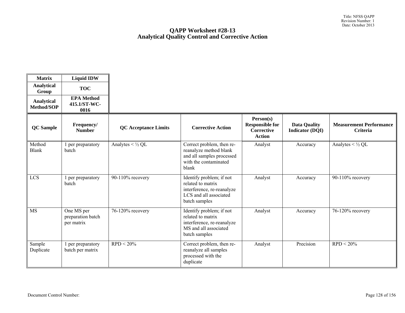# **QAPP Worksheet #28-13 Analytical Quality Control and Corrective Action**

| <b>Matrix</b>                   | <b>Liquid IDW</b>                             |                             |                                                                                                                        |                                                                           |                                               |                                                   |
|---------------------------------|-----------------------------------------------|-----------------------------|------------------------------------------------------------------------------------------------------------------------|---------------------------------------------------------------------------|-----------------------------------------------|---------------------------------------------------|
| <b>Analytical</b><br>Group      | <b>TOC</b>                                    |                             |                                                                                                                        |                                                                           |                                               |                                                   |
| <b>Analytical</b><br>Method/SOP | <b>EPA Method</b><br>415.1/ST-WC-<br>0016     |                             |                                                                                                                        |                                                                           |                                               |                                                   |
| <b>QC</b> Sample                | Frequency/<br><b>Number</b>                   | <b>QC</b> Acceptance Limits | <b>Corrective Action</b>                                                                                               | Person(s)<br><b>Responsible for</b><br><b>Corrective</b><br><b>Action</b> | <b>Data Quality</b><br><b>Indicator (DQI)</b> | <b>Measurement Performance</b><br><b>Criteria</b> |
| Method<br><b>Blank</b>          | 1 per preparatory<br><b>batch</b>             | Analytes $\lt$ 1/2 QL       | Correct problem, then re-<br>reanalyze method blank<br>and all samples processed<br>with the contaminated<br>blank     | Analyst                                                                   | Accuracy                                      | Analytes $\lt$ 1/2 QL                             |
| LCS                             | 1 per preparatory<br>batch                    | 90-110% recovery            | Identify problem; if not<br>related to matrix<br>interference, re-reanalyze<br>LCS and all associated<br>batch samples | Analyst                                                                   | Accuracy                                      | 90-110% recovery                                  |
| <b>MS</b>                       | One MS per<br>preparation batch<br>per matrix | 76-120% recovery            | Identify problem; if not<br>related to matrix<br>interference, re-reanalyze<br>MS and all associated<br>batch samples  | Analyst                                                                   | Accuracy                                      | 76-120% recovery                                  |
| Sample<br>Duplicate             | 1 per preparatory<br>batch per matrix         | $RPD < 20\%$                | Correct problem, then re-<br>reanalyze all samples<br>processed with the<br>duplicate                                  | Analyst                                                                   | Precision                                     | $RPD < 20\%$                                      |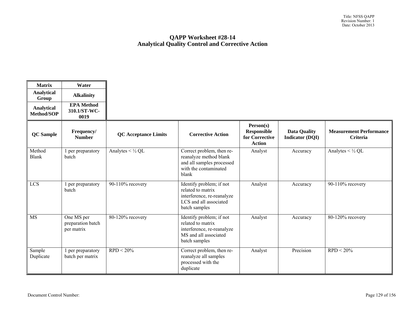# **QAPP Worksheet #28-14 Analytical Quality Control and Corrective Action**

| <b>Matrix</b>                   | Water                                         |                             |                                                                                                                        |                                                                    |                                               |                                                   |
|---------------------------------|-----------------------------------------------|-----------------------------|------------------------------------------------------------------------------------------------------------------------|--------------------------------------------------------------------|-----------------------------------------------|---------------------------------------------------|
| <b>Analytical</b><br>Group      | <b>Alkalinity</b>                             |                             |                                                                                                                        |                                                                    |                                               |                                                   |
| <b>Analytical</b><br>Method/SOP | <b>EPA Method</b><br>310.1/ST-WC-<br>0019     |                             |                                                                                                                        |                                                                    |                                               |                                                   |
| <b>QC</b> Sample                | Frequency/<br><b>Number</b>                   | <b>QC</b> Acceptance Limits | <b>Corrective Action</b>                                                                                               | Person(s)<br><b>Responsible</b><br>for Corrective<br><b>Action</b> | <b>Data Quality</b><br><b>Indicator (DQI)</b> | <b>Measurement Performance</b><br><b>Criteria</b> |
| Method<br><b>Blank</b>          | 1 per preparatory<br>batch                    | Analytes $\lt$ 1/2 QL       | Correct problem, then re-<br>reanalyze method blank<br>and all samples processed<br>with the contaminated<br>blank     | Analyst                                                            | Accuracy                                      | Analytes $\lt$ 1/2 QL                             |
| <b>LCS</b>                      | 1 per preparatory<br><b>batch</b>             | 90-110% recovery            | Identify problem; if not<br>related to matrix<br>interference, re-reanalyze<br>LCS and all associated<br>batch samples | Analyst                                                            | Accuracy                                      | 90-110% recovery                                  |
| <b>MS</b>                       | One MS per<br>preparation batch<br>per matrix | 80-120% recovery            | Identify problem; if not<br>related to matrix<br>interference, re-reanalyze<br>MS and all associated<br>batch samples  | Analyst                                                            | Accuracy                                      | 80-120% recovery                                  |
| Sample<br>Duplicate             | 1 per preparatory<br>batch per matrix         | $RPD < 20\%$                | Correct problem, then re-<br>reanalyze all samples<br>processed with the<br>duplicate                                  | Analyst                                                            | Precision                                     | $RPD < 20\%$                                      |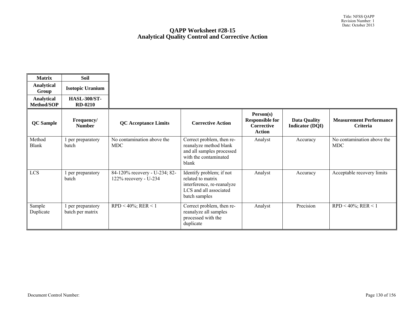# **QAPP Worksheet #28-15 Analytical Quality Control and Corrective Action**

| <b>Matrix</b>                   | Soil                                  |                                                        |                                                                                                                        |                                                                    |                                               |                                            |
|---------------------------------|---------------------------------------|--------------------------------------------------------|------------------------------------------------------------------------------------------------------------------------|--------------------------------------------------------------------|-----------------------------------------------|--------------------------------------------|
| <b>Analytical</b><br>Group      | <b>Isotopic Uranium</b>               |                                                        |                                                                                                                        |                                                                    |                                               |                                            |
| <b>Analytical</b><br>Method/SOP | <b>HASL-300/ST-</b><br><b>RD-0210</b> |                                                        |                                                                                                                        |                                                                    |                                               |                                            |
| <b>QC</b> Sample                | Frequency/<br><b>Number</b>           | <b>QC</b> Acceptance Limits                            | <b>Corrective Action</b>                                                                                               | Person(s)<br><b>Responsible for</b><br>Corrective<br><b>Action</b> | <b>Data Quality</b><br><b>Indicator (DQI)</b> | <b>Measurement Performance</b><br>Criteria |
| Method<br><b>Blank</b>          | per preparatory<br><b>batch</b>       | No contamination above the<br><b>MDC</b>               | Correct problem, then re-<br>reanalyze method blank<br>and all samples processed<br>with the contaminated<br>blank     | Analyst                                                            | Accuracy                                      | No contamination above the<br><b>MDC</b>   |
| <b>LCS</b>                      | per preparatory<br>batch              | 84-120% recovery - U-234; 82-<br>122% recovery - U-234 | Identify problem; if not<br>related to matrix<br>interference, re-reanalyze<br>LCS and all associated<br>batch samples | Analyst                                                            | Accuracy                                      | Acceptable recovery limits                 |
| Sample<br>Duplicate             | per preparatory<br>batch per matrix   | $RPD < 40\%$ ; $RER < 1$                               | Correct problem, then re-<br>reanalyze all samples<br>processed with the<br>duplicate                                  | Analyst                                                            | Precision                                     | $RPD < 40\%$ ; RER < 1                     |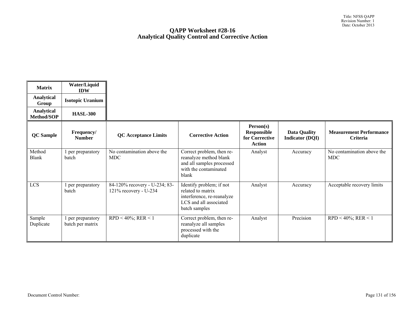# **QAPP Worksheet #28-16 Analytical Quality Control and Corrective Action**

| <b>Matrix</b>                   | Water/Liquid<br><b>IDW</b>          |                                                        |                                                                                                                        |                                                             |                                               |                                                   |
|---------------------------------|-------------------------------------|--------------------------------------------------------|------------------------------------------------------------------------------------------------------------------------|-------------------------------------------------------------|-----------------------------------------------|---------------------------------------------------|
| <b>Analytical</b><br>Group      | <b>Isotopic Uranium</b>             |                                                        |                                                                                                                        |                                                             |                                               |                                                   |
| <b>Analytical</b><br>Method/SOP | <b>HASL-300</b>                     |                                                        |                                                                                                                        |                                                             |                                               |                                                   |
| <b>QC</b> Sample                | Frequency/<br><b>Number</b>         | <b>QC</b> Acceptance Limits                            | <b>Corrective Action</b>                                                                                               | Person(s)<br>Responsible<br>for Corrective<br><b>Action</b> | <b>Data Quality</b><br><b>Indicator (DQI)</b> | <b>Measurement Performance</b><br><b>Criteria</b> |
| Method<br><b>Blank</b>          | 1 per preparatory<br>batch          | No contamination above the<br><b>MDC</b>               | Correct problem, then re-<br>reanalyze method blank<br>and all samples processed<br>with the contaminated<br>blank     | Analyst                                                     | Accuracy                                      | No contamination above the<br><b>MDC</b>          |
| <b>LCS</b>                      | 1 per preparatory<br><b>batch</b>   | 84-120% recovery - U-234; 83-<br>121% recovery - U-234 | Identify problem; if not<br>related to matrix<br>interference, re-reanalyze<br>LCS and all associated<br>batch samples | Analyst                                                     | Accuracy                                      | Acceptable recovery limits                        |
| Sample<br>Duplicate             | per preparatory<br>batch per matrix | $RPD < 40\%$ ; RER < 1                                 | Correct problem, then re-<br>reanalyze all samples<br>processed with the<br>duplicate                                  | Analyst                                                     | Precision                                     | $RPD < 40\%$ ; RER < 1                            |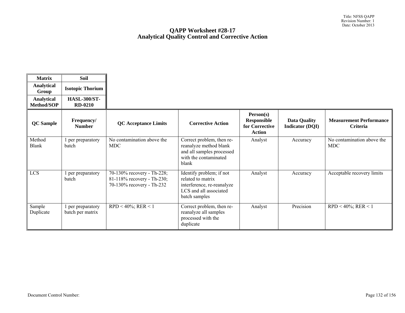# **QAPP Worksheet #28-17 Analytical Quality Control and Corrective Action**

| <b>Matrix</b>                   | Soil                                  |                                                                                       |                                                                                                                        |                                                      |                                               |                                                   |
|---------------------------------|---------------------------------------|---------------------------------------------------------------------------------------|------------------------------------------------------------------------------------------------------------------------|------------------------------------------------------|-----------------------------------------------|---------------------------------------------------|
| <b>Analytical</b><br>Group      | <b>Isotopic Thorium</b>               |                                                                                       |                                                                                                                        |                                                      |                                               |                                                   |
| <b>Analytical</b><br>Method/SOP | <b>HASL-300/ST-</b><br><b>RD-0210</b> |                                                                                       |                                                                                                                        |                                                      |                                               |                                                   |
| <b>QC</b> Sample                | Frequency/<br><b>Number</b>           | <b>QC</b> Acceptance Limits                                                           | <b>Corrective Action</b>                                                                                               | Person(s)<br>Responsible<br>for Corrective<br>Action | <b>Data Quality</b><br><b>Indicator (DQI)</b> | <b>Measurement Performance</b><br><b>Criteria</b> |
| Method<br><b>Blank</b>          | 1 per preparatory<br>batch            | No contamination above the<br><b>MDC</b>                                              | Correct problem, then re-<br>reanalyze method blank<br>and all samples processed<br>with the contaminated<br>blank     | Analyst                                              | Accuracy                                      | No contamination above the<br><b>MDC</b>          |
| <b>LCS</b>                      | per preparatory<br>batch              | 70-130% recovery - Th-228;<br>81-118% recovery - Th-230;<br>70-130% recovery - Th-232 | Identify problem; if not<br>related to matrix<br>interference, re-reanalyze<br>LCS and all associated<br>batch samples | Analyst                                              | Accuracy                                      | Acceptable recovery limits                        |
| Sample<br>Duplicate             | 1 per preparatory<br>batch per matrix | $RPD < 40\%$ ; RER < 1                                                                | Correct problem, then re-<br>reanalyze all samples<br>processed with the<br>duplicate                                  | Analyst                                              | Precision                                     | $RPD < 40\%$ ; RER < 1                            |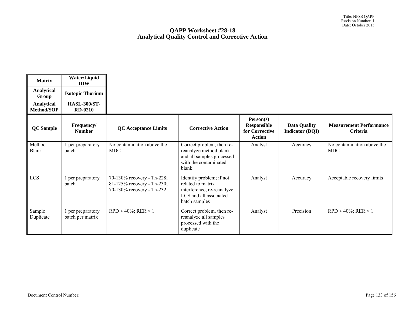# **QAPP Worksheet #28-18 Analytical Quality Control and Corrective Action**

| <b>Matrix</b>                   | <b>Water/Liquid</b><br><b>IDW</b>     |                                                                                       |                                                                                                                        |                                                                    |                                               |                                                   |
|---------------------------------|---------------------------------------|---------------------------------------------------------------------------------------|------------------------------------------------------------------------------------------------------------------------|--------------------------------------------------------------------|-----------------------------------------------|---------------------------------------------------|
| <b>Analytical</b><br>Group      | <b>Isotopic Thorium</b>               |                                                                                       |                                                                                                                        |                                                                    |                                               |                                                   |
| <b>Analytical</b><br>Method/SOP | <b>HASL-300/ST-</b><br><b>RD-0210</b> |                                                                                       |                                                                                                                        |                                                                    |                                               |                                                   |
| <b>QC</b> Sample                | Frequency/<br><b>Number</b>           | <b>QC</b> Acceptance Limits                                                           | <b>Corrective Action</b>                                                                                               | Person(s)<br><b>Responsible</b><br>for Corrective<br><b>Action</b> | <b>Data Quality</b><br><b>Indicator (DQI)</b> | <b>Measurement Performance</b><br><b>Criteria</b> |
| Method<br>Blank                 | l per preparatory<br><b>batch</b>     | No contamination above the<br><b>MDC</b>                                              | Correct problem, then re-<br>reanalyze method blank<br>and all samples processed<br>with the contaminated<br>blank     | Analyst                                                            | Accuracy                                      | No contamination above the<br><b>MDC</b>          |
| <b>LCS</b>                      | per preparatory<br>batch              | 70-130% recovery - Th-228;<br>81-125% recovery - Th-230;<br>70-130% recovery - Th-232 | Identify problem; if not<br>related to matrix<br>interference, re-reanalyze<br>LCS and all associated<br>batch samples | Analyst                                                            | Accuracy                                      | Acceptable recovery limits                        |
| Sample<br>Duplicate             | per preparatory<br>batch per matrix   | $RPD < 40\%$ ; RER < 1                                                                | Correct problem, then re-<br>reanalyze all samples<br>processed with the<br>duplicate                                  | Analyst                                                            | Precision                                     | $RPD < 40\%$ ; RER < 1                            |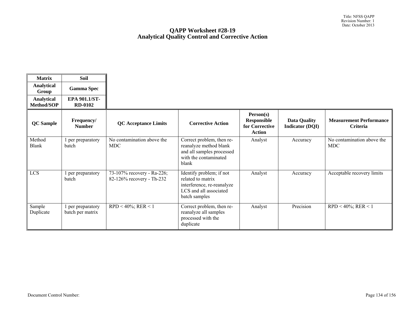# **QAPP Worksheet #28-19 Analytical Quality Control and Corrective Action**

| <b>Matrix</b>                   | Soil                                  |                                                         |                                                                                                                        |                                                             |                                               |                                                   |
|---------------------------------|---------------------------------------|---------------------------------------------------------|------------------------------------------------------------------------------------------------------------------------|-------------------------------------------------------------|-----------------------------------------------|---------------------------------------------------|
| Analytical<br>Group             | <b>Gamma Spec</b>                     |                                                         |                                                                                                                        |                                                             |                                               |                                                   |
| <b>Analytical</b><br>Method/SOP | EPA 901.1/ST-<br><b>RD-0102</b>       |                                                         |                                                                                                                        |                                                             |                                               |                                                   |
| <b>QC</b> Sample                | Frequency/<br><b>Number</b>           | <b>QC</b> Acceptance Limits                             | <b>Corrective Action</b>                                                                                               | Person(s)<br>Responsible<br>for Corrective<br><b>Action</b> | <b>Data Quality</b><br><b>Indicator (DQI)</b> | <b>Measurement Performance</b><br><b>Criteria</b> |
| Method<br><b>Blank</b>          | 1 per preparatory<br><b>batch</b>     | No contamination above the<br>MDC                       | Correct problem, then re-<br>reanalyze method blank<br>and all samples processed<br>with the contaminated<br>blank     | Analyst                                                     | Accuracy                                      | No contamination above the<br><b>MDC</b>          |
| <b>LCS</b>                      | 1 per preparatory<br>batch            | 73-107% recovery - Ra-226;<br>82-126% recovery - Th-232 | Identify problem; if not<br>related to matrix<br>interference, re-reanalyze<br>LCS and all associated<br>batch samples | Analyst                                                     | Accuracy                                      | Acceptable recovery limits                        |
| Sample<br>Duplicate             | 1 per preparatory<br>batch per matrix | $RPD < 40\%$ ; RER < 1                                  | Correct problem, then re-<br>reanalyze all samples<br>processed with the<br>duplicate                                  | Analyst                                                     | Precision                                     | $RPD < 40\%$ ; RER < 1                            |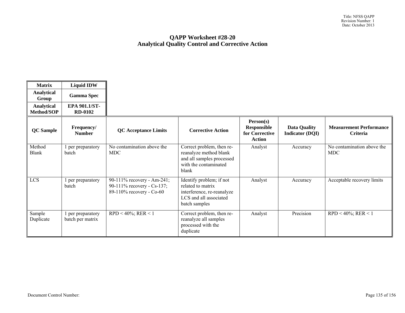# **QAPP Worksheet #28-20 Analytical Quality Control and Corrective Action**

| <b>Matrix</b>                   | <b>Liquid IDW</b>                   |                                                                                      |                                                                                                                        |                                                                    |                                               |                                                   |
|---------------------------------|-------------------------------------|--------------------------------------------------------------------------------------|------------------------------------------------------------------------------------------------------------------------|--------------------------------------------------------------------|-----------------------------------------------|---------------------------------------------------|
| <b>Analytical</b><br>Group      | <b>Gamma Spec</b>                   |                                                                                      |                                                                                                                        |                                                                    |                                               |                                                   |
| <b>Analytical</b><br>Method/SOP | EPA 901.1/ST-<br><b>RD-0102</b>     |                                                                                      |                                                                                                                        |                                                                    |                                               |                                                   |
| <b>QC</b> Sample                | Frequency/<br><b>Number</b>         | <b>QC</b> Acceptance Limits                                                          | <b>Corrective Action</b>                                                                                               | Person(s)<br><b>Responsible</b><br>for Corrective<br><b>Action</b> | <b>Data Quality</b><br><b>Indicator (DQI)</b> | <b>Measurement Performance</b><br><b>Criteria</b> |
| Method<br>Blank                 | per preparatory<br>batch            | No contamination above the<br><b>MDC</b>                                             | Correct problem, then re-<br>reanalyze method blank<br>and all samples processed<br>with the contaminated<br>blank     | Analyst                                                            | Accuracy                                      | No contamination above the<br><b>MDC</b>          |
| <b>LCS</b>                      | per preparatory<br><b>batch</b>     | 90-111% recovery - Am-241;<br>90-111% recovery - Cs-137;<br>89-110% recovery - Co-60 | Identify problem; if not<br>related to matrix<br>interference, re-reanalyze<br>LCS and all associated<br>batch samples | Analyst                                                            | Accuracy                                      | Acceptable recovery limits                        |
| Sample<br>Duplicate             | per preparatory<br>batch per matrix | $RPD < 40\%$ ; RER < 1                                                               | Correct problem, then re-<br>reanalyze all samples<br>processed with the<br>duplicate                                  | Analyst                                                            | Precision                                     | $RPD < 40\%$ ; RER < 1                            |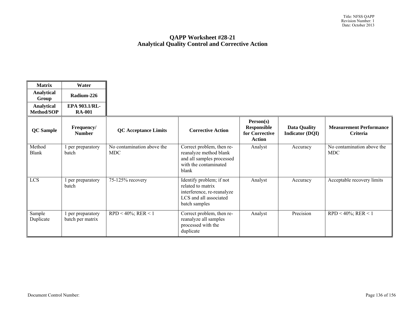# **QAPP Worksheet #28-21 Analytical Quality Control and Corrective Action**

| <b>Matrix</b>                   | Water                                 |                                          |                                                                                                                        |                                                             |                                               |                                                   |
|---------------------------------|---------------------------------------|------------------------------------------|------------------------------------------------------------------------------------------------------------------------|-------------------------------------------------------------|-----------------------------------------------|---------------------------------------------------|
| <b>Analytical</b><br>Group      | Radium-226                            |                                          |                                                                                                                        |                                                             |                                               |                                                   |
| <b>Analytical</b><br>Method/SOP | EPA 903.1/RL-<br><b>RA-001</b>        |                                          |                                                                                                                        |                                                             |                                               |                                                   |
| <b>QC</b> Sample                | Frequency/<br><b>Number</b>           | <b>QC</b> Acceptance Limits              | <b>Corrective Action</b>                                                                                               | Person(s)<br>Responsible<br>for Corrective<br><b>Action</b> | <b>Data Quality</b><br><b>Indicator (DQI)</b> | <b>Measurement Performance</b><br><b>Criteria</b> |
| Method<br><b>Blank</b>          | 1 per preparatory<br><b>batch</b>     | No contamination above the<br><b>MDC</b> | Correct problem, then re-<br>reanalyze method blank<br>and all samples processed<br>with the contaminated<br>blank     | Analyst                                                     | Accuracy                                      | No contamination above the<br><b>MDC</b>          |
| <b>LCS</b>                      | 1 per preparatory<br>batch            | 75-125% recovery                         | Identify problem; if not<br>related to matrix<br>interference, re-reanalyze<br>LCS and all associated<br>batch samples | Analyst                                                     | Accuracy                                      | Acceptable recovery limits                        |
| Sample<br>Duplicate             | 1 per preparatory<br>batch per matrix | $RPD < 40\%$ ; RER < 1                   | Correct problem, then re-<br>reanalyze all samples<br>processed with the<br>duplicate                                  | Analyst                                                     | Precision                                     | $RPD < 40\%$ ; RER < 1                            |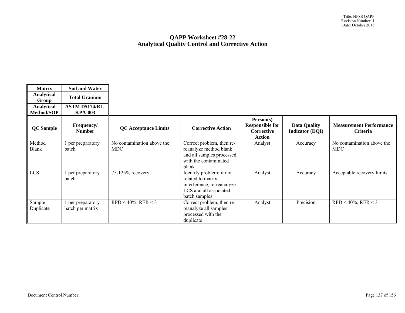# **QAPP Worksheet #28-22 Analytical Quality Control and Corrective Action**

| <b>Matrix</b>              | <b>Soil and Water</b>                 |                                          |                                                                                                                        |                                                             |                                               |                                                   |
|----------------------------|---------------------------------------|------------------------------------------|------------------------------------------------------------------------------------------------------------------------|-------------------------------------------------------------|-----------------------------------------------|---------------------------------------------------|
| <b>Analytical</b><br>Group | <b>Total Uranium</b>                  |                                          |                                                                                                                        |                                                             |                                               |                                                   |
| <b>Analytical</b>          | ASTM D5174/RL-                        |                                          |                                                                                                                        |                                                             |                                               |                                                   |
| Method/SOP                 | <b>KPA-003</b>                        |                                          |                                                                                                                        |                                                             |                                               |                                                   |
| <b>QC</b> Sample           | Frequency/<br><b>Number</b>           | <b>QC</b> Acceptance Limits              | <b>Corrective Action</b>                                                                                               | Person(s)<br><b>Responsible for</b><br>Corrective<br>Action | <b>Data Quality</b><br><b>Indicator (DQI)</b> | <b>Measurement Performance</b><br><b>Criteria</b> |
| Method<br><b>Blank</b>     | per preparatory<br>batch              | No contamination above the<br><b>MDC</b> | Correct problem, then re-<br>reanalyze method blank<br>and all samples processed<br>with the contaminated<br>blank     | Analyst                                                     | Accuracy                                      | No contamination above the<br><b>MDC</b>          |
| <b>LCS</b>                 | l per preparatory<br>batch            | 75-125% recovery                         | Identify problem; if not<br>related to matrix<br>interference, re-reanalyze<br>LCS and all associated<br>batch samples | Analyst                                                     | Accuracy                                      | Acceptable recovery limits                        |
| Sample<br>Duplicate        | l per preparatory<br>batch per matrix | $RPD < 40\%$ ; RER < 3                   | Correct problem, then re-<br>reanalyze all samples<br>processed with the<br>duplicate                                  | Analyst                                                     | Precision                                     | $RPD < 40\%$ ; RER < 3                            |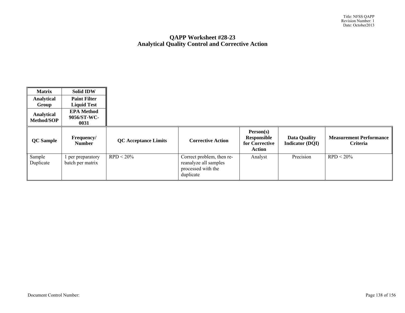# **QAPP Worksheet #28-23 Analytical Quality Control and Corrective Action**

| <b>Matrix</b>                   | <b>Solid IDW</b>                          |                             |                                                                                       |                                                             |                                               |                                                   |
|---------------------------------|-------------------------------------------|-----------------------------|---------------------------------------------------------------------------------------|-------------------------------------------------------------|-----------------------------------------------|---------------------------------------------------|
| <b>Analytical</b><br>Group      | <b>Paint Filter</b><br><b>Liquid Test</b> |                             |                                                                                       |                                                             |                                               |                                                   |
| Analytical<br><b>Method/SOP</b> | <b>EPA Method</b><br>9056/ST-WC-<br>0031  |                             |                                                                                       |                                                             |                                               |                                                   |
| <b>QC</b> Sample                | Frequency/<br><b>Number</b>               | <b>QC</b> Acceptance Limits | <b>Corrective Action</b>                                                              | Person(s)<br><b>Responsible</b><br>for Corrective<br>Action | <b>Data Quality</b><br><b>Indicator</b> (DQI) | <b>Measurement Performance</b><br><b>Criteria</b> |
| Sample<br>Duplicate             | l per preparatory<br>batch per matrix     | $RPD < 20\%$                | Correct problem, then re-<br>reanalyze all samples<br>processed with the<br>duplicate | Analyst                                                     | Precision                                     | $RPD < 20\%$                                      |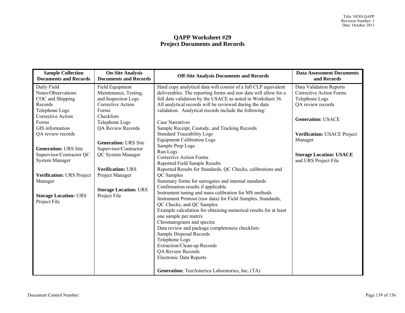#### **QAPP Worksheet #29 Project Documents and Records**

| <b>Sample Collection</b><br><b>Documents and Records</b> | <b>On-Site Analysis</b><br><b>Documents and Records</b> | <b>Off-Site Analysis Documents and Records</b>                   | <b>Data Assessment Documents</b><br>and Records |
|----------------------------------------------------------|---------------------------------------------------------|------------------------------------------------------------------|-------------------------------------------------|
| Daily Field                                              | Field Equipment                                         | Hard copy analytical data will consist of a full CLP equivalent  | Data Validation Reports                         |
| Notes/Observations                                       | Maintenance, Testing,                                   | deliverables. The reporting forms and raw data will allow for a  | <b>Corrective Action Forms</b>                  |
| COC and Shipping                                         | and Inspection Logs                                     | full data validation by the USACE as noted in Worksheet 36.      | Telephone Logs                                  |
| Records                                                  | Corrective Action                                       | All analytical records will be reviewed during the data          | QA review records                               |
| Telephone Logs                                           | Forms                                                   | validation. Analytical records include the following:            |                                                 |
| Corrective Action                                        | Checklists                                              |                                                                  | <b>Generation: USACE</b>                        |
| Forms                                                    | Telephone Logs                                          | Case Narratives                                                  |                                                 |
| GIS information                                          | <b>QA Review Records</b>                                | Sample Receipt, Custody, and Tracking Records                    |                                                 |
| QA review records                                        |                                                         | <b>Standard Traceability Logs</b>                                | Verification: USACE Project                     |
|                                                          | <b>Generation: URS Site</b>                             | <b>Equipment Calibration Logs</b>                                | Manager                                         |
| <b>Generation: URS Site</b>                              | Supervisor/Contractor                                   | Sample Prep Logs                                                 |                                                 |
| Supervisor/Contractor QC                                 | QC System Manager                                       | Run Logs                                                         | <b>Storage Location: USACE</b>                  |
| <b>System Manager</b>                                    |                                                         | <b>Corrective Action Forms</b>                                   | and URS Project File                            |
|                                                          |                                                         | Reported Field Sample Results                                    |                                                 |
|                                                          | <b>Verification: URS</b>                                | Reported Results for Standards, QC Checks, calibrations and      |                                                 |
| Verification: URS Project                                | Project Manager                                         | QC Samples                                                       |                                                 |
| Manager                                                  |                                                         | Summary forms for surrogates and internal standards              |                                                 |
|                                                          |                                                         | Confirmation results if applicable                               |                                                 |
|                                                          | <b>Storage Location: URS</b>                            | Instrument tuning and mass calibration for MS methods            |                                                 |
| <b>Storage Location: URS</b>                             | Project File                                            | Instrument Printout (raw data) for Field Samples, Standards,     |                                                 |
| Project File                                             |                                                         | QC Checks, and QC Samples                                        |                                                 |
|                                                          |                                                         | Example calculation for obtaining numerical results for at least |                                                 |
|                                                          |                                                         | one sample per matrix                                            |                                                 |
|                                                          |                                                         | Chromatograms and spectra                                        |                                                 |
|                                                          |                                                         | Data review and package completeness checklists                  |                                                 |
|                                                          |                                                         | Sample Disposal Records                                          |                                                 |
|                                                          |                                                         | Telephone Logs                                                   |                                                 |
|                                                          |                                                         | Extraction/Clean-up Records                                      |                                                 |
|                                                          |                                                         | QA Review Records                                                |                                                 |
|                                                          |                                                         | <b>Electronic Data Reports</b>                                   |                                                 |
|                                                          |                                                         |                                                                  |                                                 |
|                                                          |                                                         | Generation: TestAmerica Laboratories, Inc. (TA)                  |                                                 |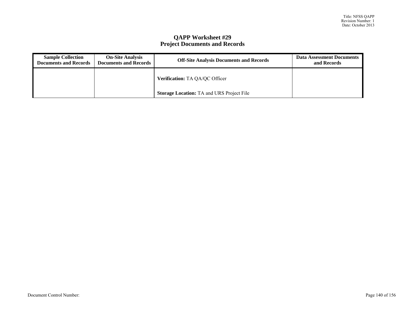# **QAPP Worksheet #29 Project Documents and Records**

| <b>Sample Collection</b><br><b>Documents and Records</b> | <b>On-Site Analysis</b><br><b>Documents and Records</b> | <b>Off-Site Analysis Documents and Records</b>   | <b>Data Assessment Documents</b><br>and Records |
|----------------------------------------------------------|---------------------------------------------------------|--------------------------------------------------|-------------------------------------------------|
|                                                          |                                                         | <b>Verification:</b> TA QA/QC Officer            |                                                 |
|                                                          |                                                         | <b>Storage Location:</b> TA and URS Project File |                                                 |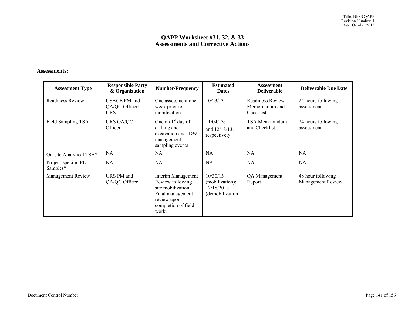# **QAPP Worksheet #31, 32, & 33 Assessments and Corrective Actions**

#### **Assessments:**

| <b>Assessment Type</b>          | <b>Responsible Party</b><br>& Organization   | <b>Number/Frequency</b>                                                                                                         | <b>Estimated</b><br><b>Dates</b>                              | <b>Assessment</b><br><b>Deliverable</b>                | <b>Deliverable Due Date</b>            |
|---------------------------------|----------------------------------------------|---------------------------------------------------------------------------------------------------------------------------------|---------------------------------------------------------------|--------------------------------------------------------|----------------------------------------|
| Readiness Review                | USACE PM and<br>QA/QC Officer;<br><b>URS</b> | One assessment one<br>week prior to<br>mobilization                                                                             | 10/23/13                                                      | <b>Readiness Review</b><br>Memorandum and<br>Checklist | 24 hours following<br>assessment       |
| Field Sampling TSA              | URS QA/QC<br>Officer                         | One on $1st$ day of<br>drilling and<br>excavation and IDW<br>management<br>sampling events                                      | $11/04/13$ ;<br>and 12/18/13,<br>respectively                 | TSA Memorandum<br>and Checklist                        | 24 hours following<br>assessment       |
| On-site Analytical TSA*         | NA                                           | NA                                                                                                                              | <b>NA</b>                                                     | <b>NA</b>                                              | <b>NA</b>                              |
| Project-specific PE<br>Samples* | NA                                           | <b>NA</b>                                                                                                                       | <b>NA</b>                                                     | <b>NA</b>                                              | <b>NA</b>                              |
| Management Review               | URS PM and<br>QA/QC Officer                  | Interim Management<br>Review following<br>site mobilization.<br>Final management<br>review upon<br>completion of field<br>work. | 10/30/13<br>(mobilization);<br>12/18/2013<br>(demobilization) | QA Management<br>Report                                | 48 hour following<br>Management Review |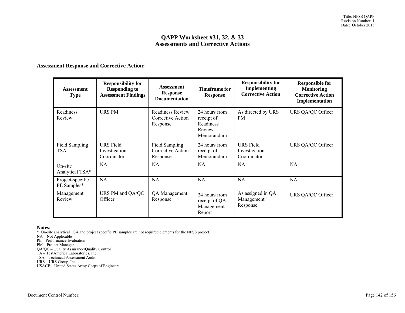#### **QAPP Worksheet #31, 32, & 33 Assessments and Corrective Actions**

#### **Assessment Response and Corrective Action:**

| <b>Assessment</b><br><b>Type</b>    | <b>Responsibility for</b><br><b>Responding to</b><br><b>Assessment Findings</b> | <b>Assessment</b><br><b>Response</b><br><b>Documentation</b> | Timeframe for<br><b>Response</b>                                 | <b>Responsibility for</b><br><b>Implementing</b><br><b>Corrective Action</b> | <b>Responsible for</b><br><b>Monitoring</b><br><b>Corrective Action</b><br>Implementation |
|-------------------------------------|---------------------------------------------------------------------------------|--------------------------------------------------------------|------------------------------------------------------------------|------------------------------------------------------------------------------|-------------------------------------------------------------------------------------------|
| Readiness<br>Review                 | URS PM                                                                          | <b>Readiness Review</b><br>Corrective Action<br>Response     | 24 hours from<br>receipt of<br>Readiness<br>Review<br>Memorandum | As directed by URS<br><b>PM</b>                                              | URS QA/QC Officer                                                                         |
| <b>Field Sampling</b><br><b>TSA</b> | URS Field<br>Investigation<br>Coordinator                                       | <b>Field Sampling</b><br>Corrective Action<br>Response       | 24 hours from<br>receipt of<br>Memorandum                        | <b>URS</b> Field<br>Investigation<br>Coordinator                             | URS QA/QC Officer                                                                         |
| On-site<br>Analytical TSA*          | NA.                                                                             | NA                                                           | <b>NA</b>                                                        | <b>NA</b>                                                                    | NA                                                                                        |
| Project-specific<br>PE Samples*     | NA                                                                              | NA                                                           | NA                                                               | <b>NA</b>                                                                    | <b>NA</b>                                                                                 |
| Management<br>Review                | URS PM and QA/QC<br>Officer                                                     | QA Management<br>Response                                    | 24 hours from<br>receipt of QA<br>Management<br>Report           | As assigned in QA<br>Management<br>Response                                  | URS QA/QC Officer                                                                         |

#### **Notes:**

- \* On-site analytical TSA and project specific PE samples are not required elements for the NFSS project.
- 
- NA Not Applicable PE Performance Evaluation
- PM Project Manager
- QA/QC Quality Assurance/Quality Control TA TestAmerica Laboratories, Inc.
- TSA Technical Assessment Audit
- URS URS Group, Inc.
- USACE United States Army Corps of Engineers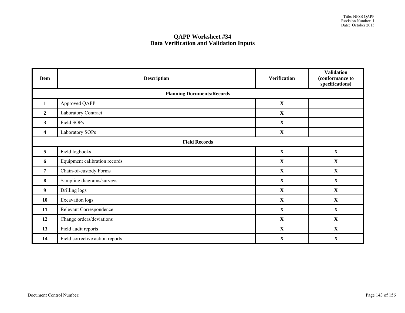# **QAPP Worksheet #34 Data Verification and Validation Inputs**

| <b>Item</b>             | <b>Description</b>                | <b>Verification</b> | <b>Validation</b><br>(conformance to<br>specifications) |  |  |  |  |
|-------------------------|-----------------------------------|---------------------|---------------------------------------------------------|--|--|--|--|
|                         | <b>Planning Documents/Records</b> |                     |                                                         |  |  |  |  |
| $\mathbf{1}$            | Approved QAPP                     | $\mathbf X$         |                                                         |  |  |  |  |
| $\overline{2}$          | Laboratory Contract               | $\mathbf X$         |                                                         |  |  |  |  |
| 3                       | Field SOPs                        | $\mathbf X$         |                                                         |  |  |  |  |
| $\overline{\mathbf{4}}$ | Laboratory SOPs                   | $\mathbf X$         |                                                         |  |  |  |  |
|                         | <b>Field Records</b>              |                     |                                                         |  |  |  |  |
| 5                       | Field logbooks                    | $\mathbf X$         | $\mathbf X$                                             |  |  |  |  |
| 6                       | Equipment calibration records     | $\mathbf X$         | $\mathbf X$                                             |  |  |  |  |
| 7                       | Chain-of-custody Forms            | $\mathbf X$         | $\mathbf X$                                             |  |  |  |  |
| 8                       | Sampling diagrams/surveys         | $\mathbf X$         | $\mathbf X$                                             |  |  |  |  |
| 9                       | Drilling logs                     | $\mathbf X$         | $\mathbf X$                                             |  |  |  |  |
| 10                      | <b>Excavation</b> logs            | $\mathbf X$         | $\mathbf X$                                             |  |  |  |  |
| 11                      | Relevant Correspondence           | $\mathbf X$         | $\mathbf X$                                             |  |  |  |  |
| 12                      | Change orders/deviations          | $\mathbf X$         | $\mathbf X$                                             |  |  |  |  |
| 13                      | Field audit reports               | $\mathbf X$         | $\mathbf X$                                             |  |  |  |  |
| 14                      | Field corrective action reports   | $\mathbf X$         | $\mathbf X$                                             |  |  |  |  |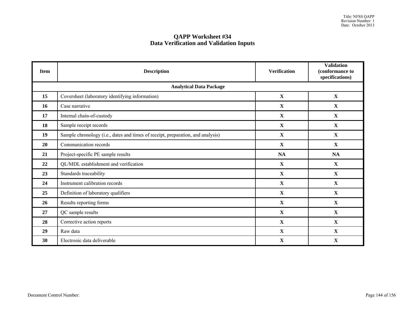#### **QAPP Worksheet #34 Data Verification and Validation Inputs**

| <b>Item</b> | <b>Description</b>                                                              | <b>Verification</b> | <b>Validation</b><br>(conformance to<br>specifications) |
|-------------|---------------------------------------------------------------------------------|---------------------|---------------------------------------------------------|
|             | <b>Analytical Data Package</b>                                                  |                     |                                                         |
| 15          | Coversheet (laboratory identifying information)                                 | $\mathbf X$         | $\mathbf X$                                             |
| 16          | Case narrative                                                                  | $\mathbf X$         | $\mathbf X$                                             |
| 17          | Internal chain-of-custody                                                       | $\mathbf X$         | $\mathbf X$                                             |
| 18          | Sample receipt records                                                          | $\mathbf X$         | $\mathbf X$                                             |
| 19          | Sample chronology (i.e., dates and times of receipt, preparation, and analysis) | $\mathbf X$         | $\mathbf X$                                             |
| 20          | Communication records                                                           | $\mathbf X$         | $\mathbf X$                                             |
| 21          | Project-specific PE sample results                                              | <b>NA</b>           | <b>NA</b>                                               |
| 22          | QL/MDL establishment and verification                                           | $\mathbf{X}$        | $\mathbf X$                                             |
| 23          | Standards traceability                                                          | $\mathbf X$         | $\mathbf X$                                             |
| 24          | Instrument calibration records                                                  | $\mathbf X$         | $\mathbf X$                                             |
| 25          | Definition of laboratory qualifiers                                             | $\mathbf X$         | $\mathbf X$                                             |
| 26          | Results reporting forms                                                         | $\mathbf X$         | $\mathbf X$                                             |
| 27          | QC sample results                                                               | $\mathbf X$         | $\mathbf X$                                             |
| 28          | Corrective action reports                                                       | $\mathbf X$         | $\mathbf X$                                             |
| 29          | Raw data                                                                        | $\mathbf X$         | $\mathbf X$                                             |
| 30          | Electronic data deliverable                                                     | $\mathbf X$         | $\mathbf X$                                             |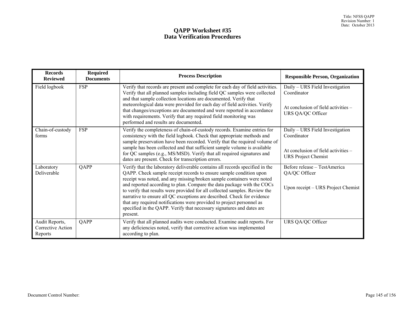### **QAPP Worksheet #35 Data Verification Procedures**

| <b>Records</b><br><b>Reviewed</b>              | <b>Required</b><br><b>Documents</b> | <b>Process Description</b>                                                                                                                                                                                                                                                                                                                                                                                                                                              | <b>Responsible Person, Organization</b>                           |
|------------------------------------------------|-------------------------------------|-------------------------------------------------------------------------------------------------------------------------------------------------------------------------------------------------------------------------------------------------------------------------------------------------------------------------------------------------------------------------------------------------------------------------------------------------------------------------|-------------------------------------------------------------------|
| Field logbook                                  | FSP                                 | Verify that records are present and complete for each day of field activities.<br>Verify that all planned samples including field QC samples were collected<br>and that sample collection locations are documented. Verify that                                                                                                                                                                                                                                         | Daily – URS Field Investigation<br>Coordinator                    |
|                                                |                                     | meteorological data were provided for each day of field activities. Verify<br>that changes/exceptions are documented and were reported in accordance<br>with requirements. Verify that any required field monitoring was<br>performed and results are documented.                                                                                                                                                                                                       | At conclusion of field activities –<br>URS QA/QC Officer          |
| Chain-of-custody<br>forms                      | <b>FSP</b>                          | Verify the completeness of chain-of-custody records. Examine entries for<br>consistency with the field logbook. Check that appropriate methods and<br>sample preservation have been recorded. Verify that the required volume of                                                                                                                                                                                                                                        | Daily – URS Field Investigation<br>Coordinator                    |
|                                                |                                     | sample has been collected and that sufficient sample volume is available<br>for QC samples (e.g., MS/MSD). Verify that all required signatures and<br>dates are present. Check for transcription errors.                                                                                                                                                                                                                                                                | At conclusion of field activities –<br><b>URS</b> Project Chemist |
| Laboratory<br>Deliverable                      | QAPP                                | Verify that the laboratory deliverable contains all records specified in the<br>QAPP. Check sample receipt records to ensure sample condition upon                                                                                                                                                                                                                                                                                                                      | Before release – TestAmerica<br>QA/QC Officer                     |
|                                                |                                     | receipt was noted, and any missing/broken sample containers were noted<br>and reported according to plan. Compare the data package with the COCs<br>to verify that results were provided for all collected samples. Review the<br>narrative to ensure all QC exceptions are described. Check for evidence<br>that any required notifications were provided to project personnel as<br>specified in the QAPP. Verify that necessary signatures and dates are<br>present. | Upon receipt – URS Project Chemist                                |
| Audit Reports,<br>Corrective Action<br>Reports | QAPP                                | Verify that all planned audits were conducted. Examine audit reports. For<br>any deficiencies noted, verify that corrective action was implemented<br>according to plan.                                                                                                                                                                                                                                                                                                | URS QA/QC Officer                                                 |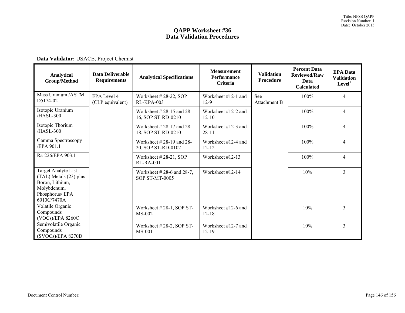#### **QAPP Worksheet #36 Data Validation Procedures**

# **Data Validator:** USACE, Project Chemist

 $\overline{a}$ 

| <b>Analytical</b><br>Group/Method                                                                                 | Data Deliverable<br><b>Requirements</b> | <b>Analytical Specifications</b>                   | <b>Measurement</b><br><b>Performance</b><br>Criteria | <b>Validation</b><br><b>Procedure</b> | <b>Percent Data</b><br><b>Reviewed/Raw</b><br>Data<br><b>Calculated</b> | <b>EPA</b> Data<br><b>Validation</b><br>Level <sup>1</sup> |
|-------------------------------------------------------------------------------------------------------------------|-----------------------------------------|----------------------------------------------------|------------------------------------------------------|---------------------------------------|-------------------------------------------------------------------------|------------------------------------------------------------|
| Mass Uranium /ASTM<br>D5174-02                                                                                    | EPA Level 4<br>(CLP equivalent)         | Worksheet $#28-22$ , SOP<br>RL-KPA-003             | Worksheet #12-1 and<br>$12-9$                        | <b>See</b><br>Attachment B            | 100%                                                                    | $\overline{4}$                                             |
| Isotopic Uranium<br>/HASL-300                                                                                     |                                         | Worksheet $#28-15$ and 28-<br>16, SOP ST-RD-0210   | Worksheet #12-2 and<br>$12 - 10$                     |                                       | 100%                                                                    | $\overline{4}$                                             |
| Isotopic Thorium<br>/HASL-300                                                                                     |                                         | Worksheet #28-17 and 28-<br>18, SOP ST-RD-0210     | Worksheet $#12-3$ and<br>28-11                       |                                       | 100%                                                                    | $\overline{4}$                                             |
| Gamma Spectroscopy<br>/EPA 901.1                                                                                  |                                         | Worksheet $\#$ 28-19 and 28-<br>20, SOP ST-RD-0102 | Worksheet #12-4 and<br>$12 - 12$                     |                                       | 100%                                                                    | $\overline{4}$                                             |
| Ra-226/EPA 903.1                                                                                                  |                                         | Worksheet $#28-21$ , SOP<br><b>RL-RA-001</b>       | Worksheet #12-13                                     |                                       | 100%                                                                    | $\overline{4}$                                             |
| Target Analyte List<br>(TAL) Metals (23) plus<br>Boron, Lithium,<br>Molybdenum,<br>Phosphorus/ EPA<br>6010C/7470A |                                         | Worksheet $#28-6$ and 28-7,<br>SOP ST-MT-0005      | Worksheet #12-14                                     |                                       | 10%                                                                     | $\overline{3}$                                             |
| Volatile Organic<br>Compounds<br>(VOCs)/EPA 8260C                                                                 |                                         | Worksheet $# 28-1$ , SOP ST-<br>$MS-002$           | Worksheet #12-6 and<br>$12 - 18$                     |                                       | 10%                                                                     | 3                                                          |
| Semivolatile Organic<br>Compounds<br>(SVOCs)/EPA 8270D                                                            |                                         | Worksheet $#28-2$ , SOP ST-<br>$MS-001$            | Worksheet #12-7 and<br>$12 - 19$                     |                                       | 10%                                                                     | $\overline{3}$                                             |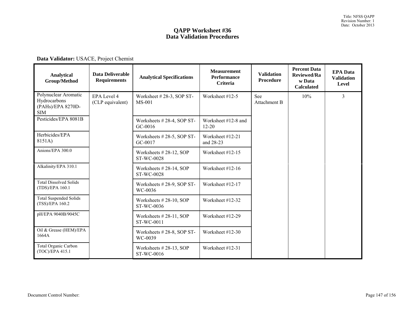### **QAPP Worksheet #36 Data Validation Procedures**

# **Data Validator:** USACE, Project Chemist

| <b>Analytical</b><br>Group/Method                                       | Data Deliverable<br><b>Requirements</b> | <b>Analytical Specifications</b>        | <b>Measurement</b><br><b>Performance</b><br><b>Criteria</b> | <b>Validation</b><br><b>Procedure</b> | <b>Percent Data</b><br><b>Reviewed/Ra</b><br>w Data<br><b>Calculated</b> | <b>EPA</b> Data<br><b>Validation</b><br>Level |
|-------------------------------------------------------------------------|-----------------------------------------|-----------------------------------------|-------------------------------------------------------------|---------------------------------------|--------------------------------------------------------------------------|-----------------------------------------------|
| Polynuclear Aromatic<br>Hydrocarbons<br>(PAHs)/EPA 8270D-<br><b>SIM</b> | EPA Level 4<br>(CLP equivalent)         | Worksheet $#28-3$ , SOP ST-<br>$MS-001$ | Worksheet #12-5                                             | See<br><b>Attachment B</b>            | 10%                                                                      | $\overline{3}$                                |
| Pesticides/EPA 8081B                                                    |                                         | Worksheets $#28-4$ , SOP ST-<br>GC-0016 | Worksheet $#12-8$ and<br>$12 - 20$                          |                                       |                                                                          |                                               |
| Herbicides/EPA<br>8151A)                                                |                                         | Worksheets $#28-5$ , SOP ST-<br>GC-0017 | Worksheet #12-21<br>and 28-23                               |                                       |                                                                          |                                               |
| Anions/EPA 300.0                                                        |                                         | Worksheets $#28-12$ , SOP<br>ST-WC-0028 | Worksheet $#12-15$                                          |                                       |                                                                          |                                               |
| Alkalinity/EPA 310.1                                                    |                                         | Worksheets $#28-14$ , SOP<br>ST-WC-0028 | Worksheet #12-16                                            |                                       |                                                                          |                                               |
| <b>Total Dissolved Solids</b><br>(TDS)/EPA 160.1                        |                                         | Worksheets $#28-9$ , SOP ST-<br>WC-0036 | Worksheet #12-17                                            |                                       |                                                                          |                                               |
| <b>Total Suspended Solids</b><br>(TSS)/EPA 160.2                        |                                         | Worksheets $#28-10$ , SOP<br>ST-WC-0036 | Worksheet #12-32                                            |                                       |                                                                          |                                               |
| pH/EPA 9040B/9045C                                                      |                                         | Worksheets $#28-11$ , SOP<br>ST-WC-0011 | Worksheet #12-29                                            |                                       |                                                                          |                                               |
| Oil & Grease (HEM)/EPA<br>1664A                                         |                                         | Worksheets $#28-8$ , SOP ST-<br>WC-0039 | Worksheet #12-30                                            |                                       |                                                                          |                                               |
| Total Organic Carbon<br>(TOC)/EPA 415.1                                 |                                         | Worksheets $#28-13$ , SOP<br>ST-WC-0016 | Worksheet #12-31                                            |                                       |                                                                          |                                               |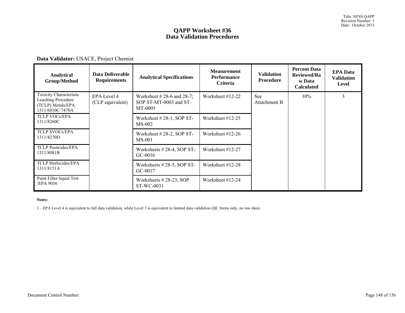#### **QAPP Worksheet #36 Data Validation Procedures**

# **Data Validator:** USACE, Project Chemist

| Analytical<br>Group/Method                                                             | Data Deliverable<br><b>Requirements</b> | <b>Analytical Specifications</b>                               | <b>Measurement</b><br><b>Performance</b><br><b>Criteria</b> | <b>Validation</b><br><b>Procedure</b> | <b>Percent Data</b><br><b>Reviewed/Ra</b><br>w Data<br><b>Calculated</b> | <b>EPA</b> Data<br><b>Validation</b><br>Level |
|----------------------------------------------------------------------------------------|-----------------------------------------|----------------------------------------------------------------|-------------------------------------------------------------|---------------------------------------|--------------------------------------------------------------------------|-----------------------------------------------|
| Toxicity Characteristic<br>Leaching Procedure<br>(TCLP) Metals/EPA<br>1311/6010C/7470A | EPA Level 4<br>(CLP equivalent)         | Worksheet #28-6 and 28-7;<br>SOP ST-MT-0003 and ST-<br>MT-0005 | Worksheet #12-22                                            | See<br>Attachment B                   | 10%                                                                      | 3                                             |
| <b>TCLP VOCs/EPA</b><br>1311/8260C                                                     |                                         | Worksheet $# 28-1$ , SOP ST-<br>$MS-002$                       | Worksheet #12-25                                            |                                       |                                                                          |                                               |
| <b>TCLP SVOCs/EPA</b><br>1311/8270D                                                    |                                         | Worksheet $#28-2$ , SOP ST-<br>$MS-001$                        | Worksheet $\#12-26$                                         |                                       |                                                                          |                                               |
| <b>TCLP Pesticides/EPA</b><br>1311/8081B                                               |                                         | Worksheets $#28-4$ , SOP ST-<br>$GC-0016$                      | Worksheet #12-27                                            |                                       |                                                                          |                                               |
| <b>TCLP Herbicides/EPA</b><br>1311/8151A                                               |                                         | Worksheets $#28-5$ , SOP ST-<br>$GC-0017$                      | Worksheet #12-28                                            |                                       |                                                                          |                                               |
| Paint Filter liquid Test<br>/EPA 9056                                                  |                                         | Worksheets $#28-23$ , SOP<br>ST-WC-0031                        | Worksheet #12-24                                            |                                       |                                                                          |                                               |

#### **Notes:**

1 – EPA Level 4 is equivalent to full data validation, while Level 3 is equivalent to limited data validation (QC forms only, no raw data).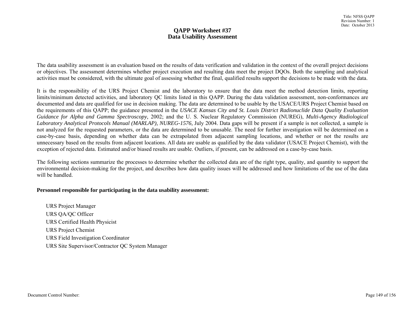The data usability assessment is an evaluation based on the results of data verification and validation in the context of the overall project decisions or objectives. The assessment determines whether project execution and resulting data meet the project DQOs. Both the sampling and analytical activities must be considered, with the ultimate goal of assessing whether the final, qualified results support the decisions to be made with the data.

It is the responsibility of the URS Project Chemist and the laboratory to ensure that the data meet the method detection limits, reporting limits/minimum detected activities, and laboratory QC limits listed in this QAPP. During the data validation assessment, non-conformances are documented and data are qualified for use in decision making. The data are determined to be usable by the USACE/URS Project Chemist based on the requirements of this QAPP; the guidance presented in the *USACE Kansas City and St. Louis District Radionuclide Data Quality Evaluation Guidance for Alpha and Gamma Spectroscopy,* 2002; and the U. S. Nuclear Regulatory Commission (NUREG), *Multi-Agency Radiological Laboratory Analytical Protocols Manual (MARLAP), NUREG-1576, July 2004. Data gaps will be present if a sample is not collected, a sample is* not analyzed for the requested parameters, or the data are determined to be unusable. The need for further investigation will be determined on a case-by-case basis, depending on whether data can be extrapolated from adjacent sampling locations, and whether or not the results are unnecessary based on the results from adjacent locations. All data are usable as qualified by the data validator (USACE Project Chemist), with the exception of rejected data. Estimated and/or biased results are usable. Outliers, if present, can be addressed on a case-by-case basis.

The following sections summarize the processes to determine whether the collected data are of the right type, quality, and quantity to support the environmental decision-making for the project, and describes how data quality issues will be addressed and how limitations of the use of the data will be handled.

#### **Personnel responsible for participating in the data usability assessment:**

URS Project Manager URS QA/QC Officer URS Certified Health Physicist URS Project Chemist URS Field Investigation Coordinator URS Site Supervisor/Contractor QC System Manager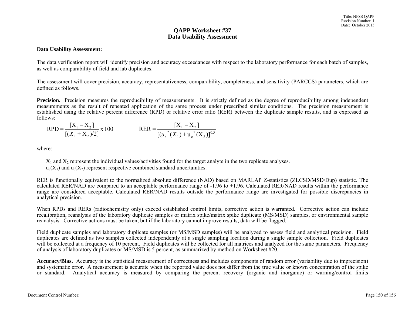#### **Data Usability Assessment:**

The data verification report will identify precision and accuracy exceedances with respect to the laboratory performance for each batch of samples, as well as comparability of field and lab duplicates.

The assessment will cover precision, accuracy, representativeness, comparability, completeness, and sensitivity (PARCCS) parameters, which are defined as follows.

**Precision.** Precision measures the reproducibility of measurements. It is strictly defined as the degree of reproducibility among independent measurements as the result of repeated application of the same process under prescribed similar conditions. The precision measurement is established using the relative percent difference (RPD) or relative error ratio (RER) between the duplicate sample results, and is expressed as follows:

$$
RPD = \frac{[X_1 - X_2]}{[(X_1 + X_2)/2]} \times 100 \qquad \qquad RER = \frac{[X_1 - X_2]}{[(u_c^2(X_1) + u_c^2(X_2))]^{0.5}}
$$

where:

 $X_1$  and  $X_2$  represent the individual values/activities found for the target analyte in the two replicate analyses.  $u_c(X_1)$  and  $u_c(X_2)$  represent respective combined standard uncertainties.

RER is functionally equivalent to the normalized absolute difference (NAD) based on MARLAP Z-statistics (ZLCSD/MSD/Dup) statistic. The calculated RER/NAD are compared to an acceptable performance range of -1.96 to +1.96. Calculated RER/NAD results within the performance range are considered acceptable. Calculated RER/NAD results outside the performance range are investigated for possible discrepancies in analytical precision.

When RPDs and RERs (radiochemistry only) exceed established control limits, corrective action is warranted. Corrective action can include recalibration, reanalysis of the laboratory duplicate samples or matrix spike/matrix spike duplicate (MS/MSD) samples, or environmental sample reanalysis. Corrective actions must be taken, but if the laboratory cannot improve results, data will be flagged.

Field duplicate samples and laboratory duplicate samples (or MS/MSD samples) will be analyzed to assess field and analytical precision. Field duplicates are defined as two samples collected independently at a single sampling location during a single sample collection. Field duplicates will be collected at a frequency of 10 percent. Field duplicates will be collected for all matrices and analyzed for the same parameters. Frequency of analysis of laboratory duplicates or MS/MSD is 5 percent, as summarized by method on Worksheet #20.

**Accuracy/Bias.** Accuracy is the statistical measurement of correctness and includes components of random error (variability due to imprecision) and systematic error. A measurement is accurate when the reported value does not differ from the true value or known concentration of the spike or standard. Analytical accuracy is measured by comparing the percent recovery (organic and inorganic) or warning/control limits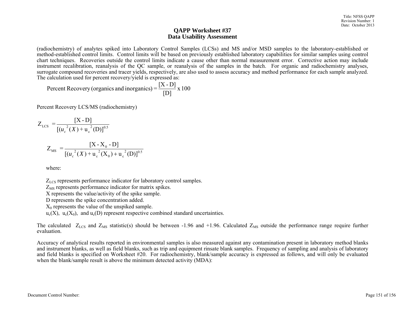(radiochemistry) of analytes spiked into Laboratory Control Samples (LCSs) and MS and/or MSD samples to the laboratory-established or method-established control limits. Control limits will be based on previously established laboratory capabilities for similar samples using control chart techniques. Recoveries outside the control limits indicate a cause other than normal measurement error. Corrective action may include instrument recalibration, reanalysis of the QC sample, or reanalysis of the samples in the batch. For organic and radiochemistry analyses, surrogate compound recoveries and tracer yields, respectively, are also used to assess accuracy and method performance for each sample analyzed. The calculation used for percent recovery/yield is expressed as:

 $\frac{1}{2} \times 100$ Percent Recovery (organics and inorganics) =  $\frac{[X - D]}{[X - D]}$ 

Percent Recovery LCS/MS (radiochemistry)

 $[(u_c^2(X)+u_c^2(D)]$  $Z_{\text{LCS}} = \frac{[X - D]}{[(u_c^2(X) + u_c^2(D)]^{0.5}}$  $\frac{LCS}{L}(u_c^2(X))$  $[(u_c^2(X)+u_c^2(X_0)+u_c^2(D)]$  $Z_{\text{MS}} = \frac{[X - X_0 - D]}{[(u_c^2(X) + u_c^2(X_0) + u_c^2(D)]^{0.5}}$ 07 : C  $^{2}$  (V)  $\sim$   $^{2}$ c $\mu$ <sub>MS</sub> =  $\frac{1}{\left[\left(u_c^2(X) + u_c^2(X_0) + \cdots\right)\right]}$ 

where:

 $Z_{\text{LCS}}$  represents performance indicator for laboratory control samples.

 $Z_{MS}$  represents performance indicator for matrix spikes.

X represents the value/activity of the spike sample.

D represents the spike concentration added.

 $X_0$  represents the value of the unspiked sample.

 $u_c(X)$ ,  $u_c(X_0)$ , and  $u_c(D)$  represent respective combined standard uncertainties.

The calculated  $Z_{\text{LCS}}$  and  $Z_{\text{MS}}$  statistic(s) should be between -1.96 and +1.96. Calculated  $Z_{\text{MS}}$  outside the performance range require further evaluation.

Accuracy of analytical results reported in environmental samples is also measured against any contamination present in laboratory method blanks and instrument blanks, as well as field blanks, such as trip and equipment rinsate blank samples. Frequency of sampling and analysis of laboratory and field blanks is specified on Worksheet #20. For radiochemistry, blank/sample accuracy is expressed as follows, and will only be evaluated when the blank/sample result is above the minimum detected activity (MDA):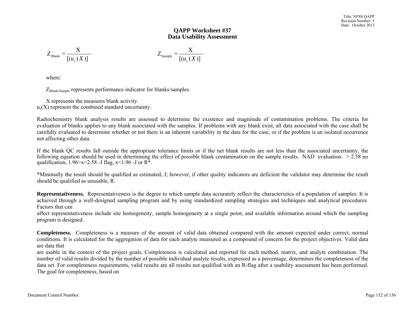$$
Z_{\text{Blank}} = \frac{X}{\left[ (u_c(X)) \right]}
$$

$$
\frac{X}{C_c(X)}
$$
  $Z_{\text{Sample}} = \frac{X}{[(u_c(X))]}$ 

where:

ZBlank/Sample represents performance indicator for blanks/samples.

 X represents the measures blank activity.  $u_c(X)$  represent the combined standard uncertainty.

Radiochemistry blank analysis results are assessed to determine the existence and magnitude of contamination problems. The criteria for evaluation of blanks applies to any blank associated with the samples. If problems with any blank exist, all data associated with the case shall be carefully evaluated to determine whether or not there is an inherent variability in the data for the case, or if the problem is an isolated occurrence not affecting other data.

If the blank QC results fall outside the appropriate tolerance limits or if the net blank results are not less than the associated uncertainty, the following equation should be used in determining the effect of possible blank contamination on the sample results. NAD evaluation: > 2.58 no qualification,  $1.96 > x < 2.58$  -J flag,  $x < 1.96$  -J or  $R^*$ .

\*Minimally the result should be qualified as estimated, J; however, if other quality indicators are deficient the validator may determine the result should be qualified as unusable, R.

**Representativeness.** Representativeness is the degree to which sample data accurately reflect the characteristics of a population of samples. It is achieved through a well-designed sampling program and by using standardized sampling strategies and techniques and analytical procedures. Factors that can

affect representativeness include site homogeneity, sample homogeneity at a single point, and available information around which the sampling program is designed.

**Completeness.** Completeness is a measure of the amount of valid data obtained compared with the amount expected under correct, normal conditions. It is calculated for the aggregation of data for each analyte measured as a compound of concern for the project objectives. Valid data are data that

are usable in the context of the project goals. Completeness is calculated and reported for each method, matrix, and analyte combination. The number of valid results divided by the number of possible individual analyte results, expressed as a percentage, determines the completeness of the data set. For completeness requirements, valid results are all results not qualified with an R-flag after a usability assessment has been performed. The goal for completeness, based on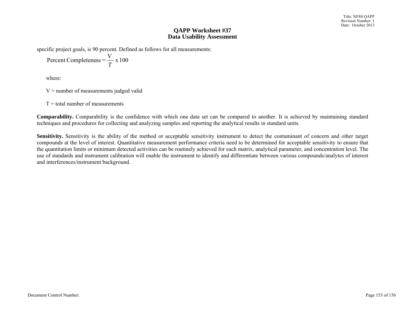specific project goals, is 90 percent. Defined as follows for all measurements:

Percent Completeness = 
$$
\frac{V}{T}
$$
 x 100

where:

V = number of measurements judged valid

 $T =$  total number of measurements

**Comparability.** Comparability is the confidence with which one data set can be compared to another. It is achieved by maintaining standard techniques and procedures for collecting and analyzing samples and reporting the analytical results in standard units.

**Sensitivity.** Sensitivity is the ability of the method or acceptable sensitivity instrument to detect the contaminant of concern and other target compounds at the level of interest. Quantitative measurement performance criteria need to be determined for acceptable sensitivity to ensure that the quantitation limits or minimum detected activities can be routinely achieved for each matrix, analytical parameter, and concentration level. The use of standards and instrument calibration will enable the instrument to identify and differentiate between various compounds/analytes of interest and interferences/instrument background.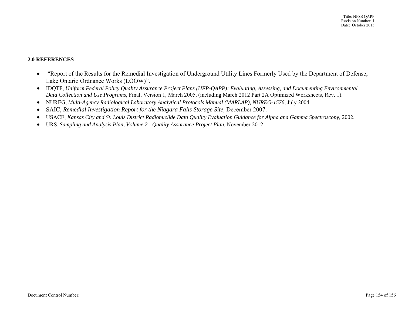# **2.0 REFERENCES**

- $\bullet$  "Report of the Results for the Remedial Investigation of Underground Utility Lines Formerly Used by the Department of Defense, Lake Ontario Ordnance Works (LOOW)".
- **•** IDQTF, *Uniform Federal Policy Quality Assurance Project Plans (UFP-QAPP): Evaluating, Assessing, and Documenting Environmental Data Collection and Use Programs*, Final, Version 1, March 2005, (including March 2012 Part 2A Optimized Worksheets, Rev. 1).
- NUREG, *Multi-Agency Radiological Laboratory Analytical Protocols Manual (MARLAP), NUREG-1576,* July 2004.
- $\bullet$ SAIC, *Remedial Investigation Report for the Niagara Falls Storage Site,* December 2007.
- $\bullet$ USACE, Kansas City and St. Louis District Radionuclide Data Quality Evaluation Guidance for Alpha and Gamma Spectroscopy, 2002.
- URS, *Sampling and Analysis Plan, Volume 2 Quality Assurance Project Plan*, November 2012.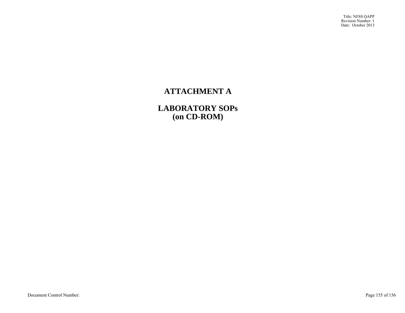Title: NFSS QAPP Revision Number: 1 Date: October 2013

# **ATTACHMENT A**

**LABORATORY SOPs (on CD-ROM)**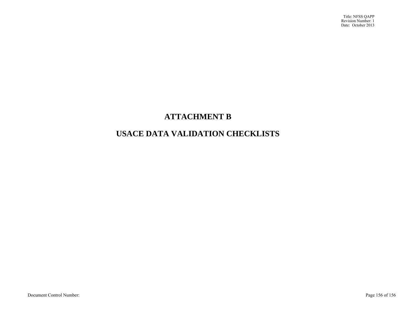Title: NFSS QAPP Revision Number: 1 Date: October 2013

# **ATTACHMENT B**

# **USACE DATA VALIDATION CHECKLISTS**